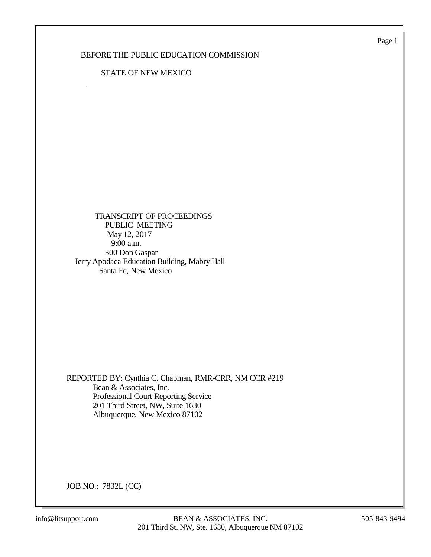Page 1

### BEFORE THE PUBLIC EDUCATION COMMISSION

#### STATE OF NEW MEXICO

 TRANSCRIPT OF PROCEEDINGS PUBLIC MEETING May 12, 2017 9:00 a.m. 300 Don Gaspar Jerry Apodaca Education Building, Mabry Hall Santa Fe, New Mexico

REPORTED BY: Cynthia C. Chapman, RMR-CRR, NM CCR #219 Bean & Associates, Inc. Professional Court Reporting Service 201 Third Street, NW, Suite 1630 Albuquerque, New Mexico 87102

JOB NO.: 7832L (CC)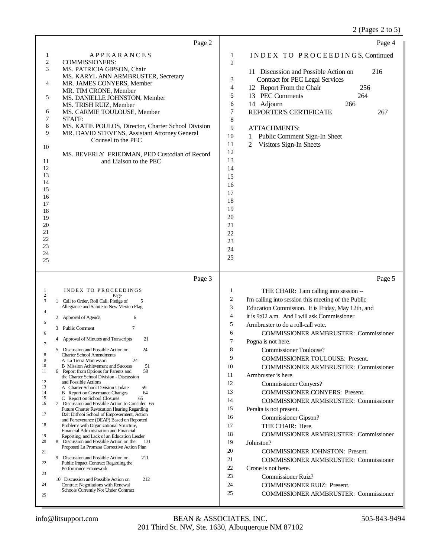|                                                                                                                                                                                                                                                                 | Page 2                                                                                                                                                                                                                                                                                                                                                                                                                                                                                                                                                                                                                                                                                                                                        |                                                                                                | Page 4                                                                                                                                                                                                                                                                                                                                                                                                                                                                                       |
|-----------------------------------------------------------------------------------------------------------------------------------------------------------------------------------------------------------------------------------------------------------------|-----------------------------------------------------------------------------------------------------------------------------------------------------------------------------------------------------------------------------------------------------------------------------------------------------------------------------------------------------------------------------------------------------------------------------------------------------------------------------------------------------------------------------------------------------------------------------------------------------------------------------------------------------------------------------------------------------------------------------------------------|------------------------------------------------------------------------------------------------|----------------------------------------------------------------------------------------------------------------------------------------------------------------------------------------------------------------------------------------------------------------------------------------------------------------------------------------------------------------------------------------------------------------------------------------------------------------------------------------------|
| $\mathbf{1}$<br>$\sqrt{2}$<br><b>COMMISSIONERS:</b><br>3<br>4<br>5<br>6<br>7<br>STAFF:<br>8<br>9<br>10                                                                                                                                                          | <b>APPEARANCES</b><br>MS. PATRICIA GIPSON, Chair<br>MS. KARYL ANN ARMBRUSTER, Secretary<br>MR. JAMES CONYERS, Member<br>MR. TIM CRONE, Member<br>MS. DANIELLE JOHNSTON, Member<br>MS. TRISH RUIZ, Member<br>MS. CARMIE TOULOUSE, Member<br>MS. KATIE POULOS, Director, Charter School Division<br>MR. DAVID STEVENS, Assistant Attorney General<br>Counsel to the PEC                                                                                                                                                                                                                                                                                                                                                                         | $\mathbf{1}$<br>$\sqrt{2}$<br>3<br>4<br>5<br>6<br>$\boldsymbol{7}$<br>8<br>9<br>10<br>11<br>12 | INDEX TO PROCEEDINGS, Continued<br>11 Discussion and Possible Action on<br>216<br><b>Contract for PEC Legal Services</b><br>12 Report From the Chair<br>256<br>13 PEC Comments<br>264<br>14 Adjourn<br>266<br>REPORTER'S CERTIFICATE<br>267<br><b>ATTACHMENTS:</b><br>Public Comment Sign-In Sheet<br>1<br>2<br>Visitors Sign-In Sheets                                                                                                                                                      |
| 11<br>12<br>13<br>14<br>15<br>16<br>17<br>18<br>19<br>20<br>21<br>22<br>23<br>24<br>25                                                                                                                                                                          | MS. BEVERLY FRIEDMAN, PED Custodian of Record<br>and Liaison to the PEC                                                                                                                                                                                                                                                                                                                                                                                                                                                                                                                                                                                                                                                                       | 13<br>14<br>15<br>16<br>17<br>18<br>19<br>20<br>21<br>22<br>23<br>24<br>25                     |                                                                                                                                                                                                                                                                                                                                                                                                                                                                                              |
|                                                                                                                                                                                                                                                                 | Page 3                                                                                                                                                                                                                                                                                                                                                                                                                                                                                                                                                                                                                                                                                                                                        |                                                                                                | Page 5                                                                                                                                                                                                                                                                                                                                                                                                                                                                                       |
| $\mathbf{1}$<br>2<br>3<br>1 Call to Order, Roll Call, Pledge of<br>4<br>2 Approval of Agenda<br>5<br>3 Public Comment<br>6<br>4<br>7<br>5 Discussion and Possible Action on<br>8<br><b>Charter School Amendments</b><br>9<br>A La Tierra Montessori<br>10<br>11 | <b>INDEX TO PROCEEDINGS</b><br>Page<br>5<br>Allegiance and Salute to New Mexico Flag<br>6<br>7<br>Approval of Minutes and Transcripts<br>21<br>24<br>24<br><b>B</b> Mission Achievement and Success<br>51<br>59<br>6 Report from Options for Parents and<br>the Charter School Division - Discussion                                                                                                                                                                                                                                                                                                                                                                                                                                          | 1<br>2<br>3<br>$\overline{4}$<br>5<br>6<br>7<br>8<br>9<br>10<br>11                             | THE CHAIR: I am calling into session --<br>I'm calling into session this meeting of the Public<br>Education Commission. It is Friday, May 12th, and<br>it is 9:02 a.m. And I will ask Commissioner<br>Armbruster to do a roll-call vote.<br><b>COMMISSIONER ARMBRUSTER: Commissioner</b><br>Pogna is not here.<br>Commissioner Toulouse?<br>COMMISSIONER TOULOUSE: Present.<br><b>COMMISSIONER ARMBRUSTER: Commissioner</b><br>Armbruster is here.                                           |
| 12<br>and Possible Actions<br>13<br>14<br>15<br>C Report on School Closures<br>16<br>17<br>18<br>19<br>20<br>21<br>9<br>22<br>Performance Framework<br>23<br>24<br>25                                                                                           | 59<br>A Charter School Division Update<br>64<br><b>B</b> Report on Governance Changes<br>65<br>7 Discussion and Possible Action to Consider 65<br>Future Charter Revocation Hearing Regarding<br>Dzit Ditl'ooi School of Empowerment, Action<br>and Perseverance (DEAP) Based on Reported<br>Problems with Organizational Structure,<br>Financial Administration and Financial<br>Reporting, and Lack of an Education Leader<br>8 Discussion and Possible Action on the<br>131<br>Proposed La Promesa Corrective Action Plan<br>211<br>Discussion and Possible Action on<br>Public Impact Contract Regarding the<br>10 Discussion and Possible Action on<br>212<br>Contract Negotiations with Renewal<br>Schools Currently Not Under Contract | 12<br>13<br>14<br>15<br>16<br>17<br>18<br>19<br>20<br>21<br>22<br>23<br>24<br>25               | <b>Commissioner Convers?</b><br><b>COMMISSIONER CONYERS: Present.</b><br><b>COMMISSIONER ARMBRUSTER: Commissioner</b><br>Peralta is not present.<br>Commissioner Gipson?<br>THE CHAIR: Here.<br><b>COMMISSIONER ARMBRUSTER: Commissioner</b><br>Johnston?<br><b>COMMISSIONER JOHNSTON: Present.</b><br><b>COMMISSIONER ARMBRUSTER: Commissioner</b><br>Crone is not here.<br><b>Commissioner Ruiz?</b><br><b>COMMISSIONER RUIZ: Present.</b><br><b>COMMISSIONER ARMBRUSTER: Commissioner</b> |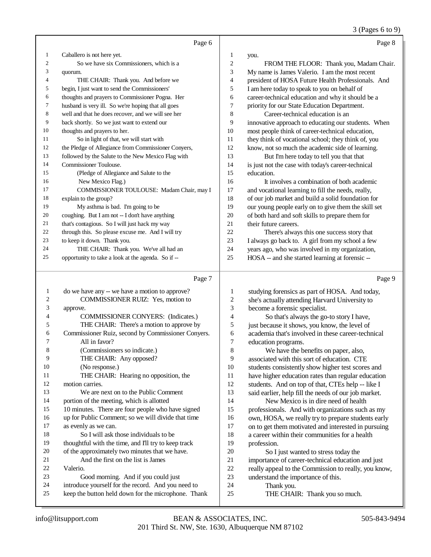3 (Pages 6 to 9)

|    | Page 6                                              |    | Page 8                                               |
|----|-----------------------------------------------------|----|------------------------------------------------------|
| 1  | Caballero is not here yet.                          | 1  | you.                                                 |
| 2  | So we have six Commissioners, which is a            | 2  | FROM THE FLOOR: Thank you, Madam Chair.              |
| 3  | quorum.                                             | 3  | My name is James Valerio. I am the most recent       |
| 4  | THE CHAIR: Thank you. And before we                 | 4  | president of HOSA Future Health Professionals. And   |
| 5  | begin, I just want to send the Commissioners'       | 5  | I am here today to speak to you on behalf of         |
| 6  | thoughts and prayers to Commissioner Pogna. Her     | 6  | career-technical education and why it should be a    |
| 7  | husband is very ill. So we're hoping that all goes  | 7  | priority for our State Education Department.         |
| 8  | well and that he does recover, and we will see her  | 8  | Career-technical education is an                     |
| 9  | back shortly. So we just want to extend our         | 9  | innovative approach to educating our students. When  |
| 10 | thoughts and prayers to her.                        | 10 | most people think of career-technical education,     |
| 11 | So in light of that, we will start with             | 11 | they think of vocational school; they think of, you  |
| 12 | the Pledge of Allegiance from Commissioner Conyers, | 12 | know, not so much the academic side of learning.     |
| 13 | followed by the Salute to the New Mexico Flag with  | 13 | But I'm here today to tell you that that             |
| 14 | Commissioner Toulouse.                              | 14 | is just not the case with today's career-technical   |
| 15 | (Pledge of Allegiance and Salute to the             | 15 | education.                                           |
| 16 | New Mexico Flag.)                                   | 16 | It involves a combination of both academic           |
| 17 | COMMISSIONER TOULOUSE: Madam Chair, may I           | 17 | and vocational learning to fill the needs, really,   |
| 18 | explain to the group?                               | 18 | of our job market and build a solid foundation for   |
| 19 | My asthma is bad. I'm going to be                   | 19 | our young people early on to give them the skill set |
| 20 | coughing. But I am not -- I don't have anything     | 20 | of both hard and soft skills to prepare them for     |
| 21 | that's contagious. So I will just hack my way       | 21 | their future careers.                                |
| 22 | through this. So please excuse me. And I will try   | 22 | There's always this one success story that           |
| 23 | to keep it down. Thank you.                         | 23 | I always go back to. A girl from my school a few     |
| 24 | THE CHAIR: Thank you. We've all had an              | 24 | years ago, who was involved in my organization,      |
| 25 | opportunity to take a look at the agenda. So if --  | 25 | HOSA -- and she started learning at forensic --      |

|                | Page 7                                               |    | Page 9                                               |
|----------------|------------------------------------------------------|----|------------------------------------------------------|
| 1              | do we have any -- we have a motion to approve?       | 1  | studying forensics as part of HOSA. And today,       |
| $\overline{2}$ | COMMISSIONER RUIZ: Yes, motion to                    | 2  | she's actually attending Harvard University to       |
| 3              | approve.                                             | 3  | become a forensic specialist.                        |
| $\overline{4}$ | <b>COMMISSIONER CONYERS:</b> (Indicates.)            | 4  | So that's always the go-to story I have,             |
| 5              | THE CHAIR: There's a motion to approve by            | 5  | just because it shows, you know, the level of        |
| 6              | Commissioner Ruiz, second by Commissioner Conyers.   | 6  | academia that's involved in these career-technical   |
| 7              | All in favor?                                        | 7  | education programs.                                  |
| 8              | (Commissioners so indicate.)                         | 8  | We have the benefits on paper, also,                 |
| 9              | THE CHAIR: Any opposed?                              | 9  | associated with this sort of education. CTE          |
| 10             | (No response.)                                       | 10 | students consistently show higher test scores and    |
| 11             | THE CHAIR: Hearing no opposition, the                | 11 | have higher education rates than regular education   |
| 12             | motion carries.                                      | 12 | students. And on top of that, CTEs help -- like I    |
| 13             | We are next on to the Public Comment                 | 13 | said earlier, help fill the needs of our job market. |
| 14             | portion of the meeting, which is allotted            | 14 | New Mexico is in dire need of health                 |
| 15             | 10 minutes. There are four people who have signed    | 15 | professionals. And with organizations such as my     |
| 16             | up for Public Comment; so we will divide that time   | 16 | own, HOSA, we really try to prepare students early   |
| 17             | as evenly as we can.                                 | 17 | on to get them motivated and interested in pursuing  |
| 18             | So I will ask those individuals to be                | 18 | a career within their communities for a health       |
| 19             | thoughtful with the time, and I'll try to keep track | 19 | profession.                                          |
| 20             | of the approximately two minutes that we have.       | 20 | So I just wanted to stress today the                 |
| 21             | And the first on the list is James                   | 21 | importance of career-technical education and just    |
| 22             | Valerio.                                             | 22 | really appeal to the Commission to really, you know, |
| 23             | Good morning. And if you could just                  | 23 | understand the importance of this.                   |
| 24             | introduce yourself for the record. And you need to   | 24 | Thank you.                                           |
| 25             | keep the button held down for the microphone. Thank  | 25 | THE CHAIR: Thank you so much.                        |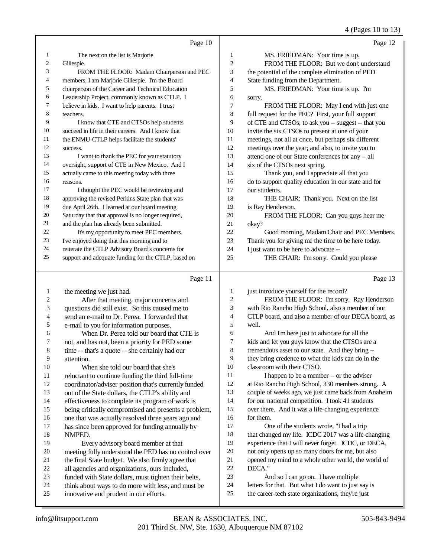#### 4 (Pages 10 to 13)

|                         |                                                      |                | 7(14803101013)                                       |
|-------------------------|------------------------------------------------------|----------------|------------------------------------------------------|
|                         | Page 10                                              |                | Page 12                                              |
| 1                       | The next on the list is Marjorie                     | 1              | MS. FRIEDMAN: Your time is up.                       |
| 2                       | Gillespie.                                           | $\overline{c}$ | FROM THE FLOOR: But we don't understand              |
| 3                       | FROM THE FLOOR: Madam Chairperson and PEC            | 3              | the potential of the complete elimination of PED     |
| 4                       | members, I am Marjorie Gillespie. I'm the Board      | 4              | State funding from the Department.                   |
| 5                       | chairperson of the Career and Technical Education    | 5              | MS. FRIEDMAN: Your time is up. I'm                   |
| 6                       | Leadership Project, commonly known as CTLP. I        | 6              | sorry.                                               |
| 7                       | believe in kids. I want to help parents. I trust     | 7              | FROM THE FLOOR: May I end with just one              |
| 8                       | teachers.                                            | $\,8\,$        | full request for the PEC? First, your full support   |
| 9                       | I know that CTE and CTSOs help students              | 9              | of CTE and CTSOs; to ask you -- suggest -- that you  |
| 10                      | succeed in life in their careers. And I know that    | 10             | invite the six CTSOs to present at one of your       |
| 11                      | the ENMU-CTLP helps facilitate the students'         | $11\,$         | meetings, not all at once, but perhaps six different |
| 12                      | success.                                             | 12             | meetings over the year; and also, to invite you to   |
| 13                      | I want to thank the PEC for your statutory           | 13             | attend one of our State conferences for any -- all   |
| 14                      | oversight, support of CTE in New Mexico. And I       | 14             | six of the CTSOs next spring.                        |
| 15                      | actually came to this meeting today with three       | 15             | Thank you, and I appreciate all that you             |
| 16                      | reasons.                                             | 16             | do to support quality education in our state and for |
| 17                      | I thought the PEC would be reviewing and             | 17             | our students.                                        |
| 18                      | approving the revised Perkins State plan that was    | 18             | THE CHAIR: Thank you. Next on the list               |
| 19                      | due April 26th. I learned at our board meeting       | 19             | is Ray Henderson.                                    |
| 20                      | Saturday that that approval is no longer required,   | 20             | FROM THE FLOOR: Can you guys hear me                 |
| 21                      | and the plan has already been submitted.             | 21             | okay?                                                |
| 22                      | It's my opportunity to meet PEC members.             | 22             | Good morning, Madam Chair and PEC Members.           |
| 23                      | I've enjoyed doing that this morning and to          | 23             | Thank you for giving me the time to be here today.   |
| 24                      | reiterate the CTLP Advisory Board's concerns for     | 24             | I just want to be here to advocate --                |
| 25                      | support and adequate funding for the CTLP, based on  | 25             | THE CHAIR: I'm sorry. Could you please               |
|                         | Page 11                                              |                | Page 13                                              |
| 1                       | the meeting we just had.                             | 1              | just introduce yourself for the record?              |
| $\overline{\mathbf{c}}$ | After that meeting, major concerns and               | $\overline{c}$ | FROM THE FLOOR: I'm sorry. Ray Henderson             |
| 3                       | questions did still exist. So this caused me to      | 3              | with Rio Rancho High School, also a member of our    |
| 4                       | send an e-mail to Dr. Perea. I forwarded that        | 4              | CTLP board, and also a member of our DECA board, as  |
| 5                       | e-mail to you for information purposes.              | 5              | well.                                                |
| 6                       | When Dr. Perea told our board that CTE is            | 6              | And I'm here just to advocate for all the            |
| 7                       | not, and has not, been a priority for PED some       | 7              | kids and let you guys know that the CTSOs are a      |
| 8                       | time -- that's a quote -- she certainly had our      | 8              | tremendous asset to our state. And they bring --     |
| 9                       | attention.                                           | 9              | they bring credence to what the kids can do in the   |
| 10                      | When she told our board that she's                   | 10             | classroom with their CTSO.                           |
| 11                      | reluctant to continue funding the third full-time    | 11             | I happen to be a member -- or the adviser            |
| 12                      | coordinator/adviser position that's currently funded | 12             | at Rio Rancho High School, 330 members strong. A     |
| 13                      | out of the State dollars, the CTLP's ability and     | 13             | couple of weeks ago, we just came back from Anaheim  |
| 14                      | effectiveness to complete its program of work is     | 14             | for our national competition. I took 41 students     |
| 15                      | being critically compromised and presents a problem, | 15             | over there. And it was a life-changing experience    |
| 16                      | one that was actually resolved three years ago and   | 16             | for them.                                            |
| 17                      | has since been approved for funding annually by      | 17             | One of the students wrote, "I had a trip             |

18 NMPED.<br>19 Eve

Every advisory board member at that 20 meeting fully understood the PED has no control over<br>21 the final State budget. We also firmly agree that 21 the final State budget. We also firmly agree that<br>22 all agencies and organizations, ours included. 22 all agencies and organizations, ours included,<br>23 funded with State dollars, must tighten their b 23 funded with State dollars, must tighten their belts,<br>24 think about ways to do more with less, and must be 24 think about ways to do more with less, and must be innovative and prudent in our efforts. innovative and prudent in our efforts.

DECA."

18 that changed my life. ICDC 2017 was a life-changing experience that I will never forget. ICDC, or DECA, not only opens up so many doors for me, but also opened my mind to a whole other world, the world of

 And so I can go on. I have multiple letters for that. But what I do want to just say is the career-tech state organizations, they're just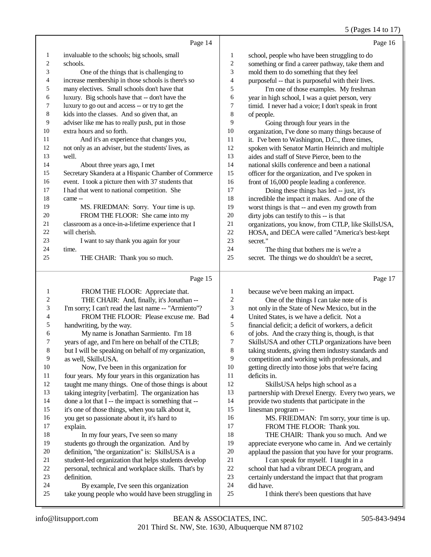## 5 (Pages 14 to 17)

|    | Page 14                                              |                         | Page 16                                             |
|----|------------------------------------------------------|-------------------------|-----------------------------------------------------|
| 1  | invaluable to the schools; big schools, small        | 1                       | school, people who have been struggling to do       |
| 2  | schools.                                             | $\overline{\mathbf{c}}$ | something or find a career pathway, take them and   |
| 3  | One of the things that is challenging to             | 3                       | mold them to do something that they feel            |
| 4  | increase membership in those schools is there's so   | 4                       | purposeful -- that is purposeful with their lives.  |
| 5  | many electives. Small schools don't have that        | 5                       | I'm one of those examples. My freshman              |
| 6  | luxury. Big schools have that -- don't have the      | 6                       | year in high school, I was a quiet person, very     |
| 7  | luxury to go out and access -- or try to get the     | 7                       | timid. I never had a voice; I don't speak in front  |
| 8  | kids into the classes. And so given that, an         | 8                       | of people.                                          |
| 9  | adviser like me has to really push, put in those     | 9                       | Going through four years in the                     |
| 10 | extra hours and so forth.                            | 10                      | organization, I've done so many things because of   |
| 11 | And it's an experience that changes you,             | 11                      | it. I've been to Washington, D.C., three times,     |
| 12 | not only as an adviser, but the students' lives, as  | 12                      | spoken with Senator Martin Heinrich and multiple    |
| 13 | well.                                                | 13                      | aides and staff of Steve Pierce, been to the        |
| 14 | About three years ago, I met                         | 14                      | national skills conference and been a national      |
| 15 | Secretary Skandera at a Hispanic Chamber of Commerce | 15                      | officer for the organization, and I've spoken in    |
| 16 | event. I took a picture then with 37 students that   | 16                      | front of 16,000 people leading a conference.        |
| 17 | I had that went to national competition. She         | 17                      | Doing these things has led -- just, it's            |
| 18 | came --                                              | 18                      | incredible the impact it makes. And one of the      |
| 19 | MS. FRIEDMAN: Sorry. Your time is up.                | 19                      | worst things is that -- and even my growth from     |
| 20 | FROM THE FLOOR: She came into my                     | 20                      | dirty jobs can testify to this -- is that           |
| 21 | classroom as a once-in-a-lifetime experience that I  | 21                      | organizations, you know, from CTLP, like SkillsUSA, |
| 22 | will cherish.                                        | 22                      | HOSA, and DECA were called "America's best-kept     |
| 23 | I want to say thank you again for your               | 23                      | secret."                                            |
| 24 | time.                                                | 24                      | The thing that bothers me is we're a                |
| 25 | THE CHAIR: Thank you so much.                        | 25                      | secret. The things we do shouldn't be a secret,     |
|    |                                                      |                         |                                                     |

# Page 15

| 1              | FROM THE FLOOR: Appreciate that.                       | 1  | because we've been making an impact.                 |
|----------------|--------------------------------------------------------|----|------------------------------------------------------|
| 2              | THE CHAIR: And, finally, it's Jonathan --              | 2  | One of the things I can take note of is              |
| 3              | I'm sorry; I can't read the last name -- "Armiento"?   | 3  | not only in the State of New Mexico, but in the      |
| $\overline{4}$ | FROM THE FLOOR: Please excuse me. Bad                  | 4  | United States, is we have a deficit. Not a           |
| 5              | handwriting, by the way.                               | 5  | financial deficit; a deficit of workers, a deficit   |
| 6              | My name is Jonathan Sarmiento. I'm 18                  | 6  | of jobs. And the crazy thing is, though, is that     |
| 7              | years of age, and I'm here on behalf of the CTLB;      | 7  | SkillsUSA and other CTLP organizations have been     |
| $\,8\,$        | but I will be speaking on behalf of my organization,   | 8  | taking students, giving them industry standards and  |
| 9              | as well, SkillsUSA.                                    | 9  | competition and working with professionals, and      |
| 10             | Now, I've been in this organization for                | 10 | getting directly into those jobs that we're facing   |
| 11             | four years. My four years in this organization has     | 11 | deficits in.                                         |
| 12             | taught me many things. One of those things is about    | 12 | SkillsUSA helps high school as a                     |
| 13             | taking integrity [verbatim]. The organization has      | 13 | partnership with Drexel Energy. Every two years, we  |
| 14             | done a lot that $I -$ the impact is something that $-$ | 14 | provide two students that participate in the         |
| 15             | it's one of those things, when you talk about it,      | 15 | linesman program --                                  |
| 16             | you get so passionate about it, it's hard to           | 16 | MS. FRIEDMAN: I'm sorry, your time is up.            |
| 17             | explain.                                               | 17 | FROM THE FLOOR: Thank you.                           |
| 18             | In my four years, I've seen so many                    | 18 | THE CHAIR: Thank you so much. And we                 |
| 19             | students go through the organization. And by           | 19 | appreciate everyone who came in. And we certainly    |
| 20             | definition, "the organization" is: SkillsUSA is a      | 20 | applaud the passion that you have for your programs. |
| 21             | student-led organization that helps students develop   | 21 | I can speak for myself. I taught in a                |
| 22             | personal, technical and workplace skills. That's by    | 22 | school that had a vibrant DECA program, and          |
| 23             | definition.                                            | 23 | certainly understand the impact that that program    |
| 24             | By example, I've seen this organization                | 24 | did have.                                            |
| 25             | take young people who would have been struggling in    | 25 | I think there's been questions that have             |
|                |                                                        |    |                                                      |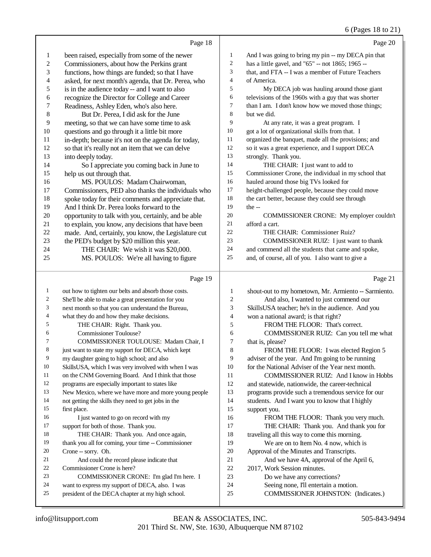## 6 (Pages 18 to 21)

|                          | Page 18                                                                                     |                | Page 20                                                              |
|--------------------------|---------------------------------------------------------------------------------------------|----------------|----------------------------------------------------------------------|
| $\mathbf{1}$             | been raised, especially from some of the newer                                              | $\mathbf{1}$   | And I was going to bring my pin -- my DECA pin that                  |
| $\sqrt{2}$               | Commissioners, about how the Perkins grant                                                  | $\overline{c}$ | has a little gavel, and "65" -- not 1865; 1965 --                    |
| 3                        | functions, how things are funded; so that I have                                            | 3              | that, and FTA -- I was a member of Future Teachers                   |
| $\overline{\mathcal{L}}$ | asked, for next month's agenda, that Dr. Perea, who                                         | 4              | of America.                                                          |
| $\sqrt{5}$               | is in the audience today -- and I want to also                                              | 5              | My DECA job was hauling around those giant                           |
| 6                        | recognize the Director for College and Career                                               | 6              | televisions of the 1960s with a guy that was shorter                 |
| 7                        | Readiness, Ashley Eden, who's also here.                                                    | 7              | than I am. I don't know how we moved those things;                   |
| $\,$ $\,$                | But Dr. Perea, I did ask for the June                                                       | 8              | but we did.                                                          |
| 9                        | meeting, so that we can have some time to ask                                               | 9              | At any rate, it was a great program. I                               |
| 10                       | questions and go through it a little bit more                                               | 10             | got a lot of organizational skills from that. I                      |
| 11                       | in-depth; because it's not on the agenda for today,                                         | 11             | organized the banquet, made all the provisions; and                  |
| 12                       | so that it's really not an item that we can delve                                           | 12             | so it was a great experience, and I support DECA                     |
| 13                       | into deeply today.                                                                          | 13             | strongly. Thank you.                                                 |
| 14                       | So I appreciate you coming back in June to                                                  | 14             | THE CHAIR: I just want to add to                                     |
| 15                       | help us out through that.                                                                   | 15             | Commissioner Crone, the individual in my school that                 |
| 16                       | MS. POULOS: Madam Chairwoman,                                                               | 16             | hauled around those big TVs looked for                               |
| 17                       | Commissioners, PED also thanks the individuals who                                          | 17             | height-challenged people, because they could move                    |
| 18                       | spoke today for their comments and appreciate that.                                         | 18             | the cart better, because they could see through                      |
| 19                       | And I think Dr. Perea looks forward to the                                                  | 19             | the $-$                                                              |
| $20\,$                   | opportunity to talk with you, certainly, and be able                                        | 20             | COMMISSIONER CRONE: My employer couldn't                             |
| 21                       | to explain, you know, any decisions that have been                                          | 21             | afford a cart.                                                       |
| $22\,$                   | made. And, certainly, you know, the Legislature cut                                         | 22             | THE CHAIR: Commissioner Ruiz?                                        |
| 23                       | the PED's budget by \$20 million this year.                                                 | 23             | COMMISSIONER RUIZ: I just want to thank                              |
| 24                       | THE CHAIR: We wish it was \$20,000.                                                         | 24             | and commend all the students that came and spoke,                    |
| 25                       | MS. POULOS: We're all having to figure                                                      | $25\,$         | and, of course, all of you. I also want to give a                    |
|                          |                                                                                             |                |                                                                      |
|                          | Page 19                                                                                     |                | Page 21                                                              |
| $\mathbf{1}$             | out how to tighten our belts and absorb those costs.                                        | 1              | shout-out to my hometown, Mr. Armiento -- Sarmiento.                 |
| $\overline{\mathbf{c}}$  | She'll be able to make a great presentation for you                                         | 2              | And also, I wanted to just commend our                               |
| 3                        | next month so that you can understand the Bureau,                                           | 3              | SkillsUSA teacher; he's in the audience. And you                     |
| 4                        | what they do and how they make decisions.                                                   | 4              | won a national award; is that right?                                 |
| 5                        | THE CHAIR: Right. Thank you.                                                                | 5              | FROM THE FLOOR: That's correct.                                      |
| 6                        | Commissioner Toulouse?                                                                      | 6              | COMMISSIONER RUIZ: Can you tell me what                              |
| 7                        | COMMISSIONER TOULOUSE: Madam Chair, I                                                       | 7              | that is, please?                                                     |
| 8                        | just want to state my support for DECA, which kept                                          | 8              | FROM THE FLOOR: I was elected Region 5                               |
| 9                        | my daughter going to high school; and also                                                  | 9              | adviser of the year. And I'm going to be running                     |
| 10                       | SkillsUSA, which I was very involved with when I was                                        | 10             | for the National Adviser of the Year next month.                     |
| 11                       | on the CNM Governing Board. And I think that those                                          | 11             | COMMISSIONER RUIZ: And I know in Hobbs                               |
| 12                       | programs are especially important to states like                                            | 12             | and statewide, nationwide, the career-technical                      |
| 13                       | New Mexico, where we have more and more young people                                        | 13             | programs provide such a tremendous service for our                   |
| 14                       | not getting the skills they need to get jobs in the                                         | 14             | students. And I want you to know that I highly                       |
| 15                       | first place.                                                                                | 15             | support you.                                                         |
| 16                       | I just wanted to go on record with my                                                       | 16             | FROM THE FLOOR: Thank you very much.                                 |
| 17                       | support for both of those. Thank you.                                                       | 17             | THE CHAIR: Thank you. And thank you for                              |
| 18                       | THE CHAIR: Thank you. And once again,                                                       | 18             | traveling all this way to come this morning.                         |
| 19                       | thank you all for coming, your time -- Commissioner                                         | 19             | We are on to Item No. 4 now, which is                                |
| 20                       | Crone -- sorry. Oh.                                                                         | 20             | Approval of the Minutes and Transcripts.                             |
| 21                       | And could the record please indicate that                                                   | 21             | And we have 4A, approval of the April 6,                             |
| 22                       | Commissioner Crone is here?                                                                 | 22             | 2017, Work Session minutes.                                          |
| 23<br>24                 | COMMISSIONER CRONE: I'm glad I'm here. I<br>want to express my support of DECA, also. I was | 23<br>24       | Do we have any corrections?<br>Seeing none, I'll entertain a motion. |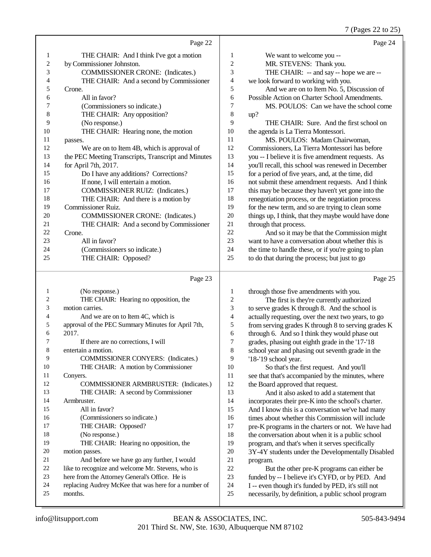7 (Pages 22 to 25)

|                |                                                     |                | $\frac{1}{2}$ (Fages 22 to 2.                        |
|----------------|-----------------------------------------------------|----------------|------------------------------------------------------|
|                | Page 22                                             |                | Page 24                                              |
| 1              | THE CHAIR: And I think I've got a motion            | 1              | We want to welcome you --                            |
| $\overline{c}$ | by Commissioner Johnston.                           | $\overline{c}$ | MR. STEVENS: Thank you.                              |
| 3              | <b>COMMISSIONER CRONE:</b> (Indicates.)             | 3              | THE CHAIR: -- and say -- hope we are --              |
| 4              | THE CHAIR: And a second by Commissioner             | 4              | we look forward to working with you.                 |
| 5              | Crone.                                              | 5              | And we are on to Item No. 5, Discussion of           |
| 6              | All in favor?                                       | 6              | Possible Action on Charter School Amendments.        |
| 7              | (Commissioners so indicate.)                        | 7              | MS. POULOS: Can we have the school come              |
| 8              | THE CHAIR: Any opposition?                          | 8              | up?                                                  |
| 9              | (No response.)                                      | 9              | THE CHAIR: Sure. And the first school on             |
| 10             | THE CHAIR: Hearing none, the motion                 | 10             | the agenda is La Tierra Montessori.                  |
| 11             | passes.                                             | 11             | MS. POULOS: Madam Chairwoman,                        |
| 12             | We are on to Item 4B, which is approval of          | 12             | Commissioners, La Tierra Montessori has before       |
| 13             | the PEC Meeting Transcripts, Transcript and Minutes | 13             | you -- I believe it is five amendment requests. As   |
| 14             | for April 7th, 2017.                                | 14             | you'll recall, this school was renewed in December   |
| 15             | Do I have any additions? Corrections?               | 15             | for a period of five years, and, at the time, did    |
| 16             | If none, I will entertain a motion.                 | 16             | not submit these amendment requests. And I think     |
| 17             | <b>COMMISSIONER RUIZ:</b> (Indicates.)              | 17             | this may be because they haven't yet gone into the   |
| 18             | THE CHAIR: And there is a motion by                 | 18             | renegotiation process, or the negotiation process    |
| 19             | Commissioner Ruiz.                                  | 19             | for the new term, and so are trying to clean some    |
| 20             | <b>COMMISSIONER CRONE:</b> (Indicates.)             | 20             | things up, I think, that they maybe would have done  |
| 21             | THE CHAIR: And a second by Commissioner             | 21             | through that process.                                |
| 22             | Crone.                                              | 22             | And so it may be that the Commission might           |
| 23             | All in favor?                                       | 23             | want to have a conversation about whether this is    |
| 24             | (Commissioners so indicate.)                        | 24             | the time to handle these, or if you're going to plan |
| 25             | THE CHAIR: Opposed?                                 | 25             | to do that during the process; but just to go        |
|                |                                                     |                |                                                      |

#### Page 23

|    | (No response.)                                       | 1  | through those five amendments with you.             |
|----|------------------------------------------------------|----|-----------------------------------------------------|
| 2  | THE CHAIR: Hearing no opposition, the                | 2  | The first is they're currently authorized           |
| 3  | motion carries.                                      | 3  | to serve grades K through 8. And the school is      |
| 4  | And we are on to Item 4C, which is                   | 4  | actually requesting, over the next two years, to go |
| 5  | approval of the PEC Summary Minutes for April 7th,   | 5  | from serving grades K through 8 to serving grades K |
| 6  | 2017.                                                | 6  | through 6. And so I think they would phase out      |
|    | If there are no corrections, I will                  | 7  | grades, phasing out eighth grade in the '17-'18     |
| 8  | entertain a motion.                                  | 8  | school year and phasing out seventh grade in the    |
| 9  | COMMISSIONER CONYERS: (Indicates.)                   | 9  | '18-'19 school year.                                |
| 10 | THE CHAIR: A motion by Commissioner                  | 10 | So that's the first request. And you'll             |
| 11 | Conyers.                                             | 11 | see that that's accompanied by the minutes, where   |
| 12 | COMMISSIONER ARMBRUSTER: (Indicates.)                | 12 | the Board approved that request.                    |
| 13 | THE CHAIR: A second by Commissioner                  | 13 | And it also asked to add a statement that           |
| 14 | Armbruster.                                          | 14 | incorporates their pre-K into the school's charter. |
| 15 | All in favor?                                        | 15 | And I know this is a conversation we've had many    |
| 16 | (Commissioners so indicate.)                         | 16 | times about whether this Commission will include    |
| 17 | THE CHAIR: Opposed?                                  | 17 | pre-K programs in the charters or not. We have had  |
| 18 | (No response.)                                       | 18 | the conversation about when it is a public school   |
| 19 | THE CHAIR: Hearing no opposition, the                | 19 | program, and that's when it serves specifically     |
| 20 | motion passes.                                       | 20 | 3Y-4Y students under the Developmentally Disabled   |
| 21 | And before we have go any further, I would           | 21 | program.                                            |
| 22 | like to recognize and welcome Mr. Stevens, who is    | 22 | But the other pre-K programs can either be          |
| 23 | here from the Attorney General's Office. He is       | 23 | funded by -- I believe it's CYFD, or by PED. And    |
| 24 | replacing Audrey McKee that was here for a number of | 24 | I -- even though it's funded by PED, it's still not |
| 25 | months.                                              | 25 | necessarily, by definition, a public school program |
|    |                                                      |    |                                                     |

Page 25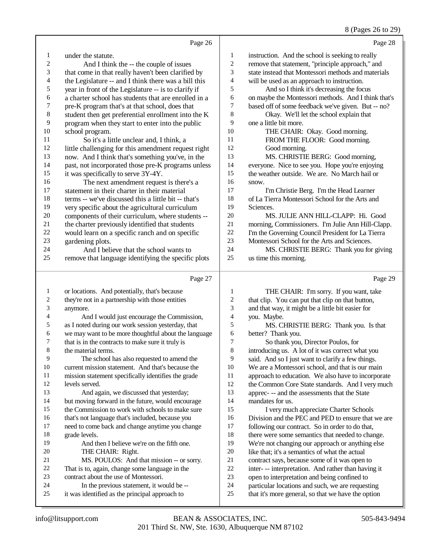## 8 (Pages 26 to 29)

|                  | Page 26                                                                                     |                          | Page 28                                                                                                |
|------------------|---------------------------------------------------------------------------------------------|--------------------------|--------------------------------------------------------------------------------------------------------|
| $\mathbf{1}$     | under the statute.                                                                          | $\mathbf{1}$             | instruction. And the school is seeking to really                                                       |
| $\overline{c}$   | And I think the -- the couple of issues                                                     | $\overline{c}$           | remove that statement, "principle approach," and                                                       |
| 3                | that come in that really haven't been clarified by                                          | 3                        | state instead that Montessori methods and materials                                                    |
| 4                | the Legislature -- and I think there was a bill this                                        | $\overline{\mathbf{4}}$  | will be used as an approach to instruction.                                                            |
| 5                | year in front of the Legislature -- is to clarify if                                        | 5                        | And so I think it's decreasing the focus                                                               |
| 6                | a charter school has students that are enrolled in a                                        | 6                        | on maybe the Montessori methods. And I think that's                                                    |
| $\boldsymbol{7}$ | pre-K program that's at that school, does that                                              | 7                        | based off of some feedback we've given. But -- no?                                                     |
| $\,$ 8 $\,$      | student then get preferential enrollment into the K                                         | 8                        | Okay. We'll let the school explain that                                                                |
| 9                | program when they start to enter into the public                                            | 9                        | one a little bit more.                                                                                 |
| 10               | school program.                                                                             | 10                       | THE CHAIR: Okay. Good morning.                                                                         |
| 11               | So it's a little unclear and, I think, a                                                    | 11                       | FROM THE FLOOR: Good morning.                                                                          |
| 12               | little challenging for this amendment request right                                         | 12                       | Good morning.                                                                                          |
| 13               | now. And I think that's something you've, in the                                            | 13                       | MS. CHRISTIE BERG: Good morning,                                                                       |
| 14               | past, not incorporated those pre-K programs unless                                          | 14                       | everyone. Nice to see you. Hope you're enjoying                                                        |
| 15               | it was specifically to serve 3Y-4Y.                                                         | 15                       | the weather outside. We are. No March hail or                                                          |
| 16               | The next amendment request is there's a                                                     | 16                       | snow.                                                                                                  |
| 17               | statement in their charter in their material                                                | 17                       | I'm Christie Berg. I'm the Head Learner                                                                |
| 18               | terms -- we've discussed this a little bit -- that's                                        | 18                       | of La Tierra Montessori School for the Arts and                                                        |
| 19               | very specific about the agricultural curriculum                                             | 19                       | Sciences.                                                                                              |
| 20               | components of their curriculum, where students --                                           | $20\,$                   | MS. JULIE ANN HILL-CLAPP: Hi. Good                                                                     |
| 21               | the charter previously identified that students                                             | $21\,$                   | morning, Commissioners. I'm Julie Ann Hill-Clapp.                                                      |
| $22\,$           | would learn on a specific ranch and on specific                                             | 22                       | I'm the Governing Council President for La Tierra                                                      |
| 23               | gardening plots.                                                                            | 23                       | Montessori School for the Arts and Sciences.                                                           |
| 24               | And I believe that the school wants to                                                      | 24                       | MS. CHRISTIE BERG: Thank you for giving                                                                |
| 25               | remove that language identifying the specific plots                                         | 25                       | us time this morning.                                                                                  |
|                  |                                                                                             |                          |                                                                                                        |
|                  | Page 27                                                                                     |                          | Page 29                                                                                                |
| $\mathbf{1}$     |                                                                                             | 1                        |                                                                                                        |
| $\sqrt{2}$       | or locations. And potentially, that's because                                               | $\boldsymbol{2}$         | THE CHAIR: I'm sorry. If you want, take                                                                |
| 3                | they're not in a partnership with those entities<br>anymore.                                | 3                        | that clip. You can put that clip on that button,                                                       |
| 4                | And I would just encourage the Commission,                                                  | $\overline{\mathcal{L}}$ | and that way, it might be a little bit easier for<br>you. Maybe.                                       |
| 5                | as I noted during our work session yesterday, that                                          | 5                        | MS. CHRISTIE BERG: Thank you. Is that                                                                  |
| 6                | we may want to be more thoughtful about the language                                        | 6                        | better? Thank you.                                                                                     |
| 7                | that is in the contracts to make sure it truly is                                           | 7                        | So thank you, Director Poulos, for                                                                     |
| $\,$ 8 $\,$      | the material terms.                                                                         | 8                        | introducing us. A lot of it was correct what you                                                       |
| 9                | The school has also requested to amend the                                                  | 9                        | said. And so I just want to clarify a few things.                                                      |
| $10\,$           | current mission statement. And that's because the                                           | 10                       | We are a Montessori school, and that is our main                                                       |
| 11               | mission statement specifically identifies the grade                                         | 11                       | approach to education. We also have to incorporate                                                     |
| 12               | levels served.                                                                              | 12                       | the Common Core State standards. And I very much                                                       |
| 13               | And again, we discussed that yesterday;                                                     | 13                       | apprec--- and the assessments that the State                                                           |
| 14               | but moving forward in the future, would encourage                                           | 14                       | mandates for us.                                                                                       |
| 15               | the Commission to work with schools to make sure                                            | 15                       | I very much appreciate Charter Schools                                                                 |
| 16               | that's not language that's included, because you                                            | 16                       | Division and the PEC and PED to ensure that we are                                                     |
| 17               | need to come back and change anytime you change                                             | 17                       | following our contract. So in order to do that,                                                        |
| 18               | grade levels.                                                                               | 18                       | there were some semantics that needed to change.                                                       |
| 19               | And then I believe we're on the fifth one.                                                  | 19                       | We're not changing our approach or anything else                                                       |
| 20               | THE CHAIR: Right.                                                                           | $20\,$                   | like that; it's a semantics of what the actual                                                         |
| 21               | MS. POULOS: And that mission -- or sorry.                                                   | $21\,$                   | contract says, because some of it was open to                                                          |
| 22               | That is to, again, change some language in the                                              | $22\,$                   | inter- -- interpretation. And rather than having it                                                    |
| 23               | contract about the use of Montessori.                                                       | 23                       | open to interpretation and being confined to                                                           |
| 24<br>25         | In the previous statement, it would be --<br>it was identified as the principal approach to | 24<br>$25\,$             | particular locations and such, we are requesting<br>that it's more general, so that we have the option |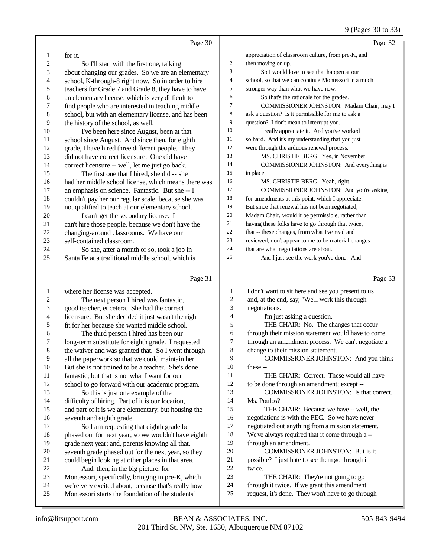## 9 (Pages 30 to 33)

|                         | Page 30                                                                                                  |                  | Page 32                                                                                           |
|-------------------------|----------------------------------------------------------------------------------------------------------|------------------|---------------------------------------------------------------------------------------------------|
| 1                       | for it.                                                                                                  | $\mathbf{1}$     | appreciation of classroom culture, from pre-K, and                                                |
| $\boldsymbol{2}$        | So I'll start with the first one, talking                                                                | $\boldsymbol{2}$ | then moving on up.                                                                                |
| 3                       | about changing our grades. So we are an elementary                                                       | 3                | So I would love to see that happen at our                                                         |
| 4                       | school, K-through-8 right now. So in order to hire                                                       | 4                | school, so that we can continue Montessori in a much                                              |
| 5                       | teachers for Grade 7 and Grade 8, they have to have                                                      | 5                | stronger way than what we have now.                                                               |
| 6                       | an elementary license, which is very difficult to                                                        | 6                | So that's the rationale for the grades.                                                           |
| $\overline{7}$          | find people who are interested in teaching middle                                                        | 7                | COMMISSIONER JOHNSTON: Madam Chair, may I                                                         |
| $\,$ 8 $\,$             | school, but with an elementary license, and has been                                                     | 8                | ask a question? Is it permissible for me to ask a                                                 |
| 9                       | the history of the school, as well.                                                                      | 9                | question? I don't mean to interrupt you.                                                          |
| $10\,$                  | I've been here since August, been at that                                                                | 10               | I really appreciate it. And you've worked                                                         |
| 11                      | school since August. And since then, for eighth                                                          | 11               | so hard. And it's my understanding that you just                                                  |
| 12                      | grade, I have hired three different people. They                                                         | 12               | went through the arduous renewal process.                                                         |
| 13                      | did not have correct licensure. One did have                                                             | 13               | MS. CHRISTIE BERG: Yes, in November.                                                              |
| 14                      | correct licensure -- well, let me just go back.                                                          | 14               | COMMISSIONER JOHNSTON: And everything is                                                          |
| 15                      | The first one that I hired, she did -- she                                                               | 15               | in place.                                                                                         |
| 16                      | had her middle school license, which means there was                                                     | 16               | MS. CHRISTIE BERG: Yeah, right.                                                                   |
| 17                      | an emphasis on science. Fantastic. But she -- I                                                          | 17               | COMMISSIONER JOHNSTON: And you're asking                                                          |
| 18                      | couldn't pay her our regular scale, because she was                                                      | 18               | for amendments at this point, which I appreciate.                                                 |
| 19                      | not qualified to teach at our elementary school.                                                         | 19               | But since that renewal has not been negotiated,                                                   |
| $20\,$                  | I can't get the secondary license. I                                                                     | 20               | Madam Chair, would it be permissible, rather than                                                 |
| 21                      | can't hire those people, because we don't have the                                                       | 21               | having these folks have to go through that twice,                                                 |
| 22                      | changing-around classrooms. We have our                                                                  | 22               | that -- these changes, from what I've read and                                                    |
| 23                      | self-contained classroom.                                                                                | 23               | reviewed, don't appear to me to be material changes                                               |
| 24                      | So she, after a month or so, took a job in                                                               | 24               | that are what negotiations are about.                                                             |
| 25                      | Santa Fe at a traditional middle school, which is                                                        | 25               | And I just see the work you've done. And                                                          |
|                         |                                                                                                          |                  |                                                                                                   |
|                         | Page 31                                                                                                  |                  | Page 33                                                                                           |
| 1                       |                                                                                                          | $\mathbf{1}$     | I don't want to sit here and see you present to us                                                |
| $\overline{\mathbf{c}}$ | where her license was accepted.<br>The next person I hired was fantastic,                                | $\sqrt{2}$       | and, at the end, say, "We'll work this through                                                    |
| 3                       | good teacher, et cetera. She had the correct                                                             | 3                | negotiations."                                                                                    |
| 4                       | licensure. But she decided it just wasn't the right                                                      | $\overline{4}$   | I'm just asking a question.                                                                       |
| 5                       | fit for her because she wanted middle school.                                                            | 5                | THE CHAIR: No. The changes that occur                                                             |
| 6                       | The third person I hired has been our                                                                    | 6                | through their mission statement would have to come                                                |
| 7                       | long-term substitute for eighth grade. I requested                                                       | $\tau$           | through an amendment process. We can't negotiate a                                                |
| 8                       | the waiver and was granted that. So I went through                                                       | $\,$ 8 $\,$      | change to their mission statement.                                                                |
| 9                       | all the paperwork so that we could maintain her.                                                         | 9                | COMMISSIONER JOHNSTON: And you think                                                              |
| $10\,$                  | But she is not trained to be a teacher. She's done                                                       | 10               | these --                                                                                          |
| 11                      | fantastic; but that is not what I want for our                                                           | 11               | THE CHAIR: Correct. These would all have                                                          |
| 12                      | school to go forward with our academic program.                                                          | 12               | to be done through an amendment; except --                                                        |
| 13                      | So this is just one example of the                                                                       | 13               | COMMISSIONER JOHNSTON: Is that correct,                                                           |
| 14                      | difficulty of hiring. Part of it is our location,                                                        | 14               | Ms. Poulos?                                                                                       |
| 15                      | and part of it is we are elementary, but housing the                                                     | 15               | THE CHAIR: Because we have -- well, the                                                           |
| 16                      | seventh and eighth grade.                                                                                | 16               | negotiations is with the PEC. So we have never                                                    |
| 17                      | So I am requesting that eighth grade be                                                                  | $17\,$           | negotiated out anything from a mission statement.                                                 |
| 18                      | phased out for next year; so we wouldn't have eighth                                                     | $18\,$           | We've always required that it come through a --                                                   |
| 19                      | grade next year; and, parents knowing all that,                                                          | 19               | through an amendment.                                                                             |
| 20                      | seventh grade phased out for the next year, so they                                                      | 20               | COMMISSIONER JOHNSTON: But is it                                                                  |
| 21                      | could begin looking at other places in that area.                                                        | 21               | possible? I just hate to see them go through it                                                   |
| $22\,$                  | And, then, in the big picture, for                                                                       | $22\,$           | twice.                                                                                            |
| 23                      | Montessori, specifically, bringing in pre-K, which                                                       | 23               | THE CHAIR: They're not going to go                                                                |
| 24<br>25                | we're very excited about, because that's really how<br>Montessori starts the foundation of the students' | 24<br>25         | through it twice. If we grant this amendment<br>request, it's done. They won't have to go through |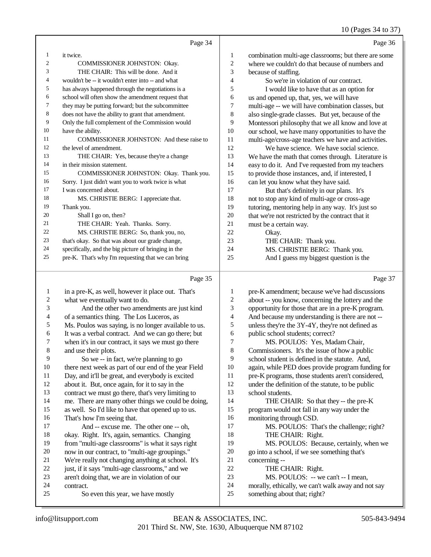## 10 (Pages 34 to 37)

|    | Page 34                                              |                | Page 36                                              |
|----|------------------------------------------------------|----------------|------------------------------------------------------|
| 1  | it twice.                                            | 1              | combination multi-age classrooms; but there are some |
| 2  | <b>COMMISSIONER JOHNSTON: Okay.</b>                  | $\mathfrak{2}$ | where we couldn't do that because of numbers and     |
| 3  | THE CHAIR: This will be done. And it                 | 3              | because of staffing.                                 |
| 4  | wouldn't be -- it wouldn't enter into -- and what    | $\overline{4}$ | So we're in violation of our contract.               |
| 5  | has always happened through the negotiations is a    | 5              | I would like to have that as an option for           |
| 6  | school will often show the amendment request that    | 6              | us and opened up, that, yes, we will have            |
| 7  | they may be putting forward; but the subcommittee    | 7              | multi-age -- we will have combination classes, but   |
| 8  | does not have the ability to grant that amendment.   | 8              | also single-grade classes. But yet, because of the   |
| 9  | Only the full complement of the Commission would     | 9              | Montessori philosophy that we all know and love at   |
| 10 | have the ability.                                    | 10             | our school, we have many opportunities to have the   |
| 11 | COMMISSIONER JOHNSTON: And these raise to            | 11             | multi-age/cross-age teachers we have and activities. |
| 12 | the level of amendment.                              | 12             | We have science. We have social science.             |
| 13 | THE CHAIR: Yes, because they're a change             | 13             | We have the math that comes through. Literature is   |
| 14 | in their mission statement.                          | 14             | easy to do it. And I've requested from my teachers   |
| 15 | COMMISSIONER JOHNSTON: Okay. Thank you.              | 15             | to provide those instances, and, if interested, I    |
| 16 | Sorry. I just didn't want you to work twice is what  | 16             | can let you know what they have said.                |
| 17 | I was concerned about.                               | 17             | But that's definitely in our plans. It's             |
| 18 | MS. CHRISTIE BERG: I appreciate that.                | 18             | not to stop any kind of multi-age or cross-age       |
| 19 | Thank you.                                           | 19             | tutoring, mentoring help in any way. It's just so    |
| 20 | Shall I go on, then?                                 | 20             | that we're not restricted by the contract that it    |
| 21 | THE CHAIR: Yeah. Thanks. Sorry.                      | 21             | must be a certain way.                               |
| 22 | MS. CHRISTIE BERG: So, thank you, no,                | 22.            | Okay.                                                |
| 23 | that's okay. So that was about our grade change,     | 23             | THE CHAIR: Thank you.                                |
| 24 | specifically, and the big picture of bringing in the | 24             | MS. CHRISTIE BERG: Thank you.                        |
| 25 | pre-K. That's why I'm requesting that we can bring   | 25             | And I guess my biggest question is the               |
|    |                                                      |                |                                                      |

|                | Page 35                                              |    | Page 37                                            |
|----------------|------------------------------------------------------|----|----------------------------------------------------|
| 1              | in a pre-K, as well, however it place out. That's    | 1  | pre-K amendment; because we've had discussions     |
| $\overline{c}$ | what we eventually want to do.                       | 2  | about -- you know, concerning the lottery and the  |
| 3              | And the other two amendments are just kind           | 3  | opportunity for those that are in a pre-K program. |
| 4              | of a semantics thing. The Los Luceros, as            | 4  | And because my understanding is there are not --   |
| 5              | Ms. Poulos was saying, is no longer available to us. | 5  | unless they're the 3Y-4Y, they're not defined as   |
| 6              | It was a verbal contract. And we can go there; but   | 6  | public school students; correct?                   |
| 7              | when it's in our contract, it says we must go there  | 7  | MS. POULOS: Yes, Madam Chair,                      |
| 8              | and use their plots.                                 | 8  | Commissioners. It's the issue of how a public      |
| 9              | So we -- in fact, we're planning to go               | 9  | school student is defined in the statute. And,     |
| 10             | there next week as part of our end of the year Field | 10 | again, while PED does provide program funding for  |
| 11             | Day, and it'll be great, and everybody is excited    | 11 | pre-K programs, those students aren't considered,  |
| 12             | about it. But, once again, for it to say in the      | 12 | under the definition of the statute, to be public  |
| 13             | contract we must go there, that's very limiting to   | 13 | school students.                                   |
| 14             | me. There are many other things we could be doing,   | 14 | THE CHAIR: So that they -- the pre-K               |
| 15             | as well. So I'd like to have that opened up to us.   | 15 | program would not fall in any way under the        |
| 16             | That's how I'm seeing that.                          | 16 | monitoring through CSD.                            |
| 17             | And -- excuse me. The other one -- oh,               | 17 | MS. POULOS: That's the challenge; right?           |
| 18             | okay. Right. It's, again, semantics. Changing        | 18 | THE CHAIR: Right.                                  |
| 19             | from "multi-age classrooms" is what it says right    | 19 | MS. POULOS: Because, certainly, when we            |
| 20             | now in our contract, to "multi-age groupings."       | 20 | go into a school, if we see something that's       |
| 21             | We're really not changing anything at school. It's   | 21 | concerning --                                      |
| 22             | just, if it says "multi-age classrooms," and we      | 22 | THE CHAIR: Right.                                  |
| 23             | aren't doing that, we are in violation of our        | 23 | MS. POULOS: -- we can't -- I mean,                 |
| 24             | contract.                                            | 24 | morally, ethically, we can't walk away and not say |
| 25             | So even this year, we have mostly                    | 25 | something about that; right?                       |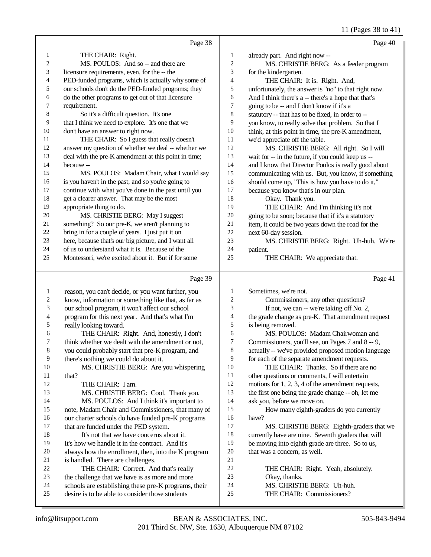11 (Pages 38 to 41)

|              | Page 38                                              |                | Page 40                                              |
|--------------|------------------------------------------------------|----------------|------------------------------------------------------|
| 1            | THE CHAIR: Right.                                    | 1              | already part. And right now --                       |
| 2            | MS. POULOS: And so -- and there are                  | $\mathfrak{2}$ | MS. CHRISTIE BERG: As a feeder program               |
| 3            | licensure requirements, even, for the -- the         | 3              | for the kindergarten.                                |
| 4            | PED-funded programs, which is actually why some of   | $\overline{4}$ | THE CHAIR: It is. Right. And,                        |
| 5            | our schools don't do the PED-funded programs; they   | 5              | unfortunately, the answer is "no" to that right now. |
| 6            | do the other programs to get out of that licensure   | 6              | And I think there's a -- there's a hope that that's  |
| 7            | requirement.                                         | 7              | going to be -- and I don't know if it's a            |
| 8            | So it's a difficult question. It's one               | $\,$ 8 $\,$    | statutory -- that has to be fixed, in order to --    |
| 9            | that I think we need to explore. It's one that we    | 9              | you know, to really solve that problem. So that I    |
| 10           | don't have an answer to right now.                   | $10\,$         | think, at this point in time, the pre-K amendment,   |
| 11           | THE CHAIR: So I guess that really doesn't            | 11             | we'd appreciate off the table.                       |
| 12           | answer my question of whether we deal -- whether we  | 12             | MS. CHRISTIE BERG: All right. So I will              |
| 13           | deal with the pre-K amendment at this point in time; | 13             | wait for -- in the future, if you could keep us --   |
| 14           | because --                                           | 14             | and I know that Director Poulos is really good about |
| 15           | MS. POULOS: Madam Chair, what I would say            | 15             | communicating with us. But, you know, if something   |
| 16           | is you haven't in the past; and so you're going to   | 16             | should come up, "This is how you have to do it,"     |
| 17           | continue with what you've done in the past until you | 17             | because you know that's in our plan.                 |
| $18\,$       | get a clearer answer. That may be the most           | 18             | Okay. Thank you.                                     |
| 19           | appropriate thing to do.                             | 19             | THE CHAIR: And I'm thinking it's not                 |
| 20           | MS. CHRISTIE BERG: May I suggest                     | 20             | going to be soon; because that if it's a statutory   |
| 21           | something? So our pre-K, we aren't planning to       | 21             | item, it could be two years down the road for the    |
| $22\,$       | bring in for a couple of years. I just put it on     | 22             | next 60-day session.                                 |
| 23           | here, because that's our big picture, and I want all | 23             | MS. CHRISTIE BERG: Right. Uh-huh. We're              |
| 24           | of us to understand what it is. Because of the       | 24             | patient.                                             |
| 25           | Montessori, we're excited about it. But if for some  | 25             | THE CHAIR: We appreciate that.                       |
|              | Page 39                                              |                | Page 41                                              |
| $\mathbf{1}$ | reason, you can't decide, or you want further, you   | 1              | Sometimes, we're not.                                |
| $\sqrt{2}$   | know, information or something like that, as far as  | $\mathfrak{2}$ | Commissioners, any other questions?                  |
| 3            | our school program, it won't affect our school       | 3              | If not, we can -- we're taking off No. 2,            |
| 4            | program for this next year. And that's what I'm      | $\overline{4}$ | the grade change as pre-K. That amendment request    |
| 5            | really looking toward.                               | 5              | is being removed.                                    |
| 6            | THE CHAIR: Right. And, honestly, I don't             | 6              | MS. POULOS: Madam Chairwoman and                     |

think whether we dealt with the amendment or not,

you could probably start that pre-K program, and

9 there's nothing we could do about it.<br>10 MS. CHRISTIE BERG: Are y 10 MS. CHRISTIE BERG: Are you whispering<br>11 that? that? 12 THE CHAIR: I am.

 MS. CHRISTIE BERG: Cool. Thank you. MS. POULOS: And I think it's important to note, Madam Chair and Commissioners, that many of 16 our charter schools do have funded pre-K programs<br>17 that are funded under the PED system. that are funded under the PED system. 18 It's not that we have concerns about it.<br>19 It's how we handle it in the contract. And it's It's how we handle it in the contract. And it's 20 always how the enrollment, then, into the K program<br>21 is handled. There are challenges. 21 is handled. There are challenges.<br>22 THE CHAIR: Correct. An 22 THE CHAIR: Correct. And that's really<br>23 the challenge that we have is as more and more

- the challenge that we have is as more and more
- 24 schools are establishing these pre-K programs, their<br>25 desire is to be able to consider those students desire is to be able to consider those students

7 Commissioners, you'll see, on Pages 7 and 8 -- 9,

actually -- we've provided proposed motion language

- for each of the separate amendment requests.
- THE CHAIR: Thanks. So if there are no
- other questions or comments, I will entertain
- motions for 1, 2, 3, 4 of the amendment requests,
- the first one being the grade change -- oh, let me
- ask you, before we move on.

 How many eighth-graders do you currently have?

- MS. CHRISTIE BERG: Eighth-graders that we
- currently have are nine. Seventh graders that will
- be moving into eighth grade are three. So to us,
- that was a concern, as well.
- THE CHAIR: Right. Yeah, absolutely.
- Okay, thanks.
- MS. CHRISTIE BERG: Uh-huh.
- THE CHAIR: Commissioners?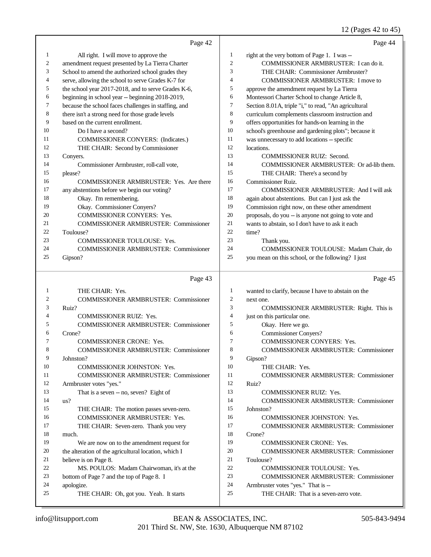### 12 (Pages 42 to 45)

|        | Page 42                                                                     |                | Page 44                                                                    |
|--------|-----------------------------------------------------------------------------|----------------|----------------------------------------------------------------------------|
| 1      | All right. I will move to approve the                                       | 1              | right at the very bottom of Page 1. I was --                               |
| 2      | amendment request presented by La Tierra Charter                            | $\mathfrak{2}$ | COMMISSIONER ARMBRUSTER: I can do it.                                      |
| 3      | School to amend the authorized school grades they                           | 3              | THE CHAIR: Commissioner Armbruster?                                        |
| 4      | serve, allowing the school to serve Grades K-7 for                          | 4              | COMMISSIONER ARMBRUSTER: I move to                                         |
| 5      | the school year 2017-2018, and to serve Grades K-6,                         | 5              | approve the amendment request by La Tierra                                 |
| 6      | beginning in school year -- beginning 2018-2019,                            | 6              | Montessori Charter School to change Article 8,                             |
| 7      | because the school faces challenges in staffing, and                        | 7              | Section 8.01A, triple "i," to read, "An agricultural                       |
| 8      | there isn't a strong need for those grade levels                            | 8              | curriculum complements classroom instruction and                           |
| 9      | based on the current enrollment.                                            | 9              | offers opportunities for hands-on learning in the                          |
| 10     | Do I have a second?                                                         | 10             | school's greenhouse and gardening plots"; because it                       |
| 11     | <b>COMMISSIONER CONYERS:</b> (Indicates.)                                   | 11             | was unnecessary to add locations -- specific                               |
| 12     | THE CHAIR: Second by Commissioner                                           | 12             | locations.                                                                 |
| 13     | Convers.                                                                    | 13             | <b>COMMISSIONER RUIZ: Second.</b>                                          |
| 14     | Commissioner Armbruster, roll-call vote,                                    | 14             | COMMISSIONER ARMBRUSTER: Or ad-lib them.                                   |
| 15     | please?                                                                     | 15             | THE CHAIR: There's a second by                                             |
| 16     | <b>COMMISSIONER ARMBRUSTER: Yes. Are there</b>                              | 16             | <b>Commissioner Ruiz.</b>                                                  |
| 17     | any abstentions before we begin our voting?                                 | 17             | COMMISSIONER ARMBRUSTER: And I will ask                                    |
| 18     | Okay. I'm remembering.                                                      | 18             | again about abstentions. But can I just ask the                            |
| 19     | Okay. Commissioner Conyers?                                                 | 19             | Commission right now, on these other amendment                             |
| 20     | COMMISSIONER CONYERS: Yes.                                                  | $20\,$         | proposals, do you -- is anyone not going to vote and                       |
| 21     | <b>COMMISSIONER ARMBRUSTER: Commissioner</b>                                | 21             | wants to abstain, so I don't have to ask it each                           |
| 22     | Toulouse?                                                                   | $22\,$         | time?                                                                      |
| 23     | <b>COMMISSIONER TOULOUSE: Yes.</b>                                          | 23             | Thank you.                                                                 |
| 24     | COMMISSIONER ARMBRUSTER: Commissioner                                       | 24             | COMMISSIONER TOULOUSE: Madam Chair, do                                     |
| 25     | Gipson?                                                                     | 25             | you mean on this school, or the following? I just                          |
|        |                                                                             |                |                                                                            |
|        | Page 43                                                                     |                | Page 45                                                                    |
|        |                                                                             |                |                                                                            |
| 1      | THE CHAIR: Yes.                                                             | 1              | wanted to clarify, because I have to abstain on the                        |
| 2      | <b>COMMISSIONER ARMBRUSTER: Commissioner</b>                                | 2<br>3         | next one.                                                                  |
| 3<br>4 | Ruiz?                                                                       | 4              | COMMISSIONER ARMBRUSTER: Right. This is                                    |
| 5      | <b>COMMISSIONER RUIZ: Yes.</b>                                              | 5              | just on this particular one.                                               |
| 6      | <b>COMMISSIONER ARMBRUSTER: Commissioner</b>                                | 6              | Okay. Here we go.                                                          |
| 7      | Crone?<br><b>COMMISSIONER CRONE: Yes.</b>                                   | 7              | <b>Commissioner Conyers?</b>                                               |
| 8      |                                                                             | 8              | COMMISSIONER CONYERS: Yes.<br><b>COMMISSIONER ARMBRUSTER: Commissioner</b> |
| 9      | <b>COMMISSIONER ARMBRUSTER: Commissioner</b><br>Johnston?                   | 9              |                                                                            |
| 10     |                                                                             | 10             | Gipson?<br>THE CHAIR: Yes.                                                 |
| 11     | COMMISSIONER JOHNSTON: Yes.<br><b>COMMISSIONER ARMBRUSTER: Commissioner</b> | 11             |                                                                            |
| 12     |                                                                             | 12             | COMMISSIONER ARMBRUSTER: Commissioner<br>Ruiz?                             |
| 13     | Armbruster votes "yes."                                                     | 13             | COMMISSIONER RUIZ: Yes.                                                    |
| 14     | That is a seven -- no, seven? Eight of<br>us?                               | 14             | <b>COMMISSIONER ARMBRUSTER: Commissioner</b>                               |
| 15     |                                                                             | 15             | Johnston?                                                                  |
| 16     | THE CHAIR: The motion passes seven-zero.<br>COMMISSIONER ARMBRUSTER: Yes.   | 16             | COMMISSIONER JOHNSTON: Yes.                                                |
| 17     |                                                                             | 17             | <b>COMMISSIONER ARMBRUSTER: Commissioner</b>                               |
| 18     | THE CHAIR: Seven-zero. Thank you very<br>much.                              | 18             | Crone?                                                                     |
| 19     | We are now on to the amendment request for                                  | 19             | <b>COMMISSIONER CRONE: Yes.</b>                                            |
| 20     | the alteration of the agricultural location, which I                        | 20             | <b>COMMISSIONER ARMBRUSTER: Commissioner</b>                               |
| 21     | believe is on Page 8.                                                       | 21             | Toulouse?                                                                  |
| 22     | MS. POULOS: Madam Chairwoman, it's at the                                   | 22             | COMMISSIONER TOULOUSE: Yes.                                                |
| 23     | bottom of Page 7 and the top of Page 8. I                                   | 23             | <b>COMMISSIONER ARMBRUSTER: Commissioner</b>                               |
| 24     | apologize.                                                                  | 24             | Armbruster votes "yes." That is --                                         |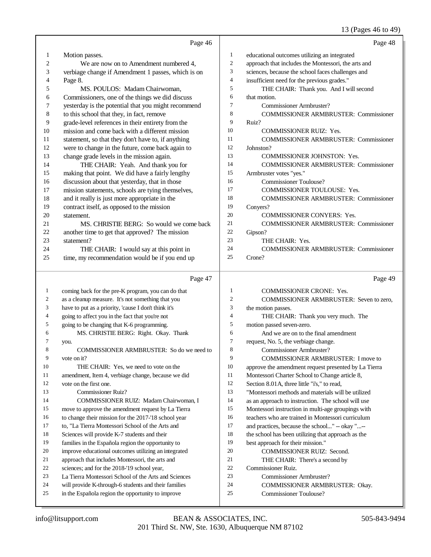## 13 (Pages 46 to 49)

|                | Page 46                                              |                | Page 48                                              |
|----------------|------------------------------------------------------|----------------|------------------------------------------------------|
| $\mathbf{1}$   | Motion passes.                                       | 1              | educational outcomes utilizing an integrated         |
| $\overline{c}$ | We are now on to Amendment numbered 4,               | $\overline{2}$ | approach that includes the Montessori, the arts and  |
| 3              | verbiage change if Amendment 1 passes, which is on   | 3              | sciences, because the school faces challenges and    |
| 4              | Page 8.                                              | $\overline{4}$ | insufficient need for the previous grades."          |
| 5              | MS. POULOS: Madam Chairwoman,                        | 5              | THE CHAIR: Thank you. And I will second              |
| 6              | Commissioners, one of the things we did discuss      | 6              | that motion.                                         |
| 7              | yesterday is the potential that you might recommend  | $\overline{7}$ | Commissioner Armbruster?                             |
| $\,8\,$        | to this school that they, in fact, remove            | 8              | <b>COMMISSIONER ARMBRUSTER: Commissioner</b>         |
| 9              | grade-level references in their entirety from the    | 9              | Ruiz?                                                |
| 10             | mission and come back with a different mission       | 10             | <b>COMMISSIONER RUIZ: Yes.</b>                       |
| 11             | statement, so that they don't have to, if anything   | 11             | <b>COMMISSIONER ARMBRUSTER: Commissioner</b>         |
| $12\,$         | were to change in the future, come back again to     | 12             | Johnston?                                            |
| 13             | change grade levels in the mission again.            | 13             | <b>COMMISSIONER JOHNSTON: Yes.</b>                   |
| 14             | THE CHAIR: Yeah. And thank you for                   | 14             | <b>COMMISSIONER ARMBRUSTER: Commissioner</b>         |
| 15             | making that point. We did have a fairly lengthy      | 15             | Armbruster votes "yes."                              |
| 16             | discussion about that yesterday, that in those       | 16             | <b>Commissioner Toulouse?</b>                        |
| 17             | mission statements, schools are tying themselves,    | 17             | COMMISSIONER TOULOUSE: Yes.                          |
| 18             | and it really is just more appropriate in the        | 18             | <b>COMMISSIONER ARMBRUSTER: Commissioner</b>         |
| 19             | contract itself, as opposed to the mission           | 19             | Conyers?                                             |
| 20             | statement.                                           | 20             | <b>COMMISSIONER CONYERS: Yes.</b>                    |
| 21             | MS. CHRISTIE BERG: So would we come back             | 21             | <b>COMMISSIONER ARMBRUSTER: Commissioner</b>         |
| 22             | another time to get that approved? The mission       | 22             | Gipson?                                              |
| 23             | statement?                                           | 23             | THE CHAIR: Yes.                                      |
| 24             | THE CHAIR: I would say at this point in              | 24             | <b>COMMISSIONER ARMBRUSTER: Commissioner</b>         |
| 25             | time, my recommendation would be if you end up       | 25             | Crone?                                               |
|                |                                                      |                |                                                      |
|                | Page 47                                              |                | Page 49                                              |
| $\mathbf{1}$   |                                                      |                |                                                      |
|                | coming back for the pre-K program, you can do that   | $\mathbf{1}$   | <b>COMMISSIONER CRONE: Yes.</b>                      |
| 2              | as a cleanup measure. It's not something that you    | 2              | COMMISSIONER ARMBRUSTER: Seven to zero,              |
| 3              | have to put as a priority, 'cause I don't think it's | 3              | the motion passes.                                   |
| 4              | going to affect you in the fact that you're not      | $\overline{4}$ | THE CHAIR: Thank you very much. The                  |
| 5              | going to be changing that K-6 programming.           | 5              | motion passed seven-zero.                            |
| 6              | MS. CHRISTIE BERG: Right. Okay. Thank                | 6              | And we are on to the final amendment                 |
| 7              | you.                                                 | $\overline{7}$ | request, No. 5, the verbiage change.                 |
| 8              | COMMISSIONER ARMBRUSTER: So do we need to            | 8              | Commissioner Armbruster?                             |
| 9              | vote on it?                                          | 9              | COMMISSIONER ARMBRUSTER: I move to                   |
| 10             | THE CHAIR: Yes, we need to vote on the               | 10             | approve the amendment request presented by La Tierra |
| 11             | amendment, Item 4, verbiage change, because we did   | 11             | Montessori Charter School to Change article 8,       |
| 12             | vote on the first one.                               | $12\,$         | Section 8.01A, three little "i's," to read,          |
| 13             | Commissioner Ruiz?                                   | 13             | "Montessori methods and materials will be utilized   |
| 14             | COMMISSIONER RUIZ: Madam Chairwoman, I               | 14             | as an approach to instruction. The school will use   |
| 15             | move to approve the amendment request by La Tierra   | 15             | Montessori instruction in multi-age groupings with   |
| 16             | to change their mission for the 2017-'18 school year | 16             | teachers who are trained in Montessori curriculum    |
| 17             | to, "La Tierra Montessori School of the Arts and     | 17             | and practices, because the school" -- okay "--       |
| 18             | Sciences will provide K-7 students and their         | 18             | the school has been utilizing that approach as the   |
| 19             | families in the Española region the opportunity to   | 19             | best approach for their mission."                    |
| 20             | improve educational outcomes utilizing an integrated | 20             | COMMISSIONER RUIZ: Second.                           |
| 21             | approach that includes Montessori, the arts and      | 21             | THE CHAIR: There's a second by                       |
| 22             | sciences; and for the 2018-'19 school year,          | 22             | Commissioner Ruiz.                                   |
| 23             | La Tierra Montessori School of the Arts and Sciences | 23             | Commissioner Armbruster?                             |
| 24             | will provide K-through-6 students and their families | 24             | COMMISSIONER ARMBRUSTER: Okay.                       |
| 25             | in the Española region the opportunity to improve    | 25             | Commissioner Toulouse?                               |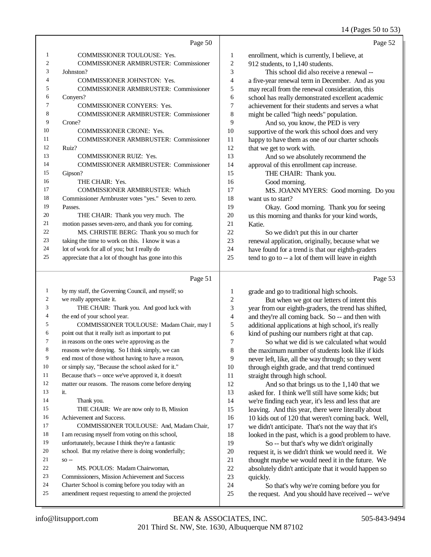#### 14 (Pages 50 to 53)

|                | Page 50                                             |              | Page 52                                             |
|----------------|-----------------------------------------------------|--------------|-----------------------------------------------------|
| 1              | <b>COMMISSIONER TOULOUSE: Yes.</b>                  | $\mathbf{1}$ | enrollment, which is currently, I believe, at       |
| $\overline{2}$ | <b>COMMISSIONER ARMBRUSTER: Commissioner</b>        | 2            | 912 students, to 1,140 students.                    |
| 3              | Johnston?                                           | 3            | This school did also receive a renewal --           |
| 4              | <b>COMMISSIONER JOHNSTON: Yes.</b>                  | 4            | a five-year renewal term in December. And as you    |
| 5              | <b>COMMISSIONER ARMBRUSTER: Commissioner</b>        | 5            | may recall from the renewal consideration, this     |
| 6              | Convers?                                            | 6            | school has really demonstrated excellent academic   |
| 7              | <b>COMMISSIONER CONYERS: Yes.</b>                   | 7            | achievement for their students and serves a what    |
| 8              | <b>COMMISSIONER ARMBRUSTER: Commissioner</b>        | 8            | might be called "high needs" population.            |
| 9              | Crone?                                              | 9            | And so, you know, the PED is very                   |
| 10             | <b>COMMISSIONER CRONE: Yes.</b>                     | 10           | supportive of the work this school does and very    |
| 11             | <b>COMMISSIONER ARMBRUSTER: Commissioner</b>        | 11           | happy to have them as one of our charter schools    |
| 12             | Ruiz?                                               | 12           | that we get to work with.                           |
| 13             | <b>COMMISSIONER RUIZ: Yes.</b>                      | 13           | And so we absolutely recommend the                  |
| 14             | <b>COMMISSIONER ARMBRUSTER: Commissioner</b>        | 14           | approval of this enrollment cap increase.           |
| 15             | Gipson?                                             | 15           | THE CHAIR: Thank you.                               |
| 16             | THE CHAIR: Yes.                                     | 16           | Good morning.                                       |
| 17             | <b>COMMISSIONER ARMBRUSTER: Which</b>               | 17           | MS. JOANN MYERS: Good morning. Do you               |
| 18             | Commissioner Armbruster votes "yes." Seven to zero. | 18           | want us to start?                                   |
| 19             | Passes.                                             | 19           | Okay. Good morning. Thank you for seeing            |
| 20             | THE CHAIR: Thank you very much. The                 | 20           | us this morning and thanks for your kind words,     |
| 21             | motion passes seven-zero, and thank you for coming. | 21           | Katie.                                              |
| 22             | MS. CHRISTIE BERG: Thank you so much for            | 22           | So we didn't put this in our charter                |
| 23             | taking the time to work on this. I know it was a    | 23           | renewal application, originally, because what we    |
| 24             | lot of work for all of you; but I really do         | 24           | have found for a trend is that our eighth-graders   |
| 25             | appreciate that a lot of thought has gone into this | 25           | tend to go to -- a lot of them will leave in eighth |
|                |                                                     |              |                                                     |

#### Page 51

| by my staff, the Governing Council, and myself; so   |
|------------------------------------------------------|
| we really appreciate it.                             |
| THE CHAIR: Thank you. And good luck with             |
| the end of your school year.                         |
| COMMISSIONER TOULOUSE: Madam Chair, may I            |
| point out that it really isn't as important to put   |
| in reasons on the ones we're approving as the        |
| reasons we're denying. So I think simply, we can     |
| end most of those without having to have a reason,   |
| or simply say, "Because the school asked for it."    |
| Because that's -- once we've approved it, it doesn't |
| matter our reasons. The reasons come before denying  |
| it.                                                  |
| Thank you.                                           |
| THE CHAIR: We are now only to B, Mission             |
| Achievement and Success.                             |
| COMMISSIONER TOULOUSE: And, Madam Chair,             |
| I am recusing myself from voting on this school,     |
| unfortunately, because I think they're a fantastic   |
| school. But my relative there is doing wonderfully;  |
| $SO -$                                               |
| MS. POULOS: Madam Chairwoman.                        |
| Commissioners, Mission Achievement and Success       |
| Charter School is coming before you today with an    |
| amendment request requesting to amend the projected  |
|                                                      |

1 grade and go to traditional high schools.<br>2 But when we got our letters of inter-2 But when we got our letters of intent this<br>3 vear from our eighth-graders, the trend has shift 3 year from our eighth-graders, the trend has shifted,<br>4 and they're all coming back So -- and then with 4 and they're all coming back. So -- and then with<br>5 additional applications at high school, it's really 5 additional applications at high school, it's really<br>6 kind of pushing our numbers right at that cap.

6 kind of pushing our numbers right at that cap.<br>
7 So what we did is we calculated what w 7 So what we did is we calculated what would<br>8 the maximum number of students look like if kids the maximum number of students look like if kids never left, like, all the way through; so they went 10 through eighth grade, and that trend continued<br>11 straight through high school. 11 straight through high school.<br>12 And so that brings us to

12 And so that brings us to the 1,140 that we<br>13 asked for T think we'll still have some kids: but asked for. I think we'll still have some kids; but we're finding each year, it's less and less that are leaving. And this year, there were literally about 16 10 kids out of 120 that weren't coming back. Well,<br>17 we didn't anticipate. That's not the way that it's we didn't anticipate. That's not the way that it's 18 looked in the past, which is a good problem to have.<br>19 So -- but that's why we didn't originally So -- but that's why we didn't originally

20 request it, is we didn't think we would need it. We<br>21 thought maybe we would need it in the future. We 21 thought maybe we would need it in the future. We<br>22 absolutely didn't anticipate that it would happen so 22 absolutely didn't anticipate that it would happen so<br>23 auickly. 23 quickly.<br>24 So

24 So that's why we're coming before you for<br>25 the request. And you should have received -- we the request. And you should have received -- we've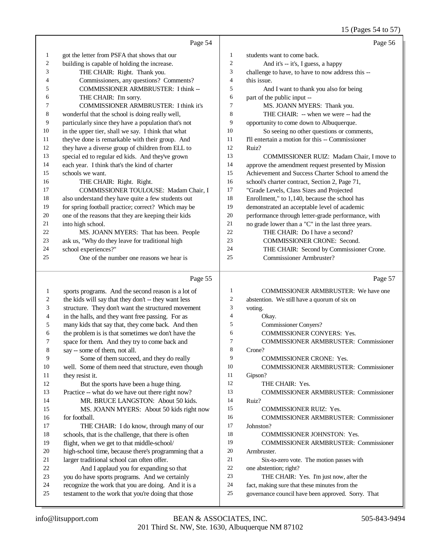#### 15 (Pages 54 to 57)

|                | Page 54                                              |                          | Page 56                                                                                                   |
|----------------|------------------------------------------------------|--------------------------|-----------------------------------------------------------------------------------------------------------|
| 1              | got the letter from PSFA that shows that our         | 1                        | students want to come back.                                                                               |
| $\overline{c}$ | building is capable of holding the increase.         | $\sqrt{2}$               | And it's -- it's, I guess, a happy                                                                        |
| 3              | THE CHAIR: Right. Thank you.                         | 3                        | challenge to have, to have to now address this --                                                         |
| 4              | Commissioners, any questions? Comments?              | $\overline{\mathcal{L}}$ | this issue.                                                                                               |
| 5              | COMMISSIONER ARMBRUSTER: I think --                  | 5                        | And I want to thank you also for being                                                                    |
| 6              | THE CHAIR: I'm sorry.                                | 6                        | part of the public input --                                                                               |
| 7              | <b>COMMISSIONER ARMBRUSTER: I think it's</b>         | 7                        | MS. JOANN MYERS: Thank you.                                                                               |
| 8              | wonderful that the school is doing really well,      | 8                        | THE CHAIR: -- when we were -- had the                                                                     |
| 9              | particularly since they have a population that's not | 9                        | opportunity to come down to Albuquerque.                                                                  |
| 10             | in the upper tier, shall we say. I think that what   | 10                       | So seeing no other questions or comments,                                                                 |
| 11             |                                                      | 11                       | I'll entertain a motion for this -- Commissioner                                                          |
| 12             | they've done is remarkable with their group. And     | 12                       | Ruiz?                                                                                                     |
| 13             | they have a diverse group of children from ELL to    | 13                       |                                                                                                           |
| 14             | special ed to regular ed kids. And they've grown     | 14                       | COMMISSIONER RUIZ: Madam Chair, I move to                                                                 |
| 15             | each year. I think that's the kind of charter        | 15                       | approve the amendment request presented by Mission<br>Achievement and Success Charter School to amend the |
|                | schools we want.                                     | 16                       |                                                                                                           |
| 16             | THE CHAIR: Right. Right.                             | 17                       | school's charter contract, Section 2, Page 71,                                                            |
| 17             | COMMISSIONER TOULOUSE: Madam Chair, I                |                          | "Grade Levels, Class Sizes and Projected                                                                  |
| 18             | also understand they have quite a few students out   | 18                       | Enrollment," to 1,140, because the school has                                                             |
| 19             | for spring football practice; correct? Which may be  | 19                       | demonstrated an acceptable level of academic                                                              |
| 20             | one of the reasons that they are keeping their kids  | 20                       | performance through letter-grade performance, with                                                        |
| 21             | into high school.                                    | 21                       | no grade lower than a "C" in the last three years.                                                        |
| $22\,$         | MS. JOANN MYERS: That has been. People               | 22                       | THE CHAIR: Do I have a second?                                                                            |
| 23             | ask us, "Why do they leave for traditional high      | 23                       | <b>COMMISSIONER CRONE: Second.</b>                                                                        |
| 24             | school experiences?"                                 | 24                       | THE CHAIR: Second by Commissioner Crone.                                                                  |
| 25             | One of the number one reasons we hear is             | 25                       | Commissioner Armbruster?                                                                                  |
|                | Page 55                                              |                          | Page 57                                                                                                   |
| 1              | sports programs. And the second reason is a lot of   | $\mathbf{1}$             | <b>COMMISSIONER ARMBRUSTER:</b> We have one                                                               |
| 2              | the kids will say that they don't -- they want less  | $\mathfrak{2}$           | abstention. We still have a quorum of six on                                                              |
| 3              | structure. They don't want the structured movement   | 3                        | voting.                                                                                                   |
| 4              | in the halls, and they want free passing. For as     | $\overline{4}$           | Okay.                                                                                                     |
| 5              | many kids that say that, they come back. And then    | 5                        | <b>Commissioner Conyers?</b>                                                                              |
| 6              | the problem is is that sometimes we don't have the   | 6                        | COMMISSIONER CONYERS: Yes.                                                                                |
| 7              | space for them. And they try to come back and        | 7                        | COMMISSIONER ARMBRUSTER: Commissioner                                                                     |
| $\,$ 8 $\,$    | say -- some of them, not all.                        | 8                        | Crone?                                                                                                    |
| 9              | Some of them succeed, and they do really             | 9                        | <b>COMMISSIONER CRONE: Yes.</b>                                                                           |
| 10             | well. Some of them need that structure, even though  | 10                       | <b>COMMISSIONER ARMBRUSTER: Commissioner</b>                                                              |
| 11             | they resist it.                                      | 11                       | Gipson?                                                                                                   |
| 12             | But the sports have been a huge thing.               | 12                       | THE CHAIR: Yes.                                                                                           |
| 13             | Practice -- what do we have out there right now?     | 13                       | <b>COMMISSIONER ARMBRUSTER: Commissioner</b>                                                              |
| 14             | MR. BRUCE LANGSTON: About 50 kids.                   | 14                       | Ruiz?                                                                                                     |
| 15             | MS. JOANN MYERS: About 50 kids right now             | 15                       | COMMISSIONER RUIZ: Yes.                                                                                   |

for football.

 THE CHAIR: I do know, through many of our schools, that is the challenge, that there is often flight, when we get to that middle-school/

high-school time, because there's programming that a

 larger traditional school can often offer. And I applaud you for expanding so that you do have sports programs. And we certainly recognize the work that you are doing. And it is a testament to the work that you're doing that those

Johnston?

Armbruster.

one abstention; right?

COMMISSIONER ARMBRUSTER: Commissioner

COMMISSIONER ARMBRUSTER: Commissioner

18 COMMISSIONER JOHNSTON: Yes.

Six-to-zero vote. The motion passes with

 THE CHAIR: Yes. I'm just now, after the fact, making sure that these minutes from the governance council have been approved. Sorry. That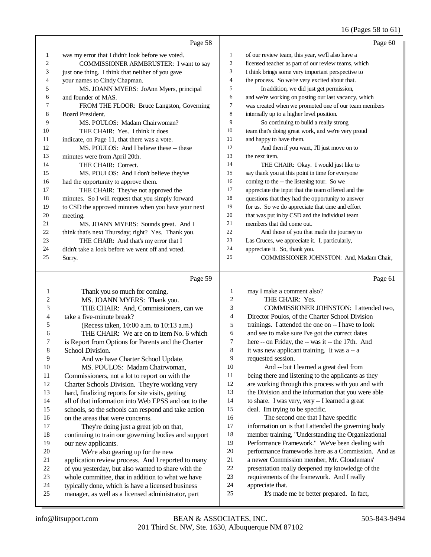#### 16 (Pages 58 to 61)

|                              | Page 58                                                                                                 |                | Page 60                                                       |
|------------------------------|---------------------------------------------------------------------------------------------------------|----------------|---------------------------------------------------------------|
| 1                            | was my error that I didn't look before we voted.                                                        | 1              | of our review team, this year, we'll also have a              |
| 2                            | COMMISSIONER ARMBRUSTER: I want to say                                                                  | $\overline{c}$ | licensed teacher as part of our review teams, which           |
| 3                            | just one thing. I think that neither of you gave                                                        | 3              | I think brings some very important perspective to             |
| 4                            | your names to Cindy Chapman.                                                                            | 4              | the process. So we're very excited about that.                |
| 5                            | MS. JOANN MYERS: JoAnn Myers, principal                                                                 | 5              | In addition, we did just get permission,                      |
| 6                            | and founder of MAS.                                                                                     | 6              | and we're working on posting our last vacancy, which          |
| 7                            | FROM THE FLOOR: Bruce Langston, Governing                                                               | 7              | was created when we promoted one of our team members          |
| 8                            | Board President.                                                                                        | 8              | internally up to a higher level position.                     |
| 9                            | MS. POULOS: Madam Chairwoman?                                                                           | 9              | So continuing to build a really strong                        |
| 10                           | THE CHAIR: Yes. I think it does                                                                         | 10             | team that's doing great work, and we're very proud            |
| 11                           | indicate, on Page 11, that there was a vote.                                                            | 11             | and happy to have them.                                       |
| 12                           | MS. POULOS: And I believe these -- these                                                                | 12             | And then if you want, I'll just move on to                    |
| 13                           | minutes were from April 20th.                                                                           | 13             | the next item.                                                |
| 14                           | THE CHAIR: Correct.                                                                                     | 14             | THE CHAIR: Okay. I would just like to                         |
| 15                           | MS. POULOS: And I don't believe they've                                                                 | 15             | say thank you at this point in time for everyone              |
| 16                           | had the opportunity to approve them.                                                                    | 16             | coming to the -- the listening tour. So we                    |
| 17                           | THE CHAIR: They've not approved the                                                                     | 17             | appreciate the input that the team offered and the            |
| 18                           | minutes. So I will request that you simply forward                                                      | 18             | questions that they had the opportunity to answer             |
| 19                           | to CSD the approved minutes when you have your next                                                     | 19             | for us. So we do appreciate that time and effort              |
| 20                           | meeting.                                                                                                | $20\,$         | that was put in by CSD and the individual team                |
| 21                           | MS. JOANN MYERS: Sounds great. And I                                                                    | $21\,$         | members that did come out.                                    |
| 22                           | think that's next Thursday; right? Yes. Thank you.                                                      | $22\,$         | And those of you that made the journey to                     |
| 23                           | THE CHAIR: And that's my error that I                                                                   | 23             | Las Cruces, we appreciate it. I, particularly,                |
| 24                           | didn't take a look before we went off and voted.                                                        | 24             | appreciate it. So, thank you.                                 |
| 25                           | Sorry.                                                                                                  | 25             | COMMISSIONER JOHNSTON: And, Madam Chair,                      |
|                              |                                                                                                         |                |                                                               |
|                              | Page 59                                                                                                 |                | Page 61                                                       |
|                              |                                                                                                         | 1              |                                                               |
| 1                            | Thank you so much for coming.                                                                           | $\overline{c}$ | may I make a comment also?<br>THE CHAIR: Yes.                 |
| $\overline{\mathbf{c}}$<br>3 | MS. JOANN MYERS: Thank you.                                                                             | 3              | COMMISSIONER JOHNSTON: I attended two,                        |
| 4                            | THE CHAIR: And, Commissioners, can we<br>take a five-minute break?                                      | $\overline{4}$ | Director Poulos, of the Charter School Division               |
| 5                            | (Recess taken, 10:00 a.m. to 10:13 a.m.)                                                                | 5              | trainings. I attended the one on -- I have to look            |
| 6                            | THE CHAIR: We are on to Item No. 6 which                                                                | 6              | and see to make sure I've got the correct dates               |
| 7                            | is Report from Options for Parents and the Charter                                                      | 7              | here -- on Friday, the -- was it -- the 17th. And             |
| 8                            | School Division.                                                                                        | 8              | it was new applicant training. It was a -- a                  |
| 9                            | And we have Charter School Update.                                                                      | 9              | requested session.                                            |
| $10\,$                       | MS. POULOS: Madam Chairwoman,                                                                           | 10             | And -- but I learned a great deal from                        |
| 11                           | Commissioners, not a lot to report on with the                                                          | 11             | being there and listening to the applicants as they           |
| 12                           | Charter Schools Division. They're working very                                                          | 12             | are working through this process with you and with            |
| 13                           | hard, finalizing reports for site visits, getting                                                       | 13             | the Division and the information that you were able           |
| 14                           | all of that information into Web EPSS and out to the                                                    | 14             | to share. I was very, very -- I learned a great               |
| 15                           | schools, so the schools can respond and take action                                                     | 15             | deal. I'm trying to be specific.                              |
| 16                           | on the areas that were concerns.                                                                        | 16             | The second one that I have specific                           |
| 17                           | They're doing just a great job on that,                                                                 | 17             | information on is that I attended the governing body          |
| 18                           | continuing to train our governing bodies and support                                                    | 18             | member training, "Understanding the Organizational            |
| 19                           | our new applicants.                                                                                     | 19             | Performance Framework." We've been dealing with               |
| $20\,$                       | We're also gearing up for the new                                                                       | 20             | performance frameworks here as a Commission. And as           |
| 21                           | application review process. And I reported to many                                                      | 21             | a newer Commission member, Mr. Gloudemans'                    |
| $22\,$                       | of you yesterday, but also wanted to share with the                                                     | 22             | presentation really deepened my knowledge of the              |
| 23                           | whole committee, that in addition to what we have                                                       | 23             | requirements of the framework. And I really                   |
| 24<br>25                     | typically done, which is have a licensed business<br>manager, as well as a licensed administrator, part | 24<br>25       | appreciate that.<br>It's made me be better prepared. In fact, |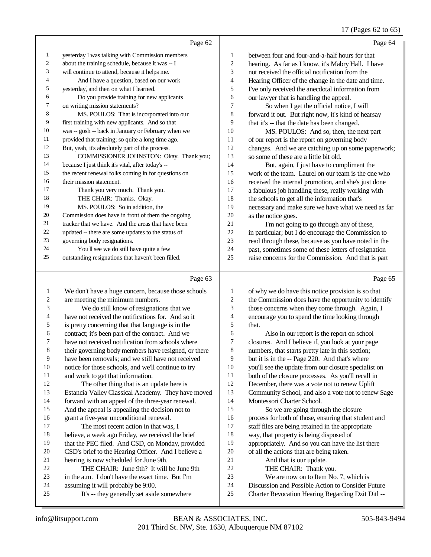## 17 (Pages 62 to 65)

|                | Page 62                                             |    | Page 64                                              |
|----------------|-----------------------------------------------------|----|------------------------------------------------------|
| $\mathbf{1}$   | yesterday I was talking with Commission members     | 1  | between four and four-and-a-half hours for that      |
| $\overline{2}$ | about the training schedule, because it was -- I    | 2  | hearing. As far as I know, it's Mabry Hall. I have   |
| 3              | will continue to attend, because it helps me.       | 3  | not received the official notification from the      |
| $\overline{4}$ | And I have a question, based on our work            | 4  | Hearing Officer of the change in the date and time.  |
| 5              | yesterday, and then on what I learned.              | 5  | I've only received the anecdotal information from    |
| 6              | Do you provide training for new applicants          | 6  | our lawyer that is handling the appeal.              |
| 7              | on writing mission statements?                      | 7  | So when I get the official notice, I will            |
| 8              | MS. POULOS: That is incorporated into our           | 8  | forward it out. But right now, it's kind of hearsay  |
| 9              | first training with new applicants. And so that     | 9  | that it's -- that the date has been changed.         |
| 10             | was -- gosh -- back in January or February when we  | 10 | MS. POULOS: And so, then, the next part              |
| 11             | provided that training; so quite a long time ago.   | 11 | of our report is the report on governing body        |
| 12             | But, yeah, it's absolutely part of the process.     | 12 | changes. And we are catching up on some paperwork;   |
| 13             | COMMISSIONER JOHNSTON: Okay. Thank you;             | 13 | so some of these are a little bit old.               |
| 14             | because I just think it's vital, after today's --   | 14 | But, again, I just have to compliment the            |
| 15             | the recent renewal folks coming in for questions on | 15 | work of the team. Laurel on our team is the one who  |
| 16             | their mission statement.                            | 16 | received the internal promotion, and she's just done |
| 17             | Thank you very much. Thank you.                     | 17 | a fabulous job handling these, really working with   |
| 18             | THE CHAIR: Thanks. Okay.                            | 18 | the schools to get all the information that's        |
| 19             | MS. POULOS: So in addition, the                     | 19 | necessary and make sure we have what we need as far  |
| 20             | Commission does have in front of them the ongoing   | 20 | as the notice goes.                                  |
| 21             | tracker that we have. And the areas that have been  | 21 | I'm not going to go through any of these,            |
| 22             | updated -- there are some updates to the status of  | 22 | in particular; but I do encourage the Commission to  |
| 23             | governing body resignations.                        | 23 | read through these, because as you have noted in the |
| 24             | You'll see we do still have quite a few             | 24 | past, sometimes some of these letters of resignation |
| 25             | outstanding resignations that haven't been filled.  | 25 | raise concerns for the Commission. And that is part  |

|    | Page 63                                              |    | Page 65                                              |
|----|------------------------------------------------------|----|------------------------------------------------------|
| 1  | We don't have a huge concern, because those schools  | 1  | of why we do have this notice provision is so that   |
| 2  | are meeting the minimum numbers.                     | 2  | the Commission does have the opportunity to identify |
| 3  | We do still know of resignations that we             | 3  | those concerns when they come through. Again, I      |
| 4  | have not received the notifications for. And so it   | 4  | encourage you to spend the time looking through      |
| 5  | is pretty concerning that that language is in the    | 5  | that.                                                |
| 6  | contract; it's been part of the contract. And we     | 6  | Also in our report is the report on school           |
| 7  | have not received notification from schools where    | 7  | closures. And I believe if, you look at your page    |
| 8  | their governing body members have resigned, or there | 8  | numbers, that starts pretty late in this section;    |
| 9  | have been removals; and we still have not received   | 9  | but it is in the -- Page 220. And that's where       |
| 10 | notice for those schools, and we'll continue to try  | 10 | you'll see the update from our closure specialist on |
| 11 | and work to get that information.                    | 11 | both of the closure processes. As you'll recall in   |
| 12 | The other thing that is an update here is            | 12 | December, there was a vote not to renew Uplift       |
| 13 | Estancia Valley Classical Academy. They have moved   | 13 | Community School, and also a vote not to renew Sage  |
| 14 | forward with an appeal of the three-year renewal.    | 14 | Montessori Charter School.                           |
| 15 | And the appeal is appealing the decision not to      | 15 | So we are going through the closure                  |
| 16 | grant a five-year unconditional renewal.             | 16 | process for both of those, ensuring that student and |
| 17 | The most recent action in that was, I                | 17 | staff files are being retained in the appropriate    |
| 18 | believe, a week ago Friday, we received the brief    | 18 | way, that property is being disposed of              |
| 19 | that the PEC filed. And CSD, on Monday, provided     | 19 | appropriately. And so you can have the list there    |
| 20 | CSD's brief to the Hearing Officer. And I believe a  | 20 | of all the actions that are being taken.             |
| 21 | hearing is now scheduled for June 9th.               | 21 | And that is our update.                              |
| 22 | THE CHAIR: June 9th? It will be June 9th             | 22 | THE CHAIR: Thank you.                                |
| 23 | in the a.m. I don't have the exact time. But I'm     | 23 | We are now on to Item No. 7, which is                |
| 24 | assuming it will probably be 9:00.                   | 24 | Discussion and Possible Action to Consider Future    |
| 25 | It's -- they generally set aside somewhere           | 25 | Charter Revocation Hearing Regarding Dzit Ditl --    |
|    |                                                      |    |                                                      |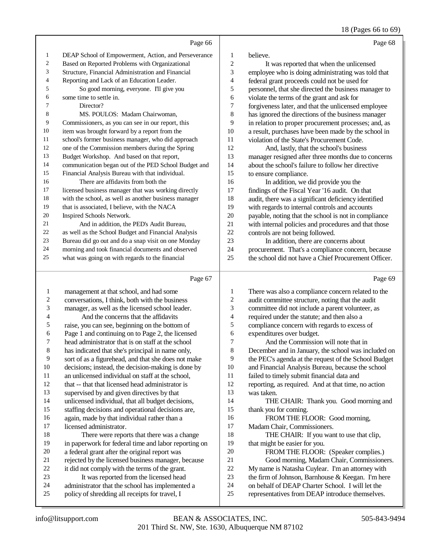18 (Pages 66 to 69)

|                |                                                                                           |                          | $10$ (Pages 00 to 05                                                                                 |
|----------------|-------------------------------------------------------------------------------------------|--------------------------|------------------------------------------------------------------------------------------------------|
|                | Page 66                                                                                   |                          | Page 68                                                                                              |
| 1              | DEAP School of Empowerment, Action, and Perseverance                                      | 1                        | believe.                                                                                             |
| 2              | Based on Reported Problems with Organizational                                            | $\overline{c}$           | It was reported that when the unlicensed                                                             |
| 3              | Structure, Financial Administration and Financial                                         | 3                        | employee who is doing administrating was told that                                                   |
| 4              | Reporting and Lack of an Education Leader.                                                | 4                        | federal grant proceeds could not be used for                                                         |
| 5              | So good morning, everyone. I'll give you                                                  | 5                        | personnel, that she directed the business manager to                                                 |
| 6              | some time to settle in.                                                                   | 6                        | violate the terms of the grant and ask for                                                           |
| 7              | Director?                                                                                 | 7                        | forgiveness later, and that the unlicensed employee                                                  |
| 8              | MS. POULOS: Madam Chairwoman,                                                             | 8                        | has ignored the directions of the business manager                                                   |
| 9              | Commissioners, as you can see in our report, this                                         | 9                        | in relation to proper procurement processes; and, as                                                 |
| 10             | item was brought forward by a report from the                                             | 10                       | a result, purchases have been made by the school in                                                  |
| 11             | school's former business manager, who did approach                                        | 11                       | violation of the State's Procurement Code.                                                           |
| 12             | one of the Commission members during the Spring                                           | 12                       | And, lastly, that the school's business                                                              |
| 13             | Budget Workshop. And based on that report,                                                | 13                       | manager resigned after three months due to concerns                                                  |
| 14             | communication began out of the PED School Budget and                                      | 14                       | about the school's failure to follow her directive                                                   |
| 15             | Financial Analysis Bureau with that individual.                                           | 15                       | to ensure compliance.                                                                                |
| 16             | There are affidavits from both the                                                        | 16                       | In addition, we did provide you the                                                                  |
| 17             | licensed business manager that was working directly                                       | 17                       | findings of the Fiscal Year '16 audit. On that                                                       |
| 18             | with the school, as well as another business manager                                      | 18                       | audit, there was a significant deficiency identified                                                 |
| 19             | that is associated, I believe, with the NACA                                              | 19                       | with regards to internal controls and accounts                                                       |
| 20             | Inspired Schools Network.                                                                 | $20\,$                   | payable, noting that the school is not in compliance                                                 |
| 21             | And in addition, the PED's Audit Bureau,                                                  | $21\,$                   | with internal policies and procedures and that those                                                 |
| 22             | as well as the School Budget and Financial Analysis                                       | 22                       | controls are not being followed.                                                                     |
| 23             | Bureau did go out and do a snap visit on one Monday                                       | 23                       | In addition, there are concerns about                                                                |
| 24             | morning and took financial documents and observed                                         | 24                       | procurement. That's a compliance concern, because                                                    |
| 25             | what was going on with regards to the financial                                           | 25                       | the school did not have a Chief Procurement Officer.                                                 |
|                | Page 67                                                                                   |                          | Page 69                                                                                              |
| $\mathbf{1}$   | management at that school, and had some                                                   | $\mathbf{1}$             | There was also a compliance concern related to the                                                   |
| $\overline{c}$ | conversations, I think, both with the business                                            | $\boldsymbol{2}$         | audit committee structure, noting that the audit                                                     |
| 3              | manager, as well as the licensed school leader.                                           | 3                        | committee did not include a parent volunteer, as                                                     |
| 4              | And the concerns that the affidavits                                                      | $\overline{\mathcal{L}}$ | required under the statute; and then also a                                                          |
| 5              | raise, you can see, beginning on the bottom of                                            | 5                        | compliance concern with regards to excess of                                                         |
| 6              | Page 1 and continuing on to Page 2, the licensed                                          | 6                        | expenditures over budget.                                                                            |
| 7              | head administrator that is on staff at the school                                         | 7                        | And the Commission will note that in                                                                 |
| $\,8\,$        | has indicated that she's principal in name only,                                          | 8                        | December and in January, the school was included on                                                  |
| 9              | sort of as a figurehead, and that she does not make                                       | 9                        | the PEC's agenda at the request of the School Budget                                                 |
| 10             | decisions; instead, the decision-making is done by                                        | 10                       | and Financial Analysis Bureau, because the school                                                    |
| 11             | an unlicensed individual on staff at the school,                                          | 11                       | failed to timely submit financial data and                                                           |
| 12             | that -- that that licensed head administrator is                                          | 12                       | reporting, as required. And at that time, no action                                                  |
| 13             | supervised by and given directives by that                                                | 13                       | was taken.                                                                                           |
| 14             | unlicensed individual, that all budget decisions,                                         | 14                       | THE CHAIR: Thank you. Good morning and                                                               |
| 15             | staffing decisions and operational decisions are,                                         | 15                       | thank you for coming.                                                                                |
| 16             | again, made by that individual rather than a                                              | 16                       | FROM THE FLOOR: Good morning,                                                                        |
| 17             | licensed administrator.                                                                   | 17                       | Madam Chair, Commissioners.                                                                          |
| 18             | There were reports that there was a change                                                | 18                       | THE CHAIR: If you want to use that clip,                                                             |
| 19             | in paperwork for federal time and labor reporting on                                      | 19                       | that might be easier for you.                                                                        |
| 20             | a federal grant after the original report was                                             | $20\,$                   | FROM THE FLOOR: (Speaker complies.)                                                                  |
| 21             | rejected by the licensed business manager, because                                        | $21\,$                   | Good morning, Madam Chair, Commissioners.                                                            |
| 22             | it did not comply with the terms of the grant.                                            | $22\,$                   | My name is Natasha Cuylear. I'm an attorney with                                                     |
| 23<br>$2\pi$   | It was reported from the licensed head<br>administrator that the school has implemented a | 23<br>$2\pi$             | the firm of Johnson, Barnhouse & Keegan. I'm here<br>on behalf of DEAP Charter School I will let the |
|                |                                                                                           |                          |                                                                                                      |

- 24 administrator that the school has implemented a<br>25 policy of shredding all receipts for travel, I policy of shredding all receipts for travel, I
- 24 on behalf of DEAP Charter School. I will let the representatives from DEAP introduce themselves representatives from DEAP introduce themselves.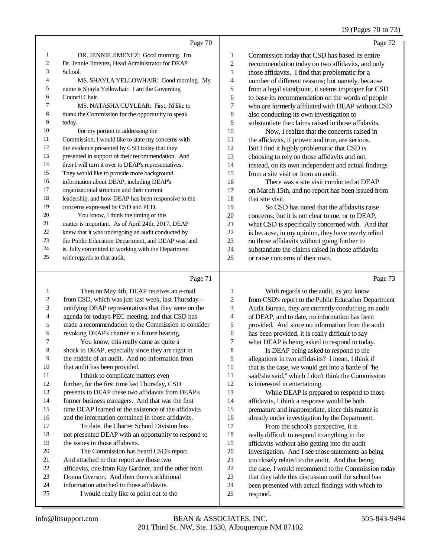## 19 (Pages 70 to 73)

|    | Page 70                                             |    | Page 72                                             |
|----|-----------------------------------------------------|----|-----------------------------------------------------|
| 1  | DR. JENNIE JIMENEZ: Good morning. I'm               | 1  | Commission today that CSD has based its entire      |
| 2  | Dr. Jennie Jimenez, Head Administrator for DEAP     | 2  | recommendation today on two affidavits, and only    |
| 3  | School.                                             | 3  | those affidavits. I find that problematic for a     |
| 4  | MS. SHAYLA YELLOWHAIR: Good morning. My             | 4  | number of different reasons; but namely, because    |
| 5  | name is Shayla Yellowhair. I am the Governing       | 5  | from a legal standpoint, it seems improper for CSD  |
| 6  | Council Chair.                                      | 6  | to base its recommendation on the words of people   |
| 7  | MS. NATASHA CUYLEAR: First, I'd like to             | 7  | who are formerly affiliated with DEAP without CSD   |
| 8  | thank the Commission for the opportunity to speak   | 8  | also conducting its own investigation to            |
| 9  | today.                                              | 9  | substantiate the claims raised in those affidavits. |
| 10 | For my portion in addressing the                    | 10 | Now, I realize that the concerns raised in          |
| 11 | Commission, I would like to state my concerns with  | 11 | the affidavits, if proven and true, are serious.    |
| 12 | the evidence presented by CSD today that they       | 12 | But I find it highly problematic that CSD is        |
| 13 | presented in support of their recommendation. And   | 13 | choosing to rely on those affidavits and not,       |
| 14 | then I will turn it over to DEAP's representatives. | 14 | instead, on its own independent and actual findings |
| 15 | They would like to provide more background          | 15 | from a site visit or from an audit.                 |
| 16 | information about DEAP, including DEAP's            | 16 | There was a site visit conducted at DEAP            |
| 17 | organizational structure and their current          | 17 | on March 15th, and no report has been issued from   |
| 18 | leadership, and how DEAP has been responsive to the | 18 | that site visit.                                    |
| 19 | concerns expressed by CSD and PED.                  | 19 | So CSD has noted that the affidavits raise          |
| 20 | You know, I think the timing of this                | 20 | concerns; but it is not clear to me, or to DEAP,    |
| 21 | matter is important. As of April 24th, 2017, DEAP   | 21 | what CSD is specifically concerned with. And that   |
| 22 | knew that it was undergoing an audit conducted by   | 22 | is because, in my opinion, they have overly relied  |
| 23 | the Public Education Department, and DEAP was, and  | 23 | on those affidavits without going further to        |
| 24 | is, fully committed to working with the Department  | 24 | substantiate the claims raised in those affidavits  |
| 25 | with regards to that audit.                         | 25 | or raise concerns of their own.                     |
|    |                                                     |    |                                                     |

# Page 71

| 1  | Then on May 4th, DEAP receives an e-mail             | 1  | With regards to the audit, as you know               |
|----|------------------------------------------------------|----|------------------------------------------------------|
| 2  | from CSD, which was just last week, last Thursday -- | 2  | from CSD's report to the Public Education Department |
| 3  | notifying DEAP representatives that they were on the | 3  | Audit Bureau, they are currently conducting an audit |
| 4  | agenda for today's PEC meeting, and that CSD has     | 4  | of DEAP, and to date, no information has been        |
| 5  | made a recommendation to the Commission to consider  | 5  | provided. And since no information from the audit    |
| 6  | revoking DEAP's charter at a future hearing.         | 6  | has been provided, it is really difficult to say     |
| 7  | You know, this really came as quite a                | 7  | what DEAP is being asked to respond to today.        |
| 8  | shock to DEAP, especially since they are right in    | 8  | Is DEAP being asked to respond to the                |
| 9  | the middle of an audit. And no information from      | 9  | allegations in two affidavits? I mean, I think if    |
| 10 | that audit has been provided.                        | 10 | that is the case, we would get into a battle of "he  |
| 11 | I think to complicate matters even                   | 11 | said/she said," which I don't think the Commission   |
| 12 | further, for the first time last Thursday, CSD       | 12 | is interested in entertaining.                       |
| 13 | presents to DEAP these two affidavits from DEAP's    | 13 | While DEAP is prepared to respond to those           |
| 14 | former business managers. And that was the first     | 14 | affidavits, I think a response would be both         |
| 15 | time DEAP learned of the existence of the affidavits | 15 | premature and inappropriate, since this matter is    |
| 16 | and the information contained in those affidavits.   | 16 | already under investigation by the Department.       |
| 17 | To date, the Charter School Division has             | 17 | From the school's perspective, it is                 |
| 18 | not presented DEAP with an opportunity to respond to | 18 | really difficult to respond to anything in the       |
| 19 | the issues in those affidavits.                      | 19 | affidavits without also getting into the audit       |
| 20 | The Commission has heard CSD's report.               | 20 | investigation. And I see those statements as being   |
| 21 | And attached to that report are those two            | 21 | too closely related to the audit. And that being     |
| 22 | affidavits, one from Kay Gardner, and the other from | 22 | the case, I would recommend to the Commission today  |
| 23 | Donna Overson. And then there's additional           | 23 | that they table this discussion until the school has |
| 24 | information attached to those affidavits.            | 24 | been presented with actual findings with which to    |
| 25 | I would really like to point out to the              | 25 | respond.                                             |
|    |                                                      |    |                                                      |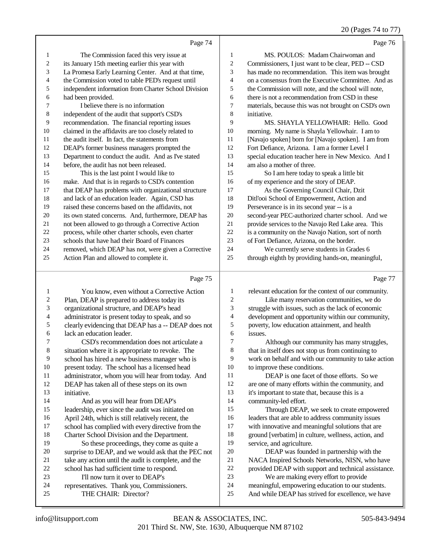20 (Pages 74 to 77)

|                          |                                                      |                | 20 (Pages 74 to 7)                                   |
|--------------------------|------------------------------------------------------|----------------|------------------------------------------------------|
|                          | Page 74                                              |                | Page 76                                              |
| $\mathbf{1}$             | The Commission faced this very issue at              | $\mathbf{1}$   | MS. POULOS: Madam Chairwoman and                     |
| $\sqrt{2}$               | its January 15th meeting earlier this year with      | $\sqrt{2}$     | Commissioners, I just want to be clear, PED -- CSD   |
| 3                        | La Promesa Early Learning Center. And at that time,  | 3              | has made no recommendation. This item was brought    |
| $\overline{\mathcal{A}}$ | the Commission voted to table PED's request until    | $\overline{4}$ | on a consensus from the Executive Committee. And as  |
| 5                        | independent information from Charter School Division | 5              | the Commission will note, and the school will note,  |
| 6                        | had been provided.                                   | 6              | there is not a recommendation from CSD in these      |
| $\tau$                   | I believe there is no information                    | $\tau$         | materials, because this was not brought on CSD's own |
| $\,8$                    | independent of the audit that support's CSD's        | 8              | initiative.                                          |
| 9                        | recommendation. The financial reporting issues       | 9              | MS. SHAYLA YELLOWHAIR: Hello. Good                   |
| 10                       | claimed in the affidavits are too closely related to | 10             | morning. My name is Shayla Yellowhair. I am to       |
| 11                       | the audit itself. In fact, the statements from       | 11             | [Navajo spoken] born for [Navajo spoken]. I am from  |
| 12                       | DEAP's former business managers prompted the         | 12             | Fort Defiance, Arizona. I am a former Level I        |
| 13                       | Department to conduct the audit. And as I've stated  | 13             | special education teacher here in New Mexico. And I  |
| 14                       | before, the audit has not been released.             | 14             | am also a mother of three.                           |
| 15                       | This is the last point I would like to               | 15             | So I am here today to speak a little bit             |
| 16                       | make. And that is in regards to CSD's contention     | 16             | of my experience and the story of DEAP.              |
| 17                       | that DEAP has problems with organizational structure | 17             | As the Governing Council Chair, Dzit                 |
| 18                       | and lack of an education leader. Again, CSD has      | 18             | Ditl'ooi School of Empowerment, Action and           |
| 19                       | raised these concerns based on the affidavits, not   | 19             | Perseverance is in its second year -- is a           |
| 20                       | its own stated concerns. And, furthermore, DEAP has  | 20             | second-year PEC-authorized charter school. And we    |
| 21                       | not been allowed to go through a Corrective Action   | 21             | provide services to the Navajo Red Lake area. This   |
| $22\,$                   | process, while other charter schools, even charter   | 22             | is a community on the Navajo Nation, sort of north   |
| 23                       | schools that have had their Board of Finances        | 23             | of Fort Defiance, Arizona, on the border.            |
| 24                       | removed, which DEAP has not, were given a Corrective | 24             | We currently serve students in Grades 6              |
| 25                       | Action Plan and allowed to complete it.              | 25             | through eighth by providing hands-on, meaningful,    |
|                          |                                                      |                |                                                      |
|                          | Page 75                                              |                | Page 77                                              |
| $\mathbf{1}$             | You know, even without a Corrective Action           | $\mathbf{1}$   | relevant education for the context of our community. |
| $\overline{c}$           | Plan, DEAP is prepared to address today its          | $\overline{c}$ | Like many reservation communities, we do             |
| 3                        | organizational structure, and DEAP's head            | 3              | struggle with issues, such as the lack of economic   |
| $\overline{\mathcal{L}}$ | administrator is present today to speak, and so      | $\overline{4}$ | development and opportunity within our community,    |
| 5                        | clearly evidencing that DEAP has a -- DEAP does not  | 5              | poverty, low education attainment, and health        |
| 6                        | lack an education leader.                            | 6              | issues.                                              |
| $\boldsymbol{7}$         | CSD's recommendation does not articulate a           | $\tau$         | Although our community has many struggles,           |
| 8                        | situation where it is appropriate to revoke. The     | $\,8\,$        | that in itself does not stop us from continuing to   |
| 9                        | school has hired a new business manager who is       | 9              | work on behalf and with our community to take action |
| 10                       | present today. The school has a licensed head        | 10             | to improve these conditions.                         |
| 11                       | administrator, whom you will hear from today. And    | 11             | DEAP is one facet of those efforts. So we            |
| 12                       | DEAP has taken all of these steps on its own         | 12             | are one of many efforts within the community, and    |
| 13                       | initiative.                                          | 13             | it's important to state that, because this is a      |

community-led effort.

 Through DEAP, we seek to create empowered leaders that are able to address community issues with innovative and meaningful solutions that are ground [verbatim] in culture, wellness, action, and service, and agriculture.

 DEAP was founded in partnership with the NACA Inspired Schools Networks, NISN, who have provided DEAP with support and technical assistance. We are making every effort to provide

meaningful, empowering education to our students.

 And as you will hear from DEAP's leadership, ever since the audit was initiated on 16 April 24th, which is still relatively recent, the<br>17 school has complied with every directive from

18 Charter School Division and the Department.<br>19 So these proceedings, they come as quite

22 school has had sufficient time to respond.<br>23 I'll now turn it over to DEAP's 23 I'll now turn it over to DEAP's<br>24 representatives. Thank you, Commis

24 representatives. Thank you, Commissioners.<br>25 THE CHAIR: Director? THE CHAIR: Director?

school has complied with every directive from the

20 surprise to DEAP, and we would ask that the PEC not<br>21 take any action until the audit is complete, and the 21 take any action until the audit is complete, and the <br>22 school has had sufficient time to respond.

So these proceedings, they come as quite a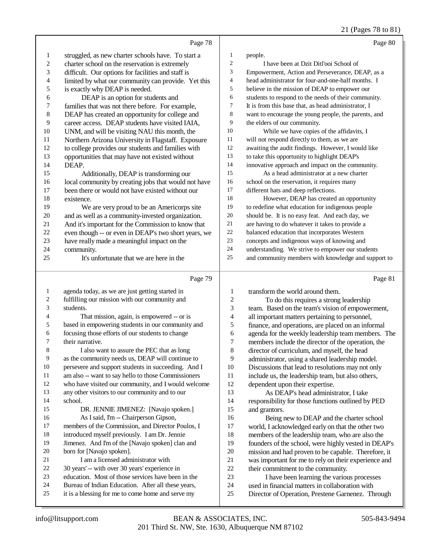21 (Pages 78 to 81)

|                          |                                                      |                         | 21 (rages 70 to 01)                                  |
|--------------------------|------------------------------------------------------|-------------------------|------------------------------------------------------|
|                          | Page 78                                              |                         | Page 80                                              |
| 1                        | struggled, as new charter schools have. To start a   | $\mathbf{1}$            | people.                                              |
| $\sqrt{2}$               | charter school on the reservation is extremely       | $\sqrt{2}$              | I have been at Dzit Ditl'ooi School of               |
| 3                        | difficult. Our options for facilities and staff is   | 3                       | Empowerment, Action and Perseverance, DEAP, as a     |
| $\overline{\mathcal{L}}$ | limited by what our community can provide. Yet this  | $\overline{\mathbf{4}}$ | head administrator for four-and-one-half months. I   |
| $\sqrt{5}$               | is exactly why DEAP is needed.                       | 5                       | believe in the mission of DEAP to empower our        |
| 6                        | DEAP is an option for students and                   | 6                       | students to respond to the needs of their community. |
| $\boldsymbol{7}$         | families that was not there before. For example,     | $\boldsymbol{7}$        | It is from this base that, as head administrator, I  |
| $\,$ $\,$                | DEAP has created an opportunity for college and      | $\,$ 8 $\,$             | want to encourage the young people, the parents, and |
| 9                        | career access. DEAP students have visited IAIA,      | 9                       | the elders of our community.                         |
| 10                       | UNM, and will be visiting NAU this month, the        | 10                      | While we have copies of the affidavits, I            |
| 11                       | Northern Arizona University in Flagstaff. Exposure   | 11                      | will not respond directly to them, as we are         |
| 12                       | to college provides our students and families with   | 12                      | awaiting the audit findings. However, I would like   |
| 13                       | opportunities that may have not existed without      | 13                      | to take this opportunity to highlight DEAP's         |
| 14                       | DEAP.                                                | 14                      | innovative approach and impact on the community.     |
| 15                       | Additionally, DEAP is transforming our               | 15                      | As a head administrator at a new charter             |
| 16                       | local community by creating jobs that would not have | 16                      | school on the reservation, it requires many          |
| 17                       | been there or would not have existed without our     | 17                      | different hats and deep reflections.                 |
| 18                       | existence.                                           | 18                      | However, DEAP has created an opportunity             |
| 19                       | We are very proud to be an Americorps site           | 19                      | to redefine what education for indigenous people     |
| $20\,$                   | and as well as a community-invested organization.    | $20\,$                  | should be. It is no easy feat. And each day, we      |
| 21                       | And it's important for the Commission to know that   | 21                      | are having to do whatever it takes to provide a      |
| $22\,$                   | even though -- or even in DEAP's two short years, we | $22\,$                  | balanced education that incorporates Western         |
| 23                       | have really made a meaningful impact on the          | 23                      | concepts and indigenous ways of knowing and          |
| 24                       | community.                                           | 24                      | understanding. We strive to empower our students     |
| 25                       | It's unfortunate that we are here in the             | 25                      | and community members with knowledge and support to  |
|                          |                                                      |                         |                                                      |
|                          | Page 79                                              |                         | Page 81                                              |
| $\mathbf{1}$             | agenda today, as we are just getting started in      | $\mathbf{1}$            | transform the world around them.                     |
| 2                        | fulfilling our mission with our community and        | $\sqrt{2}$              | To do this requires a strong leadership              |
| 3                        | students.                                            | 3                       | team. Based on the team's vision of empowerment,     |
| 4                        | That mission, again, is empowered -- or is           | $\overline{4}$          | all important matters pertaining to personnel,       |
| 5                        | based in empowering students in our community and    | $\sqrt{5}$              | finance, and operations, are placed on an informal   |
| 6                        | focusing those efforts of our students to change     | 6                       | agenda for the weekly leadership team members. The   |
| 7                        | their narrative.                                     | $\overline{7}$          | members include the director of the operation, the   |
| $\,8\,$                  | I also want to assure the PEC that as long           | $\,8\,$                 | director of curriculum, and myself, the head         |
| 9                        | as the community needs us, DEAP will continue to     | 9                       | administrator, using a shared leadership model.      |
| $10\,$                   | persevere and support students in succeeding. And I  | $10\,$                  | Discussions that lead to resolutions may not only    |
| 11                       | am also -- want to say hello to those Commissioners  | 11                      | include us, the leadership team, but also others,    |
| 12                       | who have visited our community, and I would welcome  | 12                      | dependent upon their expertise.                      |
| 13                       | any other visitors to our community and to our       | 13                      | As DEAP's head administrator, I take                 |
| 14                       | school.                                              | 14                      | responsibility for those functions outlined by PED   |

 and grantors. 16 Being new to DEAP and the charter school<br>17 world, I acknowledged early on that the other two world, I acknowledged early on that the other two 18 members of the leadership team, who are also the founders of the school, were highly vested in DEA founders of the school, were highly vested in DEAP's 20 mission and had proven to be capable. Therefore, it<br>21 was important for me to rely on their experience and 21 was important for me to rely on their experience and<br>22 their commitment to the community. 22 their commitment to the community.<br>23 I have been learning the various 23 I have been learning the various processes<br>24 used in financial matters in collaboration with

24 used in financial matters in collaboration with<br>25 Director of Operation. Prestene Garnenez. The Director of Operation, Prestene Garnenez. Through

born for [Navajo spoken].

21 I am a licensed administrator with 30 years' -- with over 30 years' experience in education. Most of those services have been in the Bureau of Indian Education. After all these years, it is a blessing for me to come home and serve my

 DR. JENNIE JIMENEZ: [Navajo spoken.] As I said, I'm -- Chairperson Gipson,

 members of the Commission, and Director Poulos, I introduced myself previously. I am Dr. Jennie Jimenez. And I'm of the [Navajo spoken] clan and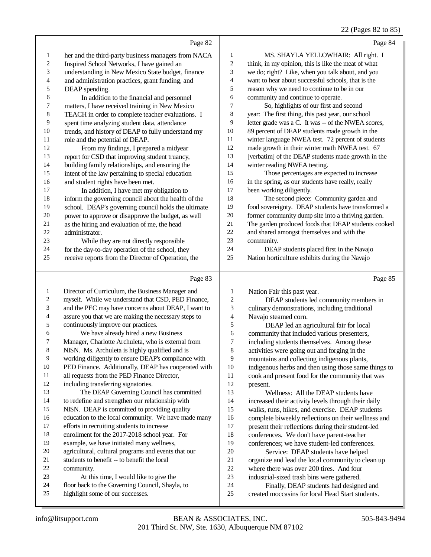|  | 22 (Pages 82 to 85) |  |  |  |
|--|---------------------|--|--|--|
|--|---------------------|--|--|--|

|                | Page 82                                              |                | Page 84                                             |
|----------------|------------------------------------------------------|----------------|-----------------------------------------------------|
| $\mathbf{1}$   | her and the third-party business managers from NACA  | 1              | MS. SHAYLA YELLOWHAIR: All right. I                 |
| $\mathfrak{2}$ | Inspired School Networks, I have gained an           | $\overline{c}$ | think, in my opinion, this is like the meat of what |
| 3              | understanding in New Mexico State budget, finance    | 3              | we do; right? Like, when you talk about, and you    |
| 4              | and administration practices, grant funding, and     | 4              | want to hear about successful schools, that is the  |
| 5              | DEAP spending.                                       | 5              | reason why we need to continue to be in our         |
| 6              | In addition to the financial and personnel           | 6              | community and continue to operate.                  |
| 7              | matters, I have received training in New Mexico      | 7              | So, highlights of our first and second              |
| $\,$ 8 $\,$    | TEACH in order to complete teacher evaluations. I    | $\,8\,$        | year: The first thing, this past year, our school   |
| 9              | spent time analyzing student data, attendance        | 9              | letter grade was a C. It was -- of the NWEA scores, |
| 10             | trends, and history of DEAP to fully understand my   | 10             | 89 percent of DEAP students made growth in the      |
| 11             | role and the potential of DEAP.                      | 11             | winter language NWEA test. 72 percent of students   |
| 12             | From my findings, I prepared a midyear               | 12             | made growth in their winter math NWEA test. 67      |
| 13             | report for CSD that improving student truancy,       | 13             | [verbatim] of the DEAP students made growth in the  |
| 14             | building family relationships, and ensuring the      | 14             | winter reading NWEA testing.                        |
| 15             | intent of the law pertaining to special education    | 15             | Those percentages are expected to increase          |
| 16             | and student rights have been met.                    | 16             | in the spring, as our students have really, really  |
| 17             | In addition, I have met my obligation to             | 17             | been working diligently.                            |
| 18             | inform the governing council about the health of the | 18             | The second piece: Community garden and              |
| 19             | school. DEAP's governing council holds the ultimate  | 19             | food sovereignty. DEAP students have transformed a  |
| 20             | power to approve or disapprove the budget, as well   | 20             | former community dump site into a thriving garden.  |
| 21             | as the hiring and evaluation of me, the head         | 21             | The garden produced foods that DEAP students cooked |
| 22             | administrator.                                       | 22             | and shared amongst themselves and with the          |
| 23             | While they are not directly responsible              | 23             | community.                                          |
| 24             | for the day-to-day operation of the school, they     | 24             | DEAP students placed first in the Navajo            |
| 25             | receive reports from the Director of Operation, the  | 25             | Nation horticulture exhibits during the Navajo      |
|                | Page 83                                              |                | Page 85                                             |
| 1              | Director of Curriculum, the Business Manager and     | 1              | Nation Fair this past year.                         |
| 2              | myself. While we understand that CSD, PED Finance,   | $\overline{c}$ | DEAP students led community members in              |
| 3              | and the PEC may have concerns about DEAP, I want to  | 3              | culinary demonstrations, including traditional      |

Navajo steamed corn.

5 DEAP led an agricultural fair for local<br>6 community that included various presenters. 6 community that included various presenters,<br>
7 including students themselves. Among these 7 including students themselves. Among these<br>8 activities were going out and forging in the activities were going out and forging in the 9 mountains and collecting indigenous plants,<br>10 indigenous herbs and then using those same 10 indigenous herbs and then using those same things to 11 cook and present food for the community that was cook and present food for the community that was present.

 Wellness: All the DEAP students have increased their activity levels through their daily walks, runs, hikes, and exercise. DEAP students 16 complete biweekly reflections on their wellness and<br>17 present their reflections during their student-led present their reflections during their student-led 18 conferences. We don't have parent-teacher<br>19 conferences: we have student-led conferences conferences; we have student-led conferences. 20 Service: DEAP students have helped<br>21 organize and lead the local community to cle 21 organize and lead the local community to clean up<br>22 where there was over 200 tires. And four 22 where there was over 200 tires. And four<br>23 industrial-sized trash bins were gathered. 23 industrial-sized trash bins were gathered.<br>24 Finally, DEAP students had designed. 24 Finally, DEAP students had designed and<br>25 created moccasins for local Head Start students. created moccasins for local Head Start students.

community.

assure you that we are making the necessary steps to

 We have already hired a new Business Manager, Charlotte Archuleta, who is external from NISN. Ms. Archuleta is highly qualified and is working diligently to ensure DEAP's compliance with PED Finance. Additionally, DEAP has cooperated with

all requests from the PED Finance Director,

 The DEAP Governing Council has committed to redefine and strengthen our relationship with NISN. DEAP is committed to providing quality education to the local community. We have made many

including transferring signatories.

 efforts in recruiting students to increase enrollment for the 2017-2018 school year. For example, we have initiated many wellness, agricultural, cultural programs and events that our

students to benefit -- to benefit the local

highlight some of our successes.

 At this time, I would like to give the floor back to the Governing Council, Shayla, to

continuously improve our practices.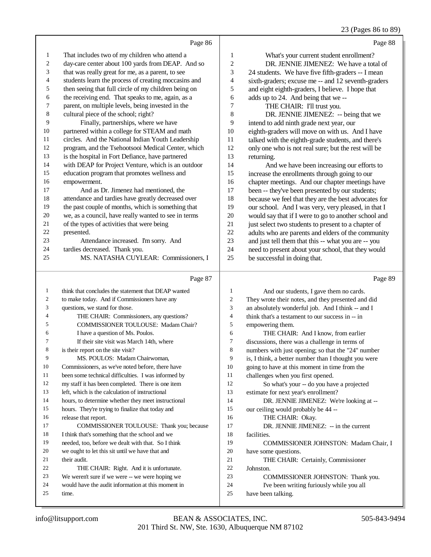## 23 (Pages 86 to 89)

|    | Page 86                                              |                | Page 88                                              |
|----|------------------------------------------------------|----------------|------------------------------------------------------|
| 1  | That includes two of my children who attend a        | 1              | What's your current student enrollment?              |
| 2  | day-care center about 100 yards from DEAP. And so    | $\mathfrak{2}$ | DR. JENNIE JIMENEZ: We have a total of               |
| 3  | that was really great for me, as a parent, to see    | 3              | 24 students. We have five fifth-graders -- I mean    |
| 4  | students learn the process of creating moccasins and | $\overline{4}$ | sixth-graders; excuse me -- and 12 seventh-graders   |
| 5  | then seeing that full circle of my children being on | 5              | and eight eighth-graders, I believe. I hope that     |
| 6  | the receiving end. That speaks to me, again, as a    | 6              | adds up to 24. And being that we --                  |
| 7  | parent, on multiple levels, being invested in the    | $\tau$         | THE CHAIR: I'll trust you.                           |
| 8  | cultural piece of the school; right?                 | 8              | DR. JENNIE JIMENEZ: -- being that we                 |
| 9  | Finally, partnerships, where we have                 | 9              | intend to add ninth grade next year, our             |
| 10 | partnered within a college for STEAM and math        | 10             | eighth-graders will move on with us. And I have      |
| 11 | circles. And the National Indian Youth Leadership    | 11             | talked with the eighth-grade students, and there's   |
| 12 | program, and the Tsehootsooi Medical Center, which   | 12             | only one who is not real sure; but the rest will be  |
| 13 | is the hospital in Fort Defiance, have partnered     | 13             | returning.                                           |
| 14 | with DEAP for Project Venture, which is an outdoor   | 14             | And we have been increasing our efforts to           |
| 15 | education program that promotes wellness and         | 15             | increase the enrollments through going to our        |
| 16 | empowerment.                                         | 16             | chapter meetings. And our chapter meetings have      |
| 17 | And as Dr. Jimenez had mentioned, the                | 17             | been -- they've been presented by our students;      |
| 18 | attendance and tardies have greatly decreased over   | 18             | because we feel that they are the best advocates for |
| 19 | the past couple of months, which is something that   | 19             | our school. And I was very, very pleased, in that I  |
| 20 | we, as a council, have really wanted to see in terms | 20             | would say that if I were to go to another school and |
| 21 | of the types of activities that were being           | 21             | just select two students to present to a chapter of  |
| 22 | presented.                                           | 22             | adults who are parents and elders of the community   |
| 23 | Attendance increased. I'm sorry. And                 | 23             | and just tell them that this -- what you are -- you  |
| 24 | tardies decreased. Thank you.                        | 24             | need to present about your school, that they would   |
| 25 | MS. NATASHA CUYLEAR: Commissioners, I                | 25             | be successful in doing that.                         |
|    | Page 87                                              |                | Page 89                                              |

| 1  | think that concludes the statement that DEAP wanted | 1              | And our students, I gave them no cards.              |
|----|-----------------------------------------------------|----------------|------------------------------------------------------|
| 2  | to make today. And if Commissioners have any        | 2              | They wrote their notes, and they presented and did   |
| 3  | questions, we stand for those.                      | 3              | an absolutely wonderful job. And I think -- and I    |
| 4  | THE CHAIR: Commissioners, any questions?            | $\overline{4}$ | think that's a testament to our success in -- in     |
| 5  | <b>COMMISSIONER TOULOUSE: Madam Chair?</b>          | 5              | empowering them.                                     |
| 6  | I have a question of Ms. Poulos.                    | 6              | THE CHAIR: And I know, from earlier                  |
| 7  | If their site visit was March 14th, where           | 7              | discussions, there was a challenge in terms of       |
| 8  | is their report on the site visit?                  | 8              | numbers with just opening; so that the "24" number   |
| 9  | MS. POULOS: Madam Chairwoman.                       | 9              | is, I think, a better number than I thought you were |
| 10 | Commissioners, as we've noted before, there have    | 10             | going to have at this moment in time from the        |
| 11 | been some technical difficulties. I was informed by | 11             | challenges when you first opened.                    |
| 12 | my staff it has been completed. There is one item   | 12             | So what's your -- do you have a projected            |
| 13 | left, which is the calculation of instructional     | 13             | estimate for next year's enrollment?                 |
| 14 | hours, to determine whether they meet instructional | 14             | DR. JENNIE JIMENEZ: We're looking at --              |
| 15 | hours. They're trying to finalize that today and    | 15             | our ceiling would probably be 44 --                  |
| 16 | release that report.                                | 16             | THE CHAIR: Okay.                                     |
| 17 | COMMISSIONER TOULOUSE: Thank you; because           | 17             | DR. JENNIE JIMENEZ: -- in the current                |
| 18 | I think that's something that the school and we     | 18             | facilities.                                          |
| 19 | needed, too, before we dealt with that. So I think  | 19             | <b>COMMISSIONER JOHNSTON: Madam Chair, I</b>         |
| 20 | we ought to let this sit until we have that and     | 20             | have some questions.                                 |
| 21 | their audit.                                        | 21             | THE CHAIR: Certainly, Commissioner                   |
| 22 | THE CHAIR: Right. And it is unfortunate.            | 22             | Johnston.                                            |
| 23 | We weren't sure if we were -- we were hoping we     | 23             | <b>COMMISSIONER JOHNSTON:</b> Thank you.             |
| 24 | would have the audit information at this moment in  | 24             | I've been writing furiously while you all            |
| 25 | time.                                               | 25             | have been talking.                                   |
|    |                                                     |                |                                                      |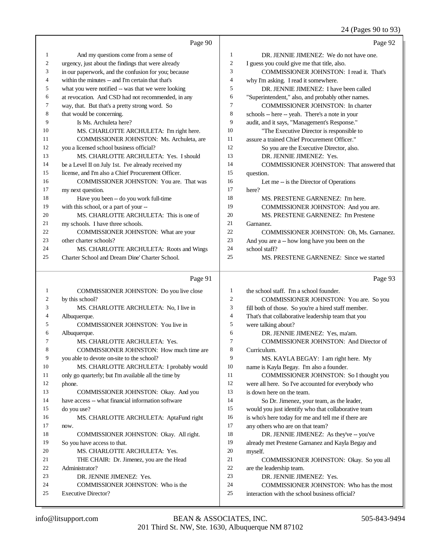#### 24 (Pages 90 to 93)

|                | Page 90                                              |                | Page 92                                             |
|----------------|------------------------------------------------------|----------------|-----------------------------------------------------|
| 1              | And my questions come from a sense of                | $\mathbf{1}$   | DR. JENNIE JIMENEZ: We do not have one.             |
| $\overline{c}$ | urgency, just about the findings that were already   | $\mathfrak{2}$ | I guess you could give me that title, also.         |
| 3              | in our paperwork, and the confusion for you; because | 3              | COMMISSIONER JOHNSTON: I read it. That's            |
| 4              | within the minutes -- and I'm certain that that's    | $\overline{4}$ | why I'm asking. I read it somewhere.                |
| 5              | what you were notified -- was that we were looking   | 5              | DR. JENNIE JIMENEZ: I have been called              |
| 6              | at revocation. And CSD had not recommended, in any   | 6              | "Superintendent," also, and probably other names.   |
| 7              | way, that. But that's a pretty strong word. So       | 7              | COMMISSIONER JOHNSTON: In charter                   |
| 8              | that would be concerning.                            | $\,$ 8 $\,$    | schools -- here -- yeah. There's a note in your     |
| 9              | Is Ms. Archuleta here?                               | 9              | audit, and it says, "Management's Response."        |
| 10             | MS. CHARLOTTE ARCHULETA: I'm right here.             | 10             | "The Executive Director is responsible to           |
| 11             | COMMISSIONER JOHNSTON: Ms. Archuleta, are            | 11             | assure a trained Chief Procurement Officer."        |
| 12             | you a licensed school business official?             | 12             | So you are the Executive Director, also.            |
| 13             | MS. CHARLOTTE ARCHULETA: Yes. I should               | 13             | DR. JENNIE JIMENEZ: Yes.                            |
| 14             | be a Level II on July 1st. I've already received my  | 14             | COMMISSIONER JOHNSTON: That answered that           |
| 15             | license, and I'm also a Chief Procurement Officer.   | 15             | question.                                           |
| 16             | COMMISSIONER JOHNSTON: You are. That was             | 16             | Let me -- is the Director of Operations             |
| 17             | my next question.                                    | 17             | here?                                               |
| 18             | Have you been -- do you work full-time               | 18             | MS. PRESTENE GARNENEZ: I'm here.                    |
| 19             | with this school, or a part of your --               | 19             | COMMISSIONER JOHNSTON: And you are.                 |
| 20             | MS. CHARLOTTE ARCHULETA: This is one of              | 20             | MS. PRESTENE GARNENEZ: I'm Prestene                 |
| 21             | my schools. I have three schools.                    | 21             | Garnanez.                                           |
| 22             | COMMISSIONER JOHNSTON: What are your                 | 22             | COMMISSIONER JOHNSTON: Oh, Ms. Garnanez.            |
| 23             | other charter schools?                               | 23             | And you are a -- how long have you been on the      |
| 24             | MS. CHARLOTTE ARCHULETA: Roots and Wings             | 24             | school staff?                                       |
| 25             | Charter School and Dream Dine' Charter School.       | 25             | MS. PRESTENE GARNENEZ: Since we started             |
|                | Page 91                                              |                | Page 93                                             |
| 1              | COMMISSIONER JOHNSTON: Do you live close             | $\mathbf{1}$   | the school staff. I'm a school founder.             |
| 2              | by this school?                                      | $\mathbf{2}$   | COMMISSIONER JOHNSTON: You are. So you              |
| 3              | MS. CHARLOTTE ARCHULETA: No, I live in               | 3              | fill both of those. So you're a hired staff member. |
| 4              | Albuquerque.                                         | $\overline{4}$ | That's that collaborative leadership team that you  |
| 5              | COMMISSIONER JOHNSTON: You live in                   | 5              | were talking about?                                 |
| 6              | Albuquerque.                                         | 6              | DR. JENNIE JIMENEZ: Yes, ma'am.                     |
| 7              | MS. CHARLOTTE ARCHULETA: Yes.                        | $\tau$         | COMMISSIONER JOHNSTON: And Director of              |
| 8              | COMMISSIONER JOHNSTON: How much time are             | 8              | Curriculum.                                         |
| 9              | you able to devote on-site to the school?            | 9              | MS. KAYLA BEGAY: I am right here. My                |
| 10             | MS. CHARLOTTE ARCHULETA: I probably would            | 10             | name is Kayla Begay. I'm also a founder.            |
| 11             | only go quarterly; but I'm available all the time by | 11             | COMMISSIONER JOHNSTON: So I thought you             |
| 12             | phone.                                               | 12             | were all here. So I've accounted for everybody who  |
| 13             | COMMISSIONER JOHNSTON: Okay. And you                 | 13             | is down here on the team.                           |
| 14             | have access -- what financial information software   | 14             | So Dr. Jimenez, your team, as the leader,           |
| 15             | do you use?                                          | 15             | would you just identify who that collaborative team |
| 16             | MS. CHARLOTTE ARCHULETA: AptaFund right              | 16             | is who's here today for me and tell me if there are |
| 17             | now.                                                 | 17             | any others who are on that team?                    |
| 18             | COMMISSIONER JOHNSTON: Okay. All right.              | 18             | DR. JENNIE JIMENEZ: As they've -- you've            |
| 19             | So you have access to that.                          | 19             | already met Prestene Garnanez and Kayla Begay and   |
| 20             | MS. CHARLOTTE ARCHULETA: Yes.                        | $20\,$         | myself.                                             |
| 21             | THE CHAIR: Dr. Jimenez, you are the Head             | 21             | COMMISSIONER JOHNSTON: Okay. So you all             |
| 22             | Administrator?                                       | $22\,$         | are the leadership team.                            |
| 23             | DR. JENNIE JIMENEZ: Yes.                             | $23\,$         | DR. JENNIE JIMENEZ: Yes.                            |
| 24             | COMMISSIONER JOHNSTON: Who is the                    | $24\,$         | COMMISSIONER JOHNSTON: Who has the most             |

- 24 COMMISSIONER JOHNSTON: Who has the most<br>25 interaction with the school business official?
- interaction with the school business official?

Executive Director?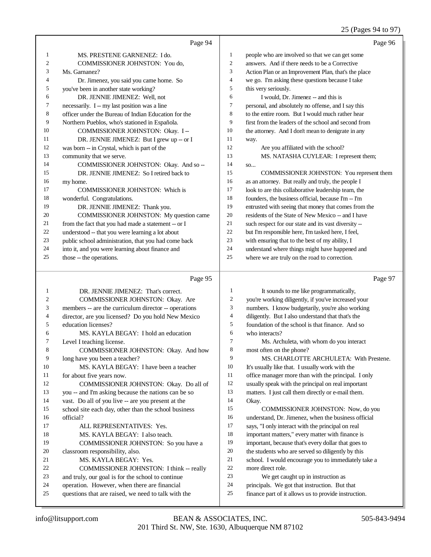#### 25 (Pages 94 to 97)

|    | Page 94                                              |                | Page 96                                              |
|----|------------------------------------------------------|----------------|------------------------------------------------------|
| 1  | MS. PRESTENE GARNENEZ: I do.                         | 1              | people who are involved so that we can get some      |
| 2  | COMMISSIONER JOHNSTON: You do.                       | 2              | answers. And if there needs to be a Corrective       |
| 3  | Ms. Garnanez?                                        | 3              | Action Plan or an Improvement Plan, that's the place |
| 4  | Dr. Jimenez, you said you came home. So              | $\overline{4}$ | we go. I'm asking these questions because I take     |
| 5  | you've been in another state working?                | 5              | this very seriously.                                 |
| 6  | DR. JENNIE JIMENEZ: Well, not                        | 6              | I would, Dr. Jimenez -- and this is                  |
| 7  | necessarily. I -- my last position was a line        | 7              | personal, and absolutely no offense, and I say this  |
| 8  | officer under the Bureau of Indian Education for the | 8              | to the entire room. But I would much rather hear     |
| 9  | Northern Pueblos, who's stationed in Española.       | 9              | first from the leaders of the school and second from |
| 10 | COMMISSIONER JOHNSTON: Okay. I-                      | 10             | the attorney. And I don't mean to denigrate in any   |
| 11 | DR. JENNIE JIMENEZ: But I grew up -- or I            | 11             | way.                                                 |
| 12 | was born -- in Crystal, which is part of the         | 12             | Are you affiliated with the school?                  |
| 13 | community that we serve.                             | 13             | MS. NATASHA CUYLEAR: I represent them;               |
| 14 | COMMISSIONER JOHNSTON: Okay. And so --               | 14             | SO                                                   |
| 15 | DR. JENNIE JIMENEZ: So I retired back to             | 15             | COMMISSIONER JOHNSTON: You represent them            |
| 16 | my home.                                             | 16             | as an attorney. But really and truly, the people I   |
| 17 | <b>COMMISSIONER JOHNSTON: Which is</b>               | 17             | look to are this collaborative leadership team, the  |
| 18 | wonderful. Congratulations.                          | 18             | founders, the business official, because I'm -- I'm  |
| 19 | DR. JENNIE JIMENEZ: Thank you.                       | 19             | entrusted with seeing that money that comes from the |
| 20 | <b>COMMISSIONER JOHNSTON:</b> My question came       | 20             | residents of the State of New Mexico -- and I have   |
| 21 | from the fact that you had made a statement -- or I  | 21             | such respect for our state and its vast diversity -- |
| 22 | understood -- that you were learning a lot about     | 22             | but I'm responsible here, I'm tasked here, I feel,   |
| 23 | public school administration, that you had come back | 23             | with ensuring that to the best of my ability, I      |
| 24 | into it, and you were learning about finance and     | 24             | understand where things might have happened and      |
| 25 | those -- the operations.                             | 25             | where we are truly on the road to correction.        |

#### Page 95

 DR. JENNIE JIMENEZ: That's correct. COMMISSIONER JOHNSTON: Okay. Are members -- are the curriculum director -- operations 4 director, are you licensed? Do you hold New Mexico<br>5 education licenses? education licenses? 6 MS. KAYLA BEGAY: I hold an education<br>7 Level I teaching license. Level I teaching license. COMMISSIONER JOHNSTON: Okay. And how long have you been a teacher? MS. KAYLA BEGAY: I have been a teacher 11 for about five years now.<br>12 COMMISSIONER COMMISSIONER JOHNSTON: Okay. Do all of you -- and I'm asking because the nations can be so vast. Do all of you live -- are you present at the school site each day, other than the school business official? ALL REPRESENTATIVES: Yes. MS. KAYLA BEGAY: I also teach. COMMISSIONER JOHNSTON: So you have a classroom responsibility, also. 21 MS. KAYLA BEGAY: Yes.<br>22 COMMISSIONER JOHNST 22 COMMISSIONER JOHNSTON: I think -- really<br>23 and truly, our goal is for the school to continue and truly, our goal is for the school to continue operation. However, when there are financial questions that are raised, we need to talk with the It sounds to me like programmatically, you're working diligently, if you've increased your numbers. I know budgetarily, you're also working diligently. But I also understand that that's the foundation of the school is that finance. And so who interacts? Ms. Archuleta, with whom do you interact most often on the phone? MS. CHARLOTTE ARCHULETA: With Prestene. It's usually like that. I usually work with the office manager more than with the principal. I only usually speak with the principal on real important matters. I just call them directly or e-mail them. Okay. COMMISSIONER JOHNSTON: Now, do you understand, Dr. Jimenez, when the business official says, "I only interact with the principal on real important matters," every matter with finance is important, because that's every dollar that goes to the students who are served so diligently by this school. I would encourage you to immediately take a more direct role. We get caught up in instruction as principals. We got that instruction. But that finance part of it allows us to provide instruction.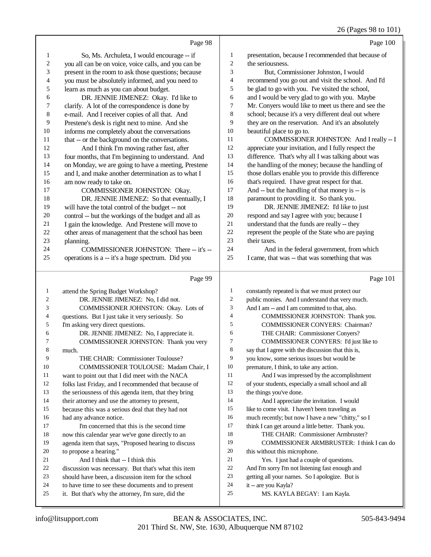|                | Page 98                                                                                                  |                          | Page 100                                                                   |
|----------------|----------------------------------------------------------------------------------------------------------|--------------------------|----------------------------------------------------------------------------|
| 1              | So, Ms. Archuleta, I would encourage -- if                                                               | 1                        | presentation, because I recommended that because of                        |
| $\overline{c}$ | you all can be on voice, voice calls, and you can be                                                     | $\overline{c}$           | the seriousness.                                                           |
| 3              | present in the room to ask those questions; because                                                      | 3                        | But, Commissioner Johnston, I would                                        |
| 4              | you must be absolutely informed, and you need to                                                         | $\overline{\mathcal{L}}$ | recommend you go out and visit the school. And I'd                         |
| 5              | learn as much as you can about budget.                                                                   | 5                        | be glad to go with you. I've visited the school,                           |
| 6              | DR. JENNIE JIMENEZ: Okay. I'd like to                                                                    | 6                        | and I would be very glad to go with you. Maybe                             |
| 7              | clarify. A lot of the correspondence is done by                                                          | 7                        | Mr. Conyers would like to meet us there and see the                        |
| 8              | e-mail. And I receiver copies of all that. And                                                           | 8                        | school; because it's a very different deal out where                       |
| 9              | Prestene's desk is right next to mine. And she                                                           | 9                        | they are on the reservation. And it's an absolutely                        |
| $10\,$         | informs me completely about the conversations                                                            | 10                       | beautiful place to go to.                                                  |
| 11             | that -- or the background on the conversations.                                                          | 11                       | COMMISSIONER JOHNSTON: And I really -- I                                   |
| 12             | And I think I'm moving rather fast, after                                                                | 12                       | appreciate your invitation, and I fully respect the                        |
| 13             | four months, that I'm beginning to understand. And                                                       | 13                       | difference. That's why all I was talking about was                         |
| 14             | on Monday, we are going to have a meeting, Prestene                                                      | 14                       | the handling of the money; because the handling of                         |
| 15             | and I, and make another determination as to what I                                                       | 15                       | those dollars enable you to provide this difference                        |
| 16             | am now ready to take on.                                                                                 | 16                       | that's required. I have great respect for that.                            |
| 17             | COMMISSIONER JOHNSTON: Okay.                                                                             | 17                       | And $-$ but the handling of that money is $-$ is                           |
| 18             | DR. JENNIE JIMENEZ: So that eventually, I                                                                | 18                       | paramount to providing it. So thank you.                                   |
| 19             | will have the total control of the budget -- not                                                         | 19                       | DR. JENNIE JIMENEZ: I'd like to just                                       |
| 20             | control -- but the workings of the budget and all as                                                     | 20                       | respond and say I agree with you; because I                                |
| 21             | I gain the knowledge. And Prestene will move to                                                          | $21\,$                   | understand that the funds are really -- they                               |
| $22\,$         | other areas of management that the school has been                                                       | 22                       | represent the people of the State who are paying                           |
| 23             | planning.                                                                                                | 23                       | their taxes.                                                               |
| 24             | COMMISSIONER JOHNSTON: There -- it's --                                                                  | 24<br>25                 | And in the federal government, from which                                  |
| 25             | operations is a -- it's a huge spectrum. Did you                                                         |                          | I came, that was -- that was something that was                            |
|                |                                                                                                          |                          |                                                                            |
|                | Page 99                                                                                                  |                          | Page 101                                                                   |
| $\mathbf{1}$   | attend the Spring Budget Workshop?                                                                       | $\mathbf{1}$             | constantly repeated is that we must protect our                            |
| $\overline{2}$ | DR. JENNIE JIMENEZ: No, I did not.                                                                       | $\mathbf{2}$             | public monies. And I understand that very much.                            |
| 3              | COMMISSIONER JOHNSTON: Okay. Lots of                                                                     | 3                        | And I am -- and I am committed to that, also.                              |
| 4              | questions. But I just take it very seriously. So                                                         | $\overline{4}$           | COMMISSIONER JOHNSTON: Thank you.                                          |
| 5              | I'm asking very direct questions.                                                                        | 5                        | <b>COMMISSIONER CONYERS: Chairman?</b>                                     |
| 6              | DR. JENNIE JIMENEZ: No, I appreciate it.                                                                 | 6                        | THE CHAIR: Commissioner Conyers?                                           |
| 7              | COMMISSIONER JOHNSTON: Thank you very                                                                    | 7                        | COMMISSIONER CONYERS: I'd just like to                                     |
| 8              | much.                                                                                                    | 8                        | say that I agree with the discussion that this is,                         |
| 9              | THE CHAIR: Commissioner Toulouse?                                                                        | 9                        | you know, some serious issues but would be                                 |
| 10             | COMMISSIONER TOULOUSE: Madam Chair, I                                                                    | 10                       | premature, I think, to take any action.                                    |
| 11             | want to point out that I did meet with the NACA                                                          | 11                       | And I was impressed by the accomplishment                                  |
| 12             | folks last Friday, and I recommended that because of                                                     | 12                       | of your students, especially a small school and all                        |
| 13             | the seriousness of this agenda item, that they bring                                                     | 13                       | the things you've done.                                                    |
| 14             | their attorney and use the attorney to present,                                                          | 14                       | And I appreciate the invitation. I would                                   |
| 15             | because this was a serious deal that they had not                                                        | 15<br>16                 | like to come visit. I haven't been traveling as                            |
| 16<br>17       | had any advance notice.                                                                                  | 17                       | much recently; but now I have a new "chitty," so I                         |
| 18             | I'm concerned that this is the second time                                                               | 18                       | think I can get around a little better. Thank you.                         |
| 19             | now this calendar year we've gone directly to an                                                         | 19                       | THE CHAIR: Commissioner Armbruster?                                        |
| 20             | agenda item that says, "Proposed hearing to discuss<br>to propose a hearing."                            | 20                       | COMMISSIONER ARMBRUSTER: I think I can do<br>this without this microphone. |
| 21             | And I think that -- I think this                                                                         | 21                       | Yes. I just had a couple of questions.                                     |
| 22             | discussion was necessary. But that's what this item                                                      | 22                       | And I'm sorry I'm not listening fast enough and                            |
| 23             | should have been, a discussion item for the school                                                       | 23                       | getting all your names. So I apologize. But is                             |
| 24<br>25       | to have time to see these documents and to present<br>it. But that's why the attorney, I'm sure, did the | 24<br>25                 | it -- are you Kayla?<br>MS. KAYLA BEGAY: I am Kayla.                       |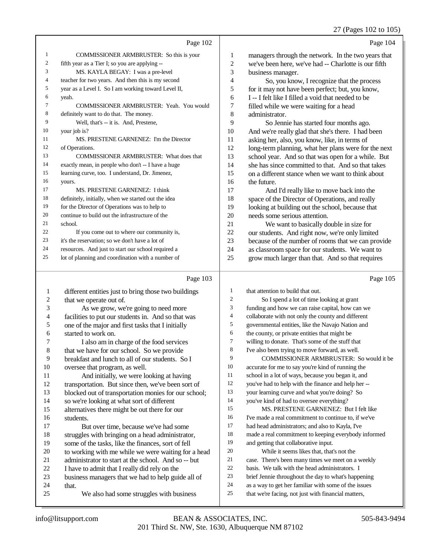#### 27 (Pages 102 to 105)

|    | Page 102                                            |                | Page 104                                             |
|----|-----------------------------------------------------|----------------|------------------------------------------------------|
| 1  | COMMISSIONER ARMBRUSTER: So this is your            | 1              | managers through the network. In the two years that  |
| 2  | fifth year as a Tier I; so you are applying --      | $\overline{c}$ | we've been here, we've had -- Charlotte is our fifth |
| 3  | MS. KAYLA BEGAY: I was a pre-level                  | 3              | business manager.                                    |
| 4  | teacher for two years. And then this is my second   | $\overline{4}$ | So, you know, I recognize that the process           |
| 5  | year as a Level I. So I am working toward Level II, | 5              | for it may not have been perfect; but, you know,     |
| 6  | yeah.                                               | 6              | I -- I felt like I filled a void that needed to be   |
| 7  | <b>COMMISSIONER ARMBRUSTER: Yeah. You would</b>     | 7              | filled while we were waiting for a head              |
| 8  | definitely want to do that. The money.              | 8              | administrator.                                       |
| 9  | Well, that's -- it is. And, Prestene,               | 9              | So Jennie has started four months ago.               |
| 10 | your job is?                                        | 10             | And we're really glad that she's there. I had been   |
| 11 | MS. PRESTENE GARNENEZ: I'm the Director             | 11             | asking her, also, you know, like, in terms of        |
| 12 | of Operations.                                      | 12             | long-term planning, what her plans were for the next |
| 13 | <b>COMMISSIONER ARMBRUSTER:</b> What does that      | 13             | school year. And so that was open for a while. But   |
| 14 | exactly mean, in people who don't -- I have a huge  | 14             | she has since committed to that. And so that takes   |
| 15 | learning curve, too. I understand, Dr. Jimenez,     | 15             | on a different stance when we want to think about    |
| 16 | yours.                                              | 16             | the future.                                          |
| 17 | MS. PRESTENE GARNENEZ: I think                      | 17             | And I'd really like to move back into the            |
| 18 | definitely, initially, when we started out the idea | 18             | space of the Director of Operations, and really      |
| 19 | for the Director of Operations was to help to       | 19             | looking at building out the school, because that     |
| 20 | continue to build out the infrastructure of the     | 20             | needs some serious attention.                        |
| 21 | school.                                             | 21             | We want to basically double in size for              |
| 22 | If you come out to where our community is,          | 22             | our students. And right now, we're only limited      |
| 23 | it's the reservation; so we don't have a lot of     | 23             | because of the number of rooms that we can provide   |
| 24 | resources. And just to start our school required a  | 24             | as classroom space for our students. We want to      |
| 25 | lot of planning and coordination with a number of   | 25             | grow much larger than that. And so that requires     |

#### Page 103

|    | $1 \text{ g}$ c $103$                                |                | $1 \, \text{age} \, 10.$                             |
|----|------------------------------------------------------|----------------|------------------------------------------------------|
| 1  | different entities just to bring those two buildings | 1              | that attention to build that out.                    |
| 2  | that we operate out of.                              | $\mathfrak{2}$ | So I spend a lot of time looking at grant            |
| 3  | As we grow, we're going to need more                 | 3              | funding and how we can raise capital, how can we     |
| 4  | facilities to put our students in. And so that was   | $\overline{4}$ | collaborate with not only the county and different   |
| 5  | one of the major and first tasks that I initially    | 5              | governmental entities, like the Navajo Nation and    |
| 6  | started to work on.                                  | 6              | the county, or private entities that might be        |
| 7  | I also am in charge of the food services             | 7              | willing to donate. That's some of the stuff that     |
| 8  | that we have for our school. So we provide           | 8              | I've also been trying to move forward, as well.      |
| 9  | breakfast and lunch to all of our students. So I     | 9              | COMMISSIONER ARMBRUSTER: So would it be              |
| 10 | oversee that program, as well.                       | 10             | accurate for me to say you're kind of running the    |
| 11 | And initially, we were looking at having             | 11             | school in a lot of ways, because you began it, and   |
| 12 | transportation. But since then, we've been sort of   | 12             | you've had to help with the finance and help her --  |
| 13 | blocked out of transportation monies for our school; | 13             | your learning curve and what you're doing? So        |
| 14 | so we're looking at what sort of different           | 14             | you've kind of had to oversee everything?            |
| 15 | alternatives there might be out there for our        | 15             | MS. PRESTENE GARNENEZ: But I felt like               |
| 16 | students.                                            | 16             | I've made a real commitment to continue to, if we've |
| 17 | But over time, because we've had some                | 17             | had head administrators; and also to Kayla, I've     |
| 18 | struggles with bringing on a head administrator,     | 18             | made a real commitment to keeping everybody informed |
| 19 | some of the tasks, like the finances, sort of fell   | 19             | and getting that collaborative input.                |
| 20 | to working with me while we were waiting for a head  | 20             | While it seems likes that, that's not the            |
| 21 | administrator to start at the school. And so -- but  | 21             | case. There's been many times we meet on a weekly    |
| 22 | I have to admit that I really did rely on the        | 22             | basis. We talk with the head administrators. I       |
| 23 | business managers that we had to help guide all of   | 23             | brief Jennie throughout the day to what's happening  |
| 24 | that.                                                | 24             | as a way to get her familiar with some of the issues |
| 25 | We also had some struggles with business             | 25             | that we're facing, not just with financial matters,  |
|    |                                                      |                |                                                      |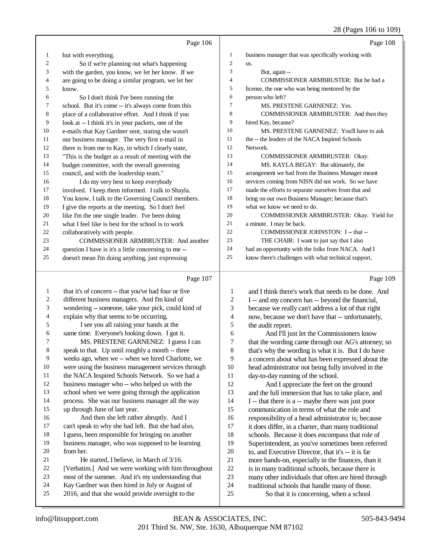|                |                                                      |                          | 28 (Pages 100 to 109)                                |
|----------------|------------------------------------------------------|--------------------------|------------------------------------------------------|
|                | Page 106                                             |                          | Page 108                                             |
| 1              | but with everything.                                 | $\mathbf{1}$             | business manager that was specifically working with  |
| 2              | So if we're planning out what's happening            | $\sqrt{2}$               | us.                                                  |
| 3              | with the garden, you know, we let her know. If we    | 3                        | But, again --                                        |
| 4              | are going to be doing a similar program, we let her  | $\overline{4}$           | COMMISSIONER ARMBRUSTER: But he had a                |
| 5              | know.                                                | 5                        | license, the one who was being mentored by the       |
| 6              | So I don't think I've been running the               | 6                        | person who left?                                     |
| 7              | school. But it's come -- it's always come from this  | 7                        | MS. PRESTENE GARNENEZ: Yes.                          |
| 8              | place of a collaborative effort. And I think if you  | $\,$ 8 $\,$              | COMMISSIONER ARMBRUSTER: And then they               |
| 9              | look at -- I think it's in your packets, one of the  | 9                        | hired Kay, because?                                  |
| 10             | e-mails that Kay Gardner sent, stating she wasn't    | 10                       | MS. PRESTENE GARNENEZ: You'll have to ask            |
| 11             | our business manager. The very first e-mail in       | 11                       | the -- the leaders of the NACA Inspired Schools      |
| 12             | there is from me to Kay, in which I clearly state,   | 12                       | Network.                                             |
| 13             | "This is the budget as a result of meeting with the  | 13                       | COMMISSIONER ARMBRUSTER: Okay.                       |
| 14             | budget committee, with the overall governing         | 14                       | MS. KAYLA BEGAY: But ultimately, the                 |
| 15             | council, and with the leadership team."              | 15                       | arrangement we had from the Business Manager meant   |
| 16             | I do my very best to keep everybody                  | 16                       | services coming from NISN did not work. So we have   |
| 17             | involved. I keep them informed. I talk to Shayla.    | 17                       | made the efforts to separate ourselves from that and |
| 18             | You know, I talk to the Governing Council members.   | 18                       | bring on our own Business Manager; because that's    |
| 19             | I give the reports at the meeting. So I don't feel   | 19                       | what we know we need to do.                          |
| 20             | like I'm the one single leader. I've been doing      | 20                       | COMMISSIONER ARMBRUSTER: Okay. Yield for             |
| 21             | what I feel like is best for the school is to work   | 21                       | a minute. I may be back.                             |
| 22             | collaboratively with people.                         | 22                       | COMMISSIONER JOHNSTON: I -- that --                  |
| 23             | COMMISSIONER ARMBRUSTER: And another                 | 23                       | THE CHAIR: I want to just say that I also            |
| 24             | question I have is it's a little concerning to me -- | 24                       | had an opportunity with the folks from NACA. And I   |
| 25             | doesn't mean I'm doing anything, just expressing     | 25                       | know there's challenges with what technical support, |
|                | Page 107                                             |                          | Page 109                                             |
| $\mathbf{1}$   | that it's of concern -- that you've had four or five | $\mathbf{1}$             | and I think there's work that needs to be done. And  |
| $\overline{c}$ | different business managers. And I'm kind of         | $\boldsymbol{2}$         | I -- and my concern has -- beyond the financial,     |
| 3              | wondering -- someone, take your pick, could kind of  | 3                        | because we really can't address a lot of that right  |
| 4              | explain why that seems to be occurring.              | $\overline{\mathcal{L}}$ | now, because we don't have that -- unfortunately,    |
| 5              | I see you all raising your hands at the              | 5                        | the audit report.                                    |
| 6              | same time. Everyone's looking down. I got it.        | 6                        | And I'll just let the Commissioners know             |
| 7              | MS. PRESTENE GARNENEZ: I guess I can                 | 7                        | that the wording came through our AG's attorney; so  |
| 8              | speak to that. Up until roughly a month -- three     | $\,$ 8 $\,$              | that's why the wording is what it is. But I do have  |
| 9              | weeks ago, when we -- when we hired Charlotte, we    | 9                        | a concern about what has been expressed about the    |
| $10\,$         | were using the business management services through  | $10\,$                   | head administrator not being fully involved in the   |
| 11             | the NACA Inspired Schools Network. So we had a       | 11                       | day-to-day running of the school.                    |
| 12             | business manager who -- who helped us with the       | 12                       | And I appreciate the feet on the ground              |
| 13             | school when we were going through the application    | 13                       | and the full immersion that has to take place, and   |
| 14             | process. She was our business manager all the way    | 14                       | I -- that there is a -- maybe there was just poor    |
| 15             | up through June of last year.                        | 15                       | communication in terms of what the role and          |
| 16             | And then she left rather abruptly. And I             | 16                       | responsibility of a head administrator is; because   |
| 17             | can't speak to why she had left. But she had also,   | 17                       | it does differ, in a charter, than many traditional  |
| 18             | I guess, been responsible for bringing on another    | 18                       | schools. Because it does encompass that role of      |
|                |                                                      |                          |                                                      |

- business manager, who was supposed to be learning from her.
- He started, I believe, in March of 3/16. [Verbatim.] And we were working with him throughout most of the summer. And it's my understanding that
- Kay Gardner was then hired in July or August of
- 2016, and that she would provide oversight to the
- 23 many other individuals that often are hired through<br>24 traditional schools that handle many of those. 24 traditional schools that handle many of those.<br>25 So that it is concerning, when a school

Superintendent, as you've sometimes been referred

20 to, and Executive Director, that it's -- it is far<br>21 more hands-on, especially in the finances, that 21 more hands-on, especially in the finances, than it<br>22 is in many traditional schools, because there is 22 is in many traditional schools, because there is<br>23 many other individuals that often are hired thro

So that it is concerning, when a school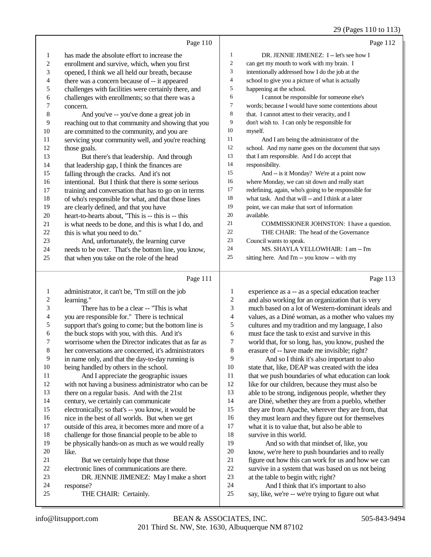#### 29 (Pages 110 to 113)

|                          | Page 110                                             |                             | Page 112                                             |
|--------------------------|------------------------------------------------------|-----------------------------|------------------------------------------------------|
| $\mathbf{1}$             | has made the absolute effort to increase the         | $\mathbf{1}$                | DR. JENNIE JIMENEZ: I -- let's see how I             |
| $\mathbf{2}$             | enrollment and survive, which, when you first        | $\sqrt{2}$                  | can get my mouth to work with my brain. I            |
| 3                        | opened, I think we all held our breath, because      | $\ensuremath{\mathfrak{Z}}$ | intentionally addressed how I do the job at the      |
| $\overline{\mathcal{L}}$ | there was a concern because of -- it appeared        | $\overline{4}$              | school to give you a picture of what is actually     |
| 5                        | challenges with facilities were certainly there, and | 5                           | happening at the school.                             |
| 6                        | challenges with enrollments; so that there was a     | 6                           | I cannot be responsible for someone else's           |
| $\sqrt{ }$               | concern.                                             | $\tau$                      | words; because I would have some contentions about   |
| $\,8$                    | And you've -- you've done a great job in             | $\,$ 8 $\,$                 | that. I cannot attest to their veracity, and I       |
| 9                        | reaching out to that community and showing that you  | 9                           | don't wish to. I can only be responsible for         |
| $10\,$                   | are committed to the community, and you are          | 10                          | myself.                                              |
| $11\,$                   | servicing your community well, and you're reaching   | 11                          | And I am being the administrator of the              |
| 12                       | those goals.                                         | 12                          | school. And my name goes on the document that says   |
| 13                       | But there's that leadership. And through             | 13                          | that I am responsible. And I do accept that          |
| 14                       | that leadership gap, I think the finances are        | 14                          | responsibility.                                      |
| 15                       | falling through the cracks. And it's not             | 15                          | And -- is it Monday? We're at a point now            |
| 16                       | intentional. But I think that there is some serious  | 16                          | where Monday, we can sit down and really start       |
| $17\,$                   | training and conversation that has to go on in terms | 17                          | redefining, again, who's going to be responsible for |
| 18                       | of who's responsible for what, and that those lines  | 18                          | what task. And that will -- and I think at a later   |
| 19                       | are clearly defined, and that you have               | 19                          | point, we can make that sort of information          |
| $20\,$                   | heart-to-hearts about, "This is -- this is -- this   | 20                          | available.                                           |
| 21                       | is what needs to be done, and this is what I do, and | 21                          | COMMISSIONER JOHNSTON: I have a question.            |
| $22\,$                   | this is what you need to do."                        | 22                          | THE CHAIR: The head of the Governance                |
| 23                       | And, unfortunately, the learning curve               | 23                          | Council wants to speak.                              |
| 24                       | needs to be over. That's the bottom line, you know,  | 24                          | MS. SHAYLA YELLOWHAIR: I am -- I'm                   |
| 25                       | that when you take on the role of the head           | 25                          | sitting here. And I'm -- you know -- with my         |
|                          | Page 111                                             |                             | Page 113                                             |
| $\mathbf{1}$             | administrator, it can't be, "I'm still on the job    | $\mathbf{1}$                | experience as a -- as a special education teacher    |
| $\sqrt{2}$               | learning."                                           | $\boldsymbol{2}$            | and also working for an organization that is very    |
| 3                        | There has to be a clear -- "This is what             | 3                           | much based on a lot of Western-dominant ideals and   |
| 4                        | you are responsible for." There is technical         | 4                           | values, as a Diné woman, as a mother who values my   |
| 5                        | support that's going to come; but the bottom line is | 5                           | cultures and my tradition and my language, I also    |
| 6                        | the buck stops with you, with this. And it's         | 6                           | must face the task to exist and survive in this      |
| $\boldsymbol{7}$         | worrisome when the Director indicates that as far as | $\tau$                      | world that, for so long, has, you know, pushed the   |
| $\,$ 8 $\,$              | her conversations are concerned, it's administrators | 8                           | erasure of -- have made me invisible; right?         |
| 9                        | in name only, and that the day-to-day running is     | 9                           | And so I think it's also important to also           |
| $10\,$                   | being handled by others in the school.               | 10                          | state that, like, DEAP was created with the idea     |
| 11                       | And I appreciate the geographic issues               | 11                          | that we push boundaries of what education can look   |
| 12                       | with not having a business administrator who can be  | 12                          | like for our children, because they must also be     |

 there on a regular basis. And with the 21st century, we certainly can communicate

electronically; so that's -- you know, it would be

16 nice in the best of all worlds. But when we get<br>17 outside of this area, it becomes more and more

outside of this area, it becomes more and more of a

18 challenge for those financial people to be able to<br>19 be physically hands-on as much as we would real

be physically hands-on as much as we would really like.

21 But we certainly hope that those<br>22 electronic lines of communications are

22 electronic lines of communications are there.<br>23 DR. JENNIE JIMENEZ: May I make a 23 DR. JENNIE JIMENEZ: May I make a short<br>24 response?

24 response?<br>25 THI THE CHAIR: Certainly.

12 like for our children, because they must also be able to be strong, indigenous people, whether they are Diné, whether they are from a pueblo, whether they are from Apache, wherever they are from, that 16 they must learn and they figure out for themselves<br>17 what it is to value that, but also be able to what it is to value that, but also be able to 18 survive in this world.<br>19 And so with the And so with that mindset of, like, you

20 know, we're here to push boundaries and to really<br>21 figure out how this can work for us and how we can 21 figure out how this can work for us and how we can<br>22 survive in a system that was based on us not being 22 survive in a system that was based on us not being<br>23 at the table to begin with: right? 23 at the table to begin with; right?<br>24 And I think that it's impor-

24 And I think that it's important to also<br>25 say, like, we're -- we're trying to figure out

say, like, we're -- we're trying to figure out what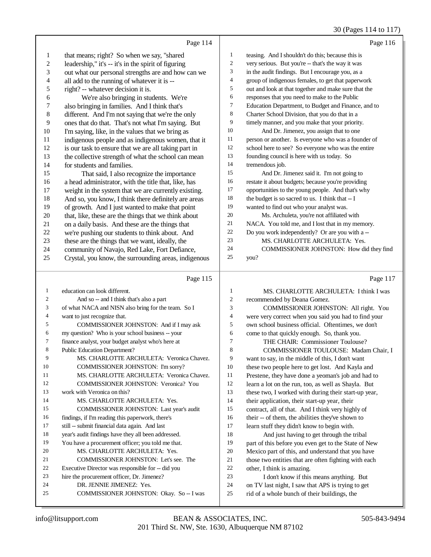#### 30 (Pages 114 to 117)

|    | Page 114                                             |                | Page 116                                             |
|----|------------------------------------------------------|----------------|------------------------------------------------------|
| 1  | that means; right? So when we say, "shared           | $\mathbf{1}$   | teasing. And I shouldn't do this; because this is    |
| 2  | leadership," it's -- it's in the spirit of figuring  | 2              | very serious. But you're -- that's the way it was    |
| 3  | out what our personal strengths are and how can we   | 3              | in the audit findings. But I encourage you, as a     |
| 4  | all add to the running of whatever it is --          | $\overline{4}$ | group of indigenous females, to get that paperwork   |
| 5  | right? -- whatever decision it is.                   | 5              | out and look at that together and make sure that the |
| 6  | We're also bringing in students. We're               | 6              | responses that you need to make to the Public        |
| 7  | also bringing in families. And I think that's        | $\tau$         | Education Department, to Budget and Finance, and to  |
| 8  | different. And I'm not saying that we're the only    | 8              | Charter School Division, that you do that in a       |
| 9  | ones that do that. That's not what I'm saying. But   | 9              | timely manner, and you make that your priority.      |
| 10 | I'm saying, like, in the values that we bring as     | 10             | And Dr. Jimenez, you assign that to one              |
| 11 | indigenous people and as indigenous women, that it   | 11             | person or another. Is everyone who was a founder of  |
| 12 | is our task to ensure that we are all taking part in | 12             | school here to see? So everyone who was the entire   |
| 13 | the collective strength of what the school can mean  | 13             | founding council is here with us today. So           |
| 14 | for students and families.                           | 14             | tremendous job.                                      |
| 15 | That said, I also recognize the importance           | 15             | And Dr. Jimenez said it. I'm not going to            |
| 16 | a head administrator, with the title that, like, has | 16             | restate it about budgets; because you're providing   |
| 17 | weight in the system that we are currently existing. | 17             | opportunities to the young people. And that's why    |
| 18 | And so, you know, I think there definitely are areas | 18             | the budget is so sacred to us. I think that -- I     |
| 19 | of growth. And I just wanted to make that point      | 19             | wanted to find out who your analyst was.             |
| 20 | that, like, these are the things that we think about | 20             | Ms. Archuleta, you're not affiliated with            |
| 21 | on a daily basis. And these are the things that      | 21             | NACA. You told me, and I lost that in my memory.     |
| 22 | we're pushing our students to think about. And       | 22             | Do you work independently? Or are you with a --      |
| 23 | these are the things that we want, ideally, the      | 23             | MS. CHARLOTTE ARCHULETA: Yes.                        |
| 24 | community of Navajo, Red Lake, Fort Defiance,        | 24             | COMMISSIONER JOHNSTON: How did they find             |
| 25 | Crystal, you know, the surrounding areas, indigenous | 25             | you?                                                 |
|    |                                                      |                |                                                      |
|    | Page 115                                             |                | Page 117                                             |

#### Page 115

| $\mathbf{1}$   | education can look different.                       |
|----------------|-----------------------------------------------------|
| $\overline{2}$ | And so -- and I think that's also a part            |
| 3              | of what NACA and NISN also bring for the team. So I |
| $\overline{4}$ | want to just recognize that.                        |
| 5              | COMMISSIONER JOHNSTON: And if I may ask             |
| 6              | my question? Who is your school business -- your    |
| 7              | finance analyst, your budget analyst who's here at  |
| 8              | <b>Public Education Department?</b>                 |
| 9              | MS. CHARLOTTE ARCHULETA: Veronica Chavez.           |
| 10             | <b>COMMISSIONER JOHNSTON: I'm sorry?</b>            |
| 11             | MS. CHARLOTTE ARCHULETA: Veronica Chavez.           |
| 12             | <b>COMMISSIONER JOHNSTON: Veronica? You</b>         |
| 13             | work with Veronica on this?                         |
| 14             | MS. CHARLOTTE ARCHULETA: Yes.                       |
| 15             | COMMISSIONER JOHNSTON: Last year's audit            |
| 16             | findings, if I'm reading this paperwork, there's    |
| 17             | still -- submit financial data again. And last      |
| 18             | year's audit findings have they all been addressed. |
| 19             | You have a procurement officer; you told me that.   |
| 20             | MS. CHARLOTTE ARCHULETA: Yes.                       |
| 2.1            | COMMISSIONER JOHNSTON: Let's see. The               |
| 22             | Executive Director was responsible for -- did you   |
| 23             | hire the procurement officer, Dr. Jimenez?          |
| 24             | DR. JENNIE JIMENEZ: Yes.                            |
| 25             | COMMISSIONER JOHNSTON: Okay. So-I was               |

 MS. CHARLOTTE ARCHULETA: I think I was recommended by Deana Gomez.

 COMMISSIONER JOHNSTON: All right. You 4 were very correct when you said you had to find your<br>5 own school business official. Oftentimes, we don't own school business official. Oftentimes, we don't 6 come to that quickly enough. So, thank you.<br>
THE CHAIR: Commissioner Toulous 7 THE CHAIR: Commissioner Toulouse?<br>8 COMMISSIONER TOULOUSE: Mada COMMISSIONER TOULOUSE: Madam Chair, I want to say, in the middle of this, I don't want these two people here to get lost. And Kayla and 11 Prestene, they have done a yeoman's job and had to<br>12 Iearn a lot on the run, too, as well as Shavla. But learn a lot on the run, too, as well as Shayla. But these two, I worked with during their start-up year, 14 their application, their start-up year, their contract, all of that. And I think very highly of 16 their -- of them, the abilities they've shown to learn stuff they didn't know to begin with. And just having to get through the tribal part of this before you even get to the State of New Mexico part of this, and understand that you have 21 those two entities that are often fighting with each 22 other. I think is amazing. 22 other, I think is amazing.<br>23 I don't know if this I don't know if this means anything. But 24 on TV last night, I saw that APS is trying to get<br>25 rid of a whole bunch of their buildings, the rid of a whole bunch of their buildings, the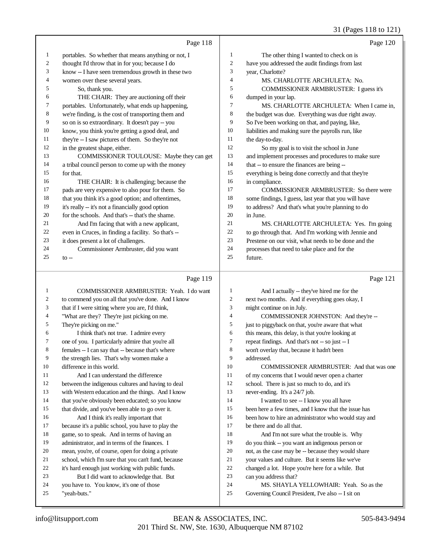## 31 (Pages 118 to 121)

|    | Page 118                                            |    | Page 120                                             |
|----|-----------------------------------------------------|----|------------------------------------------------------|
| 1  | portables. So whether that means anything or not, I | 1  | The other thing I wanted to check on is              |
| 2  | thought I'd throw that in for you; because I do     | 2  | have you addressed the audit findings from last      |
| 3  | know -- I have seen tremendous growth in these two  | 3  | year, Charlotte?                                     |
| 4  | women over these several years.                     | 4  | MS. CHARLOTTE ARCHULETA: No.                         |
| 5  | So, thank you.                                      | 5  | COMMISSIONER ARMBRUSTER: I guess it's                |
| 6  | THE CHAIR: They are auctioning off their            | 6  | dumped in your lap.                                  |
| 7  | portables. Unfortunately, what ends up happening,   | 7  | MS. CHARLOTTE ARCHULETA: When I came in,             |
| 8  | we're finding, is the cost of transporting them and | 8  | the budget was due. Everything was due right away.   |
| 9  | so on is so extraordinary. It doesn't pay -- you    | 9  | So I've been working on that, and paying, like,      |
| 10 | know, you think you're getting a good deal, and     | 10 | liabilities and making sure the payrolls run, like   |
| 11 | they're -- I saw pictures of them. So they're not   | 11 | the day-to-day.                                      |
| 12 | in the greatest shape, either.                      | 12 | So my goal is to visit the school in June            |
| 13 | COMMISSIONER TOULOUSE: Maybe they can get           | 13 | and implement processes and procedures to make sure  |
| 14 | a tribal council person to come up with the money   | 14 | that -- to ensure the finances are being --          |
| 15 | for that.                                           | 15 | everything is being done correctly and that they're  |
| 16 | THE CHAIR: It is challenging; because the           | 16 | in compliance.                                       |
| 17 | pads are very expensive to also pour for them. So   | 17 | COMMISSIONER ARMBRUSTER: So there were               |
| 18 | that you think it's a good option; and oftentimes,  | 18 | some findings, I guess, last year that you will have |
| 19 | it's really -- it's not a financially good option   | 19 | to address? And that's what you're planning to do    |
| 20 | for the schools. And that's -- that's the shame.    | 20 | in June.                                             |
| 21 | And I'm facing that with a new applicant,           | 21 | MS. CHARLOTTE ARCHULETA: Yes. I'm going              |
| 22 | even in Cruces, in finding a facility. So that's -- | 22 | to go through that. And I'm working with Jennie and  |
| 23 | it does present a lot of challenges.                | 23 | Prestene on our visit, what needs to be done and the |
| 24 | Commissioner Armbruster, did you want               | 24 | processes that need to take place and for the        |
| 25 | $to -$                                              | 25 | future.                                              |

## Page 119

| 1  | COMMISSIONER ARMBRUSTER: Yeah. I do want            | $\mathbf{1}$   | And I actually -- they've hired me for the           |
|----|-----------------------------------------------------|----------------|------------------------------------------------------|
| 2  | to commend you on all that you've done. And I know  | 2              | next two months. And if everything goes okay, I      |
| 3  | that if I were sitting where you are, I'd think,    | 3              | might continue on in July.                           |
| 4  | "What are they? They're just picking on me.         | $\overline{4}$ | COMMISSIONER JOHNSTON: And they're --                |
| 5  | They're picking on me."                             | 5              | just to piggyback on that, you're aware that what    |
| 6  | I think that's not true. I admire every             | 6              | this means, this delay, is that you're looking at    |
| 7  | one of you. I particularly admire that you're all   | 7              | repeat findings. And that's not -- so just -- I      |
| 8  | females -- I can say that -- because that's where   | 8              | won't overlay that, because it hadn't been           |
| 9  | the strength lies. That's why women make a          | 9              | addressed.                                           |
| 10 | difference in this world.                           | 10             | COMMISSIONER ARMBRUSTER: And that was one            |
| 11 | And I can understand the difference                 | 11             | of my concerns that I would never open a charter     |
| 12 | between the indigenous cultures and having to deal  | 12             | school. There is just so much to do, and it's        |
| 13 | with Western education and the things. And I know   | 13             | never-ending. It's a 24/7 job.                       |
| 14 | that you've obviously been educated; so you know    | 14             | I wanted to see -- I know you all have               |
| 15 | that divide, and you've been able to go over it.    | 15             | been here a few times, and I know that the issue has |
| 16 | And I think it's really important that              | 16             | been how to hire an administrator who would stay and |
| 17 | because it's a public school, you have to play the  | 17             | be there and do all that.                            |
| 18 | game, so to speak. And in terms of having an        | 18             | And I'm not sure what the trouble is. Why            |
| 19 | administrator, and in terms of the finances. I      | 19             | do you think -- you want an indigenous person or     |
| 20 | mean, you're, of course, open for doing a private   | 20             | not, as the case may be -- because they would share  |
| 21 | school, which I'm sure that you can't fund, because | 21             | your values and culture. But it seems like we've     |
| 22 | it's hard enough just working with public funds.    | 22             | changed a lot. Hope you're here for a while. But     |
| 23 | But I did want to acknowledge that. But             | 23             | can you address that?                                |
| 24 | you have to. You know, it's one of those            | 24             | MS. SHAYLA YELLOWHAIR: Yeah. So as the               |
| 25 | "yeah-buts."                                        | 25             | Governing Council President, I've also -- I sit on   |
|    |                                                     |                |                                                      |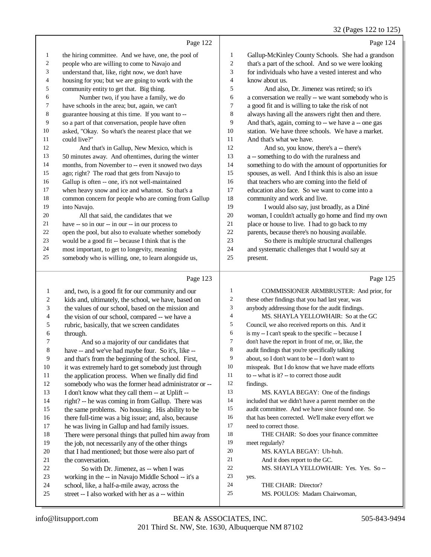|    |                                                      |    | 32 (Pages 122 to 12.                                 |
|----|------------------------------------------------------|----|------------------------------------------------------|
|    | Page 122                                             |    | Page 124                                             |
| 1  | the hiring committee. And we have, one, the pool of  | 1  | Gallup-McKinley County Schools. She had a grandson   |
| 2  | people who are willing to come to Navajo and         | 2  | that's a part of the school. And so we were looking  |
| 3  | understand that, like, right now, we don't have      | 3  | for individuals who have a vested interest and who   |
| 4  | housing for you; but we are going to work with the   | 4  | know about us.                                       |
| 5  | community entity to get that. Big thing.             | 5  | And also, Dr. Jimenez was retired; so it's           |
| 6  | Number two, if you have a family, we do              | 6  | a conversation we really -- we want somebody who is  |
| 7  | have schools in the area; but, again, we can't       | 7  | a good fit and is willing to take the risk of not    |
| 8  | guarantee housing at this time. If you want to --    | 8  | always having all the answers right then and there.  |
| 9  | so a part of that conversation, people have often    | 9  | And that's, again, coming to -- we have a -- one gas |
| 10 | asked, "Okay. So what's the nearest place that we    | 10 | station. We have three schools. We have a market.    |
| 11 | could live?"                                         | 11 | And that's what we have.                             |
| 12 | And that's in Gallup, New Mexico, which is           | 12 | And so, you know, there's a -- there's               |
| 13 | 50 minutes away. And oftentimes, during the winter   | 13 | a -- something to do with the ruralness and          |
| 14 | months, from November to -- even it snowed two days  | 14 | something to do with the amount of opportunities for |
| 15 | ago; right? The road that gets from Navajo to        | 15 | spouses, as well. And I think this is also an issue  |
| 16 | Gallup is often -- one, it's not well-maintained     | 16 | that teachers who are coming into the field of       |
| 17 | when heavy snow and ice and whatnot. So that's a     | 17 | education also face. So we want to come into a       |
| 18 | common concern for people who are coming from Gallup | 18 | community and work and live.                         |
| 19 | into Navajo.                                         | 19 | I would also say, just broadly, as a Diné            |
| 20 | All that said, the candidates that we                | 20 | woman, I couldn't actually go home and find my own   |
| 21 | have -- so in our -- in our -- in our process to     | 21 | place or house to live. I had to go back to my       |
| 22 | open the pool, but also to evaluate whether somebody | 22 | parents, because there's no housing available.       |
| 23 | would be a good fit -- because I think that is the   | 23 | So there is multiple structural challenges           |
| 24 | most important, to get to longevity, meaning         | 24 | and systematic challenges that I would say at        |
| 25 | somebody who is willing, one, to learn alongside us, | 25 | present.                                             |
|    |                                                      |    |                                                      |

#### Page 123

 and, two, is a good fit for our community and our kids and, ultimately, the school, we have, based on the values of our school, based on the mission and the vision of our school, compared -- we have a rubric, basically, that we screen candidates through. And so a majority of our candidates that have -- and we've had maybe four. So it's, like -- and that's from the beginning of the school. First, 10 it was extremely hard to get somebody just through the application process. When we finally did find somebody who was the former head administrator or -- I don't know what they call them -- at Uplift -- right? -- he was coming in from Gallup. There was the same problems. No housing. His ability to be there full-time was a big issue; and, also, because he was living in Gallup and had family issues. There were personal things that pulled him away from the job, not necessarily any of the other things that I had mentioned; but those were also part of the conversation. 22 So with Dr. Jimenez, as -- when I was working in the -- in Navajo Middle School -- it's a school, like, a half-a-mile away, across the street -- I also worked with her as a -- within Page 125 COMMISSIONER ARMBRUSTER: And prior, for these other findings that you had last year, was anybody addressing those for the audit findings. MS. SHAYLA YELLOWHAIR: So at the GC Council, we also received reports on this. And it is my -- I can't speak to the specific -- because I don't have the report in front of me, or, like, the audit findings that you're specifically talking about, so I don't want to be -- I don't want to misspeak. But I do know that we have made efforts 11 to -- what is it? -- to correct those audit findings. MS. KAYLA BEGAY: One of the findings included that we didn't have a parent member on the audit committee. And we have since found one. So that has been corrected. We'll make every effort we need to correct those. THE CHAIR: So does your finance committee meet regularly? MS. KAYLA BEGAY: Uh-huh. And it does report to the GC. MS. SHAYLA YELLOWHAIR: Yes. Yes. So -- yes. THE CHAIR: Director? MS. POULOS: Madam Chairwoman,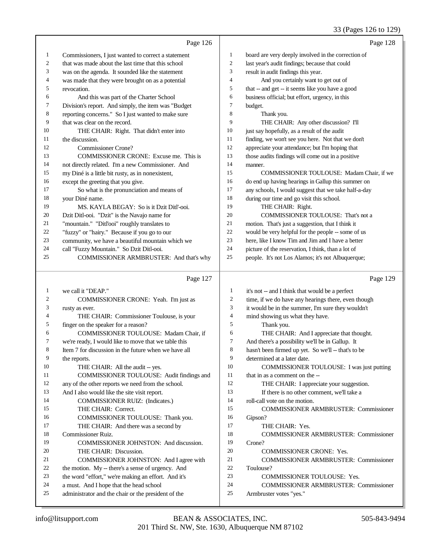|    | Page 126                                             |                  | Page 128                                             |
|----|------------------------------------------------------|------------------|------------------------------------------------------|
| 1  | Commissioners, I just wanted to correct a statement  | $\mathbf{1}$     | board are very deeply involved in the correction of  |
| 2  | that was made about the last time that this school   | $\boldsymbol{2}$ | last year's audit findings; because that could       |
| 3  | was on the agenda. It sounded like the statement     | 3                | result in audit findings this year.                  |
| 4  | was made that they were brought on as a potential    | $\overline{4}$   | And you certainly want to get out of                 |
| 5  | revocation.                                          | 5                | that -- and get -- it seems like you have a good     |
| 6  | And this was part of the Charter School              | 6                | business official; but effort, urgency, in this      |
| 7  | Division's report. And simply, the item was "Budget  | 7                | budget.                                              |
| 8  | reporting concerns." So I just wanted to make sure   | 8                | Thank you.                                           |
| 9  | that was clear on the record.                        | 9                | THE CHAIR: Any other discussion? I'll                |
| 10 | THE CHAIR: Right. That didn't enter into             | 10               | just say hopefully, as a result of the audit         |
| 11 | the discussion.                                      | 11               | finding, we won't see you here. Not that we don't    |
| 12 | <b>Commissioner Crone?</b>                           | 12               | appreciate your attendance; but I'm hoping that      |
| 13 | COMMISSIONER CRONE: Excuse me. This is               | 13               | those audits findings will come out in a positive    |
| 14 | not directly related. I'm a new Commissioner. And    | 14               | manner.                                              |
| 15 | my Diné is a little bit rusty, as in nonexistent,    | 15               | COMMISSIONER TOULOUSE: Madam Chair, if we            |
| 16 | except the greeting that you give.                   | 16               | do end up having hearings in Gallup this summer on   |
| 17 | So what is the pronunciation and means of            | 17               | any schools, I would suggest that we take half-a-day |
| 18 | your Diné name.                                      | 18               | during our time and go visit this school.            |
| 19 | MS. KAYLA BEGAY: So is it Dzit Ditl'-ooi.            | 19               | THE CHAIR: Right.                                    |
| 20 | Dzit Ditl-ooi. "Dzit" is the Navajo name for         | 20               | COMMISSIONER TOULOUSE: That's not a                  |
| 21 | "mountain." "Ditl'ooi" roughly translates to         | 21               | motion. That's just a suggestion, that I think it    |
| 22 | "fuzzy" or "hairy." Because if you go to our         | 22               | would be very helpful for the people -- some of us   |
| 23 | community, we have a beautiful mountain which we     | 23               | here, like I know Tim and Jim and I have a better    |
| 24 | call "Fuzzy Mountain." So Dzit Ditl-ooi.             | 24               | picture of the reservation, I think, than a lot of   |
| 25 | COMMISSIONER ARMBRUSTER: And that's why              | 25               | people. It's not Los Alamos; it's not Albuquerque;   |
|    | Page 127                                             |                  | Page 129                                             |
| 1  | we call it "DEAP."                                   | 1                | it's not -- and I think that would be a perfect      |
| 2  | COMMISSIONER CRONE: Yeah. I'm just as                | $\overline{c}$   | time, if we do have any hearings there, even though  |
| 3  | rusty as ever.                                       | 3                | it would be in the summer, I'm sure they wouldn't    |
| 4  | THE CHAIR: Commissioner Toulouse, is your            | $\overline{4}$   | mind showing us what they have.                      |
| 5  | finger on the speaker for a reason?                  | 5                | Thank you.                                           |
| 6  | COMMISSIONER TOULOUSE: Madam Chair, if               | 6                | THE CHAIR: And I appreciate that thought.            |
| 7  | we're ready, I would like to move that we table this | $\tau$           | And there's a possibility we'll be in Gallup. It     |
| 8  | Item 7 for discussion in the future when we have all | 8                | hasn't been firmed up yet. So we'll -- that's to be  |
| 9  | the reports.                                         | 9                | determined at a later date.                          |
| 10 | THE CHAIR: All the audit -- yes.                     | 10               | COMMISSIONER TOULOUSE: I was just putting            |
| 11 | COMMISSIONER TOULOUSE: Audit findings and            | 11               | that in as a comment on the --                       |
| 12 | any of the other reports we need from the school.    | 12               | THE CHAIR: I appreciate your suggestion.             |
| 13 | And I also would like the site visit report.         | 13               | If there is no other comment, we'll take a           |
| 14 | COMMISSIONER RUIZ: (Indicates.)                      | 14               | roll-call vote on the motion.                        |
| 15 | THE CHAIR: Correct.                                  | 15               | <b>COMMISSIONER ARMBRUSTER: Commissioner</b>         |
| 16 | COMMISSIONER TOULOUSE: Thank you.                    | 16               | Gipson?                                              |
| 17 | THE CHAIR: And there was a second by                 | 17               | THE CHAIR: Yes.                                      |
| 18 | Commissioner Ruiz.                                   | 18               | <b>COMMISSIONER ARMBRUSTER: Commissioner</b>         |
| 19 | COMMISSIONER JOHNSTON: And discussion.               | 19               | Crone?                                               |
| 20 | THE CHAIR: Discussion.                               | 20               | <b>COMMISSIONER CRONE: Yes.</b>                      |
| 21 | COMMISSIONER JOHNSTON: And I agree with              | 21               | <b>COMMISSIONER ARMBRUSTER: Commissioner</b>         |
| 22 | the motion. My -- there's a sense of urgency. And    | 22               | Toulouse?                                            |
| 23 | the word "effort," we're making an effort. And it's  | 23               | COMMISSIONER TOULOUSE: Yes.                          |
| 24 | a must. And I hope that the head school              | 24               | COMMISSIONER ARMBRUSTER: Commissioner                |

administrator and the chair or the president of the

Armbruster votes "yes."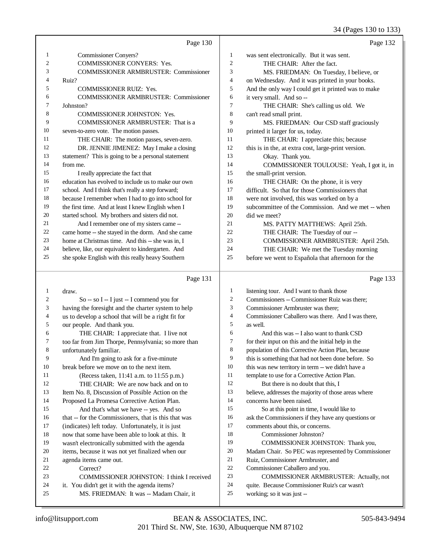34 (Pages 130 to 133)

|    | Page 130                                            |                | Page 132                                            |
|----|-----------------------------------------------------|----------------|-----------------------------------------------------|
| 1  | <b>Commissioner Conyers?</b>                        | 1              | was sent electronically. But it was sent.           |
| 2  | <b>COMMISSIONER CONYERS: Yes.</b>                   | $\overline{2}$ | THE CHAIR: After the fact.                          |
| 3  | <b>COMMISSIONER ARMBRUSTER: Commissioner</b>        | 3              | MS. FRIEDMAN: On Tuesday, I believe, or             |
| 4  | Ruiz?                                               | $\overline{4}$ | on Wednesday. And it was printed in your books.     |
| 5  | <b>COMMISSIONER RUIZ: Yes.</b>                      | 5              | And the only way I could get it printed was to make |
| 6  | <b>COMMISSIONER ARMBRUSTER: Commissioner</b>        | 6              | it very small. And so --                            |
| 7  | Johnston?                                           | 7              | THE CHAIR: She's calling us old. We                 |
| 8  | <b>COMMISSIONER JOHNSTON: Yes.</b>                  | 8              | can't read small print.                             |
| 9  | <b>COMMISSIONER ARMBRUSTER:</b> That is a           | 9              | MS. FRIEDMAN: Our CSD staff graciously              |
| 10 | seven-to-zero vote. The motion passes.              | 10             | printed it larger for us, today.                    |
| 11 | THE CHAIR: The motion passes, seven-zero.           | 11             | THE CHAIR: I appreciate this; because               |
| 12 | DR. JENNIE JIMENEZ: May I make a closing            | 12             | this is in the, at extra cost, large-print version. |
| 13 | statement? This is going to be a personal statement | 13             | Okay. Thank you.                                    |
| 14 | from me.                                            | 14             | COMMISSIONER TOULOUSE: Yeah, I got it, in           |
| 15 | I really appreciate the fact that                   | 15             | the small-print version.                            |
| 16 | education has evolved to include us to make our own | 16             | THE CHAIR: On the phone, it is very                 |
| 17 | school. And I think that's really a step forward;   | 17             | difficult. So that for those Commissioners that     |
| 18 | because I remember when I had to go into school for | 18             | were not involved, this was worked on by a          |
| 19 | the first time. And at least I knew English when I  | 19             | subcommittee of the Commission. And we met -- when  |
| 20 | started school. My brothers and sisters did not.    | 20             | did we meet?                                        |
| 21 | And I remember one of my sisters came --            | 21             | MS. PATTY MATTHEWS: April 25th.                     |
| 22 | came home -- she stayed in the dorm. And she came   | 22             | THE CHAIR: The Tuesday of our --                    |
| 23 | home at Christmas time. And this -- she was in, I   | 23             | COMMISSIONER ARMBRUSTER: April 25th.                |
| 24 | believe, like, our equivalent to kindergarten. And  | 24             | THE CHAIR: We met the Tuesday morning               |
| 25 | she spoke English with this really heavy Southern   | 25             | before we went to Española that afternoon for the   |
|    |                                                     |                |                                                     |
|    | Page 131                                            |                | Page 133                                            |

## Page 131 |

|    | draw.                                                | 1  | listening tour. And I want to thank those            |
|----|------------------------------------------------------|----|------------------------------------------------------|
| 2  | $So - so I - I just - I commend you for$             | 2  | Commissioners -- Commissioner Ruiz was there;        |
| 3  | having the foresight and the charter system to help  | 3  | Commissioner Armbruster was there;                   |
| 4  | us to develop a school that will be a right fit for  | 4  | Commissioner Caballero was there. And I was there.   |
| 5  | our people. And thank you.                           | 5  | as well.                                             |
| 6  | THE CHAIR: I appreciate that. I live not             | 6  | And this was -- I also want to thank CSD             |
| 7  | too far from Jim Thorpe, Pennsylvania; so more than  | 7  | for their input on this and the initial help in the  |
| 8  | unfortunately familiar.                              | 8  | population of this Corrective Action Plan, because   |
| 9  | And I'm going to ask for a five-minute               | 9  | this is something that had not been done before. So  |
| 10 | break before we move on to the next item.            | 10 | this was new territory in term -- we didn't have a   |
| 11 | (Recess taken, 11:41 a.m. to 11:55 p.m.)             | 11 | template to use for a Corrective Action Plan.        |
| 12 | THE CHAIR: We are now back and on to                 | 12 | But there is no doubt that this, I                   |
| 13 | Item No. 8, Discussion of Possible Action on the     | 13 | believe, addresses the majority of those areas where |
| 14 | Proposed La Promesa Corrective Action Plan.          | 14 | concerns have been raised.                           |
| 15 | And that's what we have -- yes. And so               | 15 | So at this point in time, I would like to            |
| 16 | that -- for the Commissioners, that is this that was | 16 | ask the Commissioners if they have any questions or  |
| 17 | (indicates) left today. Unfortunately, it is just    | 17 | comments about this, or concerns.                    |
| 18 | now that some have been able to look at this. It     | 18 | Commissioner Johnston?                               |
| 19 | wasn't electronically submitted with the agenda      | 19 | COMMISSIONER JOHNSTON: Thank you,                    |
| 20 | items, because it was not yet finalized when our     | 20 | Madam Chair. So PEC was represented by Commissioner  |
| 21 | agenda items came out.                               | 21 | Ruiz, Commissioner Armbruster, and                   |
| 22 | Correct?                                             | 22 | Commissioner Caballero and you.                      |
| 23 | COMMISSIONER JOHNSTON: I think I received            | 23 | COMMISSIONER ARMBRUSTER: Actually, not               |
| 24 | it. You didn't get it with the agenda items?         | 24 | quite. Because Commissioner Ruiz's car wasn't        |
| 25 | MS. FRIEDMAN: It was -- Madam Chair, it              | 25 | working; so it was just --                           |
|    |                                                      |    |                                                      |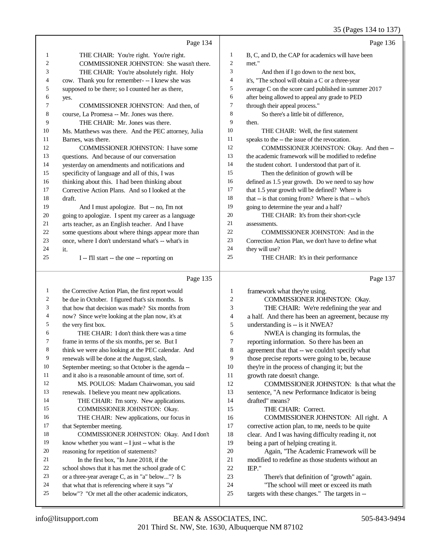|          |                                                                                                        |                | $33 \text{ (1466)}$ $137 \text{ (0)}$                                                      |
|----------|--------------------------------------------------------------------------------------------------------|----------------|--------------------------------------------------------------------------------------------|
|          | Page 134                                                                                               |                | Page 136                                                                                   |
| 1        | THE CHAIR: You're right. You're right.                                                                 | 1              | B, C, and D, the CAP for academics will have been                                          |
| 2        | COMMISSIONER JOHNSTON: She wasn't there.                                                               | $\mathfrak{2}$ | met."                                                                                      |
| 3        | THE CHAIR: You're absolutely right. Holy                                                               | 3              | And then if I go down to the next box,                                                     |
| 4        | cow. Thank you for remember- -- I knew she was                                                         | 4              | it's, "The school will obtain a C or a three-year                                          |
| 5        | supposed to be there; so I counted her as there,                                                       | 5              | average C on the score card published in summer 2017                                       |
| 6        | yes.                                                                                                   | 6              | after being allowed to appeal any grade to PED                                             |
| 7        | COMMISSIONER JOHNSTON: And then, of                                                                    | $\tau$         | through their appeal process."                                                             |
| 8        | course, La Promesa -- Mr. Jones was there.                                                             | 8              | So there's a little bit of difference,                                                     |
| 9        | THE CHAIR: Mr. Jones was there.                                                                        | 9              | then.                                                                                      |
| 10       | Ms. Matthews was there. And the PEC attorney, Julia                                                    | 10             | THE CHAIR: Well, the first statement                                                       |
| 11       | Barnes, was there.                                                                                     | 11             | speaks to the -- the issue of the revocation.                                              |
| 12       | COMMISSIONER JOHNSTON: I have some                                                                     | 12             | COMMISSIONER JOHNSTON: Okay. And then --                                                   |
| 13       | questions. And because of our conversation                                                             | 13             | the academic framework will be modified to redefine                                        |
| 14       | yesterday on amendments and notifications and                                                          | 14             | the student cohort. I understood that part of it.                                          |
| 15       | specificity of language and all of this, I was                                                         | 15             | Then the definition of growth will be                                                      |
| 16       | thinking about this. I had been thinking about                                                         | 16             | defined as 1.5 year growth. Do we need to say how                                          |
| 17       | Corrective Action Plans. And so I looked at the                                                        | 17             | that 1.5 year growth will be defined? Where is                                             |
| 18       | draft.                                                                                                 | 18             | that -- is that coming from? Where is that -- who's                                        |
| 19       | And I must apologize. But -- no, I'm not                                                               | 19             | going to determine the year and a half?                                                    |
| 20       | going to apologize. I spent my career as a language                                                    | 20             | THE CHAIR: It's from their short-cycle                                                     |
| 21       | arts teacher, as an English teacher. And I have                                                        | 21             | assessments.                                                                               |
| 22       | some questions about where things appear more than                                                     | 22             | COMMISSIONER JOHNSTON: And in the                                                          |
| 23       | once, where I don't understand what's -- what's in                                                     | 23             | Correction Action Plan, we don't have to define what                                       |
| 24       | it.                                                                                                    | 24             | they will use?                                                                             |
| 25       | I -- I'll start -- the one -- reporting on                                                             | 25             | THE CHAIR: It's in their performance                                                       |
|          | Page 135                                                                                               |                | Page 137                                                                                   |
| 1        | the Corrective Action Plan, the first report would                                                     | 1              |                                                                                            |
|          |                                                                                                        |                |                                                                                            |
| 2        |                                                                                                        | 2              | framework what they're using.                                                              |
| 3        | be due in October. I figured that's six months. Is<br>that how that decision was made? Six months from | 3              | COMMISSIONER JOHNSTON: Okay.                                                               |
| 4        |                                                                                                        | 4              | THE CHAIR: We're redefining the year and                                                   |
| 5        | now? Since we're looking at the plan now, it's at<br>the very first box.                               | 5              | a half. And there has been an agreement, because my                                        |
| 6        | THE CHAIR: I don't think there was a time                                                              | 6              | understanding is -- is it NWEA?<br>NWEA is changing its formulas, the                      |
| 7        | frame in terms of the six months, per se. But I                                                        | 7              | reporting information. So there has been an                                                |
| $\,8\,$  | think we were also looking at the PEC calendar. And                                                    | 8              | agreement that that -- we couldn't specify what                                            |
| 9        | renewals will be done at the August, slash,                                                            | 9              | those precise reports were going to be, because                                            |
| 10       | September meeting; so that October is the agenda --                                                    | 10             | they're in the process of changing it; but the                                             |
| 11       | and it also is a reasonable amount of time, sort of.                                                   | 11             | growth rate doesn't change.                                                                |
| 12       | MS. POULOS: Madam Chairwoman, you said                                                                 | 12             | COMMISSIONER JOHNSTON: Is that what the                                                    |
| 13       | renewals. I believe you meant new applications.                                                        | 13             | sentence, "A new Performance Indicator is being                                            |
| 14       | THE CHAIR: I'm sorry. New applications.                                                                | 14             | drafted" means?                                                                            |
| 15       | COMMISSIONER JOHNSTON: Okay.                                                                           | 15             | THE CHAIR: Correct.                                                                        |
| 16       | THE CHAIR: New applications, our focus in                                                              | 16             | COMMISSIONER JOHNSTON: All right. A                                                        |
| 17       | that September meeting.                                                                                | 17             | corrective action plan, to me, needs to be quite                                           |
| 18       | COMMISSIONER JOHNSTON: Okay. And I don't                                                               | 18             | clear. And I was having difficulty reading it, not                                         |
| 19       | know whether you want -- I just -- what is the                                                         | 19             | being a part of helping creating it.                                                       |
| 20       | reasoning for repetition of statements?                                                                | 20             | Again, "The Academic Framework will be                                                     |
| 21       | In the first box, "In June 2018, if the                                                                | 21             | modified to redefine as those students without an                                          |
| 22       | school shows that it has met the school grade of C                                                     | 22             | IEP."                                                                                      |
| 23       | or a three-year average C, as in "a" below"? Is                                                        | 23             | There's that definition of "growth" again.                                                 |
| 24<br>25 | that what that is referencing where it says "'a'<br>below"? "Or met all the other academic indicators, | 24<br>25       | "The school will meet or exceed its math<br>targets with these changes." The targets in -- |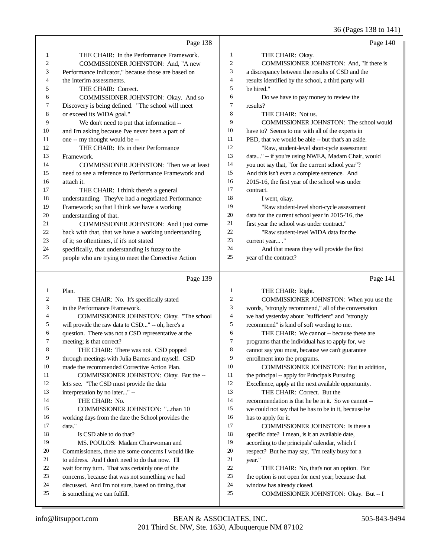36 (Pages 138 to 141)

|    | Page 138                                             |                | Page 140                                             |
|----|------------------------------------------------------|----------------|------------------------------------------------------|
| 1  | THE CHAIR: In the Performance Framework.             | 1              | THE CHAIR: Okay.                                     |
| 2  | COMMISSIONER JOHNSTON: And, "A new                   | 2              | COMMISSIONER JOHNSTON: And, "If there is             |
| 3  | Performance Indicator," because those are based on   | 3              | a discrepancy between the results of CSD and the     |
| 4  | the interim assessments.                             | 4              | results identified by the school, a third party will |
| 5  | THE CHAIR: Correct.                                  | 5              | be hired."                                           |
| 6  | COMMISSIONER JOHNSTON: Okay. And so                  | 6              | Do we have to pay money to review the                |
| 7  | Discovery is being defined. "The school will meet    | 7              | results?                                             |
| 8  | or exceed its WIDA goal."                            | 8              | THE CHAIR: Not us.                                   |
| 9  | We don't need to put that information --             | 9              | COMMISSIONER JOHNSTON: The school would              |
| 10 | and I'm asking because I've never been a part of     | 10             | have to? Seems to me with all of the experts in      |
| 11 | one -- my thought would be --                        | 11             | PED, that we would be able -- but that's an aside.   |
| 12 | THE CHAIR: It's in their Performance                 | 12             | "Raw, student-level short-cycle assessment           |
| 13 | Framework.                                           | 13             | data" -- if you're using NWEA, Madam Chair, would    |
| 14 | COMMISSIONER JOHNSTON: Then we at least              | 14             | you not say that, "for the current school year"?     |
| 15 | need to see a reference to Performance Framework and | 15             | And this isn't even a complete sentence. And         |
| 16 | attach it.                                           | 16             | 2015-16, the first year of the school was under      |
| 17 | THE CHAIR: I think there's a general                 | 17             | contract.                                            |
| 18 | understanding. They've had a negotiated Performance  | 18             | I went, okay.                                        |
| 19 | Framework; so that I think we have a working         | 19             | "Raw student-level short-cycle assessment            |
| 20 | understanding of that.                               | 20             | data for the current school year in 2015-'16, the    |
| 21 | COMMISSIONER JOHNSTON: And I just come               | 21             | first year the school was under contract."           |
| 22 | back with that, that we have a working understanding | 22             | "Raw student-level WIDA data for the                 |
| 23 | of it; so oftentimes, if it's not stated             | 23             | current year"                                        |
| 24 | specifically, that understanding is fuzzy to the     | 24             | And that means they will provide the first           |
| 25 | people who are trying to meet the Corrective Action  | 25             | year of the contract?                                |
|    | Page 139                                             |                | Page 141                                             |
| 1  | Plan.                                                | 1              | THE CHAIR: Right.                                    |
| 2  | THE CHAIR: No. It's specifically stated              | $\overline{c}$ | COMMISSIONER JOHNSTON: When you use the              |
| 3  | in the Performance Framework.                        | 3              | words, "strongly recommend," all of the conversation |
| 4  | COMMISSIONER JOHNSTON: Okay. "The school             | $\overline{4}$ | we had yesterday about "sufficient" and "strongly    |
| 5  | will provide the raw data to CSD" -- oh, here's a    | 5              | recommend" is kind of soft wording to me.            |
| 6  | question. There was not a CSD representative at the  | 6              | THE CHAIR: We cannot -- because these are            |

| 1              | Plan.                                               | 1  | THE CHAIR: Right.                                    |
|----------------|-----------------------------------------------------|----|------------------------------------------------------|
| $\overline{c}$ | THE CHAIR: No. It's specifically stated             | 2  | COMMISSIONER JOHNSTON: When you use the              |
| 3              | in the Performance Framework.                       | 3  | words, "strongly recommend," all of the conversation |
| 4              | COMMISSIONER JOHNSTON: Okay. "The school            | 4  | we had yesterday about "sufficient" and "strongly    |
| 5              | will provide the raw data to CSD" -- oh, here's a   | 5  | recommend" is kind of soft wording to me.            |
| 6              | question. There was not a CSD representative at the | 6  | THE CHAIR: We cannot -- because these are            |
| 7              | meeting; is that correct?                           | 7  | programs that the individual has to apply for, we    |
| 8              | THE CHAIR: There was not. CSD popped                | 8  | cannot say you must, because we can't guarantee      |
| 9              | through meetings with Julia Barnes and myself. CSD  | 9  | enrollment into the programs.                        |
| 10             | made the recommended Corrective Action Plan.        | 10 | COMMISSIONER JOHNSTON: But in addition,              |
| 11             | COMMISSIONER JOHNSTON: Okay. But the --             | 11 | the principal -- apply for Principals Pursuing       |
| 12             | let's see. "The CSD must provide the data           | 12 | Excellence, apply at the next available opportunity. |
| 13             | interpretation by no later" --                      | 13 | THE CHAIR: Correct. But the                          |
| 14             | THE CHAIR: No.                                      | 14 | recommendation is that he be in it. So we cannot --  |
| 15             | COMMISSIONER JOHNSTON: "than 10                     | 15 | we could not say that he has to be in it, because he |
| 16             | working days from the date the School provides the  | 16 | has to apply for it.                                 |
| 17             | data."                                              | 17 | COMMISSIONER JOHNSTON: Is there a                    |
| 18             | Is CSD able to do that?                             | 18 | specific date? I mean, is it an available date,      |
| 19             | MS. POULOS: Madam Chairwoman and                    | 19 | according to the principals' calendar, which I       |
| 20             | Commissioners, there are some concerns I would like | 20 | respect? But he may say, "I'm really busy for a      |
| 21             | to address. And I don't need to do that now. I'll   | 21 | year."                                               |
| 22             | wait for my turn. That was certainly one of the     | 22 | THE CHAIR: No, that's not an option. But             |
| 23             | concerns, because that was not something we had     | 23 | the option is not open for next year; because that   |
| 24             | discussed. And I'm not sure, based on timing, that  | 24 | window has already closed.                           |
| 25             | is something we can fulfill.                        | 25 | COMMISSIONER JOHNSTON: Okay. But -- I                |
|                |                                                     |    |                                                      |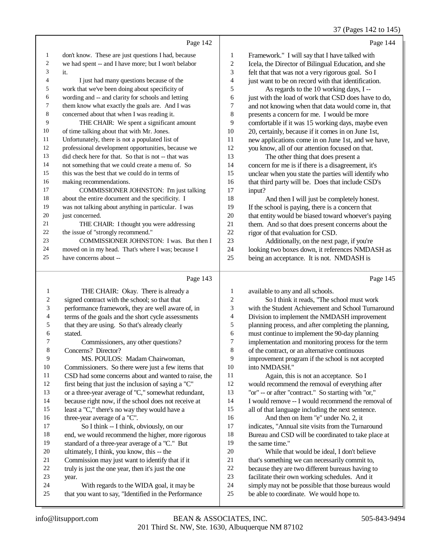#### 37 (Pages 142 to 145)

|                |                                                      |                         | 37 (Pages 142 to 145                                 |
|----------------|------------------------------------------------------|-------------------------|------------------------------------------------------|
|                | Page 142                                             |                         | Page 144                                             |
| $\mathbf{1}$   | don't know. These are just questions I had, because  | $\mathbf{1}$            | Framework." I will say that I have talked with       |
| $\overline{c}$ | we had spent -- and I have more; but I won't belabor | $\overline{\mathbf{c}}$ | Icela, the Director of Bilingual Education, and she  |
| $\mathfrak{Z}$ | it.                                                  | 3                       | felt that that was not a very rigorous goal. So I    |
| $\overline{4}$ | I just had many questions because of the             | $\overline{\mathbf{4}}$ | just want to be on record with that identification.  |
| 5              | work that we've been doing about specificity of      | 5                       | As regards to the 10 working days, I --              |
| 6              | wording and -- and clarity for schools and letting   | 6                       | just with the load of work that CSD does have to do, |
| 7              | them know what exactly the goals are. And I was      | 7                       | and not knowing when that data would come in, that   |
| $\,8\,$        | concerned about that when I was reading it.          | 8                       | presents a concern for me. I would be more           |
| 9              | THE CHAIR: We spent a significant amount             | 9                       | comfortable if it was 15 working days, maybe even    |
| 10             | of time talking about that with Mr. Jones.           | 10                      | 20, certainly, because if it comes in on June 1st,   |
| 11             | Unfortunately, there is not a populated list of      | 11                      | new applications come in on June 1st, and we have,   |
| 12             | professional development opportunities, because we   | 12                      | you know, all of our attention focused on that.      |
| 13             | did check here for that. So that is not -- that was  | 13                      | The other thing that does present a                  |
| 14             | not something that we could create a menu of. So     | 14                      | concern for me is if there is a disagreement, it's   |
| 15             | this was the best that we could do in terms of       | 15                      | unclear when you state the parties will identify who |
| 16             | making recommendations.                              | 16                      | that third party will be. Does that include CSD's    |
| 17             | COMMISSIONER JOHNSTON: I'm just talking              | 17                      | input?                                               |
| 18             | about the entire document and the specificity. I     | 18                      | And then I will just be completely honest.           |
| 19             | was not talking about anything in particular. I was  | 19                      | If the school is paying, there is a concern that     |
| 20             | just concerned.                                      | $20\,$                  | that entity would be biased toward whoever's paying  |
| 21             | THE CHAIR: I thought you were addressing             | 21                      | them. And so that does present concerns about the    |
| 22             | the issue of "strongly recommend."                   | 22                      | rigor of that evaluation for CSD.                    |
| 23             | COMMISSIONER JOHNSTON: I was. But then I             | 23                      | Additionally, on the next page, if you're            |
| 24             | moved on in my head. That's where I was; because I   | 24                      | looking two boxes down, it references NMDASH as      |
| 25             | have concerns about --                               | 25                      | being an acceptance. It is not. NMDASH is            |
|                | Page 143                                             |                         | Page 145                                             |
| 1              | THE CHAIR: Okay. There is already a                  | $\mathbf{1}$            | available to any and all schools.                    |
| 2              | signed contract with the school; so that that        | $\mathbf{2}$            | So I think it reads, "The school must work           |
| 3              | performance framework, they are well aware of, in    | 3                       | with the Student Achievement and School Turnaround   |
| $\overline{4}$ | terms of the goals and the short cycle assessments   | $\overline{4}$          | Division to implement the NMDASH improvement         |
| 5              | that they are using. So that's already clearly       | 5                       | planning process, and after completing the planning, |
| 6              | stated.                                              | 6                       | must continue to implement the 90-day planning       |
| 7              | Commissioners, any other questions?                  | 7                       | implementation and monitoring process for the term   |
| 8              | Concerns? Director?                                  | 8                       | of the contract, or an alternative continuous        |
| 9              | MS. POULOS: Madam Chairwoman,                        | 9                       | improvement program if the school is not accepted    |
| 10             | Commissioners. So there were just a few items that   | 10                      | into NMDASH."                                        |
| 11             | CSD had some concerns about and wanted to raise, the | 11                      | Again, this is not an acceptance. So I               |
| 12             | first being that just the inclusion of saying a "C"  | 12                      | would recommend the removal of everything after      |
| 13             | or a three-year average of "C," somewhat redundant,  | 13                      | "or" -- or after "contract." So starting with "or,"  |

- because right now, if the school does not receive at least a "C," there's no way they would have a three-year average of a "C".
	- So I think -- I think, obviously, on our end, we would recommend the higher, more rigorous standard of a three-year average of a "C." But ultimately, I think, you know, this -- the
	- Commission may just want to identify that if it
	- truly is just the one year, then it's just the one
	- year.
	- With regards to the WIDA goal, it may be
	- that you want to say, "Identified in the Performance
- "or" -- or after "contract." So starting with "or," I would remove -- I would recommend the removal of all of that language including the next sentence. And then on Item "e" under No. 2, it indicates, "Annual site visits from the Turnaround Bureau and CSD will be coordinated to take place at the same time." While that would be ideal, I don't believe that's something we can necessarily commit to,
- because they are two different bureaus having to facilitate their own working schedules. And it
- simply may not be possible that those bureaus would
- be able to coordinate. We would hope to.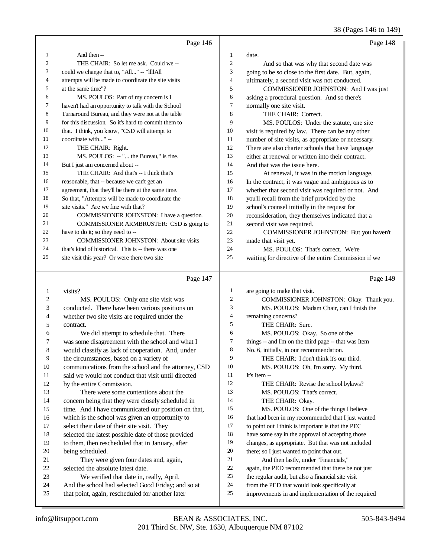38 (Pages 146 to 149)

|                | Page 146                                            |                | Page 148                                             |
|----------------|-----------------------------------------------------|----------------|------------------------------------------------------|
| 1              | And then --                                         | $\mathbf{1}$   | date.                                                |
| $\mathfrak{2}$ | THE CHAIR: So let me ask. Could we --               | $\overline{c}$ | And so that was why that second date was             |
| 3              | could we change that to, "All" -- "IllIAll          | 3              | going to be so close to the first date. But, again,  |
| 4              | attempts will be made to coordinate the site visits | $\overline{4}$ | ultimately, a second visit was not conducted.        |
| 5              | at the same time"?                                  | 5              | COMMISSIONER JOHNSTON: And I was just                |
| 6              | MS. POULOS: Part of my concern is I                 | 6              | asking a procedural question. And so there's         |
| 7              | haven't had an opportunity to talk with the School  | 7              | normally one site visit.                             |
| 8              | Turnaround Bureau, and they were not at the table   | 8              | THE CHAIR: Correct.                                  |
| 9              | for this discussion. So it's hard to commit them to | 9              | MS. POULOS: Under the statute, one site              |
| 10             | that. I think, you know, "CSD will attempt to       | 10             | visit is required by law. There can be any other     |
| 11             | coordinate with" --                                 | 11             | number of site visits, as appropriate or necessary.  |
| 12             | THE CHAIR: Right.                                   | 12             | There are also charter schools that have language    |
| 13             | MS. POULOS: -- " the Bureau," is fine.              | 13             | either at renewal or written into their contract.    |
| 14             | But I just am concerned about --                    | 14             | And that was the issue here.                         |
| 15             | THE CHAIR: And that's -- I think that's             | 15             | At renewal, it was in the motion language.           |
| 16             | reasonable, that -- because we can't get an         | 16             | In the contract, it was vague and ambiguous as to    |
| 17             | agreement, that they'll be there at the same time.  | 17             | whether that second visit was required or not. And   |
| 18             | So that, "Attempts will be made to coordinate the   | 18             | you'll recall from the brief provided by the         |
| 19             | site visits." Are we fine with that?                | 19             | school's counsel initially in the request for        |
| 20             | COMMISSIONER JOHNSTON: I have a question.           | 20             | reconsideration, they themselves indicated that a    |
| 21             | COMMISSIONER ARMBRUSTER: CSD is going to            | 21             | second visit was required.                           |
| 22             | have to do it; so they need to --                   | 22             | COMMISSIONER JOHNSTON: But you haven't               |
| 23             | <b>COMMISSIONER JOHNSTON:</b> About site visits     | 23             | made that visit yet.                                 |
| 24             | that's kind of historical. This is -- there was one | 24             | MS. POULOS: That's correct. We're                    |
| 25             | site visit this year? Or were there two site        | 25             | waiting for directive of the entire Commission if we |
|                | Page 147                                            |                | Page 149                                             |
| 1              | visits?                                             | 1              | are going to make that visit.                        |
| $\overline{2}$ | MS. POULOS: Only one site visit was                 | $\overline{2}$ | COMMISSIONER JOHNSTON: Okay. Thank you.              |

| 2  | MS. POULOS: Only one site visit was                  | 2  | COMMISSIONER JOHNSTON: Okay. Thank you.              |
|----|------------------------------------------------------|----|------------------------------------------------------|
| 3  | conducted. There have been various positions on      | 3  | MS. POULOS: Madam Chair, can I finish the            |
| 4  | whether two site visits are required under the       | 4  | remaining concerns?                                  |
| 5  | contract.                                            | 5  | THE CHAIR: Sure.                                     |
| 6  | We did attempt to schedule that. There               | 6  | MS. POULOS: Okay. So one of the                      |
| 7  | was some disagreement with the school and what I     | 7  | things -- and I'm on the third page -- that was Item |
| 8  | would classify as lack of cooperation. And, under    | 8  | No. 6, initially, in our recommendation.             |
| 9  | the circumstances, based on a variety of             | 9  | THE CHAIR: I don't think it's our third.             |
| 10 | communications from the school and the attorney, CSD | 10 | MS. POULOS: Oh, I'm sorry. My third.                 |
| 11 | said we would not conduct that visit until directed  | 11 | It's Item --                                         |
| 12 | by the entire Commission.                            | 12 | THE CHAIR: Revise the school bylaws?                 |
| 13 | There were some contentions about the                | 13 | MS. POULOS: That's correct.                          |
| 14 | concern being that they were closely scheduled in    | 14 | THE CHAIR: Okay.                                     |
| 15 | time. And I have communicated our position on that,  | 15 | MS. POULOS: One of the things I believe              |
| 16 | which is the school was given an opportunity to      | 16 | that had been in my recommended that I just wanted   |
| 17 | select their date of their site visit. They          | 17 | to point out I think is important is that the PEC    |
| 18 | selected the latest possible date of those provided  | 18 | have some say in the approval of accepting those     |
| 19 | to them, then rescheduled that in January, after     | 19 | changes, as appropriate. But that was not included   |
| 20 | being scheduled.                                     | 20 | there; so I just wanted to point that out.           |
| 21 | They were given four dates and, again,               | 21 | And then lastly, under "Financials,"                 |
| 22 | selected the absolute latest date.                   | 22 | again, the PED recommended that there be not just    |
| 23 | We verified that date in, really, April.             | 23 | the regular audit, but also a financial site visit   |
| 24 | And the school had selected Good Friday; and so at   | 24 | from the PED that would look specifically at         |
| 25 | that point, again, rescheduled for another later     | 25 | improvements in and implementation of the required   |
|    |                                                      |    |                                                      |
|    |                                                      |    |                                                      |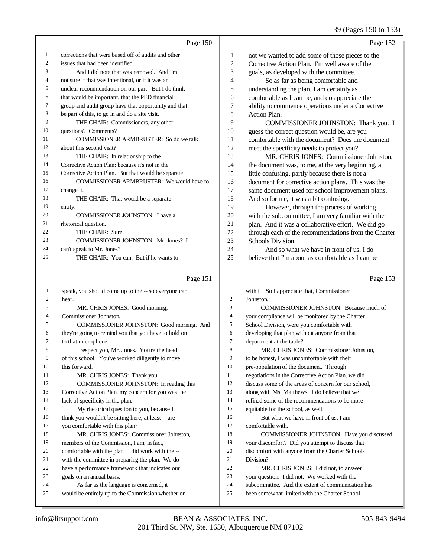## 39 (Pages 150 to 153)

|                | Page 150                                             |                | Page 152                                             |
|----------------|------------------------------------------------------|----------------|------------------------------------------------------|
| 1              | corrections that were based off of audits and other  | 1              | not we wanted to add some of those pieces to the     |
| $\overline{2}$ | issues that had been identified.                     | $\overline{2}$ | Corrective Action Plan. I'm well aware of the        |
| 3              | And I did note that was removed. And I'm             | 3              | goals, as developed with the committee.              |
| 4              | not sure if that was intentional, or if it was an    | $\overline{4}$ | So as far as being comfortable and                   |
| 5              | unclear recommendation on our part. But I do think   | 5              | understanding the plan, I am certainly as            |
| 6              | that would be important, that the PED financial      | 6              | comfortable as I can be, and do appreciate the       |
| 7              | group and audit group have that opportunity and that | 7              | ability to commence operations under a Corrective    |
| 8              | be part of this, to go in and do a site visit.       | 8              | Action Plan.                                         |
| 9              | THE CHAIR: Commissioners, any other                  | 9              | COMMISSIONER JOHNSTON: Thank you. I                  |
| 10             | questions? Comments?                                 | 10             | guess the correct question would be, are you         |
| 11             | <b>COMMISSIONER ARMBRUSTER:</b> So do we talk        | 11             | comfortable with the document? Does the document     |
| 12             | about this second visit?                             | 12             | meet the specificity needs to protect you?           |
| 13             | THE CHAIR: In relationship to the                    | 13             | MR. CHRIS JONES: Commissioner Johnston,              |
| 14             | Corrective Action Plan; because it's not in the      | 14             | the document was, to me, at the very beginning, a    |
| 15             | Corrective Action Plan. But that would be separate   | 15             | little confusing, partly because there is not a      |
| 16             | <b>COMMISSIONER ARMBRUSTER:</b> We would have to     | 16             | document for corrective action plans. This was the   |
| 17             | change it.                                           | 17             | same document used for school improvement plans.     |
| 18             | THE CHAIR: That would be a separate                  | 18             | And so for me, it was a bit confusing.               |
| 19             | entity.                                              | 19             | However, through the process of working              |
| 20             | <b>COMMISSIONER JOHNSTON: I have a</b>               | 20             | with the subcommittee, I am very familiar with the   |
| 21             | rhetorical question.                                 | 21             | plan. And it was a collaborative effort. We did go   |
| 22             | THE CHAIR: Sure.                                     | 22             | through each of the recommendations from the Charter |
| 23             | COMMISSIONER JOHNSTON: Mr. Jones? I                  | 23             | Schools Division.                                    |
| 24             | can't speak to Mr. Jones?                            | 24             | And so what we have in front of us, I do             |
| 25             | THE CHAIR: You can. But if he wants to               | 25             | believe that I'm about as comfortable as I can be    |
|                |                                                      |                |                                                      |

# Page 151

| $\mathbf{1}$   | speak, you should come up to the -- so everyone can  | 1              | with it. So I appreciate |
|----------------|------------------------------------------------------|----------------|--------------------------|
| 2              | hear.                                                | $\mathfrak{2}$ | Johnston.                |
| 3              | MR. CHRIS JONES: Good morning,                       | 3              | <b>COMMISSION</b>        |
| $\overline{4}$ | Commissioner Johnston.                               | $\overline{4}$ | your compliance will b   |
| 5              | COMMISSIONER JOHNSTON: Good morning. And             | 5              | School Division, were    |
| 6              | they're going to remind you that you have to hold on | 6              | developing that plan w   |
| 7              | to that microphone.                                  | 7              | department at the table  |
| 8              | I respect you, Mr. Jones. You're the head            | 8              | MR. CHRIS JOI            |
| 9              | of this school. You've worked diligently to move     | 9              | to be honest, I was unc  |
| 10             | this forward.                                        | 10             | pre-population of the d  |
| 11             | MR. CHRIS JONES: Thank you.                          | 11             | negotiations in the Cor  |
| 12             | COMMISSIONER JOHNSTON: In reading this               | 12             | discuss some of the are  |
| 13             | Corrective Action Plan, my concern for you was the   | 13             | along with Ms. Matthe    |
| 14             | lack of specificity in the plan.                     | 14             | refined some of the rec  |
| 15             | My rhetorical question to you, because I             | 15             | equitable for the schoo  |
| 16             | think you wouldn't be sitting here, at least -- are  | 16             | But what we have         |
| 17             | you comfortable with this plan?                      | 17             | comfortable with.        |
| 18             | MR. CHRIS JONES: Commissioner Johnston.              | 18             | <b>COMMISSION</b>        |
| 19             | members of the Commission, I am, in fact,            | 19             | your discomfort? Did     |
| 20             | comfortable with the plan. I did work with the --    | 20             | discomfort with anyon    |
| 21             | with the committee in preparing the plan. We do      | 21             | Division?                |
| 22             | have a performance framework that indicates our      | 22             | <b>MR. CHRIS JOI</b>     |
| 23             | goals on an annual basis.                            | 23             | your question. I did no  |
| 24             | As far as the language is concerned, it              | 24             | subcommittee. And the    |
| 25             | would be entirely up to the Commission whether or    | 25             | been somewhat limited    |
|                |                                                      |                |                          |

### Page 153

| 1              | with it. So I appreciate that, Commissioner          |
|----------------|------------------------------------------------------|
| $\overline{2}$ | Johnston.                                            |
| 3              | COMMISSIONER JOHNSTON: Because much of               |
| $\overline{4}$ | your compliance will be monitored by the Charter     |
| 5              | School Division, were you comfortable with           |
| 6              | developing that plan without anyone from that        |
| 7              | department at the table?                             |
| 8              | MR. CHRIS JONES: Commissioner Johnston,              |
| 9              | to be honest, I was uncomfortable with their         |
| 10             | pre-population of the document. Through              |
| 11             | negotiations in the Corrective Action Plan, we did   |
| 12             | discuss some of the areas of concern for our school, |
| 13             | along with Ms. Matthews. I do believe that we        |
| 14             | refined some of the recommendations to be more       |
| 15             | equitable for the school, as well.                   |
| 16             | But what we have in front of us, I am                |
| 17             | comfortable with.                                    |
| 18             | <b>COMMISSIONER JOHNSTON: Have you discussed</b>     |
| 19             | your discomfort? Did you attempt to discuss that     |
| 20             | discomfort with anyone from the Charter Schools      |
| 21             | Division?                                            |
| 22             | MR. CHRIS JONES: I did not, to answer                |
| 23             | your question. I did not. We worked with the         |
| 24             | subcommittee. And the extent of communication has    |
| 25             | been somewhat limited with the Charter School        |
|                |                                                      |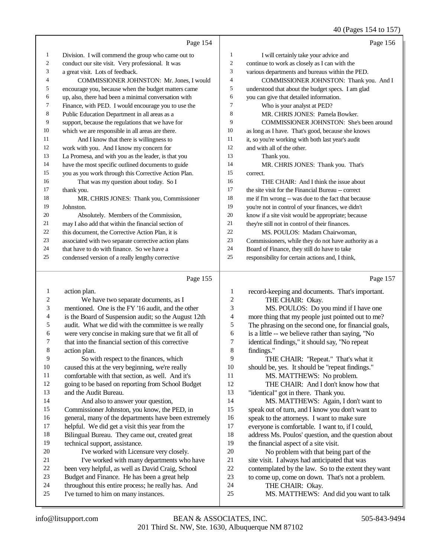#### 40 (Pages 154 to 157)

|    | Page 154                                             |                | Page 156                                             |
|----|------------------------------------------------------|----------------|------------------------------------------------------|
| 1  | Division. I will commend the group who came out to   | 1              | I will certainly take your advice and                |
| 2  | conduct our site visit. Very professional. It was    | $\overline{2}$ | continue to work as closely as I can with the        |
| 3  | a great visit. Lots of feedback.                     | 3              | various departments and bureaus within the PED.      |
| 4  | COMMISSIONER JOHNSTON: Mr. Jones, I would            | $\overline{4}$ | COMMISSIONER JOHNSTON: Thank you. And I              |
| 5  | encourage you, because when the budget matters came  | 5              | understood that about the budget specs. I am glad    |
| 6  | up, also, there had been a minimal conversation with | 6              | you can give that detailed information.              |
| 7  | Finance, with PED. I would encourage you to use the  | $\overline{7}$ | Who is your analyst at PED?                          |
| 8  | Public Education Department in all areas as a        | 8              | MR. CHRIS JONES: Pamela Bowker.                      |
| 9  | support, because the regulations that we have for    | 9              | <b>COMMISSIONER JOHNSTON: She's been around</b>      |
| 10 | which we are responsible in all areas are there.     | 10             | as long as I have. That's good, because she knows    |
| 11 | And I know that there is willingness to              | 11             | it, so you're working with both last year's audit    |
| 12 | work with you. And I know my concern for             | 12             | and with all of the other.                           |
| 13 | La Promesa, and with you as the leader, is that you  | 13             | Thank you.                                           |
| 14 | have the most specific outlined documents to guide   | 14             | MR. CHRIS JONES: Thank you. That's                   |
| 15 | you as you work through this Corrective Action Plan. | 15             | correct.                                             |
| 16 | That was my question about today. So I               | 16             | THE CHAIR: And I think the issue about               |
| 17 | thank you.                                           | 17             | the site visit for the Financial Bureau -- correct   |
| 18 | MR. CHRIS JONES: Thank you, Commissioner             | 18             | me if I'm wrong -- was due to the fact that because  |
| 19 | Johnston.                                            | 19             | you're not in control of your finances, we didn't    |
| 20 | Absolutely. Members of the Commission,               | 20             | know if a site visit would be appropriate; because   |
| 21 | may I also add that within the financial section of  | 21             | they're still not in control of their finances.      |
| 22 | this document, the Corrective Action Plan, it is     | 22             | MS. POULOS: Madam Chairwoman.                        |
| 23 | associated with two separate corrective action plans | 23             | Commissioners, while they do not have authority as a |
| 24 | that have to do with finance. So we have a           | 24             | Board of Finance, they still do have to take         |
| 25 | condensed version of a really lengthy corrective     | 25             | responsibility for certain actions and, I think,     |
|    |                                                      |                |                                                      |

#### Page 155

 action plan. We have two separate documents, as I mentioned. One is the FY '16 audit, and the other is the Board of Suspension audit; so the August 12th audit. What we did with the committee is we really were very concise in making sure that we fit all of that into the financial section of this corrective action plan. So with respect to the finances, which caused this at the very beginning, we're really comfortable with that section, as well. And it's going to be based on reporting from School Budget and the Audit Bureau. And also to answer your question, Commissioner Johnston, you know, the PED, in general, many of the departments have been extremely helpful. We did get a visit this year from the Bilingual Bureau. They came out, created great technical support, assistance. 20 I've worked with Licensure very closely. I've worked with many departments who have been very helpful, as well as David Craig, School Budget and Finance. He has been a great help throughout this entire process; he really has. And I've turned to him on many instances. Page 157 1 record-keeping and documents. That's important.<br>2 THE CHAIR: Okav. THE CHAIR: Okay. MS. POULOS: Do you mind if I have one 4 more thing that my people just pointed out to me?<br>5 The phrasing on the second one, for financial goals 5 The phrasing on the second one, for financial goals,<br>6 is a little -- we believe rather than saving. "No is a little -- we believe rather than saying, "No identical findings," it should say, "No repeat findings." 9 THE CHAIR: "Repeat." That's what it<br>10 should be, yes. It should be "repeat findings." should be, yes. It should be "repeat findings." MS. MATTHEWS: No problem. THE CHAIR: And I don't know how that "identical" got in there. Thank you. MS. MATTHEWS: Again, I don't want to speak out of turn, and I know you don't want to 16 speak to the attorneys. I want to make sure<br>17 everyone is comfortable. I want to if I coul everyone is comfortable. I want to, if I could, 18 address Ms. Poulos' question, and the question about<br>19 the financial aspect of a site visit the financial aspect of a site visit. 20 No problem with that being part of the<br>21 site visit. I always had anticipated that was 21 site visit. I always had anticipated that was<br>22 contemplated by the law. So to the extent f 22 contemplated by the law. So to the extent they want<br>23 to come up, come on down. That's not a problem. to come up, come on down. That's not a problem. THE CHAIR: Okay. MS. MATTHEWS: And did you want to talk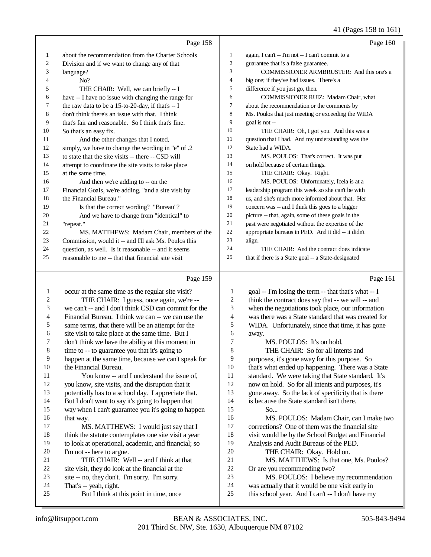41 (Pages 158 to 161)

|                         | Page 158                                                                                              |                  | Page 160                                                                                                 |
|-------------------------|-------------------------------------------------------------------------------------------------------|------------------|----------------------------------------------------------------------------------------------------------|
| 1                       | about the recommendation from the Charter Schools                                                     | $\mathbf{1}$     | again, I can't -- I'm not -- I can't commit to a                                                         |
| 2                       | Division and if we want to change any of that                                                         | $\sqrt{2}$       | guarantee that is a false guarantee.                                                                     |
| 3                       | language?                                                                                             | 3                | COMMISSIONER ARMBRUSTER: And this one's a                                                                |
| 4                       | No?                                                                                                   | $\overline{4}$   | big one; if they've had issues. There's a                                                                |
| 5                       | THE CHAIR: Well, we can briefly -- I                                                                  | 5                | difference if you just go, then.                                                                         |
| 6                       | have -- I have no issue with changing the range for                                                   | 6                | COMMISSIONER RUIZ: Madam Chair, what                                                                     |
| 7                       | the raw data to be a 15-to-20-day, if that's -- I                                                     | 7                | about the recommendation or the comments by                                                              |
| 8                       | don't think there's an issue with that. I think                                                       | $\,$ 8 $\,$      | Ms. Poulos that just meeting or exceeding the WIDA                                                       |
| 9                       | that's fair and reasonable. So I think that's fine.                                                   | 9                | goal is not --                                                                                           |
| 10                      | So that's an easy fix.                                                                                | 10               | THE CHAIR: Oh, I got you. And this was a                                                                 |
| 11                      | And the other changes that I noted,                                                                   | 11               | question that I had. And my understanding was the                                                        |
| 12                      | simply, we have to change the wording in "e" of .2                                                    | 12               | State had a WIDA.                                                                                        |
| 13                      | to state that the site visits -- there -- CSD will                                                    | 13               | MS. POULOS: That's correct. It was put                                                                   |
| 14                      | attempt to coordinate the site visits to take place                                                   | 14               | on hold because of certain things.                                                                       |
| 15                      | at the same time.                                                                                     | 15               | THE CHAIR: Okay. Right.                                                                                  |
| 16                      | And then we're adding to -- on the                                                                    | 16               | MS. POULOS: Unfortunately, Icela is at a                                                                 |
| 17                      | Financial Goals, we're adding, "and a site visit by                                                   | 17               | leadership program this week so she can't be with                                                        |
| 18                      | the Financial Bureau."                                                                                | 18               | us, and she's much more informed about that. Her                                                         |
| 19                      | Is that the correct wording? "Bureau"?                                                                | 19               | concern was -- and I think this goes to a bigger                                                         |
| 20                      | And we have to change from "identical" to                                                             | 20               | picture -- that, again, some of these goals in the                                                       |
| 21                      | "repeat."                                                                                             | $21\,$           | past were negotiated without the expertise of the                                                        |
| 22                      | MS. MATTHEWS: Madam Chair, members of the                                                             | $22\,$           | appropriate bureaus in PED. And it did -- it didn't                                                      |
| 23                      | Commission, would it -- and I'll ask Ms. Poulos this                                                  | 23               | align.                                                                                                   |
| 24                      | question, as well. Is it reasonable -- and it seems                                                   | 24               | THE CHAIR: And the contract does indicate                                                                |
| 25                      | reasonable to me -- that that financial site visit                                                    | 25               | that if there is a State goal -- a State-designated                                                      |
|                         |                                                                                                       |                  |                                                                                                          |
|                         | Page 159                                                                                              |                  | Page 161                                                                                                 |
| 1                       |                                                                                                       | $\mathbf{1}$     |                                                                                                          |
| $\overline{\mathbf{c}}$ | occur at the same time as the regular site visit?                                                     | $\boldsymbol{2}$ | goal -- I'm losing the term -- that that's what -- I                                                     |
| 3                       | THE CHAIR: I guess, once again, we're --<br>we can't -- and I don't think CSD can commit for the      | 3                | think the contract does say that -- we will -- and                                                       |
| 4                       | Financial Bureau. I think we can -- we can use the                                                    | 4                | when the negotiations took place, our information<br>was there was a State standard that was created for |
| 5                       |                                                                                                       | 5                |                                                                                                          |
| 6                       | same terms, that there will be an attempt for the                                                     | 6                | WIDA. Unfortunately, since that time, it has gone<br>away.                                               |
| 7                       | site visit to take place at the same time. But I<br>don't think we have the ability at this moment in | 7                | MS. POULOS: It's on hold.                                                                                |
| 8                       | time to -- to guarantee you that it's going to                                                        | 8                | THE CHAIR: So for all intents and                                                                        |
| $\overline{9}$          | happen at the same time, because we can't speak for                                                   | 9                | purposes, it's gone away for this purpose. So                                                            |
| 10                      | the Financial Bureau.                                                                                 | 10               | that's what ended up happening. There was a State                                                        |
| 11                      | You know -- and I understand the issue of,                                                            | 11               | standard. We were taking that State standard. It's                                                       |
| 12                      | you know, site visits, and the disruption that it                                                     | 12               | now on hold. So for all intents and purposes, it's                                                       |
| 13                      | potentially has to a school day. I appreciate that.                                                   | 13               | gone away. So the lack of specificity that is there                                                      |
| 14                      | But I don't want to say it's going to happen that                                                     | 14               | is because the State standard isn't there.                                                               |
| 15                      | way when I can't guarantee you it's going to happen                                                   | 15               | So                                                                                                       |
| 16                      | that way.                                                                                             | 16               | MS. POULOS: Madam Chair, can I make two                                                                  |
| 17                      | MS. MATTHEWS: I would just say that I                                                                 | 17               | corrections? One of them was the financial site                                                          |
| 18                      | think the statute contemplates one site visit a year                                                  | 18               | visit would be by the School Budget and Financial                                                        |
| 19                      | to look at operational, academic, and financial; so                                                   | 19               | Analysis and Audit Bureaus of the PED.                                                                   |
| 20                      | I'm not -- here to argue.                                                                             | 20               | THE CHAIR: Okay. Hold on.                                                                                |
| 21                      | THE CHAIR: Well -- and I think at that                                                                | 21               | MS. MATTHEWS: Is that one, Ms. Poulos?                                                                   |
| 22                      | site visit, they do look at the financial at the                                                      | $22\,$           | Or are you recommending two?                                                                             |
| 23                      | site -- no, they don't. I'm sorry. I'm sorry.                                                         | 23               | MS. POULOS: I believe my recommendation                                                                  |
| 24<br>25                | That's -- yeah, right.<br>But I think at this point in time, once                                     | 24<br>$25\,$     | was actually that it would be one visit early in<br>this school year. And I can't -- I don't have my     |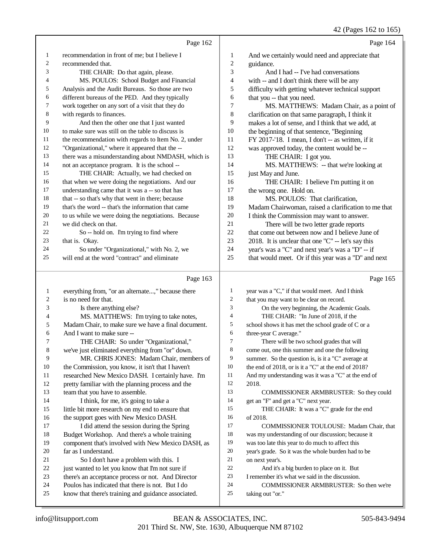|              |                                                                                                         |                | 42 (Pages 162 to 165)                                                                        |
|--------------|---------------------------------------------------------------------------------------------------------|----------------|----------------------------------------------------------------------------------------------|
|              | Page 162                                                                                                |                | Page 164                                                                                     |
| 1            | recommendation in front of me; but I believe I                                                          | 1              | And we certainly would need and appreciate that                                              |
| 2            | recommended that.                                                                                       | $\overline{c}$ | guidance.                                                                                    |
| 3            | THE CHAIR: Do that again, please.                                                                       | 3              | And I had -- I've had conversations                                                          |
| 4            | MS. POULOS: School Budget and Financial                                                                 | $\overline{4}$ | with -- and I don't think there will be any                                                  |
| 5            | Analysis and the Audit Bureaus. So those are two                                                        | 5              | difficulty with getting whatever technical support                                           |
| 6            | different bureaus of the PED. And they typically                                                        | 6              | that you -- that you need.                                                                   |
| 7            | work together on any sort of a visit that they do                                                       | $\overline{7}$ | MS. MATTHEWS: Madam Chair, as a point of                                                     |
| 8            | with regards to finances.                                                                               | $\,8\,$        | clarification on that same paragraph, I think it                                             |
| 9            | And then the other one that I just wanted                                                               | 9              | makes a lot of sense, and I think that we add, at                                            |
| 10           | to make sure was still on the table to discuss is                                                       | 10             | the beginning of that sentence, "Beginning                                                   |
| 11           | the recommendation with regards to Item No. 2, under                                                    | 11             | FY 2017-'18. I mean, I don't -- as written, if it                                            |
| 12           | "Organizational," where it appeared that the --                                                         | 12             | was approved today, the content would be --                                                  |
| 13           | there was a misunderstanding about NMDASH, which is                                                     | 13             | THE CHAIR: I got you.                                                                        |
| 14           | not an acceptance program. It is the school --                                                          | 14             | MS. MATTHEWS: -- that we're looking at                                                       |
| 15           | THE CHAIR: Actually, we had checked on                                                                  | 15             | just May and June.                                                                           |
| 16           | that when we were doing the negotiations. And our                                                       | 16             | THE CHAIR: I believe I'm putting it on                                                       |
| 17           | understanding came that it was a -- so that has                                                         | 17             | the wrong one. Hold on.                                                                      |
| 18           | that -- so that's why that went in there; because                                                       | 18             | MS. POULOS: That clarification,                                                              |
| 19           | that's the word -- that's the information that came                                                     | 19             | Madam Chairwoman, raised a clarification to me that                                          |
| 20           | to us while we were doing the negotiations. Because                                                     | 20             | I think the Commission may want to answer.                                                   |
| 21           | we did check on that.                                                                                   | 21             | There will be two letter grade reports                                                       |
| 22           | So -- hold on. I'm trying to find where                                                                 | 22             | that come out between now and I believe June of                                              |
| 23           | that is. Okay.                                                                                          | 23             | 2018. It is unclear that one "C" -- let's say this                                           |
| 24           | So under "Organizational," with No. 2, we                                                               | 24             | year's was a "C" and next year's was a "D" -- if                                             |
| 25           | will end at the word "contract" and eliminate                                                           | 25             | that would meet. Or if this year was a "D" and next                                          |
|              |                                                                                                         |                |                                                                                              |
|              | Page 163                                                                                                |                | Page 165                                                                                     |
|              |                                                                                                         | $\mathbf{1}$   |                                                                                              |
| $\mathbf{1}$ | everything from, "or an alternate," because there                                                       | $\mathfrak{2}$ | year was a "C," if that would meet. And I think                                              |
| 2            | is no need for that.                                                                                    | 3              | that you may want to be clear on record.                                                     |
| 3<br>4       | Is there anything else?                                                                                 | $\overline{4}$ | On the very beginning, the Academic Goals.                                                   |
| 5            | MS. MATTHEWS: I'm trying to take notes,                                                                 | 5              | THE CHAIR: "In June of 2018, if the                                                          |
| 6            | Madam Chair, to make sure we have a final document.<br>And I want to make sure --                       | 6              | school shows it has met the school grade of C or a                                           |
| 7            |                                                                                                         | $\overline{7}$ | three-year C average."                                                                       |
|              | THE CHAIR: So under "Organizational,"                                                                   | 8              | There will be two school grades that will<br>come out, one this summer and one the following |
| 8<br>9       | we've just eliminated everything from "or" down.<br>MR. CHRIS JONES: Madam Chair, members of            | 9              | summer. So the question is, is it a "C" average at                                           |
| 10           |                                                                                                         | 10             | the end of 2018, or is it a "C" at the end of 2018?                                          |
| 11           | the Commission, you know, it isn't that I haven't<br>researched New Mexico DASH. I certainly have. I'm  | 11             | And my understanding was it was a "C" at the end of                                          |
| 12           | pretty familiar with the planning process and the                                                       | 12             | 2018.                                                                                        |
| 13           | team that you have to assemble.                                                                         | 13             | COMMISSIONER ARMBRUSTER: So they could                                                       |
| 14           | I think, for me, it's going to take a                                                                   | 14             | get an "F" and get a "C" next year.                                                          |
| 15           | little bit more research on my end to ensure that                                                       | 15             | THE CHAIR: It was a "C" grade for the end                                                    |
| 16           | the support goes with New Mexico DASH.                                                                  | 16             | of 2018.                                                                                     |
| 17           | I did attend the session during the Spring                                                              | 17             | COMMISSIONER TOULOUSE: Madam Chair, that                                                     |
| 18           | Budget Workshop. And there's a whole training                                                           | 18             | was my understanding of our discussion; because it                                           |
| 19           | component that's involved with New Mexico DASH, as                                                      | 19             | was too late this year to do much to affect this                                             |
| 20           | far as I understand.                                                                                    | 20             | year's grade. So it was the whole burden had to be                                           |
| 21           | So I don't have a problem with this. I                                                                  | 21             | on next year's.                                                                              |
| 22           | just wanted to let you know that I'm not sure if                                                        | 22             | And it's a big burden to place on it. But                                                    |
| 23           | there's an acceptance process or not. And Director                                                      | 23             | I remember it's what we said in the discussion.                                              |
| 24           | Poulos has indicated that there is not. But I do<br>know that there's training and guidance associated. | 24<br>25       | COMMISSIONER ARMBRUSTER: So then we're                                                       |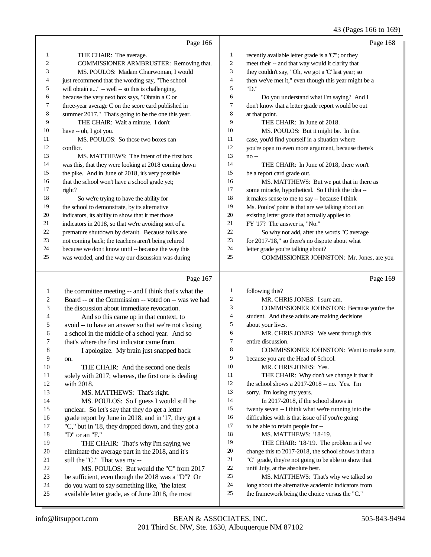## 43 (Pages 166 to 169)

|                | Page 166                                             |                | Page 168                                             |
|----------------|------------------------------------------------------|----------------|------------------------------------------------------|
| 1              | THE CHAIR: The average.                              | 1              | recently available letter grade is a 'C'"; or they   |
| $\overline{2}$ | COMMISSIONER ARMBRUSTER: Removing that.              | $\overline{2}$ | meet their -- and that way would it clarify that     |
| 3              | MS. POULOS: Madam Chairwoman, I would                | 3              | they couldn't say, "Oh, we got a 'C' last year; so   |
| 4              | just recommend that the wording say, "The school     | 4              | then we've met it," even though this year might be a |
| 5              | will obtain a" -- well -- so this is challenging,    | 5              | "D."                                                 |
| 6              | because the very next box says, "Obtain a C or       | 6              | Do you understand what I'm saying? And I             |
| 7              | three-year average C on the score card published in  | 7              | don't know that a letter grade report would be out   |
| 8              | summer 2017." That's going to be the one this year.  | 8              | at that point.                                       |
| 9              | THE CHAIR: Wait a minute. I don't                    | 9              | THE CHAIR: In June of 2018.                          |
| 10             | have -- oh, I got you.                               | 10             | MS. POULOS: But it might be. In that                 |
| 11             | MS. POULOS: So those two boxes can                   | 11             | case, you'd find yourself in a situation where       |
| 12             | conflict.                                            | 12             | you're open to even more argument, because there's   |
| 13             | MS. MATTHEWS: The intent of the first box            | 13             | $no -$                                               |
| 14             | was this, that they were looking at 2018 coming down | 14             | THE CHAIR: In June of 2018, there won't              |
| 15             | the pike. And in June of 2018, it's very possible    | 15             | be a report card grade out.                          |
| 16             | that the school won't have a school grade yet;       | 16             | MS. MATTHEWS: But we put that in there as            |
| 17             | right?                                               | 17             | some miracle, hypothetical. So I think the idea --   |
| 18             | So we're trying to have the ability for              | 18             | it makes sense to me to say -- because I think       |
| 19             | the school to demonstrate, by its alternative        | 19             | Ms. Poulos' point is that are we talking about an    |
| 20             | indicators, its ability to show that it met those    | 20             | existing letter grade that actually applies to       |
| 21             | indicators in 2018, so that we're avoiding sort of a | 21             | FY '17? The answer is, "No."                         |
| 22             | premature shutdown by default. Because folks are     | 22             | So why not add, after the words "C average           |
| 23             | not coming back; the teachers aren't being rehired   | 23             | for 2017-'18," so there's no dispute about what      |
| 24             | because we don't know until -- because the way this  | 24             | letter grade you're talking about?                   |
| 25             | was worded, and the way our discussion was during    | 25             | <b>COMMISSIONER JOHNSTON: Mr. Jones, are you</b>     |

## Page 167

|    | Page 167                                             |                | Page 169                                             |
|----|------------------------------------------------------|----------------|------------------------------------------------------|
| 1  | the committee meeting -- and I think that's what the | 1              | following this?                                      |
| 2  | Board -- or the Commission -- voted on -- was we had | 2              | MR. CHRIS JONES: I sure am.                          |
| 3  | the discussion about immediate revocation.           | 3              | COMMISSIONER JOHNSTON: Because you're the            |
| 4  | And so this came up in that context, to              | $\overline{4}$ | student. And these adults are making decisions       |
| 5  | avoid -- to have an answer so that we're not closing | 5              | about your lives.                                    |
| 6  | a school in the middle of a school year. And so      | 6              | MR. CHRIS JONES: We went through this                |
| 7  | that's where the first indicator came from.          | $\tau$         | entire discussion.                                   |
| 8  | I apologize. My brain just snapped back              | 8              | <b>COMMISSIONER JOHNSTON:</b> Want to make sure,     |
| 9  | on.                                                  | 9              | because you are the Head of School.                  |
| 10 | THE CHAIR: And the second one deals                  | 10             | MR. CHRIS JONES: Yes.                                |
| 11 | solely with 2017; whereas, the first one is dealing  | 11             | THE CHAIR: Why don't we change it that if            |
| 12 | with 2018.                                           | 12             | the school shows a $2017-2018$ -- no. Yes. I'm       |
| 13 | MS. MATTHEWS: That's right.                          | 13             | sorry. I'm losing my years.                          |
| 14 | MS. POULOS: So I guess I would still be              | 14             | In $2017-2018$ , if the school shows in              |
| 15 | unclear. So let's say that they do get a letter      | 15             | twenty seven -- I think what we're running into the  |
| 16 | grade report by June in 2018; and in '17, they got a | 16             | difficulties with is that issue of if you're going   |
| 17 | "C," but in '18, they dropped down, and they got a   | 17             | to be able to retain people for --                   |
| 18 | "D" or an "F."                                       | 18             | MS. MATTHEWS: '18-'19.                               |
| 19 | THE CHAIR: That's why I'm saying we                  | 19             | THE CHAIR: '18-'19. The problem is if we             |
| 20 | eliminate the average part in the 2018, and it's     | 20             | change this to 2017-2018, the school shows it that a |
| 21 | still the "C." That was my-                          | 21             | "C" grade, they're not going to be able to show that |
| 22 | MS. POULOS: But would the "C" from 2017              | 22             | until July, at the absolute best.                    |
| 23 | be sufficient, even though the 2018 was a "D"? Or    | 23             | MS. MATTHEWS: That's why we talked so                |
| 24 | do you want to say something like, "the latest       | 24             | long about the alternative academic indicators from  |
| 25 | available letter grade, as of June 2018, the most    | 25             | the framework being the choice versus the "C."       |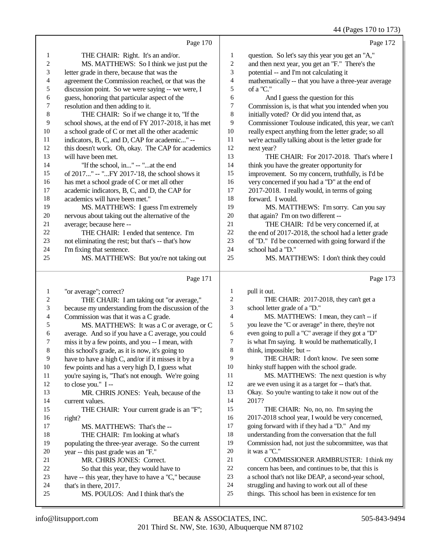|    |                                                      |                | 44 (Pages 170 to 173)                                |
|----|------------------------------------------------------|----------------|------------------------------------------------------|
|    | Page 170                                             |                | Page 172                                             |
| 1  | THE CHAIR: Right. It's an and/or.                    | $\mathbf{1}$   | question. So let's say this year you get an "A,"     |
| 2  | MS. MATTHEWS: So I think we just put the             | 2              | and then next year, you get an "F." There's the      |
| 3  | letter grade in there, because that was the          | 3              | potential -- and I'm not calculating it              |
| 4  | agreement the Commission reached, or that was the    | 4              | mathematically -- that you have a three-year average |
| 5  | discussion point. So we were saying -- we were, I    | 5              | of a "C."                                            |
| 6  | guess, honoring that particular aspect of the        | 6              | And I guess the question for this                    |
| 7  | resolution and then adding to it.                    | 7              | Commission is, is that what you intended when you    |
| 8  | THE CHAIR: So if we change it to, "If the            | 8              | initially voted? Or did you intend that, as          |
| 9  | school shows, at the end of FY 2017-2018, it has met | 9              | Commissioner Toulouse indicated, this year, we can't |
| 10 | a school grade of C or met all the other academic    | 10             | really expect anything from the letter grade; so all |
| 11 | indicators, B, C, and D, CAP for academic" --        | 11             | we're actually talking about is the letter grade for |
| 12 | this doesn't work. Oh, okay. The CAP for academics   | 12             | next year?                                           |
| 13 | will have been met.                                  | 13             | THE CHAIR: For 2017-2018. That's where I             |
| 14 | "If the school, in" -- "at the end                   | 14             | think you have the greater opportunity for           |
| 15 | of 2017" -- "FY 2017-'18, the school shows it        | 15             | improvement. So my concern, truthfully, is I'd be    |
| 16 | has met a school grade of C or met all other         | 16             | very concerned if you had a "D" at the end of        |
| 17 | academic indicators, B, C, and D, the CAP for        | 17             | 2017-2018. I really would, in terms of going         |
| 18 | academics will have been met."                       | 18             | forward. I would.                                    |
| 19 | MS. MATTHEWS: I guess I'm extremely                  | 19             | MS. MATTHEWS: I'm sorry. Can you say                 |
| 20 | nervous about taking out the alternative of the      | 20             | that again? I'm on two different --                  |
| 21 | average; because here --                             | 21             | THE CHAIR: I'd be very concerned if, at              |
| 22 | THE CHAIR: I ended that sentence. I'm                | 22             | the end of 2017-2018, the school had a letter grade  |
| 23 | not eliminating the rest; but that's -- that's how   | 23             | of "D." I'd be concerned with going forward if the   |
| 24 | I'm fixing that sentence.                            | 24             | school had a "D."                                    |
| 25 | MS. MATTHEWS: But you're not taking out              | 25             | MS. MATTHEWS: I don't think they could               |
|    | Page 171                                             |                | Page 173                                             |
| 1  | "or average"; correct?                               | 1              | pull it out.                                         |
| 2  | THE CHAIR: I am taking out "or average,"             | $\overline{2}$ | THE CHAIR: 2017-2018, they can't get a               |
| 3  | because my understanding from the discussion of the  | 3              | school letter grade of a "D."                        |
| 4  | Commission was that it was a C grade.                | $\overline{4}$ | MS. MATTHEWS: I mean, they can't -- if               |
| 5  | MS. MATTHEWS: It was a C or average, or C            | 5              | you leave the "C or average" in there, they're not   |
| 6  | average. And so if you have a C average, you could   | 6              | even going to pull a "C" average if they got a "D"   |
| 7  | miss it by a few points, and you -- I mean, with     | 7              | is what I'm saying. It would be mathematically, I    |
| 8  | this school's grade, as it is now, it's going to     | 8              | think, impossible; but --                            |
| 9  | have to have a high C, and/or if it misses it by a   | 9              | THE CHAIR: I don't know. I've seen some              |
| 10 | few points and has a very high D, I guess what       | $10\,$         | hinky stuff happen with the school grade.            |
| 11 | you're saying is, "That's not enough. We're going    | 11             | MS. MATTHEWS: The next question is why               |
| 12 | to close you." I --                                  | 12             | are we even using it as a target for -- that's that. |
| 13 | MR. CHRIS JONES: Yeah, because of the                | 13             | Okay. So you're wanting to take it now out of the    |
| 14 | current values.                                      | 14             | 2017?                                                |
| 15 | THE CHAIR: Your current grade is an "F";             | 15             | THE CHAIR: No, no, no. I'm saying the                |
| 16 | right?                                               | 16             | 2017-2018 school year, I would be very concerned,    |
| 17 | MS. MATTHEWS: That's the --                          | 17             | going forward with if they had a "D." And my         |
| 18 | THE CHAIR: I'm looking at what's                     | 18             | understanding from the conversation that the full    |
| 19 | populating the three-year average. So the current    | 19             | Commission had, not just the subcommittee, was that  |
| 20 | year -- this past grade was an "F."                  | 20             | it was a "C."                                        |
| 21 | MR. CHRIS JONES: Correct.                            | 21             | COMMISSIONER ARMBRUSTER: I think my                  |
| 22 | So that this year, they would have to                | $22\,$         | concern has been, and continues to be, that this is  |

24 that's in there, 2017.<br>25 MS. POULOS

22 So that this year, they would have to<br>23 have -- this year, they have to have a "C," b 23 have -- this year, they have to have a "C," because<br>24 that's in there. 2017.

MS. POULOS: And I think that's the

22 concern has been, and continues to be, that this is<br>
23 a school that's not like DEAP, a second-year school a school that's not like DEAP, a second-year school,

things. This school has been in existence for ten

24 struggling and having to work out all of these<br>25 things. This school has been in existence for t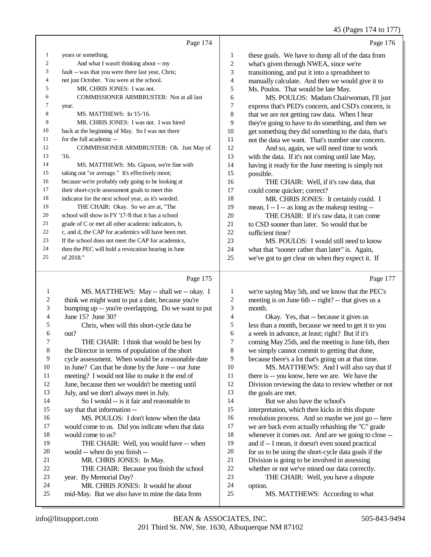45 (Pages 174 to 177)

|                | Page 174                                            |                | Page 176                                             |
|----------------|-----------------------------------------------------|----------------|------------------------------------------------------|
| 1              | years or something.                                 | $\mathbf{1}$   | these goals. We have to dump all of the data from    |
| 2              | And what I wasn't thinking about -- my              | $\overline{c}$ | what's given through NWEA, since we're               |
| 3              | fault -- was that you were there last year, Chris;  | 3              | transitioning, and put it into a spreadsheet to      |
| $\overline{4}$ | not just October. You were at the school.           | 4              | manually calculate. And then we would give it to     |
| 5              | MR. CHRIS JONES: I was not.                         | 5              | Ms. Poulos. That would be late May.                  |
| 6              | <b>COMMISSIONER ARMBRUSTER: Not at all last</b>     | 6              | MS. POULOS: Madam Chairwoman, I'll just              |
| 7              | year.                                               | 7              | express that's PED's concern, and CSD's concern, is  |
| 8              | MS. MATTHEWS: In '15-'16.                           | 8              | that we are not getting raw data. When I hear        |
| 9              | MR. CHRIS JONES: I was not. I was hired             | 9              | they're going to have to do something, and then we   |
| 10             | back at the beginning of May. So I was not there    | 10             | get something they did something to the data, that's |
| 11             | for the full academic --                            | 11             | not the data we want. That's number one concern.     |
| 12             | COMMISSIONER ARMBRUSTER: Oh. Just May of            | 12             | And so, again, we will need time to work             |
| 13             | 16.                                                 | 13             | with the data. If it's not coming until late May,    |
| 14             | MS. MATTHEWS: Ms. Gipson, we're fine with           | 14             | having it ready for the June meeting is simply not   |
| 15             | taking out "or average." It's effectively moot;     | 15             | possible.                                            |
| 16             | because we're probably only going to be looking at  | 16             | THE CHAIR: Well, if it's raw data, that              |
| 17             | their short-cycle assessment goals to meet this     | 17             | could come quicker; correct?                         |
| 18             | indicator for the next school year, as it's worded. | 18             | MR. CHRIS JONES: It certainly could. I               |
| 19             | THE CHAIR: Okay. So we are at, "The                 | 19             | mean, I -- I -- as long as the makeup testing --     |
| 20             | school will show in FY '17-'8 that it has a school  | 20             | THE CHAIR: If it's raw data, it can come             |
| 21             | grade of C or met all other academic indicators, b, | 21             | to CSD sooner than later. So would that be           |
| 22             | c, and d, the CAP for academics will have been met. | 22             | sufficient time?                                     |
| 23             | If the school does not meet the CAP for academics.  | 23             | MS. POULOS: I would still need to know               |
| 24             | then the PEC will hold a revocation hearing in June | 24             | what that "sooner rather than later" is. Again,      |
| 25             | of 2018."                                           | 25             | we've got to get clear on when they expect it. If    |
|                |                                                     |                |                                                      |

## Page 175

|    | Page 175                                            |    | Page 177                                             |
|----|-----------------------------------------------------|----|------------------------------------------------------|
| 1  | MS. MATTHEWS: May -- shall we -- okay. I            | 1  | we're saying May 5th, and we know that the PEC's     |
| 2  | think we might want to put a date, because you're   | 2  | meeting is on June 6th -- right? -- that gives us a  |
| 3  | bumping up -- you're overlapping. Do we want to put | 3  | month.                                               |
| 4  | June 15? June 30?                                   | 4  | Okay. Yes, that -- because it gives us               |
| 5  | Chris, when will this short-cycle data be           | 5  | less than a month, because we need to get it to you  |
| 6  | out?                                                | 6  | a week in advance, at least; right? But if it's      |
| 7  | THE CHAIR: I think that would be best by            | 7  | coming May 25th, and the meeting is June 6th, then   |
| 8  | the Director in terms of population of the short    | 8  | we simply cannot commit to getting that done,        |
| 9  | cycle assessment. When would be a reasonable date   | 9  | because there's a lot that's going on at that time.  |
| 10 | in June? Can that be done by the June -- our June   | 10 | MS. MATTHEWS: And I will also say that if            |
| 11 | meeting? I would not like to make it the end of     | 11 | there is -- you know, here we are. We have the       |
| 12 | June, because then we wouldn't be meeting until     | 12 | Division reviewing the data to review whether or not |
| 13 | July, and we don't always meet in July.             | 13 | the goals are met.                                   |
| 14 | So I would -- is it fair and reasonable to          | 14 | But we also have the school's                        |
| 15 | say that that information --                        | 15 | interpretation, which then kicks in this dispute     |
| 16 | MS. POULOS: I don't know when the data              | 16 | resolution process. And so maybe we just go -- here  |
| 17 | would come to us. Did you indicate when that data   | 17 | we are back even actually rehashing the "C" grade    |
| 18 | would come to us?                                   | 18 | whenever it comes out. And are we going to close --  |
| 19 | THE CHAIR: Well, you would have -- when             | 19 | and if -- I mean, it doesn't even sound practical    |
| 20 | would -- when do you finish --                      | 20 | for us to be using the short-cycle data goals if the |
| 21 | MR. CHRIS JONES: In May.                            | 21 | Division is going to be involved in assessing        |
| 22 | THE CHAIR: Because you finish the school            | 22 | whether or not we've mined our data correctly.       |
| 23 | year. By Memorial Day?                              | 23 | THE CHAIR: Well, you have a dispute                  |
| 24 | MR. CHRIS JONES: It would be about                  | 24 | option.                                              |
| 25 | mid-May. But we also have to mine the data from     | 25 | MS. MATTHEWS: According to what                      |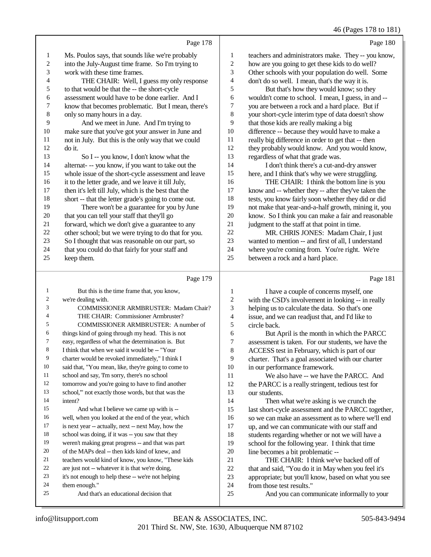46 (Pages 178 to 181)

|                         |                                                      |                | $+0$ (1 ages 170 to 101                              |
|-------------------------|------------------------------------------------------|----------------|------------------------------------------------------|
|                         | Page 178                                             |                | Page 180                                             |
| 1                       | Ms. Poulos says, that sounds like we're probably     | 1              | teachers and administrators make. They-- you know,   |
| $\overline{c}$          | into the July-August time frame. So I'm trying to    | $\overline{c}$ | how are you going to get these kids to do well?      |
| 3                       | work with these time frames.                         | 3              | Other schools with your population do well. Some     |
| 4                       | THE CHAIR: Well, I guess my only response            | 4              | don't do so well. I mean, that's the way it is.      |
| 5                       | to that would be that the -- the short-cycle         | 5              | But that's how they would know; so they              |
| 6                       | assessment would have to be done earlier. And I      | 6              | wouldn't come to school. I mean, I guess, in and --  |
| 7                       | know that becomes problematic. But I mean, there's   | 7              | you are between a rock and a hard place. But if      |
| 8                       | only so many hours in a day.                         | 8              | your short-cycle interim type of data doesn't show   |
| 9                       | And we meet in June. And I'm trying to               | 9              | that those kids are really making a big              |
| $10\,$                  | make sure that you've got your answer in June and    | 10             | difference -- because they would have to make a      |
| 11                      | not in July. But this is the only way that we could  | 11             | really big difference in order to get that -- then   |
| 12                      | do it.                                               | 12             | they probably would know. And you would know,        |
| 13                      | So I -- you know, I don't know what the              | 13             | regardless of what that grade was.                   |
| 14                      | alternat--- you know, if you want to take out the    | 14             | I don't think there's a cut-and-dry answer           |
| 15                      | whole issue of the short-cycle assessment and leave  | 15             | here, and I think that's why we were struggling.     |
| 16                      | it to the letter grade, and we leave it till July,   | 16             | THE CHAIR: I think the bottom line is you            |
| 17                      | then it's left till July, which is the best that the | 17             | know and -- whether they -- after they've taken the  |
| 18                      | short -- that the letter grade's going to come out.  | 18             | tests, you know fairly soon whether they did or did  |
| 19                      | There won't be a guarantee for you by June           | 19             | not make that year-and-a-half growth, mining it, you |
| 20                      | that you can tell your staff that they'll go         | 20             | know. So I think you can make a fair and reasonable  |
| 21                      | forward, which we don't give a guarantee to any      | 21             | judgment to the staff at that point in time.         |
| 22                      | other school; but we were trying to do that for you. | 22             | MR. CHRIS JONES: Madam Chair, I just                 |
| 23                      | So I thought that was reasonable on our part, so     | 23             | wanted to mention -- and first of all, I understand  |
| 24                      | that you could do that fairly for your staff and     | 24             | where you're coming from. You're right. We're        |
| 25                      | keep them.                                           | 25             | between a rock and a hard place.                     |
|                         |                                                      |                |                                                      |
|                         | Page 179                                             |                | Page 181                                             |
| 1                       | But this is the time frame that, you know,           | 1              | I have a couple of concerns myself, one              |
| $\overline{\mathbf{c}}$ | we're dealing with.                                  | 2              | with the CSD's involvement in looking -- in really   |
| 3                       | COMMISSIONER ARMBRUSTER: Madam Chair?                | 3              | helping us to calculate the data. So that's one      |
| $\overline{4}$          | THE CHAIR: Commissioner Armbruster?                  | 4              | issue, and we can readjust that, and I'd like to     |

circle back.

our students.

10 in our performance framework.<br>11 We also have -- we have

20 line becomes a bit problematic --<br>21 THE CHAIR: I think we'v

from those test results."

 But April is the month in which the PARCC assessment is taken. For our students, we have the ACCESS test in February, which is part of our 9 charter. That's a goal associated with our charter<br>10 in our performance framework.

the PARCC is a really stringent, tedious test for

14 Then what we're asking is we crunch the last short-cycle assessment and the PARCC together, 16 so we can make an assessment as to where we'll end<br>17 up. and we can communicate with our staff and up, and we can communicate with our staff and

18 students regarding whether or not we will have a<br>19 school for the following year. I think that time school for the following year. I think that time

21 THE CHAIR: I think we've backed off of<br>22 that and said. "You do it in May when you feel it that and said, "You do it in May when you feel it's appropriate; but you'll know, based on what you see

And you can communicate informally to your

We also have -- we have the PARCC. And

them enough."

intent?

 COMMISSIONER ARMBRUSTER: A number of things kind of going through my head. This is not easy, regardless of what the determination is. But I think that when we said it would be -- "Your charter would be revoked immediately," I think I said that, "You mean, like, they're going to come to 11 school and say, 'I'm sorry, there's no school tomorrow and you're going to have to find another school,'" not exactly those words, but that was the

15 And what I believe we came up with is -- well, when you looked at the end of the year, which is next year -- actually, next -- next May, how the school was doing, if it was -- you saw that they weren't making great progress -- and that was part of the MAPs deal -- then kids kind of knew, and teachers would kind of know, you know, "These kids are just not -- whatever it is that we're doing, it's not enough to help these -- we're not helping

And that's an educational decision that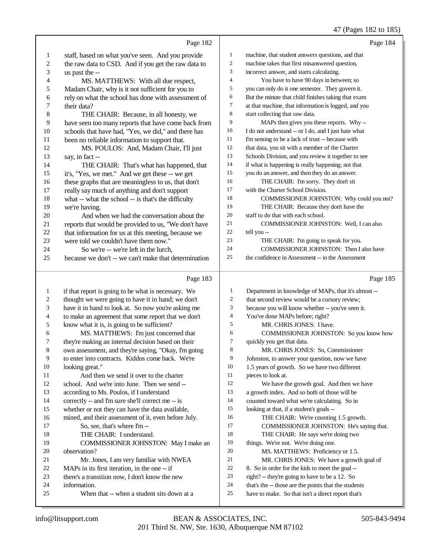## 47 (Pages 182 to 185)

|                  | Page 182                                                                             |                | Page 184                                                                                                   |
|------------------|--------------------------------------------------------------------------------------|----------------|------------------------------------------------------------------------------------------------------------|
| 1                | staff, based on what you've seen. And you provide                                    | $\mathbf{1}$   | machine, that student answers questions, and that                                                          |
| $\boldsymbol{2}$ | the raw data to CSD. And if you get the raw data to                                  | $\overline{c}$ | machine takes that first misanswered question,                                                             |
| 3                | us past the --                                                                       | 3              | incorrect answer, and starts calculating.                                                                  |
| 4                | MS. MATTHEWS: With all due respect,                                                  | $\overline{4}$ | You have to have 90 days in between; so                                                                    |
| 5                | Madam Chair, why is it not sufficient for you to                                     | 5              | you can only do it one semester. They govern it.                                                           |
| 6                | rely on what the school has done with assessment of                                  | 6              | But the minute that child finishes taking that exam                                                        |
| 7                | their data?                                                                          | $\tau$         | at that machine, that information is logged, and you                                                       |
| 8                | THE CHAIR: Because, in all honesty, we                                               | 8              | start collecting that raw data.                                                                            |
| 9                | have seen too many reports that have come back from                                  | 9              | MAPs then gives you these reports. Why-                                                                    |
| 10               | schools that have had, "Yes, we did," and there has                                  | 10             | I do not understand -- or I do, and I just hate what                                                       |
| 11               | been no reliable information to support that.                                        | 11             | I'm sensing to be a lack of trust -- because with                                                          |
| 12               | MS. POULOS: And, Madam Chair, I'll just                                              | 12             | that data, you sit with a member of the Charter                                                            |
| 13               | say, in fact --                                                                      | 13             | Schools Division, and you review it together to see                                                        |
| 14               | THE CHAIR: That's what has happened, that                                            | 14             | if what is happening is really happening; not that                                                         |
| 15               | it's, "Yes, we met." And we get these -- we get                                      | 15             | you do an answer, and then they do an answer.                                                              |
| 16               | these graphs that are meaningless to us, that don't                                  | 16             | THE CHAIR: I'm sorry. They don't sit                                                                       |
| 17               | really say much of anything and don't support                                        | 17             | with the Charter School Division.                                                                          |
| 18               | what -- what the school -- is that's the difficulty                                  | 18             | COMMISSIONER JOHNSTON: Why could you not?                                                                  |
| 19               | we're having.                                                                        | 19             | THE CHAIR: Because they don't have the                                                                     |
| 20               | And when we had the conversation about the                                           | 20             | staff to do that with each school.                                                                         |
| 21               | reports that would be provided to us, "We don't have                                 | 21             | COMMISSIONER JOHNSTON: Well, I can also                                                                    |
| $22\,$           | that information for us at this meeting, because we                                  | 22             | tell you --                                                                                                |
| 23               | were told we couldn't have them now."                                                | 23             | THE CHAIR: I'm going to speak for you.                                                                     |
| 24               | So we're -- we're left in the lurch,                                                 | 24             | COMMISSIONER JOHNSTON: Then I also have                                                                    |
| 25               | because we don't -- we can't make that determination                                 | 25             | the confidence in Assessment -- in the Assessment                                                          |
|                  |                                                                                      |                |                                                                                                            |
|                  | Page 183                                                                             |                | Page 185                                                                                                   |
|                  |                                                                                      | 1              |                                                                                                            |
| $\mathbf{1}$     | if that report is going to be what is necessary. We                                  | 2              | Department in knowledge of MAPs, that it's almost --                                                       |
| 2<br>3           | thought we were going to have it in hand; we don't                                   | 3              | that second review would be a cursory review;                                                              |
| 4                | have it in hand to look at. So now you're asking me                                  | 4              | because you will know whether -- you've seen it.                                                           |
| 5                | to make an agreement that some report that we don't                                  | 5              | You've done MAPs before; right?<br>MR. CHRIS JONES: I have.                                                |
| 6                | know what it is, is going to be sufficient?<br>MS. MATTHEWS: I'm just concerned that | 6              | COMMISSIONER JOHNSTON: So you know how                                                                     |
| 7                | they're making an internal decision based on their                                   | 7              | quickly you get that data.                                                                                 |
| 8                | own assessment, and they're saying, "Okay, I'm going                                 | 8              | MR. CHRIS JONES: So, Commissioner                                                                          |
| 9                | to enter into contracts. Kiddos come back. We're                                     | 9              | Johnston, to answer your question, now we have                                                             |
| 10               | looking great."                                                                      | 10             | 1.5 years of growth. So we have two different                                                              |
| 11               | And then we send it over to the charter                                              | 11             | pieces to look at.                                                                                         |
| 12               | school. And we're into June. Then we send --                                         | 12             | We have the growth goal. And then we have                                                                  |
| 13               | according to Ms. Poulos, if I understand                                             | 13             | a growth index. And so both of those will be                                                               |
| 14               | correctly -- and I'm sure she'll correct me -- is                                    | 14             | counted toward what we're calculating. So in                                                               |
| 15               | whether or not they can have the data available,                                     | 15             | looking at that, if a student's goals --                                                                   |
| 16               | mined, and their assessment of it, even before July.                                 | 16             | THE CHAIR: We're counting 1.5 growth.                                                                      |
| 17               | So, see, that's where I'm --                                                         | 17             | COMMISSIONER JOHNSTON: He's saying that.                                                                   |
| 18               | THE CHAIR: I understand.                                                             | 18             | THE CHAIR: He says we're doing two                                                                         |
| 19               | COMMISSIONER JOHNSTON: May I make an                                                 | 19             | things. We're not. We're doing one.                                                                        |
| 20               | observation?                                                                         | $20\,$         | MS. MATTHEWS: Proficiency or 1.5.                                                                          |
| 21               | Mr. Jones, I am very familiar with NWEA                                              | 21             | MR. CHRIS JONES: We have a growth goal of                                                                  |
| 22               | MAPs in its first iteration, in the one -- if                                        | 22             | 8. So in order for the kids to meet the goal --                                                            |
| 23               | there's a transition now, I don't know the new                                       | $23\,$         | right? -- they're going to have to be a 12. So                                                             |
| 24<br>25         | information.<br>When that -- when a student sits down at a                           | 24<br>$25\,$   | that's the -- those are the points that the students<br>have to make. So that isn't a direct report that's |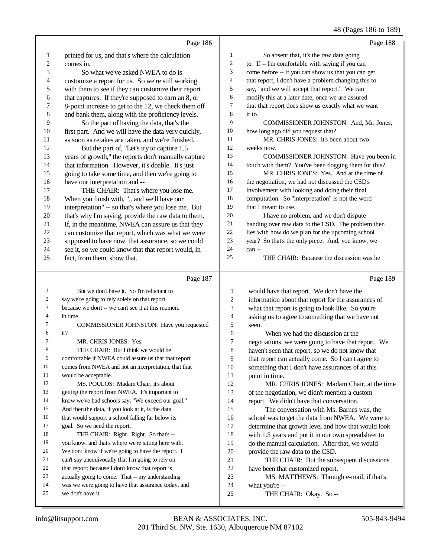## 48 (Pages 186 to 189)

|                  | Page 186                                             |                          | Page 188                                             |
|------------------|------------------------------------------------------|--------------------------|------------------------------------------------------|
| 1                | printed for us, and that's where the calculation     | $\mathbf{1}$             | So absent that, it's the raw data going              |
| $\boldsymbol{2}$ | comes in.                                            | $\overline{c}$           | to. If -- I'm comfortable with saying if you can     |
| 3                | So what we've asked NWEA to do is                    | 3                        | come before -- if you can show us that you can get   |
| 4                | customize a report for us. So we're still working    | $\overline{\mathcal{L}}$ | that report, I don't have a problem changing this to |
| 5                | with them to see if they can customize their report  | 5                        | say, "and we will accept that report." We can        |
| 6                | that captures. If they're supposed to earn an 8, or  | 6                        | modify this at a later date, once we are assured     |
| 7                | 8-point increase to get to the 12, we check them off | 7                        | that that report does show us exactly what we want   |
| $\,$ 8 $\,$      | and bank them, along with the proficiency levels.    | 8                        | it to.                                               |
| 9                | So the part of having the data, that's the           | 9                        | COMMISSIONER JOHNSTON: And, Mr. Jones,               |
| $10\,$           | first part. And we will have the data very quickly,  | 10                       | how long ago did you request that?                   |
| 11               | as soon as retakes are taken, and we're finished.    | 11                       | MR. CHRIS JONES: It's been about two                 |
| 12               | But the part of, "Let's try to capture 1.5           | 12                       | weeks now.                                           |
| 13               | years of growth," the reports don't manually capture | 13                       | COMMISSIONER JOHNSTON: Have you been in              |
| 14               | that information. However, it's doable. It's just    | 14                       | touch with them? You've been dogging them for this?  |
| 15               | going to take some time, and then we're going to     | 15                       | MR. CHRIS JONES: Yes. And at the time of             |
| 16               | have our interpretation and --                       | 16                       | the negotiation, we had not discussed the CSD's      |
| 17               | THE CHAIR: That's where you lose me.                 | 17                       | involvement with looking and doing their final       |
| 18               | When you finish with, "and we'll have our            | 18                       | computation. So "interpretation" is not the word     |
| 19               | interpretation" -- so that's where you lose me. But  | 19                       | that I meant to use.                                 |
| $20\,$           | that's why I'm saying, provide the raw data to them. | $20\,$                   | I have no problem, and we don't dispute              |
| 21               | If, in the meantime, NWEA can assure us that they    | 21                       | handing over raw data to the CSD. The problem then   |
| 22               | can customize that report, which was what we were    | $22\,$                   | lies with how do we plan for the upcoming school     |
| 23               | supposed to have now, that assurance, so we could    | 23                       | year? So that's the only piece. And, you know, we    |
| 24               | see it, so we could know that that report would, in  | 24                       | can-                                                 |
| 25               | fact, from them, show that.                          | 25                       | THE CHAIR: Because the discussion was he             |
|                  | Page 187                                             |                          | Page 189                                             |
| 1                | But we don't have it. So I'm reluctant to            | $\mathbf{1}$             | would have that report. We don't have the            |
| 2                | say we're going to rely solely on that report        | $\sqrt{2}$               | information about that report for the assurances of  |
| 3                | because we don't -- we can't see it at this moment   | 3                        | what that report is going to look like. So you're    |
| 4                | in time.                                             | $\overline{4}$           | asking us to agree to something that we have not     |
| 5                | COMMISSIONER JOHNSTON: Have you requested            | 5                        | seen.                                                |
| 6                | it?                                                  | 6                        | When we had the discussion at the                    |
| 7                | MR. CHRIS JONES: Yes.                                | 7                        | negotiations, we were going to have that report. We  |
| 8                | THE CHAIR: But I think we would be                   | 8                        | haven't seen that report; so we do not know that     |
| 9                | comfortable if NWEA could assure us that that report | 9                        | that report can actually come. So I can't agree to   |
| 10               | comes from NWEA and not an interpretation, that that | 10                       | something that I don't have assurances of at this    |
| 11               | would be acceptable.                                 | 11                       | point in time.                                       |
| 12               | MS. POULOS: Madam Chair, it's about                  | 12                       | MR. CHRIS JONES: Madam Chair, at the time            |
| 13               | getting the report from NWEA. It's important to      | 13                       | of the negotiation, we didn't mention a custom       |
| 14               | know we've had schools say, "We exceed our goal."    | 14                       | report. We didn't have that conversation.            |
| 15               | And then the data, if you look at it, is the data    | 15                       | The conversation with Ms. Barnes was, the            |
| 16               | that would support a school falling far below its    | 16                       | school was to get the data from NWEA. We were to     |
| 17               | goal. So we need the report.                         | 17                       | determine that growth level and how that would look  |
| 18               | THE CHAIR: Right. Right. So that's --                | 18                       | with 1.5 years and put it in our own spreadsheet to  |
| 19               | you know, and that's where we're sitting here with.  | 19                       | do the manual calculation. After that, we would      |
| 20               | We don't know if we're going to have the report. I   | 20                       | provide the raw data to the CSD.                     |
| 21               | can't say unequivocally that I'm going to rely on    | 21                       | THE CHAIR: But the subsequent discussions            |
| 22               | that report; because I don't know that report is     | 22                       | have been that customized report.                    |
| 23               | actually going to come. That -- my understanding     | 23                       | MS. MATTHEWS: Through e-mail, if that's              |
| 24               | was we were going to have that assurance today, and  | 24                       | what you're --                                       |
| 25               | we don't have it.                                    | $25\,$                   | THE CHAIR: Okay. So --                               |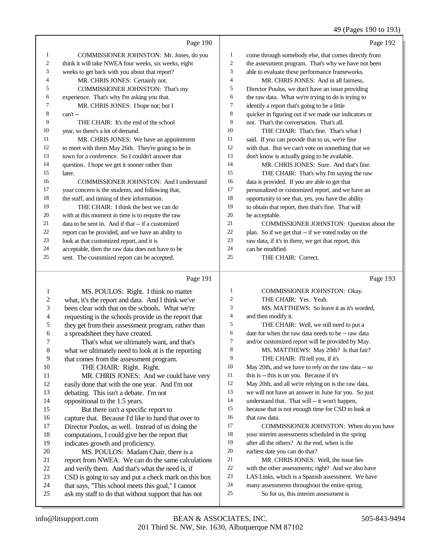#### 49 (Pages 190 to 193)

Page 190 COMMISSIONER JOHNSTON: Mr. Jones, do you think it will take NWEA four weeks, six weeks, eight weeks to get back with you about that report? MR. CHRIS JONES: Certainly not. COMMISSIONER JOHNSTON: That's my 6 experience. That's why I'm asking you that.<br>7 MR CHRIS IONES: I hope not: but MR. CHRIS JONES: I hope not; but I can't  $-$  THE CHAIR: It's the end of the school year, so there's a lot of demand. MR. CHRIS JONES: We have an appointment to meet with them May 26th. They're going to be in town for a conference. So I couldn't answer that question. I hope we get it sooner rather than later. COMMISSIONER JOHNSTON: And I understand your concern is the students, and following that, the staff, and timing of their information. THE CHAIR: I think the best we can do with at this moment in time is to require the raw 21 data to be sent in. And if that  $-$  if a customized<br>22 report can be provided, and we have an ability to report can be provided, and we have an ability to look at that customized report, and it is acceptable, then the raw data does not have to be sent. The customized report can be accepted. Page 192 come through somebody else, that comes directly from the assessment program. That's why we have not been able to evaluate these performance frameworks. MR. CHRIS JONES: And in all fairness, Director Poulos, we don't have an issue providing 6 the raw data. What we're trying to do is trying to  $\frac{7}{10}$  identify a report that's going to be a little identify a report that's going to be a little 8 quicker in figuring out if we made our indicators or<br>9 not That's the conversation That's all not. That's the conversation. That's all. THE CHAIR: That's fine. That's what I said. If you can provide that to us, we're fine with that. But we can't vote on something that we don't know is actually going to be available. MR. CHRIS JONES: Sure. And that's fine. THE CHAIR: That's why I'm saying the raw data is provided. If you are able to get that personalized or customized report, and we have an opportunity to see that, yes, you have the ability to obtain that report, then that's fine. That will be acceptable. COMMISSIONER JOHNSTON: Question about the plan. So if we get that -- if we voted today on the raw data, if it's in there, we get that report, this can be modified. THE CHAIR: Correct.

#### Page 191

| 1  | MS. POULOS: Right. I think no matter                 | 1  | COMMISSIONER JOHNSTON: Okay.                        |
|----|------------------------------------------------------|----|-----------------------------------------------------|
| 2  | what, it's the report and data. And I think we've    | 2  | THE CHAIR: Yes. Yeah.                               |
| 3  | been clear with that on the schools. What we're      | 3  | MS. MATTHEWS: So leave it as it's worded.           |
| 4  | requesting is the schools provide us the report that | 4  | and then modify it.                                 |
| 5  | they get from their assessment program, rather than  | 5  | THE CHAIR: Well, we still need to put a             |
| 6  | a spreadsheet they have created.                     | 6  | date for when the raw data needs to be -- raw data  |
| 7  | That's what we ultimately want, and that's           | 7  | and/or customized report will be provided by May.   |
| 8  | what we ultimately need to look at is the reporting  | 8  | MS. MATTHEWS: May 20th? Is that fair?               |
| 9  | that comes from the assessment program.              | 9  | THE CHAIR: I'll tell you, if it's                   |
| 10 | THE CHAIR: Right. Right.                             | 10 | May 20th, and we have to rely on the raw data -- so |
| 11 | MR. CHRIS JONES: And we could have very              | 11 | this is -- this is on you. Because if it's          |
| 12 | easily done that with the one year. And I'm not      | 12 | May 20th, and all we're relying on is the raw data, |
| 13 | debating. This isn't a debate. I'm not               | 13 | we will not have an answer in June for you. So just |
| 14 | oppositional to the 1.5 years.                       | 14 | understand that. That will -- it won't happen,      |
| 15 | But there isn't a specific report to                 | 15 | because that is not enough time for CSD to look at  |
| 16 | capture that. Because I'd like to hand that over to  | 16 | that raw data.                                      |
| 17 | Director Poulos, as well. Instead of us doing the    | 17 | COMMISSIONER JOHNSTON: When do you have             |
| 18 | computations, I could give her the report that       | 18 | your interim assessments scheduled in the spring    |
| 19 | indicates growth and proficiency.                    | 19 | after all the others? At the end, when is the       |
| 20 | MS. POULOS: Madam Chair, there is a                  | 20 | earliest date you can do that?                      |
| 21 | report from NWEA. We can do the same calculations    | 21 | MR. CHRIS JONES: Well, the issue lies               |
| 22 | and verify them. And that's what the need is, if     | 22 | with the other assessments; right? And we also have |
| 23 | CSD is going to say and put a check mark on this box | 23 | LAS Links, which is a Spanish assessment. We have   |
| 24 | that says, "This school meets this goal," I cannot   | 24 | many assessments throughout the entire spring.      |
| 25 | ask my staff to do that without support that has not | 25 | So for us, this interim assessment is               |
|    |                                                      |    |                                                     |

Page 193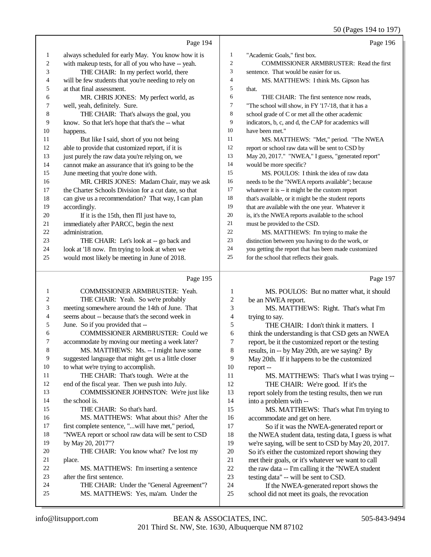50 (Pages 194 to 197)

|    | Page 194                                             |                | Page 196                                             |
|----|------------------------------------------------------|----------------|------------------------------------------------------|
| 1  | always scheduled for early May. You know how it is   | 1              | "Academic Goals," first box.                         |
| 2  | with makeup tests, for all of you who have -- yeah.  | $\overline{2}$ | <b>COMMISSIONER ARMBRUSTER: Read the first</b>       |
| 3  | THE CHAIR: In my perfect world, there                | 3              | sentence. That would be easier for us.               |
| 4  | will be few students that you're needing to rely on  | 4              | MS. MATTHEWS: I think Ms. Gipson has                 |
| 5  | at that final assessment.                            | 5              | that.                                                |
| 6  | MR. CHRIS JONES: My perfect world, as                | 6              | THE CHAIR: The first sentence now reads,             |
| 7  | well, yeah, definitely. Sure.                        | 7              | "The school will show, in FY '17-'18, that it has a  |
| 8  | THE CHAIR: That's always the goal, you               | 8              | school grade of C or met all the other academic      |
| 9  | know. So that let's hope that that's the -- what     | 9              | indicators, b, c, and d, the CAP for academics will  |
| 10 | happens.                                             | 10             | have been met."                                      |
| 11 | But like I said, short of you not being              | 11             | MS. MATTHEWS: "Met," period. "The NWEA               |
| 12 | able to provide that customized report, if it is     | 12             | report or school raw data will be sent to CSD by     |
| 13 | just purely the raw data you're relying on, we       | 13             | May 20, 2017." "NWEA," I guess, "generated report"   |
| 14 | cannot make an assurance that it's going to be the   | 14             | would be more specific?                              |
| 15 | June meeting that you're done with.                  | 15             | MS. POULOS: I think the idea of raw data             |
| 16 | MR. CHRIS JONES: Madam Chair, may we ask             | 16             | needs to be the "NWEA reports available"; because    |
| 17 | the Charter Schools Division for a cut date, so that | 17             | whatever it is -- it might be the custom report      |
| 18 | can give us a recommendation? That way, I can plan   | 18             | that's available, or it might be the student reports |
| 19 | accordingly.                                         | 19             | that are available with the one year. Whatever it    |
| 20 | If it is the 15th, then I'll just have to,           | 20             | is, it's the NWEA reports available to the school    |
| 21 | immediately after PARCC, begin the next              | 21             | must be provided to the CSD.                         |
| 22 | administration.                                      | 22             | MS. MATTHEWS: I'm trying to make the                 |
| 23 | THE CHAIR: Let's look at -- go back and              | 23             | distinction between you having to do the work, or    |
| 24 | look at '18 now. I'm trying to look at when we       | 24             | you getting the report that has been made customized |
| 25 | would most likely be meeting in June of 2018.        | 25             | for the school that reflects their goals.            |
|    | Page 195                                             |                | Page 197                                             |
|    | $G(1,0)$ $H(0,0)$ $H(0,1)$ $H(1,0)$ $H(0,0)$         |                |                                                      |

| $\mathbf{1}$   | <b>COMMISSIONER ARMBRUSTER: Yeah.</b>                | 1              | MS. POULOS: But no matter what, it should            |
|----------------|------------------------------------------------------|----------------|------------------------------------------------------|
| 2              | THE CHAIR: Yeah. So we're probably                   | 2              | be an NWEA report.                                   |
| 3              | meeting somewhere around the 14th of June. That      | 3              | MS. MATTHEWS: Right. That's what I'm                 |
| $\overline{4}$ | seems about -- because that's the second week in     | 4              | trying to say.                                       |
| 5              | June. So if you provided that --                     | 5              | THE CHAIR: I don't think it matters. I               |
| 6              | <b>COMMISSIONER ARMBRUSTER: Could we</b>             | 6              | think the understanding is that CSD gets an NWEA     |
| 7              | accommodate by moving our meeting a week later?      | $\overline{7}$ | report, be it the customized report or the testing   |
| 8              | MS. MATTHEWS: Ms. -- I might have some               | 8              | results, in -- by May 20th, are we saying? By        |
| 9              | suggested language that might get us a little closer | 9              | May 20th. If it happens to be the customized         |
| 10             | to what we're trying to accomplish.                  | 10             | report-                                              |
| 11             | THE CHAIR: That's tough. We're at the                | 11             | MS. MATTHEWS: That's what I was trying --            |
| 12             | end of the fiscal year. Then we push into July.      | 12             | THE CHAIR: We're good. If it's the                   |
| 13             | COMMISSIONER JOHNSTON: We're just like               | 13             | report solely from the testing results, then we run  |
| 14             | the school is.                                       | 14             | into a problem with --                               |
| 15             | THE CHAIR: So that's hard.                           | 15             | MS. MATTHEWS: That's what I'm trying to              |
| 16             | MS. MATTHEWS: What about this? After the             | 16             | accommodate and get on here.                         |
| 17             | first complete sentence, "will have met," period,    | 17             | So if it was the NWEA-generated report or            |
| 18             | "NWEA report or school raw data will be sent to CSD  | 18             | the NWEA student data, testing data, I guess is what |
| 19             | by May 20, 2017"?                                    | 19             | we're saying, will be sent to CSD by May 20, 2017.   |
| 20             | THE CHAIR: You know what? I've lost my               | 20             | So it's either the customized report showing they    |
| 21             | place.                                               | 21             | met their goals, or it's whatever we want to call    |
| 22             | MS. MATTHEWS: I'm inserting a sentence               | 22             | the raw data -- I'm calling it the "NWEA student"    |
| 23             | after the first sentence.                            | 23             | testing data" -- will be sent to CSD.                |
| 24             | THE CHAIR: Under the "General Agreement"?            | 24             | If the NWEA-generated report shows the               |
| 25             | MS. MATTHEWS: Yes, ma'am. Under the                  | 25             | school did not meet its goals, the revocation        |
|                |                                                      |                |                                                      |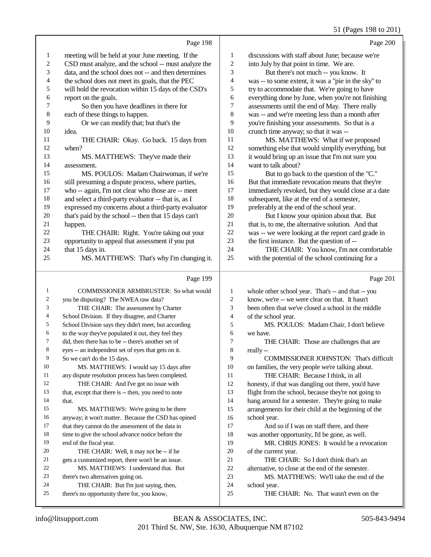## 51 (Pages 198 to 201)

|                         | Page 198                                                                             |                         | Page 200                                                                                     |
|-------------------------|--------------------------------------------------------------------------------------|-------------------------|----------------------------------------------------------------------------------------------|
| 1                       | meeting will be held at your June meeting. If the                                    | $\mathbf{1}$            | discussions with staff about June; because we're                                             |
| $\overline{\mathbf{c}}$ | CSD must analyze, and the school -- must analyze the                                 | $\overline{\mathbf{c}}$ | into July by that point in time. We are.                                                     |
| 3                       | data, and the school does not -- and then determines                                 | 3                       | But there's not much -- you know. It                                                         |
| 4                       | the school does not meet its goals, that the PEC                                     | 4                       | was -- to some extent, it was a "pie in the sky" to                                          |
| 5                       | will hold the revocation within 15 days of the CSD's                                 | 5                       | try to accommodate that. We're going to have                                                 |
| 6                       | report on the goals.                                                                 | 6                       | everything done by June, when you're not finishing                                           |
| 7                       | So then you have deadlines in there for                                              | 7                       | assessments until the end of May. There really                                               |
| $\bf 8$                 | each of these things to happen.                                                      | 8                       | was -- and we're meeting less than a month after                                             |
| 9                       | Or we can modify that; but that's the                                                | 9                       | you're finishing your assessments. So that is a                                              |
| 10                      | idea.                                                                                | 10                      | crunch time anyway; so that it was --                                                        |
| 11                      | THE CHAIR: Okay. Go back. 15 days from                                               | 11                      | MS. MATTHEWS: What if we proposed                                                            |
| 12                      | when?                                                                                | 12                      | something else that would simplify everything, but                                           |
| 13                      | MS. MATTHEWS: They've made their                                                     | 13                      | it would bring up an issue that I'm not sure you                                             |
| 14                      | assessment.                                                                          | 14                      | want to talk about?                                                                          |
| 15                      | MS. POULOS: Madam Chairwoman, if we're                                               | 15                      | But to go back to the question of the "C."                                                   |
| 16                      | still presuming a dispute process, where parties,                                    | 16                      | But that immediate revocation means that they're                                             |
| 17                      | who -- again, I'm not clear who those are -- meet                                    | 17                      | immediately revoked, but they would close at a date                                          |
| 18                      | and select a third-party evaluator -- that is, as I                                  | 18                      | subsequent, like at the end of a semester,                                                   |
| 19                      | expressed my concerns about a third-party evaluator                                  | 19                      | preferably at the end of the school year.                                                    |
| 20                      | that's paid by the school -- then that 15 days can't                                 | 20                      | But I know your opinion about that. But                                                      |
| 21                      | happen.                                                                              | $21\,$                  | that is, to me, the alternative solution. And that                                           |
| $22\,$                  | THE CHAIR: Right. You're taking out your                                             | 22                      | was -- we were looking at the report card grade in                                           |
| 23                      | opportunity to appeal that assessment if you put                                     | 23                      | the first instance. But the question of --                                                   |
| 24                      | that 15 days in.                                                                     | 24                      | THE CHAIR: You know, I'm not comfortable                                                     |
| 25                      | MS. MATTHEWS: That's why I'm changing it.                                            | 25                      | with the potential of the school continuing for a                                            |
|                         |                                                                                      |                         |                                                                                              |
|                         | Page 199                                                                             |                         | Page 201                                                                                     |
| $\mathbf{1}$            | COMMISSIONER ARMBRUSTER: So what would                                               | 1                       | whole other school year. That's -- and that -- you                                           |
| 2                       | you be disputing? The NWEA raw data?                                                 | $\boldsymbol{2}$        | know, we're -- we were clear on that. It hasn't                                              |
| 3                       | THE CHAIR: The assessment by Charter                                                 | 3                       | been often that we've closed a school in the middle                                          |
| 4                       | School Division. If they disagree, and Charter                                       | 4                       | of the school year.                                                                          |
| 5                       | School Division says they didn't meet, but according                                 | 5                       | MS. POULOS: Madam Chair, I don't believe                                                     |
| 6                       | to the way they've populated it out, they feel they                                  | 6                       | we have.                                                                                     |
| 7                       | did, then there has to be -- there's another set of                                  | 7                       | THE CHAIR: Those are challenges that are                                                     |
| 8                       | eyes -- an independent set of eyes that gets on it.                                  | 8                       | really --                                                                                    |
| 9                       | So we can't do the 15 days.                                                          | 9                       | COMMISSIONER JOHNSTON: That's difficult                                                      |
| 10                      | MS. MATTHEWS: I would say 15 days after                                              | 10                      | on families, the very people we're talking about.                                            |
| 11                      | any dispute resolution process has been completed.                                   | 11                      | THE CHAIR: Because I think, in all                                                           |
| 12                      | THE CHAIR: And I've got no issue with                                                | 12                      | honesty, if that was dangling out there, you'd have                                          |
| 13                      | that, except that there is -- then, you need to note                                 | 13                      | flight from the school, because they're not going to                                         |
| 14                      | that.                                                                                | 14                      | hang around for a semester. They're going to make                                            |
| 15                      | MS. MATTHEWS: We're going to be there                                                | 15                      | arrangements for their child at the beginning of the                                         |
| 16                      | anyway; it won't matter. Because the CSD has opined                                  | 16                      | school year.                                                                                 |
| 17                      | that they cannot do the assessment of the data in                                    | 17                      | And so if I was on staff there, and there                                                    |
| 18                      | time to give the school advance notice before the                                    | 18                      | was another opportunity, I'd be gone, as well.                                               |
| 19                      | end of the fiscal year.                                                              | 19                      | MR. CHRIS JONES: It would be a revocation                                                    |
| 20<br>21                | THE CHAIR: Well, it may not be -- if he                                              | 20                      | of the current year.                                                                         |
| 22                      | gets a customized report, there won't be an issue.                                   | 21<br>22                | THE CHAIR: So I don't think that's an                                                        |
| 23                      | MS. MATTHEWS: I understand that. But                                                 | 23                      | alternative, to close at the end of the semester.<br>MS. MATTHEWS: We'll take the end of the |
| 24                      | there's two alternatives going on.                                                   | 24                      |                                                                                              |
| 25                      | THE CHAIR: But I'm just saying, then,<br>there's no opportunity there for, you know, | 25                      | school year.<br>THE CHAIR: No. That wasn't even on the                                       |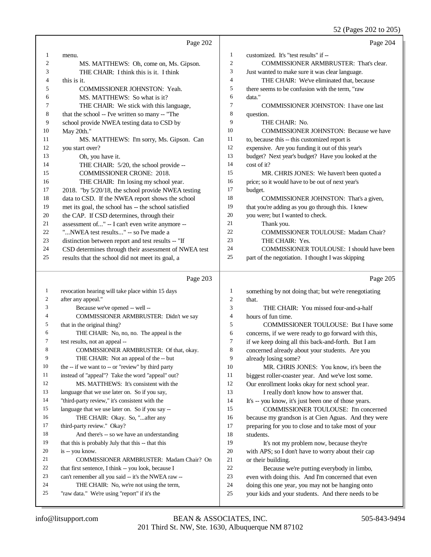52 (Pages 202 to 205)

|              | Page 202                                                                                        |                | Page 204                                                                                              |
|--------------|-------------------------------------------------------------------------------------------------|----------------|-------------------------------------------------------------------------------------------------------|
| 1            | menu.                                                                                           | 1              | customized. It's "test results" if --                                                                 |
| 2            | MS. MATTHEWS: Oh, come on, Ms. Gipson.                                                          | $\overline{c}$ | COMMISSIONER ARMBRUSTER: That's clear.                                                                |
| 3            | THE CHAIR: I think this is it. I think                                                          | 3              | Just wanted to make sure it was clear language.                                                       |
| 4            | this is it.                                                                                     | 4              | THE CHAIR: We've eliminated that, because                                                             |
| 5            | COMMISSIONER JOHNSTON: Yeah.                                                                    | 5              | there seems to be confusion with the term, "raw                                                       |
| 6            | MS. MATTHEWS: So what is it?                                                                    | 6              | data."                                                                                                |
| 7            | THE CHAIR: We stick with this language,                                                         | 7              | <b>COMMISSIONER JOHNSTON: I have one last</b>                                                         |
| 8            | that the school -- I've written so many -- "The                                                 | 8              | question.                                                                                             |
| 9            | school provide NWEA testing data to CSD by                                                      | 9              | THE CHAIR: No.                                                                                        |
| 10           | May 20th."                                                                                      | 10             | <b>COMMISSIONER JOHNSTON: Because we have</b>                                                         |
| 11           | MS. MATTHEWS: I'm sorry, Ms. Gipson. Can                                                        | 11             | to, because this -- this customized report is                                                         |
| 12           | you start over?                                                                                 | 12             | expensive. Are you funding it out of this year's                                                      |
| 13           | Oh, you have it.                                                                                | 13             | budget? Next year's budget? Have you looked at the                                                    |
| 14           | THE CHAIR: 5/20, the school provide --                                                          | 14             | cost of it?                                                                                           |
| 15           | <b>COMMISSIONER CRONE: 2018.</b>                                                                | 15             | MR. CHRIS JONES: We haven't been quoted a                                                             |
| 16           | THE CHAIR: I'm losing my school year.                                                           | 16             | price; so it would have to be out of next year's                                                      |
| 17           | 2018. "by 5/20/18, the school provide NWEA testing                                              | 17             | budget.                                                                                               |
| 18           | data to CSD. If the NWEA report shows the school                                                | 18             | COMMISSIONER JOHNSTON: That's a given,                                                                |
| 19           | met its goal, the school has -- the school satisfied                                            | 19             | that you're adding as you go through this. I knew                                                     |
| 20           | the CAP. If CSD determines, through their                                                       | $20\,$         | you were; but I wanted to check.                                                                      |
| 21           | assessment of" -- I can't even write anymore --                                                 | 21             | Thank you.                                                                                            |
| 22           | "NWEA test results" -- so I've made a                                                           | 22             | COMMISSIONER TOULOUSE: Madam Chair?                                                                   |
| 23           | distinction between report and test results -- "If                                              | 23             | THE CHAIR: Yes.                                                                                       |
| 24           | CSD determines through their assessment of NWEA test                                            | 24             | COMMISSIONER TOULOUSE: I should have been                                                             |
| 25           | results that the school did not meet its goal, a                                                | 25             | part of the negotiation. I thought I was skipping                                                     |
|              | Page 203                                                                                        |                | Page 205                                                                                              |
| $\mathbf{1}$ | revocation hearing will take place within 15 days                                               | 1              | something by not doing that; but we're renegotiating                                                  |
| 2            | after any appeal."                                                                              | $\overline{c}$ | that.                                                                                                 |
| 3            | Because we've opened -- well --                                                                 | 3              | THE CHAIR: You missed four-and-a-half                                                                 |
| 4            | COMMISSIONER ARMBRUSTER: Didn't we say                                                          | $\overline{4}$ | hours of fun time.                                                                                    |
| 5            | that in the original thing?                                                                     | 5              | <b>COMMISSIONER TOULOUSE:</b> But I have some                                                         |
| 6            | THE CHAIR: No, no, no. The appeal is the                                                        | 6              | concerns, if we were ready to go forward with this,                                                   |
| 7            | test results, not an appeal --                                                                  | 7              | if we keep doing all this back-and-forth. But I am                                                    |
| 8            | COMMISSIONER ARMBRUSTER: Of that, okay.                                                         | 8              | concerned already about your students. Are you                                                        |
| 9            | THE CHAIR: Not an appeal of the -- but                                                          | 9              | already losing some?                                                                                  |
| 10           | the -- if we want to -- or "review" by third party                                              | 10             | MR. CHRIS JONES: You know, it's been the                                                              |
| 11           | instead of "appeal"? Take the word "appeal" out?                                                | 11             | biggest roller-coaster year. And we've lost some.                                                     |
| 12           | MS. MATTHEWS: It's consistent with the                                                          | 12             | Our enrollment looks okay for next school year.                                                       |
| 13           | language that we use later on. So if you say,                                                   | 13             | I really don't know how to answer that.                                                               |
| 14           | "third-party review," it's consistent with the                                                  | 14             | It's -- you know, it's just been one of those years.                                                  |
| 15           | language that we use later on. So if you say --                                                 | 15             | COMMISSIONER TOULOUSE: I'm concerned                                                                  |
| 16           | THE CHAIR: Okay. So, " after any                                                                | 16             | because my grandson is at Cien Aguas. And they were                                                   |
| 17           | third-party review." Okay?                                                                      | 17             | preparing for you to close and to take most of your                                                   |
| 18           | And there's -- so we have an understanding                                                      | 18             | students.                                                                                             |
| 19           | that this is probably July that this -- that this                                               | 19             | It's not my problem now, because they're                                                              |
| 20           | is -- you know.                                                                                 | 20             | with APS; so I don't have to worry about their cap                                                    |
| 21           | COMMISSIONER ARMBRUSTER: Madam Chair? On                                                        | 21             | or their building.                                                                                    |
| 22           | that first sentence, I think -- you look, because I                                             | $22\,$         | Because we're putting everybody in limbo,                                                             |
| 23<br>24     | can't remember all you said -- it's the NWEA raw --<br>THE CHAIR: No, we're not using the term, | 23<br>24       | even with doing this. And I'm concerned that even<br>doing this one year, you may not be hanging onto |
|              |                                                                                                 |                |                                                                                                       |
| 25           | "raw data." We're using "report" if it's the                                                    | $25\,$         | your kids and your students. And there needs to be                                                    |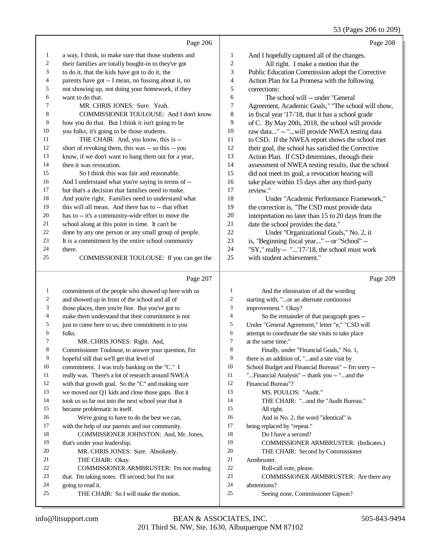53 (Pages 206 to 209)

|                | Page 206                                                              |                          | Page 208                                               |
|----------------|-----------------------------------------------------------------------|--------------------------|--------------------------------------------------------|
| 1              | a way, I think, to make sure that those students and                  | 1                        | And I hopefully captured all of the changes.           |
| 2              | their families are totally bought-in to they've got                   | $\sqrt{2}$               | All right. I make a motion that the                    |
| 3              | to do it, that the kids have got to do it, the                        | 3                        | Public Education Commission adopt the Corrective       |
| 4              | parents have got -- I mean, no fussing about it, no                   | $\overline{4}$           | Action Plan for La Promesa with the following          |
| 5              | not showing up, not doing your homework, if they                      | 5                        | corrections:                                           |
| 6              | want to do that.                                                      | 6                        | The school will -- under "General                      |
| 7              | MR. CHRIS JONES: Sure. Yeah.                                          | $\tau$                   | Agreement, Academic Goals," "The school will show,     |
| 8              | COMMISSIONER TOULOUSE: And I don't know                               | 8                        | in fiscal year '17-'18, that it has a school grade     |
| 9              | how you do that. But I think it isn't going to be                     | 9                        | of C. By May 20th, 2018, the school will provide       |
| 10             | you folks; it's going to be those students.                           | 10                       | raw data" -- "will provide NWEA testing data           |
| 11             | THE CHAIR: And, you know, this is --                                  | 11                       | to CSD. If the NWEA report shows the school met        |
| 12             | short of revoking them, this was -- so this -- you                    | 12                       | their goal, the school has satisfied the Corrective    |
| 13             | know, if we don't want to hang them out for a year,                   | 13                       | Action Plan. If CSD determines, through their          |
| 14             | then it was revocation.                                               | 14                       | assessment of NWEA testing results, that the school    |
| 15             | So I think this was fair and reasonable.                              | 15                       | did not meet its goal, a revocation hearing will       |
| 16             | And I understand what you're saying in terms of --                    | 16                       | take place within 15 days after any third-party        |
| 17             | but that's a decision that families need to make.                     | 17                       | review."                                               |
| 18             | And you're right. Families need to understand what                    | 18                       | Under "Academic Performance Framework,"                |
| 19             | this will all mean. And there has to -- that effort                   | 19                       | the correction is, "The CSD must provide data          |
| 20             | has to -- it's a community-wide effort to move the                    | 20                       | interpretation no later than 15 to 20 days from the    |
| 21             | school along at this point in time. It can't be                       | 21                       | date the school provides the data."                    |
| 22             | done by any one person or any small group of people.                  | 22                       | Under "Organizational Goals," No. 2, it                |
| 23             | It is a commitment by the entire school community                     | 23                       | is, "Beginning fiscal year" -- or "School" --          |
| 24             | there.                                                                | 24                       | "SY," really -- "'17-'18, the school must work         |
| 25             | COMMISSIONER TOULOUSE: If you can get the                             | 25                       | with student achievement."                             |
|                | Page 207                                                              |                          |                                                        |
|                |                                                                       |                          | Page 209                                               |
| $\mathbf{1}$   | commitment of the people who showed up here with us                   | $\mathbf{1}$             | And the elimination of all the wording                 |
| $\overline{c}$ | and showed up in front of the school and all of                       | 2                        | starting with, "or an alternate continuous             |
| 3              | those places, then you're fine. But you've got to                     | 3                        | improvement." Okay?                                    |
| 4              | make them understand that their commitment is not                     | $\overline{\mathcal{L}}$ | So the remainder of that paragraph goes --             |
| 5              | just to come here to us; their commitment is to you                   | 5                        | Under "General Agreement," letter "e," "CSD will       |
| 6              | folks.                                                                | $\epsilon$               | attempt to coordinate the site visits to take place    |
| 7              | MR. CHRIS JONES: Right. And,                                          | $\tau$                   | at the same time."                                     |
| 8              | Commissioner Toulouse, to answer your question, I'm                   | 8                        | Finally, under "Financial Goals," No. 1,               |
| 9              | hopeful still that we'll get that level of                            | 9                        | there is an addition of, "and a site visit by          |
| 10             | commitment. I was truly banking on the "C." I                         | 10                       | School Budget and Financial Bureaus" -- I'm sorry --   |
| 11             | really was. There's a lot of research around NWEA                     | 11                       | "Financial Analysis" -- thank you -- "and the          |
| 12             | with that growth goal. So the "C" and making sure                     | 12                       | Financial Bureau"?                                     |
| 13             | we moved our Q1 kids and close those gaps. But it                     | 13                       | MS. POULOS: "Audit."                                   |
| 14             | took us so far out into the next school year that it                  | 14                       | THE CHAIR: "and the "Audit Bureau."                    |
| 15             | became problematic in itself.                                         | 15                       | All right.                                             |
| 16             | We're going to have to do the best we can,                            | 16                       | And in No. 2, the word "identical" is                  |
| 17             | with the help of our parents and our community.                       | 17                       | being replaced by "repeat."                            |
| 18             | COMMISSIONER JOHNSTON: And, Mr. Jones,                                | 18                       | Do I have a second?                                    |
| 19             | that's under your leadership.                                         | 19                       | COMMISSIONER ARMBRUSTER: (Indicates.)                  |
| 20             | MR. CHRIS JONES: Sure. Absolutely.                                    | 20                       | THE CHAIR: Second by Commissioner                      |
| 21<br>22       | THE CHAIR: Okay.                                                      | 21<br>22                 | Armbruster.                                            |
| 23             | COMMISSIONER ARMBRUSTER: I'm not reading                              | 23                       | Roll-call vote, please.                                |
| 24             | that. I'm taking notes. I'll second; but I'm not<br>going to read it. | 24                       | COMMISSIONER ARMBRUSTER: Are there any<br>abstentions? |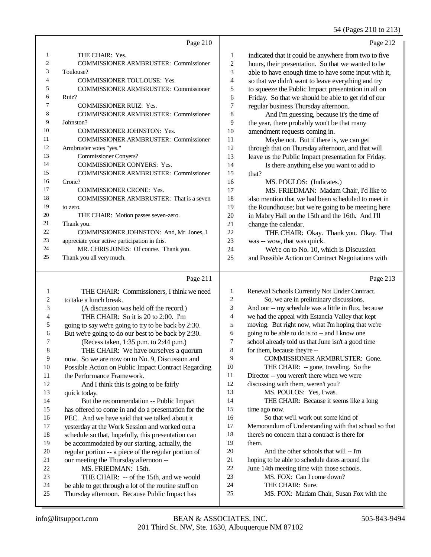## 54 (Pages 210 to 213)

 $\overline{2}$ 

|    | Page 210                                      |    | Page 21.                                             |
|----|-----------------------------------------------|----|------------------------------------------------------|
|    | THE CHAIR: Yes.                               | 1  | indicated that it could be anywhere from two to five |
| 2  | <b>COMMISSIONER ARMBRUSTER: Commissioner</b>  | 2  | hours, their presentation. So that we wanted to be   |
| 3  | Toulouse?                                     | 3  | able to have enough time to have some input with it, |
| 4  | <b>COMMISSIONER TOULOUSE: Yes.</b>            | 4  | so that we didn't want to leave everything and try   |
| 5  | <b>COMMISSIONER ARMBRUSTER: Commissioner</b>  | 5  | to squeeze the Public Impact presentation in all on  |
| 6  | Ruiz?                                         | 6  | Friday. So that we should be able to get rid of our  |
| 7  | <b>COMMISSIONER RUIZ: Yes.</b>                | 7  | regular business Thursday afternoon.                 |
| 8  | <b>COMMISSIONER ARMBRUSTER: Commissioner</b>  | 8  | And I'm guessing, because it's the time of           |
| 9  | Johnston?                                     | 9  | the year, there probably won't be that many          |
| 10 | <b>COMMISSIONER JOHNSTON: Yes.</b>            | 10 | amendment requests coming in.                        |
| 11 | <b>COMMISSIONER ARMBRUSTER: Commissioner</b>  | 11 | Maybe not. But if there is, we can get               |
| 12 | Armbruster votes "yes."                       | 12 | through that on Thursday afternoon, and that will    |
| 13 | <b>Commissioner Convers?</b>                  | 13 | leave us the Public Impact presentation for Friday.  |
| 14 | <b>COMMISSIONER CONYERS: Yes.</b>             | 14 | Is there anything else you want to add to            |
| 15 | <b>COMMISSIONER ARMBRUSTER: Commissioner</b>  | 15 | that?                                                |
| 16 | Crone?                                        | 16 | MS. POULOS: (Indicates.)                             |
| 17 | <b>COMMISSIONER CRONE: Yes.</b>               | 17 | MS. FRIEDMAN: Madam Chair, I'd like to               |
| 18 | COMMISSIONER ARMBRUSTER: That is a seven      | 18 | also mention that we had been scheduled to meet in   |
| 19 | to zero.                                      | 19 | the Roundhouse; but we're going to be meeting here   |
| 20 | THE CHAIR: Motion passes seven-zero.          | 20 | in Mabry Hall on the 15th and the 16th. And I'll     |
| 21 | Thank you.                                    | 21 | change the calendar.                                 |
| 22 | COMMISSIONER JOHNSTON: And, Mr. Jones, I      | 22 | THE CHAIR: Okay. Thank you. Okay. That               |
| 23 | appreciate your active participation in this. | 23 | was -- wow, that was quick.                          |
| 24 | MR. CHRIS JONES: Of course. Thank you.        | 24 | We're on to No. 10, which is Discussion              |
| 25 | Thank you all very much.                      | 25 | and Possible Action on Contract Negotiations with    |
|    |                                               |    |                                                      |

## $P<sub>2000</sub> 211$

|    | Page 211                                             |                | Page 213                                             |
|----|------------------------------------------------------|----------------|------------------------------------------------------|
| 1  | THE CHAIR: Commissioners, I think we need            | 1              | Renewal Schools Currently Not Under Contract.        |
| 2  | to take a lunch break.                               | $\overline{2}$ | So, we are in preliminary discussions.               |
| 3  | (A discussion was held off the record.)              | 3              | And our -- my schedule was a little in flux, because |
| 4  | THE CHAIR: So it is 20 to 2:00. I'm                  | $\overline{4}$ | we had the appeal with Estancia Valley that kept     |
| 5  | going to say we're going to try to be back by 2:30.  | 5              | moving. But right now, what I'm hoping that we're    |
| 6  | But we're going to do our best to be back by 2:30.   | 6              | going to be able to do is to -- and I know one       |
| 7  | (Recess taken, 1:35 p.m. to 2:44 p.m.)               | 7              | school already told us that June isn't a good time   |
| 8  | THE CHAIR: We have ourselves a quorum                | 8              | for them, because they're --                         |
| 9  | now. So we are now on to No. 9, Discussion and       | 9              | <b>COMMISSIONER ARMBRUSTER: Gone.</b>                |
| 10 | Possible Action on Public Impact Contract Regarding  | 10             | THE CHAIR: -- gone, traveling. So the                |
| 11 | the Performance Framework.                           | 11             | Director -- you weren't there when we were           |
| 12 | And I think this is going to be fairly               | 12             | discussing with them, weren't you?                   |
| 13 | quick today.                                         | 13             | MS. POULOS: Yes, I was.                              |
| 14 | But the recommendation -- Public Impact              | 14             | THE CHAIR: Because it seems like a long              |
| 15 | has offered to come in and do a presentation for the | 15             | time ago now.                                        |
| 16 | PEC. And we have said that we talked about it        | 16             | So that we'll work out some kind of                  |
| 17 | yesterday at the Work Session and worked out a       | 17             | Memorandum of Understanding with that school so that |
| 18 | schedule so that, hopefully, this presentation can   | 18             | there's no concern that a contract is there for      |
| 19 | be accommodated by our starting, actually, the       | 19             | them.                                                |
| 20 | regular portion -- a piece of the regular portion of | 20             | And the other schools that will -- I'm               |
| 21 | our meeting the Thursday afternoon --                | 21             | hoping to be able to schedule dates around the       |
| 22 | MS. FRIEDMAN: 15th.                                  | 22             | June 14th meeting time with those schools.           |
| 23 | THE CHAIR: -- of the 15th, and we would              | 23             | MS. FOX: Can I come down?                            |
| 24 | be able to get through a lot of the routine stuff on | 24             | THE CHAIR: Sure.                                     |
| 25 | Thursday afternoon. Because Public Impact has        | 25             | MS. FOX: Madam Chair, Susan Fox with the             |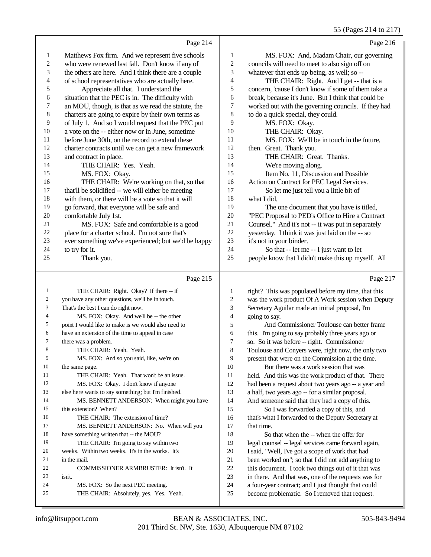|                  |                                                                             |                          | 55 (Pages 214 to 217)                                |
|------------------|-----------------------------------------------------------------------------|--------------------------|------------------------------------------------------|
|                  | Page 214                                                                    |                          | Page 216                                             |
| $\mathbf{1}$     | Matthews Fox firm. And we represent five schools                            | 1                        | MS. FOX: And, Madam Chair, our governing             |
| $\boldsymbol{2}$ | who were renewed last fall. Don't know if any of                            | $\overline{\mathbf{c}}$  | councils will need to meet to also sign off on       |
| 3                | the others are here. And I think there are a couple                         | 3                        | whatever that ends up being, as well; so --          |
| 4                | of school representatives who are actually here.                            | $\overline{\mathcal{L}}$ | THE CHAIR: Right. And I get -- that is a             |
| 5                | Appreciate all that. I understand the                                       | 5                        | concern, 'cause I don't know if some of them take a  |
| 6                | situation that the PEC is in. The difficulty with                           | 6                        | break, because it's June. But I think that could be  |
| 7                | an MOU, though, is that as we read the statute, the                         | 7                        | worked out with the governing councils. If they had  |
| $\,8\,$          | charters are going to expire by their own terms as                          | 8                        | to do a quick special, they could.                   |
| 9                | of July 1. And so I would request that the PEC put                          | 9                        | MS. FOX: Okay.                                       |
| 10               | a vote on the -- either now or in June, sometime                            | 10                       | THE CHAIR: Okay.                                     |
| 11               | before June 30th, on the record to extend these                             | 11                       | MS. FOX: We'll be in touch in the future,            |
| 12               | charter contracts until we can get a new framework                          | 12                       | then. Great. Thank you.                              |
| 13               | and contract in place.                                                      | 13                       | THE CHAIR: Great. Thanks.                            |
| 14               | THE CHAIR: Yes. Yeah.                                                       | 14                       | We're moving along.                                  |
| 15               | MS. FOX: Okay.                                                              | 15                       | Item No. 11, Discussion and Possible                 |
| 16               | THE CHAIR: We're working on that, so that                                   | 16                       | Action on Contract for PEC Legal Services.           |
| 17               | that'll be solidified -- we will either be meeting                          | 17                       | So let me just tell you a little bit of              |
| 18               | with them, or there will be a vote so that it will                          | 18                       | what I did.                                          |
| 19               | go forward, that everyone will be safe and                                  | 19                       | The one document that you have is titled,            |
| $20\,$           | comfortable July 1st.                                                       | 20                       | "PEC Proposal to PED's Office to Hire a Contract     |
| 21               | MS. FOX: Safe and comfortable is a good                                     | 21                       | Counsel." And it's not -- it was put in separately   |
| $22\,$           | place for a charter school. I'm not sure that's                             | 22                       | yesterday. I think it was just laid on the -- so     |
| 23               | ever something we've experienced; but we'd be happy                         | 23                       | it's not in your binder.                             |
| 24               | to try for it.                                                              | 24                       | So that -- let me -- I just want to let              |
| 25               | Thank you.                                                                  | 25                       | people know that I didn't make this up myself. All   |
|                  | Page 215                                                                    |                          | Page 217                                             |
| 1                | THE CHAIR: Right. Okay? If there -- if                                      | $\mathbf{1}$             | right? This was populated before my time, that this  |
| 2                | you have any other questions, we'll be in touch.                            | $\overline{c}$           | was the work product Of A Work session when Deputy   |
| 3                | That's the best I can do right now.                                         | 3                        | Secretary Aguilar made an initial proposal, I'm      |
| 4                | MS. FOX: Okay. And we'll be -- the other                                    | $\overline{4}$           | going to say.                                        |
| 5                | point I would like to make is we would also need to                         | 5                        | And Commissioner Toulouse can better frame           |
| 6                | have an extension of the time to appeal in case                             | 6                        | this. I'm going to say probably three years ago or   |
| 7                | there was a problem.                                                        | 7                        | so. So it was before -- right. Commissioner          |
| 8                | THE CHAIR: Yeah. Yeah.                                                      | 8                        | Toulouse and Conyers were, right now, the only two   |
| 9                | MS. FOX: And so you said, like, we're on                                    | 9                        | present that were on the Commission at the time.     |
| 10               | the same page.                                                              | 10                       | But there was a work session that was                |
| 11               | THE CHAIR: Yeah. That won't be an issue.                                    | 11                       | held. And this was the work product of that. There   |
| 12               | MS. FOX: Okay. I don't know if anyone                                       | 12                       | had been a request about two years ago -- a year and |
| 13               | else here wants to say something; but I'm finished.                         | 13                       | a half, two years ago -- for a similar proposal.     |
| 14               | MS. BENNETT ANDERSON: When might you have                                   | 14                       | And someone said that they had a copy of this.       |
| 15               | this extension? When?                                                       | 15                       | So I was forwarded a copy of this, and               |
| 16               | THE CHAIR: The extension of time?                                           | 16                       | that's what I forwarded to the Deputy Secretary at   |
| 17               | MS. BENNETT ANDERSON: No. When will you                                     | 17                       | that time.                                           |
| 18               | have something written that -- the MOU?                                     | 18                       | So that when the -- when the offer for               |
| 19               | THE CHAIR: I'm going to say within two                                      | 19                       | legal counsel -- legal services came forward again,  |
| 20               | weeks. Within two weeks. It's in the works. It's                            | 20                       | I said, "Well, I've got a scope of work that had     |
| 21               | in the mail.                                                                | 21                       | been worked on"; so that I did not add anything to   |
| 22               | COMMISSIONER ARMBRUSTER: It isn't. It                                       | 22                       | this document. I took two things out of it that was  |
|                  |                                                                             |                          |                                                      |
| 23               | isn't.                                                                      | 23                       | in there. And that was, one of the requests was for  |
| 24               | MS. FOX: So the next PEC meeting.<br>THE CHAIR: Absolutely, yes. Yes. Yeah. | 24<br>25                 | a four-year contract; and I just thought that could  |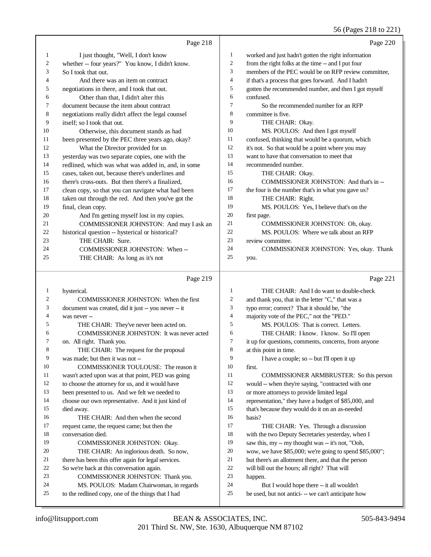## 56 (Pages 218 to 221)

|    | Page 218                                            |                | Page 220                                             |
|----|-----------------------------------------------------|----------------|------------------------------------------------------|
| 1  | I just thought, "Well, I don't know                 | 1              | worked and just hadn't gotten the right information  |
| 2  | whether -- four years?" You know, I didn't know.    | 2              | from the right folks at the time -- and I put four   |
| 3  | So I took that out.                                 | 3              | members of the PEC would be on RFP review committee, |
| 4  | And there was an item on contract                   | $\overline{4}$ | if that's a process that goes forward. And I hadn't  |
| 5  | negotiations in there, and I took that out.         | 5              | gotten the recommended number, and then I got myself |
| 6  | Other than that, I didn't alter this                | 6              | confused.                                            |
| 7  | document because the item about contract            | $\tau$         | So the recommended number for an RFP                 |
| 8  | negotiations really didn't affect the legal counsel | 8              | committee is five.                                   |
| 9  | itself; so I took that out.                         | 9              | THE CHAIR: Okay.                                     |
| 10 | Otherwise, this document stands as had              | 10             | MS. POULOS: And then I got myself                    |
| 11 | been presented by the PEC three years ago, okay?    | 11             | confused, thinking that would be a quorum, which     |
| 12 | What the Director provided for us                   | 12             | it's not. So that would be a point where you may     |
| 13 | yesterday was two separate copies, one with the     | 13             | want to have that conversation to meet that          |
| 14 | redlined, which was what was added in, and, in some | 14             | recommended number.                                  |
| 15 | cases, taken out, because there's underlines and    | 15             | THE CHAIR: Okay.                                     |
| 16 | there's cross-outs. But then there's a finalized,   | 16             | COMMISSIONER JOHNSTON: And that's in --              |
| 17 | clean copy, so that you can navigate what had been  | 17             | the four is the number that's in what you gave us?   |
| 18 | taken out through the red. And then you've got the  | 18             | THE CHAIR: Right.                                    |
| 19 | final, clean copy.                                  | 19             | MS. POULOS: Yes, I believe that's on the             |
| 20 | And I'm getting myself lost in my copies.           | 20             | first page.                                          |
| 21 | COMMISSIONER JOHNSTON: And may I ask an             | 21             | COMMISSIONER JOHNSTON: Oh, okay.                     |
| 22 | historical question -- hysterical or historical?    | 22             | MS. POULOS: Where we talk about an RFP               |
| 23 | THE CHAIR: Sure.                                    | 23             | review committee.                                    |
| 24 | COMMISSIONER JOHNSTON: When --                      | 24             | COMMISSIONER JOHNSTON: Yes, okay. Thank              |
| 25 | THE CHAIR: As long as it's not                      | 25             | you.                                                 |
|    | Page 219                                            |                | Page 221                                             |
| 1  | hysterical.                                         | 1              | THE CHAIR: And I do want to double-check             |
| 2  | <b>COMMISSIONER JOHNSTON:</b> When the first        | $\overline{c}$ | and thank you, that in the letter "C," that was a    |

|        |                                                      |    | $\frac{1}{2}$ thank $\frac{1}{2}$ or, that in the letter $\frac{1}{2}$ , that $\frac{1}{2}$ as |
|--------|------------------------------------------------------|----|------------------------------------------------------------------------------------------------|
| 3      | document was created, did it just -- you never -- it | 3  | typo error; correct? That it should be, "the                                                   |
| 4      | was never --                                         | 4  | majority vote of the PEC," not the "PED."                                                      |
| 5      | THE CHAIR: They've never been acted on.              | 5  | MS. POULOS: That is correct. Letters.                                                          |
| 6      | COMMISSIONER JOHNSTON: It was never acted            | 6  | THE CHAIR: I know. I know. So I'll open                                                        |
| $\tau$ | on. All right. Thank you.                            | 7  | it up for questions, comments, concerns, from anyone                                           |
| 8      | THE CHAIR: The request for the proposal              | 8  | at this point in time.                                                                         |
| 9      | was made; but then it was not --                     | 9  | I have a couple; so -- but I'll open it up                                                     |
| 10     | COMMISSIONER TOULOUSE: The reason it                 | 10 | first.                                                                                         |
| 11     | wasn't acted upon was at that point, PED was going   | 11 | COMMISSIONER ARMBRUSTER: So this person                                                        |
| 12     | to choose the attorney for us, and it would have     | 12 | would -- when they're saying, "contracted with one                                             |
| 13     | been presented to us. And we felt we needed to       | 13 | or more attorneys to provide limited legal                                                     |
| 14     | choose our own representative. And it just kind of   | 14 | representation," they have a budget of \$85,000, and                                           |
| 15     | died away.                                           | 15 | that's because they would do it on an as-needed                                                |
| 16     | THE CHAIR: And then when the second                  | 16 | basis?                                                                                         |
| 17     | request came, the request came; but then the         | 17 | THE CHAIR: Yes. Through a discussion                                                           |
| 18     | conversation died.                                   | 18 | with the two Deputy Secretaries yesterday, when I                                              |
| 19     | COMMISSIONER JOHNSTON: Okay.                         | 19 | saw this, my -- my thought was -- it's not, "Ooh,                                              |
| 20     | THE CHAIR: An inglorious death. So now,              | 20 | wow, we have \$85,000; we're going to spend \$85,000";                                         |
| 21     | there has been this offer again for legal services.  | 21 | but there's an allotment there, and that the person                                            |
| 22     | So we're back at this conversation again.            | 22 | will bill out the hours; all right? That will                                                  |
| 23     | COMMISSIONER JOHNSTON: Thank you.                    | 23 | happen.                                                                                        |
| 24     | MS. POULOS: Madam Chairwoman, in regards             | 24 | But I would hope there -- it all wouldn't                                                      |
| 25     | to the redlined copy, one of the things that I had   | 25 | be used, but not antici--- we can't anticipate how                                             |
|        |                                                      |    |                                                                                                |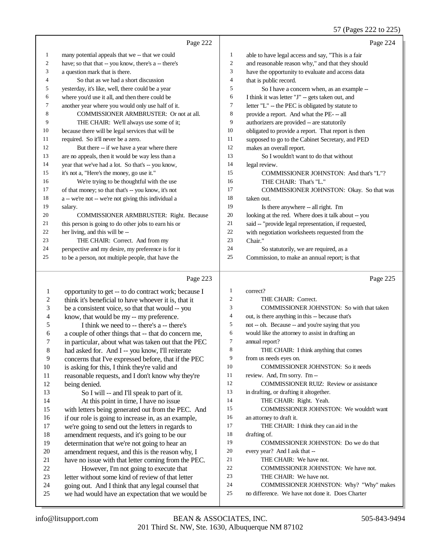## 57 (Pages 222 to 225)

|    | Page 222                                             |                | Page 224                                             |
|----|------------------------------------------------------|----------------|------------------------------------------------------|
| 1  | many potential appeals that we -- that we could      | $\mathbf{1}$   | able to have legal access and say, "This is a fair   |
| 2  | have; so that that -- you know, there's a -- there's | 2              | and reasonable reason why," and that they should     |
| 3  | a question mark that is there.                       | 3              | have the opportunity to evaluate and access data     |
| 4  | So that as we had a short discussion                 | $\overline{4}$ | that is public record.                               |
| 5  | yesterday, it's like, well, there could be a year    | 5              | So I have a concern when, as an example --           |
| 6  | where you'd use it all, and then there could be      | 6              | I think it was letter "J" - gets taken out, and      |
| 7  | another year where you would only use half of it.    | 7              | letter "L" -- the PEC is obligated by statute to     |
| 8  | COMMISSIONER ARMBRUSTER: Or not at all.              | 8              | provide a report. And what the PE--all               |
| 9  | THE CHAIR: We'll always use some of it;              | 9              | authorizers are provided -- are statutorily          |
| 10 | because there will be legal services that will be    | 10             | obligated to provide a report. That report is then   |
| 11 | required. So it'll never be a zero.                  | 11             | supposed to go to the Cabinet Secretary, and PED     |
| 12 | But there -- if we have a year where there           | 12             | makes an overall report.                             |
| 13 | are no appeals, then it would be way less than a     | 13             | So I wouldn't want to do that without                |
| 14 | year that we've had a lot. So that's -- you know,    | 14             | legal review.                                        |
| 15 | it's not a, "Here's the money, go use it."           | 15             | COMMISSIONER JOHNSTON: And that's "L"?               |
| 16 | We're trying to be thoughtful with the use           | 16             | THE CHAIR: That's "L."                               |
| 17 | of that money; so that that's -- you know, it's not  | 17             | COMMISSIONER JOHNSTON: Okay. So that was             |
| 18 | a -- we're not -- we're not giving this individual a | 18             | taken out.                                           |
| 19 | salary.                                              | 19             | Is there anywhere -- all right. I'm                  |
| 20 | COMMISSIONER ARMBRUSTER: Right. Because              | 20             | looking at the red. Where does it talk about -- you  |
| 21 | this person is going to do other jobs to earn his or | 21             | said -- "provide legal representation, if requested, |
| 22 | her living, and this will be --                      | 22             | with negotiation worksheets requested from the       |
| 23 | THE CHAIR: Correct. And from my                      | 23             | Chair."                                              |
| 24 | perspective and my desire, my preference is for it   | 24             | So statutorily, we are required, as a                |
| 25 | to be a person, not multiple people, that have the   | 25             | Commission, to make an annual report; is that        |

## $P_{\text{90e}}$  223

|    | Page 223                                             |                | Page 225                                         |
|----|------------------------------------------------------|----------------|--------------------------------------------------|
| 1  | opportunity to get -- to do contract work; because I | $\mathbf{1}$   | correct?                                         |
| 2  | think it's beneficial to have whoever it is, that it | 2              | THE CHAIR: Correct.                              |
| 3  | be a consistent voice, so that that would -- you     | 3              | <b>COMMISSIONER JOHNSTON:</b> So with that taken |
| 4  | know, that would be my -- my preference.             | $\overline{4}$ | out, is there anything in this -- because that's |
| 5  | I think we need to -- there's a -- there's           | 5              | not -- oh. Because -- and you're saying that you |
| 6  | a couple of other things that -- that do concern me, | 6              | would like the attorney to assist in drafting an |
| 7  | in particular, about what was taken out that the PEC | 7              | annual report?                                   |
| 8  | had asked for. And I -- you know, I'll reiterate     | 8              | THE CHAIR: I think anything that comes           |
| 9  | concerns that I've expressed before, that if the PEC | 9              | from us needs eyes on.                           |
| 10 | is asking for this, I think they're valid and        | 10             | <b>COMMISSIONER JOHNSTON:</b> So it needs        |
| 11 | reasonable requests, and I don't know why they're    | 11             | review. And, I'm sorry. I'm --                   |
| 12 | being denied.                                        | 12             | <b>COMMISSIONER RUIZ: Review or assistance</b>   |
| 13 | So I will -- and I'll speak to part of it.           | 13             | in drafting, or drafting it altogether.          |
| 14 | At this point in time, I have no issue               | 14             | THE CHAIR: Right. Yeah.                          |
| 15 | with letters being generated out from the PEC. And   | 15             | <b>COMMISSIONER JOHNSTON:</b> We wouldn't want   |
| 16 | if our role is going to increase in, as an example,  | 16             | an attorney to draft it.                         |
| 17 | we're going to send out the letters in regards to    | 17             | THE CHAIR: I think they can aid in the           |
| 18 | amendment requests, and it's going to be our         | 18             | drafting of.                                     |
| 19 | determination that we're not going to hear an        | 19             | COMMISSIONER JOHNSTON: Do we do that             |
| 20 | amendment request, and this is the reason why, I     | 20             | every year? And I ask that --                    |
| 21 | have no issue with that letter coming from the PEC.  | 21             | THE CHAIR: We have not.                          |
| 22 | However, I'm not going to execute that               | 22             | COMMISSIONER JOHNSTON: We have not.              |
| 23 | letter without some kind of review of that letter    | 23             | THE CHAIR: We have not.                          |
| 24 | going out. And I think that any legal counsel that   | 24             | COMMISSIONER JOHNSTON: Why? "Why" makes          |
| 25 | we had would have an expectation that we would be    | 25             | no difference. We have not done it. Does Charter |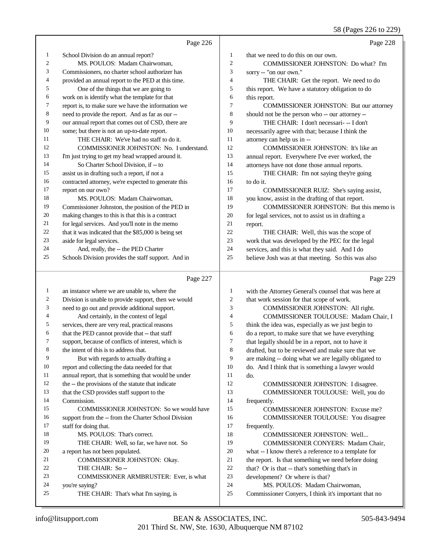#### 58 (Pages 226 to 229)

|                  | Page 226                                             |                | Page 228                                             |
|------------------|------------------------------------------------------|----------------|------------------------------------------------------|
| $\mathbf{1}$     | School Division do an annual report?                 | $\mathbf{1}$   | that we need to do this on our own.                  |
| $\overline{c}$   | MS. POULOS: Madam Chairwoman,                        | $\overline{c}$ | COMMISSIONER JOHNSTON: Do what? I'm                  |
| 3                | Commissioners, no charter school authorizer has      | 3              | sorry -- "on our own."                               |
| 4                | provided an annual report to the PED at this time.   | $\overline{4}$ | THE CHAIR: Get the report. We need to do             |
| 5                | One of the things that we are going to               | 5              | this report. We have a statutory obligation to do    |
| 6                | work on is identify what the template for that       | 6              | this report.                                         |
| 7                | report is, to make sure we have the information we   | 7              | COMMISSIONER JOHNSTON: But our attorney              |
| $\,$ 8 $\,$      | need to provide the report. And as far as our --     | 8              | should not be the person who -- our attorney --      |
| 9                | our annual report that comes out of CSD, there are   | 9              | THE CHAIR: I don't necessari- -- I don't             |
| 10               | some; but there is not an up-to-date report.         | 10             | necessarily agree with that; because I think the     |
| 11               | THE CHAIR: We've had no staff to do it.              | 11             | attorney can help us in --                           |
| 12               | COMMISSIONER JOHNSTON: No. I understand.             | 12             | COMMISSIONER JOHNSTON: It's like an                  |
| 13               | I'm just trying to get my head wrapped around it.    | 13             | annual report. Everywhere I've ever worked, the      |
| 14               | So Charter School Division, if -- to                 | 14             | attorneys have not done those annual reports.        |
| 15               | assist us in drafting such a report, if not a        | 15             | THE CHAIR: I'm not saying they're going              |
| 16               | contracted attorney, we're expected to generate this | 16             | to do it.                                            |
| 17               | report on our own?                                   | 17             | COMMISSIONER RUIZ: She's saying assist,              |
| 18               | MS. POULOS: Madam Chairwoman,                        | 18             | you know, assist in the drafting of that report.     |
| 19               | Commissioner Johnston, the position of the PED in    | 19             | COMMISSIONER JOHNSTON: But this memo is              |
| 20               | making changes to this is that this is a contract    | 20             | for legal services, not to assist us in drafting a   |
| 21               | for legal services. And you'll note in the memo      | 21             | report.                                              |
| 22               | that it was indicated that the \$85,000 is being set | 22             | THE CHAIR: Well, this was the scope of               |
| 23               | aside for legal services.                            | 23             | work that was developed by the PEC for the legal     |
| 24               | And, really, the -- the PED Charter                  | 24             | services, and this is what they said. And I do       |
| 25               | Schools Division provides the staff support. And in  | 25             | believe Josh was at that meeting. So this was also   |
|                  |                                                      |                |                                                      |
|                  | Page 227                                             |                | Page 229                                             |
| $\mathbf{1}$     | an instance where we are unable to, where the        | $\mathbf{1}$   | with the Attorney General's counsel that was here at |
| $\boldsymbol{2}$ | Division is unable to provide support, then we would | $\sqrt{2}$     | that work session for that scope of work.            |
| 3                | need to go out and provide additional support.       | 3              | COMMISSIONER JOHNSTON: All right.                    |
| 4                | And certainly, in the context of legal               | $\overline{4}$ | COMMISSIONER TOULOUSE: Madam Chair, I                |
| 5                | services, there are very real, practical reasons     | 5              | think the idea was, especially as we just begin to   |
| 6                | that the PED cannot provide that -- that staff       | 6              | do a report, to make sure that we have everything    |
| 7                | support, because of conflicts of interest, which is  | $\overline{7}$ | that legally should be in a report, not to have it   |
| 8                | the intent of this is to address that.               | $\,8\,$        | drafted, but to be reviewed and make sure that we    |
| 9                | But with regards to actually drafting a              | 9              | are making -- doing what we are legally obligated to |
| 10               | report and collecting the data needed for that       | 10             | do. And I think that is something a lawyer would     |

- annual report, that is something that would be under
- 12 the -- the provisions of the statute that indicate
- that the CSD provides staff support to the
- Commission. COMMISSIONER JOHNSTON: So we would have support from the -- from the Charter School Division staff for doing that. 18 MS. POULOS: That's correct. THE CHAIR: Well, so far, we have not. So a report has not been populated. COMMISSIONER JOHNSTON: Okay.
- 22 THE CHAIR: So --COMMISSIONER ARMBRUSTER: Ever, is what
- you're saying? THE CHAIR: That's what I'm saying, is
- do. COMMISSIONER JOHNSTON: I disagree. COMMISSIONER TOULOUSE: Well, you do
- frequently. COMMISSIONER JOHNSTON: Excuse me? COMMISSIONER TOULOUSE: You disagree frequently. COMMISSIONER JOHNSTON: Well... COMMISSIONER CONYERS: Madam Chair, what -- I know there's a reference to a template for 21 the report. Is that something we need before doing<br>  $22$  that? Or is that -- that's something that's in
- 22 that? Or is that -- that's something that's in<br>
23 development? Or where is that?
- development? Or where is that?
- 24 MS. POULOS: Madam Chairwoman,<br>25 Commissioner Convers I think it's important
- Commissioner Conyers, I think it's important that no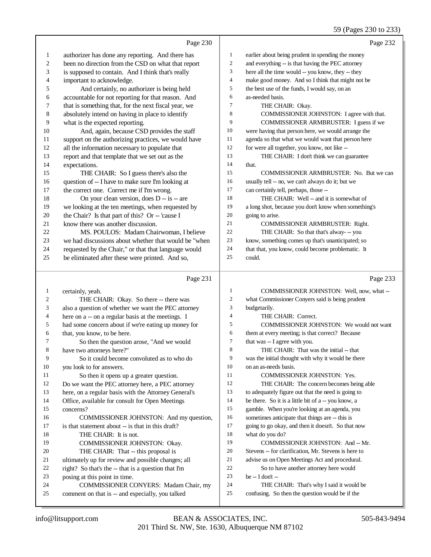### 59 (Pages 230 to 233)

|              |                                                                                           |                  | $39$ (Pages 230 to 233)                                                                     |
|--------------|-------------------------------------------------------------------------------------------|------------------|---------------------------------------------------------------------------------------------|
|              | Page 230                                                                                  |                  | Page 232                                                                                    |
| $\mathbf{1}$ | authorizer has done any reporting. And there has                                          | $\mathbf{1}$     | earlier about being prudent in spending the money                                           |
| 2            | been no direction from the CSD on what that report                                        | $\mathfrak{2}$   | and everything -- is that having the PEC attorney                                           |
| 3            | is supposed to contain. And I think that's really                                         | 3                | here all the time would -- you know, they -- they                                           |
| 4            | important to acknowledge.                                                                 | $\overline{4}$   | make good money. And so I think that might not be                                           |
| 5            | And certainly, no authorizer is being held                                                | 5                | the best use of the funds, I would say, on an                                               |
| 6            | accountable for not reporting for that reason. And                                        | 6                | as-needed basis.                                                                            |
| 7            | that is something that, for the next fiscal year, we                                      | 7                | THE CHAIR: Okay.                                                                            |
| $\,8\,$      | absolutely intend on having in place to identify                                          | 8                | COMMISSIONER JOHNSTON: I agree with that.                                                   |
| 9            | what is the expected reporting.                                                           | 9                | COMMISSIONER ARMBRUSTER: I guess if we                                                      |
| 10           | And, again, because CSD provides the staff                                                | 10               | were having that person here, we would arrange the                                          |
| 11           | support on the authorizing practices, we would have                                       | 11               | agenda so that what we would want that person here                                          |
| 12           | all the information necessary to populate that                                            | 12               | for were all together, you know, not like --                                                |
| 13           | report and that template that we set out as the                                           | 13               | THE CHAIR: I don't think we can guarantee                                                   |
| 14           | expectations.                                                                             | 14               | that.                                                                                       |
| 15           | THE CHAIR: So I guess there's also the                                                    | 15               | COMMISSIONER ARMBRUSTER: No. But we can                                                     |
| 16           | question of -- I have to make sure I'm looking at                                         | 16               | usually tell -- no, we can't always do it; but we                                           |
| 17           | the correct one. Correct me if I'm wrong.                                                 | 17               | can certainly tell, perhaps, those --                                                       |
| 18           | On your clean version, does $D - is - are$                                                | 18               | THE CHAIR: Well -- and it is somewhat of                                                    |
| 19           | we looking at the ten meetings, when requested by                                         | 19               | a long shot, because you don't know when something's                                        |
| 20           | the Chair? Is that part of this? Or -- 'cause I                                           | 20               | going to arise.                                                                             |
| 21           | know there was another discussion.                                                        | 21               | COMMISSIONER ARMBRUSTER: Right.                                                             |
| 22           | MS. POULOS: Madam Chairwoman, I believe                                                   | 22               | THE CHAIR: So that that's alway- -- you                                                     |
| 23           | we had discussions about whether that would be "when                                      | 23               | know, something comes up that's unanticipated; so                                           |
| 24           | requested by the Chair," or that that language would                                      | 24               | that that, you know, could become problematic. It                                           |
| 25           | be eliminated after these were printed. And so,                                           | 25               | could.                                                                                      |
|              |                                                                                           |                  |                                                                                             |
|              | Page 231                                                                                  |                  | Page 233                                                                                    |
|              |                                                                                           | $\mathbf{1}$     |                                                                                             |
| 1<br>2       | certainly, yeah.                                                                          | $\boldsymbol{2}$ | COMMISSIONER JOHNSTON: Well, now, what --                                                   |
| 3            | THE CHAIR: Okay. So there -- there was                                                    | 3                | what Commissioner Conyers said is being prudent                                             |
| 4            | also a question of whether we want the PEC attorney                                       | $\overline{4}$   | budgetarily.<br>THE CHAIR: Correct.                                                         |
| 5            | here on a -- on a regular basis at the meetings. I                                        | 5                | COMMISSIONER JOHNSTON: We would not want                                                    |
| 6            | had some concern about if we're eating up money for                                       | 6                | them at every meeting; is that correct? Because                                             |
| 7            | that, you know, to be here.<br>So then the question arose, "And we would                  | 7                | that was -- I agree with you.                                                               |
| 8            | have two attorneys here?"                                                                 | 8                | THE CHAIR: That was the initial -- that                                                     |
| 9            | So it could become convoluted as to who do                                                | 9                | was the initial thought with why it would be there                                          |
| 10           | you look to for answers.                                                                  | 10               | on an as-needs basis.                                                                       |
| 11           | So then it opens up a greater question.                                                   | 11               | <b>COMMISSIONER JOHNSTON: Yes.</b>                                                          |
| 12           | Do we want the PEC attorney here, a PEC attorney                                          | 12               | THE CHAIR: The concern becomes being able                                                   |
| 13           | here, on a regular basis with the Attorney General's                                      | 13               | to adequately figure out that the need is going to                                          |
| 14           | Office, available for consult for Open Meetings                                           | 14               | be there. So it is a little bit of a -- you know, a                                         |
| 15           | concerns?                                                                                 | 15               | gamble. When you're looking at an agenda, you                                               |
| 16           | COMMISSIONER JOHNSTON: And my question,                                                   | 16               | sometimes anticipate that things are -- this is                                             |
| 17           | is that statement about -- is that in this draft?                                         | 17               | going to go okay, and then it doesn't. So that now                                          |
| 18           | THE CHAIR: It is not.                                                                     | 18               | what do you do?                                                                             |
| 19           | COMMISSIONER JOHNSTON: Okay.                                                              | 19               | COMMISSIONER JOHNSTON: And -- Mr.                                                           |
| 20           | THE CHAIR: That -- this proposal is                                                       | 20               | Stevens -- for clarification, Mr. Stevens is here to                                        |
| 21           | ultimately up for review and possible changes; all                                        | 21               | advise us on Open Meetings Act and procedural.                                              |
| 22           | right? So that's the -- that is a question that I'm                                       | 22               | So to have another attorney here would                                                      |
| 23           | posing at this point in time.                                                             | 23               | be -- I don't --                                                                            |
| 24<br>25     | COMMISSIONER CONYERS: Madam Chair, my<br>comment on that is -- and especially, you talked | 24<br>25         | THE CHAIR: That's why I said it would be<br>confusing. So then the question would be if the |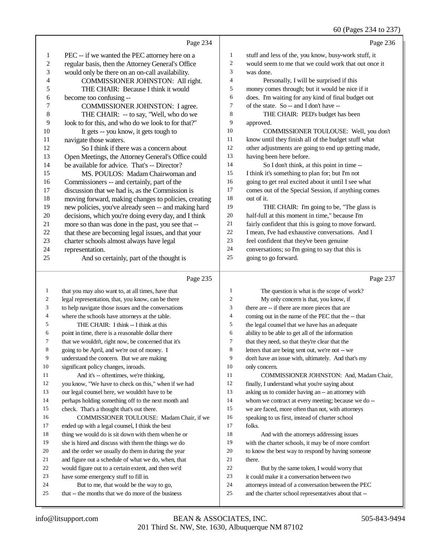|                | Page 234                                             |                | Page 236                                             |
|----------------|------------------------------------------------------|----------------|------------------------------------------------------|
| -1             | PEC -- if we wanted the PEC attorney here on a       | 1              | stuff and less of the, you know, busy-work stuff, it |
| 2              | regular basis, then the Attorney General's Office    | $\overline{c}$ | would seem to me that we could work that out once it |
| 3              | would only be there on an on-call availability.      | 3              | was done.                                            |
| $\overline{4}$ | COMMISSIONER JOHNSTON: All right.                    | 4              | Personally, I will be surprised if this              |
| 5              | THE CHAIR: Because I think it would                  | 5              | money comes through; but it would be nice if it      |
| 6              | become too confusing --                              | 6              | does. I'm waiting for any kind of final budget out   |
| 7              | COMMISSIONER JOHNSTON: I agree.                      | 7              | of the state. So -- and I don't have --              |
| 8              | THE CHAIR: -- to say, "Well, who do we               | 8              | THE CHAIR: PED's budget has been                     |
| 9              | look to for this, and who do we look to for that?"   | 9              | approved.                                            |
| 10             | It gets -- you know, it gets tough to                | 10             | COMMISSIONER TOULOUSE: Well, you don't               |
| 11             | navigate those waters.                               | 11             | know until they finish all of the budget stuff what  |
| 12             | So I think if there was a concern about              | 12             | other adjustments are going to end up getting made,  |
| 13             | Open Meetings, the Attorney General's Office could   | 13             | having been here before.                             |
| 14             | be available for advice. That's -- Director?         | 14             | So I don't think, at this point in time --           |
| 15             | MS. POULOS: Madam Chairwoman and                     | 15             | I think it's something to plan for; but I'm not      |
| 16             | Commissioners -- and certainly, part of the          | 16             | going to get real excited about it until I see what  |
| 17             | discussion that we had is, as the Commission is      | 17             | comes out of the Special Session, if anything comes  |
| 18             | moving forward, making changes to policies, creating | 18             | out of it.                                           |
| 19             | new policies, you've already seen -- and making hard | 19             | THE CHAIR: I'm going to be, "The glass is            |
| 20             | decisions, which you're doing every day, and I think | 20             | half-full at this moment in time," because I'm       |
| 21             | more so than was done in the past, you see that --   | 21             | fairly confident that this is going to move forward. |
| 22             | that these are becoming legal issues, and that your  | 22             | I mean, I've had exhaustive conversations. And I     |
| 23             | charter schools almost always have legal             | 23             | feel confident that they've been genuine             |
| 24             | representation.                                      | 24             | conversations; so I'm going to say that this is      |
| 25             | And so certainly, part of the thought is             | 25             | going to go forward.                                 |
|                | Page 235                                             |                | Page 237                                             |

#### that you may also want to, at all times, have that legal representation, that, you know, can be there to help navigate those issues and the conversations where the schools have attorneys at the table. THE CHAIR: I think -- I think at this point in time, there is a reasonable dollar there that we wouldn't, right now, be concerned that it's going to be April, and we're out of money. I understand the concern. But we are making significant policy changes, inroads. 11 And it's -- oftentimes, we're thinking, you know, "We have to check on this," when if we had our legal counsel here, we wouldn't have to be perhaps holding something off to the next month and check. That's a thought that's out there. COMMISSIONER TOULOUSE: Madam Chair, if we ended up with a legal counsel, I think the best thing we would do is sit down with them when he or she is hired and discuss with them the things we do and the order we usually do them in during the year and figure out a schedule of what we do, when, that would figure out to a certain extent, and then we'd have some emergency stuff to fill in. But to me, that would be the way to go, that -- the months that we do more of the business The question is what is the scope of work? My only concern is that, you know, if there are -- if there are more pieces that are coming out in the name of the PEC that the -- that the legal counsel that we have has an adequate ability to be able to get all of the information that they need, so that they're clear that the letters that are being sent out, we're not -- we don't have an issue with, ultimately. And that's my only concern. COMMISSIONER JOHNSTON: And, Madam Chair, finally, I understand what you're saying about asking us to consider having an -- an attorney with whom we contract at every meeting; because we do -- we are faced, more often than not, with attorneys speaking to us first, instead of charter school folks. And with the attorneys addressing issues with the charter schools, it may be of more comfort to know the best way to respond by having someone 21 there. But by the same token, I would worry that it could make it a conversation between two attorneys instead of a conversation between the PEC and the charter school representatives about that --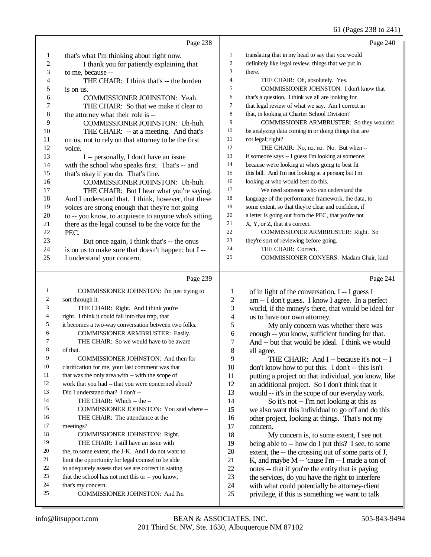## 61 (Pages 238 to 241)

|                         | Page 238                                             |                  | Page 240                                             |
|-------------------------|------------------------------------------------------|------------------|------------------------------------------------------|
| 1                       | that's what I'm thinking about right now.            | $\mathbf{1}$     | translating that in my head to say that you would    |
| $\overline{c}$          | I thank you for patiently explaining that            | $\boldsymbol{2}$ | definitely like legal review, things that we put in  |
| 3                       | to me, because --                                    | 3                | there.                                               |
| 4                       | THE CHAIR: I think that's -- the burden              | 4                | THE CHAIR: Oh, absolutely. Yes.                      |
| 5                       | is on us.                                            | 5                | COMMISSIONER JOHNSTON: I don't know that             |
| 6                       | COMMISSIONER JOHNSTON: Yeah.                         | 6                | that's a question. I think we all are looking for    |
| 7                       | THE CHAIR: So that we make it clear to               | 7                | that legal review of what we say. Am I correct in    |
| 8                       | the attorney what their role is --                   | 8                | that, in looking at Charter School Division?         |
| 9                       | COMMISSIONER JOHNSTON: Uh-huh.                       | 9                | COMMISSIONER ARMBRUSTER: So they wouldn't            |
| 10                      | THE CHAIR: -- at a meeting. And that's               | 10               | be analyzing data coming in or doing things that are |
| 11                      | on us, not to rely on that attorney to be the first  | 11               | not legal; right?                                    |
| 12                      | voice.                                               | 12               | THE CHAIR: No, no, no. No. But when --               |
| 13                      | I -- personally, I don't have an issue               | 13               | if someone says -- I guess I'm looking at someone;   |
| 14                      | with the school who speaks first. That's -- and      | 14               | because we're looking at who's going to best fit     |
| 15                      | that's okay if you do. That's fine.                  | 15               | this bill. And I'm not looking at a person; but I'm  |
| 16                      | COMMISSIONER JOHNSTON: Uh-huh.                       | 16               | looking at who would best do this.                   |
| 17                      | THE CHAIR: But I hear what you're saying.            | 17               | We need someone who can understand the               |
| 18                      | And I understand that. I think, however, that these  | 18               | language of the performance framework, the data, to  |
| 19                      | voices are strong enough that they're not going      | 19               | some extent, so that they're clear and confident, if |
| $20\,$                  | to -- you know, to acquiesce to anyone who's sitting | $20\,$           | a letter is going out from the PEC, that you're not  |
| 21                      | there as the legal counsel to be the voice for the   | 21               | X, Y, or Z, that it's correct.                       |
| 22                      | PEC.                                                 | $22\,$           | COMMISSIONER ARMBRUSTER: Right. So                   |
| 23                      | But once again, I think that's -- the onus           | 23               | they're sort of reviewing before going.              |
| 24                      | is on us to make sure that doesn't happen; but I --  | 24               | THE CHAIR: Correct.                                  |
| 25                      | I understand your concern.                           | 25               | COMMISSIONER CONYERS: Madam Chair, kind              |
|                         |                                                      |                  |                                                      |
|                         |                                                      |                  |                                                      |
|                         | Page 239                                             |                  | Page 241                                             |
| $\mathbf{1}$            | COMMISSIONER JOHNSTON: I'm just trying to            | 1                | of in light of the conversation, I -- I guess I      |
| $\overline{\mathbf{c}}$ | sort through it.                                     | $\overline{c}$   | am -- I don't guess. I know I agree. In a perfect    |
| 3                       | THE CHAIR: Right. And I think you're                 | 3                | world, if the money's there, that would be ideal for |
| 4                       | right. I think it could fall into that trap, that    | 4                | us to have our own attorney.                         |
| 5                       | it becomes a two-way conversation between two folks. | 5                | My only concern was whether there was                |
| 6                       | COMMISSIONER ARMBRUSTER: Easily.                     | 6                | enough -- you know, sufficient funding for that.     |
| 7                       | THE CHAIR: So we would have to be aware              | 7                | And -- but that would be ideal. I think we would     |
| 8                       | of that.                                             | 8                | all agree.                                           |
| 9                       | COMMISSIONER JOHNSTON: And then for                  | 9                | THE CHAIR: And I -- because it's not -- I            |
| 10                      | clarification for me, your last comment was that     | 10               | don't know how to put this. I don't -- this isn't    |
| 11                      | that was the only area with -- with the scope of     | 11               | putting a project on that individual, you know, like |
| 12                      | work that you had -- that you were concerned about?  | 12               | an additional project. So I don't think that it      |
| 13                      | Did I understand that? I don't --                    | 13               | would -- it's in the scope of our everyday work.     |
| 14                      | THE CHAIR: Which -- the --                           | 14               | So it's not -- I'm not looking at this as            |
| 15                      | COMMISSIONER JOHNSTON: You said where --             | 15               | we also want this individual to go off and do this   |
| 16                      | THE CHAIR: The attendance at the                     | 16               | other project, looking at things. That's not my      |
| 17                      | meetings?                                            | 17               | concern.                                             |
| 18                      | COMMISSIONER JOHNSTON: Right.                        | 18               | My concern is, to some extent, I see not             |
| 19                      | THE CHAIR: I still have an issue with                | 19               | being able to -- how do I put this? I see, to some   |
| 20                      | the, to some extent, the J-K. And I do not want to   | 20               | extent, the -- the crossing out of some parts of J,  |
| 21                      | limit the opportunity for legal counsel to be able   | 21               | K, and maybe M -- 'cause I'm -- I made a ton of      |
| 22                      | to adequately assess that we are correct in stating  | 22               | notes -- that if you're the entity that is paying    |
| 23                      | that the school has not met this or -- you know,     | 23               | the services, do you have the right to interfere     |
| 24                      | that's my concern.                                   | 24               | with what could potentially be attorney-client       |
| 25                      | COMMISSIONER JOHNSTON: And I'm                       | 25               | privilege, if this is something we want to talk      |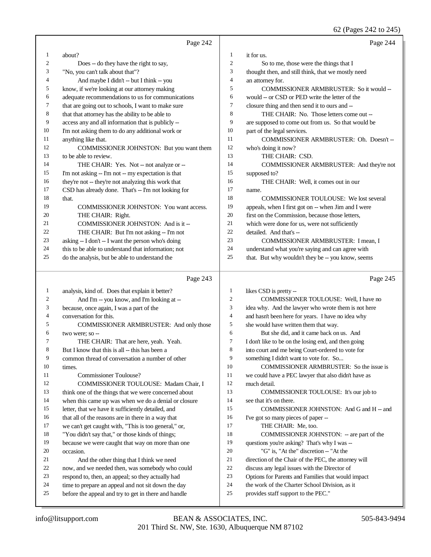62 (Pages 242 to 245)

|    | Page 242                                            |                | Page 244                                            |
|----|-----------------------------------------------------|----------------|-----------------------------------------------------|
| 1  | about?                                              | 1              | it for us.                                          |
| 2  | Does -- do they have the right to say,              | $\overline{2}$ | So to me, those were the things that I              |
| 3  | "No, you can't talk about that"?                    | 3              | thought then, and still think, that we mostly need  |
| 4  | And maybe I didn't -- but I think -- you            | $\overline{4}$ | an attorney for.                                    |
| 5  | know, if we're looking at our attorney making       | 5              | COMMISSIONER ARMBRUSTER: So it would --             |
| 6  | adequate recommendations to us for communications   | 6              | would -- or CSD or PED write the letter of the      |
| 7  | that are going out to schools, I want to make sure  | 7              | closure thing and then send it to ours and --       |
| 8  | that that attorney has the ability to be able to    | 8              | THE CHAIR: No. Those letters come out --            |
| 9  | access any and all information that is publicly --  | 9              | are supposed to come out from us. So that would be  |
| 10 | I'm not asking them to do any additional work or    | 10             | part of the legal services.                         |
| 11 | anything like that.                                 | 11             | COMMISSIONER ARMBRUSTER: Oh. Doesn't-               |
| 12 | COMMISSIONER JOHNSTON: But you want them            | 12             | who's doing it now?                                 |
| 13 | to be able to review.                               | 13             | THE CHAIR: CSD.                                     |
| 14 | THE CHAIR: Yes. Not -- not analyze or --            | 14             | COMMISSIONER ARMBRUSTER: And they're not            |
| 15 | I'm not asking -- I'm not -- my expectation is that | 15             | supposed to?                                        |
| 16 | they're not -- they're not analyzing this work that | 16             | THE CHAIR: Well, it comes out in our                |
| 17 | CSD has already done. That's -- I'm not looking for | 17             | name.                                               |
| 18 | that.                                               | 18             | <b>COMMISSIONER TOULOUSE:</b> We lost several       |
| 19 | <b>COMMISSIONER JOHNSTON:</b> You want access.      | 19             | appeals, when I first got on -- when Jim and I were |
| 20 | THE CHAIR: Right.                                   | 20             | first on the Commission, because those letters,     |
| 21 | COMMISSIONER JOHNSTON: And is it --                 | 21             | which were done for us, were not sufficiently       |
| 22 | THE CHAIR: But I'm not asking -- I'm not            | 22             | detailed. And that's --                             |
| 23 | asking -- I don't -- I want the person who's doing  | 23             | COMMISSIONER ARMBRUSTER: I mean, I                  |
| 24 | this to be able to understand that information; not | 24             | understand what you're saying and can agree with    |
| 25 | do the analysis, but be able to understand the      | 25             | that. But why wouldn't they be -- you know, seems   |
|    |                                                     |                |                                                     |

## Page 243  $\parallel$

| -1             | analysis, kind of. Does that explain it better?      | $\mathbf{1}$   | likes CSD is pretty --                               |
|----------------|------------------------------------------------------|----------------|------------------------------------------------------|
| $\overline{c}$ | And I'm -- you know, and I'm looking at --           | $\overline{2}$ | COMMISSIONER TOULOUSE: Well, I have no               |
| 3              | because, once again, I was a part of the             | 3              | idea why. And the lawyer who wrote them is not here  |
| $\overline{4}$ | conversation for this.                               | $\overline{4}$ | and hasn't been here for years. I have no idea why   |
| 5              | COMMISSIONER ARMBRUSTER: And only those              | 5              | she would have written them that way.                |
| 6              | two were; so --                                      | 6              | But she did, and it came back on us. And             |
| $\overline{7}$ | THE CHAIR: That are here, yeah. Yeah.                | 7              | I don't like to be on the losing end, and then going |
| 8              | But I know that this is all -- this has been a       | 8              | into court and me being Court-ordered to vote for    |
| 9              | common thread of conversation a number of other      | 9              | something I didn't want to vote for. So              |
| 10             | times.                                               | 10             | COMMISSIONER ARMBRUSTER: So the issue is             |
| 11             | Commissioner Toulouse?                               | 11             | we could have a PEC lawyer that also didn't have as  |
| 12             | COMMISSIONER TOULOUSE: Madam Chair, I                | 12             | much detail.                                         |
| 13             | think one of the things that we were concerned about | 13             | COMMISSIONER TOULOUSE: It's our job to               |
| 14             | when this came up was when we do a denial or closure | 14             | see that it's on there.                              |
| 15             | letter, that we have it sufficiently detailed, and   | 15             | COMMISSIONER JOHNSTON: And G and H -- and            |
| 16             | that all of the reasons are in there in a way that   | 16             | I've got so many pieces of paper --                  |
| 17             | we can't get caught with, "This is too general," or, | 17             | THE CHAIR: Me, too.                                  |
| 18             | "You didn't say that," or those kinds of things;     | 18             | COMMISSIONER JOHNSTON: -- are part of the            |
| 19             | because we were caught that way on more than one     | 19             | questions you're asking? That's why I was --         |
| 20             | occasion.                                            | 20             | "G" is, "At the" discretion -- "At the               |
| 21             | And the other thing that I think we need             | 21             | direction of the Chair of the PEC, the attorney will |
| 22             | now, and we needed then, was somebody who could      | 22             | discuss any legal issues with the Director of        |
| 23             | respond to, then, an appeal; so they actually had    | 23             | Options for Parents and Families that would impact   |
| 24             | time to prepare an appeal and not sit down the day   | 24             | the work of the Charter School Division, as it       |
| 25             | before the appeal and try to get in there and handle | 25             | provides staff support to the PEC."                  |
|                |                                                      |                |                                                      |

Page 245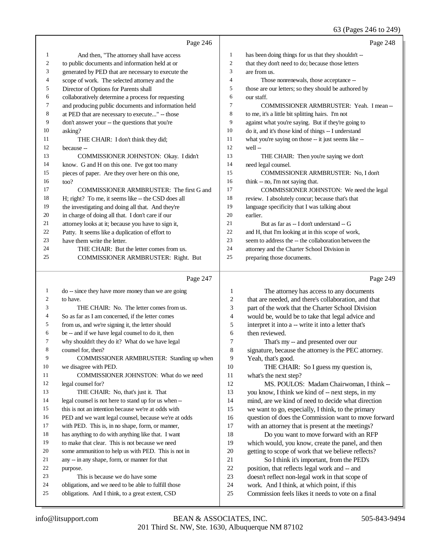|                | Page 246                                            |                | Page 248                                             |
|----------------|-----------------------------------------------------|----------------|------------------------------------------------------|
| $\mathbf{1}$   | And then, "The attorney shall have access           | $\mathbf{1}$   | has been doing things for us that they shouldn't --  |
| $\overline{c}$ | to public documents and information held at or      | 2              | that they don't need to do; because those letters    |
| 3              | generated by PED that are necessary to execute the  | 3              | are from us.                                         |
| 4              | scope of work. The selected attorney and the        | $\overline{4}$ | Those nonrenewals, those acceptance --               |
| 5              | Director of Options for Parents shall               | 5              | those are our letters; so they should be authored by |
| 6              | collaboratively determine a process for requesting  | 6              | our staff.                                           |
| 7              | and producing public documents and information held | 7              | COMMISSIONER ARMBRUSTER: Yeah. I mean --             |
| 8              | at PED that are necessary to execute" -- those      | 8              | to me, it's a little bit splitting hairs. I'm not    |
| 9              | don't answer your -- the questions that you're      | 9              | against what you're saying. But if they're going to  |
| 10             | asking?                                             | 10             | do it, and it's those kind of things -- I understand |
| 11             | THE CHAIR: I don't think they did;                  | 11             | what you're saying on those -- it just seems like -- |
| 12             | because --                                          | 12             | well-                                                |
| 13             | COMMISSIONER JOHNSTON: Okay. I didn't               | 13             | THE CHAIR: Then you're saying we don't               |
| 14             | know. G and H on this one. I've got too many        | 14             | need legal counsel.                                  |
| 15             | pieces of paper. Are they over here on this one,    | 15             | COMMISSIONER ARMBRUSTER: No, I don't                 |
| 16             | too?                                                | 16             | think -- no, I'm not saying that.                    |
| 17             | COMMISSIONER ARMBRUSTER: The first G and            | 17             | COMMISSIONER JOHNSTON: We need the legal             |
| 18             | H; right? To me, it seems like -- the CSD does all  | 18             | review. I absolutely concur; because that's that     |
| 19             | the investigating and doing all that. And they're   | 19             | language specificity that I was talking about        |
| 20             | in charge of doing all that. I don't care if our    | 20             | earlier.                                             |
| 21             | attorney looks at it; because you have to sign it,  | 21             | But as far as -- I don't understand -- G             |
| 22             | Patty. It seems like a duplication of effort to     | 22             | and H, that I'm looking at in this scope of work,    |
| 23             | have them write the letter.                         | 23             | seem to address the -- the collaboration between the |
| 24             | THE CHAIR: But the letter comes from us.            | 24             | attorney and the Charter School Division in          |
| 25             | COMMISSIONER ARMBRUSTER: Right. But                 | 25             | preparing those documents.                           |
|                | Page 247                                            |                | Page 249                                             |
| 1              | do -- since they have more money than we are going  | 1              | The attorney has access to any documents             |
| 2              | to have.                                            | $\overline{c}$ | that are needed, and there's collaboration, and that |
| 3              | THE CHAIR: No. The letter comes from us.            | 3              | part of the work that the Charter School Division    |
| 4              | So as far as I am concerned, if the letter comes    | $\overline{4}$ | would be, would be to take that legal advice and     |
| 5              | from us, and we're signing it, the letter should    | 5              | interpret it into a -- write it into a letter that's |
| 6              | be -- and if we have legal counsel to do it, then   | 6              | then reviewed.                                       |

- why shouldn't they do it? What do we have legal
- counsel for, then?
- COMMISSIONER ARMBRUSTER: Standing up when we disagree with PED.
- COMMISSIONER JOHNSTON: What do we need legal counsel for? THE CHAIR: No, that's just it. That legal counsel is not here to stand up for us when --
- this is not an intention because we're at odds with
- PED and we want legal counsel, because we're at odds
- with PED. This is, in no shape, form, or manner,
- has anything to do with anything like that. I want
- to make that clear. This is not because we need
- some ammunition to help us with PED. This is not in
- any -- in any shape, form, or manner for that
- purpose.
- This is because we do have some
- obligations, and we need to be able to fulfill those
- obligations. And I think, to a great extent, CSD
- then reviewed. That's my -- and presented over our signature, because the attorney is the PEC attorney. Yeah, that's good. 10 THE CHAIR: So I guess my question is, what's the next step? MS. POULOS: Madam Chairwoman, I think -- you know, I think we kind of -- next steps, in my mind, are we kind of need to decide what direction
- we want to go, especially, I think, to the primary question of does the Commission want to move forward with an attorney that is present at the meetings?
- Do you want to move forward with an RFP which would, you know, create the panel, and then getting to scope of work that we believe reflects?
- So I think it's important, from the PED's position, that reflects legal work and -- and
- doesn't reflect non-legal work in that scope of
- work. And I think, at which point, if this
- Commission feels likes it needs to vote on a final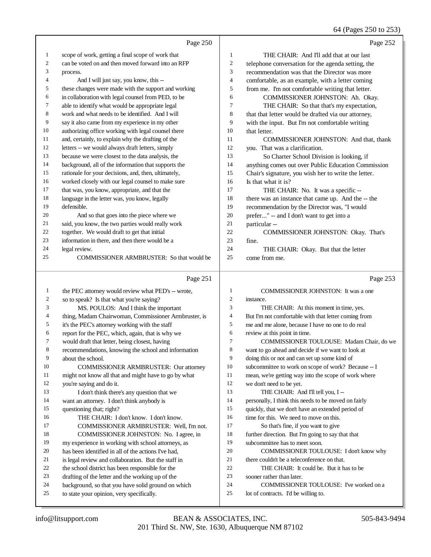64 (Pages 250 to 253)

|              | Page 250                                                                                               |                | Page 252                                                                        |
|--------------|--------------------------------------------------------------------------------------------------------|----------------|---------------------------------------------------------------------------------|
| 1            | scope of work, getting a final scope of work that                                                      | $\mathbf{1}$   | THE CHAIR: And I'll add that at our last                                        |
| 2            | can be voted on and then moved forward into an RFP                                                     | $\overline{c}$ | telephone conversation for the agenda setting, the                              |
| 3            | process.                                                                                               | 3              | recommendation was that the Director was more                                   |
| 4            | And I will just say, you know, this --                                                                 | 4              | comfortable, as an example, with a letter coming                                |
| 5            | these changes were made with the support and working                                                   | 5              | from me. I'm not comfortable writing that letter.                               |
| 6            | in collaboration with legal counsel from PED, to be                                                    | 6              | COMMISSIONER JOHNSTON: Ah. Okay.                                                |
| 7            | able to identify what would be appropriate legal                                                       | 7              | THE CHAIR: So that that's my expectation,                                       |
| 8            | work and what needs to be identified. And I will                                                       | 8              | that that letter would be drafted via our attorney,                             |
| 9            | say it also came from my experience in my other                                                        | 9              | with the input. But I'm not comfortable writing                                 |
| 10           | authorizing office working with legal counsel there                                                    | 10             | that letter.                                                                    |
| 11           | and, certainly, to explain why the drafting of the                                                     | 11             | COMMISSIONER JOHNSTON: And that, thank                                          |
| 12           | letters -- we would always draft letters, simply                                                       | 12             | you. That was a clarification.                                                  |
| 13           | because we were closest to the data analysis, the                                                      | 13             | So Charter School Division is looking, if                                       |
| 14           | background, all of the information that supports the                                                   | 14             | anything comes out over Public Education Commission                             |
| 15           | rationale for your decisions, and, then, ultimately,                                                   | 15             | Chair's signature, you wish her to write the letter.                            |
| 16           | worked closely with our legal counsel to make sure                                                     | 16             | Is that what it is?                                                             |
| 17           | that was, you know, appropriate, and that the                                                          | 17             | THE CHAIR: No. It was a specific --                                             |
| 18           | language in the letter was, you know, legally                                                          | 18             | there was an instance that came up. And the -- the                              |
| 19           | defensible.                                                                                            | 19             | recommendation by the Director was, "I would                                    |
| 20           | And so that goes into the piece where we                                                               | $20\,$         | prefer" -- and I don't want to get into a                                       |
| 21           | said, you know, the two parties would really work                                                      | 21             | particular --                                                                   |
| 22           | together. We would draft to get that initial                                                           | 22             | COMMISSIONER JOHNSTON: Okay. That's                                             |
| 23           | information in there, and then there would be a                                                        | 23             | fine.                                                                           |
| 24           | legal review.                                                                                          | 24             | THE CHAIR: Okay. But that the letter                                            |
| 25           | COMMISSIONER ARMBRUSTER: So that would be                                                              | 25             | come from me.                                                                   |
|              |                                                                                                        |                |                                                                                 |
|              | Page 251                                                                                               |                | Page 253                                                                        |
| $\mathbf{1}$ |                                                                                                        | 1              | COMMISSIONER JOHNSTON: It was a one                                             |
| 2            | the PEC attorney would review what PED's -- wrote,                                                     | $\overline{c}$ | instance.                                                                       |
| 3            | so to speak? Is that what you're saying?                                                               | 3              | THE CHAIR: At this moment in time, yes.                                         |
| 4            | MS. POULOS: And I think the important                                                                  | 4              | But I'm not comfortable with that letter coming from                            |
| 5            | thing, Madam Chairwoman, Commissioner Armbruster, is<br>it's the PEC's attorney working with the staff | 5              | me and me alone, because I have no one to do real                               |
| 6            | report for the PEC, which, again, that is why we                                                       | 6              | review at this point in time.                                                   |
| 7            | would draft that letter, being closest, having                                                         | 7              | COMMISSIONER TOULOUSE: Madam Chair, do we                                       |
| 8            | recommendations, knowing the school and information                                                    | 8              | want to go ahead and decide if we want to look at                               |
| 9            | about the school.                                                                                      | 9              | doing this or not and can set up some kind of                                   |
| 10           | <b>COMMISSIONER ARMBRUSTER: Our attorney</b>                                                           | 10             | subcommittee to work on scope of work? Because -- I                             |
| 11           | might not know all that and might have to go by what                                                   | 11             | mean, we're getting way into the scope of work where                            |
| 12           | you're saying and do it.                                                                               | 12             | we don't need to be yet.                                                        |
| 13           | I don't think there's any question that we                                                             | 13             | THE CHAIR: And I'll tell you, I --                                              |
| 14           | want an attorney. I don't think anybody is                                                             | 14             | personally, I think this needs to be moved on fairly                            |
| 15           | questioning that; right?                                                                               | 15             | quickly, that we don't have an extended period of                               |
| 16           | THE CHAIR: I don't know. I don't know.                                                                 | 16             | time for this. We need to move on this.                                         |
| 17           | COMMISSIONER ARMBRUSTER: Well, I'm not.                                                                | 17             | So that's fine, if you want to give                                             |
| 18           | COMMISSIONER JOHNSTON: No. I agree, in                                                                 | 18             | further direction. But I'm going to say that that                               |
| 19           | my experience in working with school attorneys, as                                                     | 19             | subcommittee has to meet soon.                                                  |
| 20           | has been identified in all of the actions I've had,                                                    | 20             | COMMISSIONER TOULOUSE: I don't know why                                         |
| 21           | is legal review and collaboration. But the staff in                                                    | 21             | there couldn't be a teleconference on that.                                     |
| 22           | the school district has been responsible for the                                                       | 22             | THE CHAIR: It could be. But it has to be                                        |
| 23           | drafting of the letter and the working up of the                                                       | 23             | sooner rather than later.                                                       |
| 24<br>25     | background, so that you have solid ground on which<br>to state your opinion, very specifically.        | 24<br>25       | COMMISSIONER TOULOUSE: I've worked on a<br>lot of contracts. I'd be willing to. |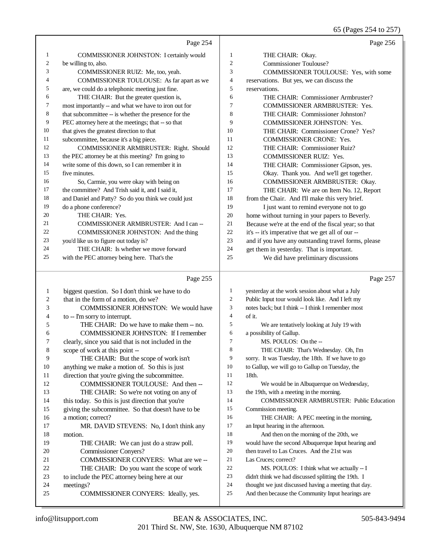65 (Pages 254 to 257)

|          | Page 254                                             |                   | Page 256                                                                                                  |
|----------|------------------------------------------------------|-------------------|-----------------------------------------------------------------------------------------------------------|
| 1        | COMMISSIONER JOHNSTON: I certainly would             | 1                 | THE CHAIR: Okay.                                                                                          |
| 2        | be willing to, also.                                 | $\overline{c}$    | <b>Commissioner Toulouse?</b>                                                                             |
| 3        | COMMISSIONER RUIZ: Me, too, yeah.                    | 3                 | COMMISSIONER TOULOUSE: Yes, with some                                                                     |
| 4        | COMMISSIONER TOULOUSE: As far apart as we            | 4                 | reservations. But yes, we can discuss the                                                                 |
| 5        | are, we could do a telephonic meeting just fine.     | 5                 | reservations.                                                                                             |
| 6        | THE CHAIR: But the greater question is,              | 6                 | THE CHAIR: Commissioner Armbruster?                                                                       |
| 7        | most importantly -- and what we have to iron out for | $\tau$            | <b>COMMISSIONER ARMBRUSTER: Yes.</b>                                                                      |
| 8        | that subcommittee -- is whether the presence for the | 8                 | THE CHAIR: Commissioner Johnston?                                                                         |
| 9        | PEC attorney here at the meetings; that -- so that   | 9                 | COMMISSIONER JOHNSTON: Yes.                                                                               |
| 10       | that gives the greatest direction to that            | 10                | THE CHAIR: Commissioner Crone? Yes?                                                                       |
| 11       | subcommittee, because it's a big piece.              | 11                | COMMISSIONER CRONE: Yes.                                                                                  |
| 12       | COMMISSIONER ARMBRUSTER: Right. Should               | 12                | THE CHAIR: Commissioner Ruiz?                                                                             |
| 13       | the PEC attorney be at this meeting? I'm going to    | 13                | COMMISSIONER RUIZ: Yes.                                                                                   |
| 14       | write some of this down, so I can remember it in     | 14                | THE CHAIR: Commissioner Gipson, yes.                                                                      |
| 15       | five minutes.                                        | 15                | Okay. Thank you. And we'll get together.                                                                  |
| 16       | So, Carmie, you were okay with being on              | 16                | COMMISSIONER ARMBRUSTER: Okay.                                                                            |
| 17       | the committee? And Trish said it, and I said it,     | 17                | THE CHAIR: We are on Item No. 12, Report                                                                  |
| 18       | and Daniel and Patty? So do you think we could just  | 18                | from the Chair. And I'll make this very brief.                                                            |
| 19       | do a phone conference?                               | 19                | I just want to remind everyone not to go                                                                  |
| 20       | THE CHAIR: Yes.                                      | 20                | home without turning in your papers to Beverly.                                                           |
| 21       | COMMISSIONER ARMBRUSTER: And I can --                | 21                | Because we're at the end of the fiscal year; so that                                                      |
| 22       | COMMISSIONER JOHNSTON: And the thing                 | 22                | it's -- it's imperative that we get all of our --                                                         |
| 23       | you'd like us to figure out today is?                | 23                | and if you have any outstanding travel forms, please                                                      |
| 24       | THE CHAIR: Is whether we move forward                | 24                | get them in yesterday. That is important.                                                                 |
| 25       | with the PEC attorney being here. That's the         | 25                | We did have preliminary discussions                                                                       |
|          |                                                      |                   |                                                                                                           |
|          |                                                      |                   |                                                                                                           |
|          | Page 255                                             |                   | Page 257                                                                                                  |
|          |                                                      |                   |                                                                                                           |
| 1        | biggest question. So I don't think we have to do     | 1<br>$\mathbf{2}$ | yesterday at the work session about what a July                                                           |
| 2        | that in the form of a motion, do we?                 | 3                 | Public Input tour would look like. And I left my                                                          |
| 3        | COMMISSIONER JOHNSTON: We would have                 | $\overline{4}$    | notes back; but I think -- I think I remember most                                                        |
| 4        | to -- I'm sorry to interrupt.                        | 5                 | of it.                                                                                                    |
| 5        | THE CHAIR: Do we have to make them -- no.            |                   | We are tentatively looking at July 19 with                                                                |
| 6        | <b>COMMISSIONER JOHNSTON: If I remember</b>          | 6<br>7            | a possibility of Gallup.                                                                                  |
| 7        | clearly, since you said that is not included in the  |                   | MS. POULOS: On the --                                                                                     |
| 8        | scope of work at this point --                       | 8                 | THE CHAIR: That's Wednesday. Oh, I'm                                                                      |
| 9        | THE CHAIR: But the scope of work isn't               | 9                 | sorry. It was Tuesday, the 18th. If we have to go                                                         |
| 10       | anything we make a motion of. So this is just        | 10                | to Gallup, we will go to Gallup on Tuesday, the                                                           |
| 11       | direction that you're giving the subcommittee.       | 11                | 18th.                                                                                                     |
| 12       | COMMISSIONER TOULOUSE: And then --                   | 12                | We would be in Albuquerque on Wednesday,                                                                  |
| 13       | THE CHAIR: So we're not voting on any of             | 13                | the 19th, with a meeting in the morning.                                                                  |
| 14       | this today. So this is just direction that you're    | 14                | <b>COMMISSIONER ARMBRUSTER: Public Education</b>                                                          |
| 15       | giving the subcommittee. So that doesn't have to be  | 15                | Commission meeting.                                                                                       |
| 16       | a motion; correct?                                   | 16                | THE CHAIR: A PEC meeting in the morning,                                                                  |
| 17       | MR. DAVID STEVENS: No, I don't think any             | 17                | an Input hearing in the afternoon.                                                                        |
| 18       | motion.                                              | 18                | And then on the morning of the 20th, we                                                                   |
| 19       | THE CHAIR: We can just do a straw poll.              | 19                | would have the second Albuquerque Input hearing and                                                       |
| 20       | Commissioner Conyers?                                | 20                | then travel to Las Cruces. And the 21st was                                                               |
| 21       | COMMISSIONER CONYERS: What are we-                   | 21                | Las Cruces; correct?                                                                                      |
| 22       | THE CHAIR: Do you want the scope of work             | 22                | MS. POULOS: I think what we actually -- I                                                                 |
| 23       | to include the PEC attorney being here at our        | 23                | didn't think we had discussed splitting the 19th. I                                                       |
| 24<br>25 | meetings?<br>COMMISSIONER CONYERS: Ideally, yes.     | 24<br>25          | thought we just discussed having a meeting that day.<br>And then because the Community Input hearings are |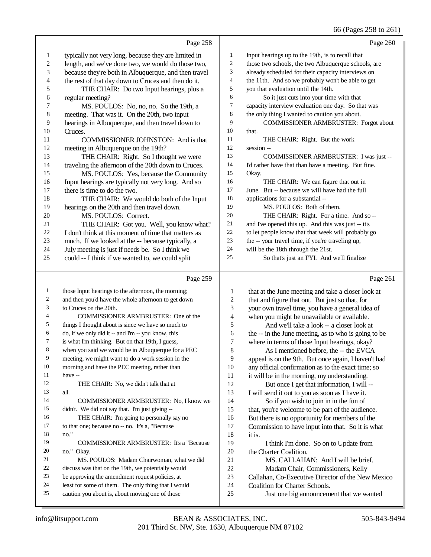## 66 (Pages 258 to 261)

|    | Page 258                                             |    | Page 260                                            |
|----|------------------------------------------------------|----|-----------------------------------------------------|
| 1  | typically not very long, because they are limited in | 1  | Input hearings up to the 19th, is to recall that    |
| 2  | length, and we've done two, we would do those two,   | 2  | those two schools, the two Albuquerque schools, are |
| 3  | because they're both in Albuquerque, and then travel | 3  | already scheduled for their capacity interviews on  |
| 4  | the rest of that day down to Cruces and then do it.  | 4  | the 11th. And so we probably won't be able to get   |
| 5  | THE CHAIR: Do two Input hearings, plus a             | 5  | you that evaluation until the 14th.                 |
| 6  | regular meeting?                                     | 6  | So it just cuts into your time with that            |
| 7  | MS. POULOS: No, no, no. So the 19th, a               | 7  | capacity interview evaluation one day. So that was  |
| 8  | meeting. That was it. On the 20th, two input         | 8  | the only thing I wanted to caution you about.       |
| 9  | hearings in Albuquerque, and then travel down to     | 9  | COMMISSIONER ARMBRUSTER: Forgot about               |
| 10 | Cruces.                                              | 10 | that.                                               |
| 11 | COMMISSIONER JOHNSTON: And is that                   | 11 | THE CHAIR: Right. But the work                      |
| 12 | meeting in Albuquerque on the 19th?                  | 12 | session --                                          |
| 13 | THE CHAIR: Right. So I thought we were               | 13 | COMMISSIONER ARMBRUSTER: I was just --              |
| 14 | traveling the afternoon of the 20th down to Cruces.  | 14 | I'd rather have that than have a meeting. But fine. |
| 15 | MS. POULOS: Yes, because the Community               | 15 | Okay.                                               |
| 16 | Input hearings are typically not very long. And so   | 16 | THE CHAIR: We can figure that out in                |
| 17 | there is time to do the two.                         | 17 | June. But -- because we will have had the full      |
| 18 | THE CHAIR: We would do both of the Input             | 18 | applications for a substantial --                   |
| 19 | hearings on the 20th and then travel down.           | 19 | MS. POULOS: Both of them.                           |
| 20 | MS. POULOS: Correct.                                 | 20 | THE CHAIR: Right. For a time. And so --             |
| 21 | THE CHAIR: Got you. Well, you know what?             | 21 | and I've opened this up. And this was just -- it's  |
| 22 | I don't think at this moment of time that matters as | 22 | to let people know that that week will probably go  |
| 23 | much. If we looked at the -- because typically, a    | 23 | the -- your travel time, if you're traveling up,    |
| 24 | July meeting is just if needs be. So I think we      | 24 | will be the 18th through the 21st.                  |
| 25 | could -- I think if we wanted to, we could split     | 25 | So that's just an FYI. And we'll finalize           |
|    |                                                      |    |                                                     |

## $\overline{P_{20e}$  259

|    | Page 259                                            |    | Page 261                                             |
|----|-----------------------------------------------------|----|------------------------------------------------------|
| 1  | those Input hearings to the afternoon, the morning; | 1  | that at the June meeting and take a closer look at   |
| 2  | and then you'd have the whole afternoon to get down | 2  | that and figure that out. But just so that, for      |
| 3  | to Cruces on the 20th.                              | 3  | your own travel time, you have a general idea of     |
| 4  | COMMISSIONER ARMBRUSTER: One of the                 | 4  | when you might be unavailable or available.          |
| 5  | things I thought about is since we have so much to  | 5  | And we'll take a look -- a closer look at            |
| 6  | do, if we only did it -- and I'm -- you know, this  | 6  | the -- in the June meeting, as to who is going to be |
| 7  | is what I'm thinking. But on that 19th, I guess,    | 7  | where in terms of those Input hearings, okay?        |
| 8  | when you said we would be in Albuquerque for a PEC  | 8  | As I mentioned before, the -- the EVCA               |
| 9  | meeting, we might want to do a work session in the  | 9  | appeal is on the 9th. But once again, I haven't had  |
| 10 | morning and have the PEC meeting, rather than       | 10 | any official confirmation as to the exact time; so   |
| 11 | have --                                             | 11 | it will be in the morning, my understanding.         |
| 12 | THE CHAIR: No, we didn't talk that at               | 12 | But once I get that information, I will --           |
| 13 | all.                                                | 13 | I will send it out to you as soon as I have it.      |
| 14 | <b>COMMISSIONER ARMBRUSTER: No, I know we</b>       | 14 | So if you wish to join in in the fun of              |
| 15 | didn't. We did not say that. I'm just giving --     | 15 | that, you're welcome to be part of the audience.     |
| 16 | THE CHAIR: I'm going to personally say no           | 16 | But there is no opportunity for members of the       |
| 17 | to that one; because no -- no. It's a, "Because     | 17 | Commission to have input into that. So it is what    |
| 18 | no."                                                | 18 | it is.                                               |
| 19 | <b>COMMISSIONER ARMBRUSTER:</b> It's a "Because"    | 19 | I think I'm done. So on to Update from               |
| 20 | no." Okay.                                          | 20 | the Charter Coalition.                               |
| 21 | MS. POULOS: Madam Chairwoman, what we did           | 21 | MS. CALLAHAN: And I will be brief.                   |
| 22 | discuss was that on the 19th, we potentially would  | 22 | Madam Chair, Commissioners, Kelly                    |
| 23 | be approving the amendment request policies, at     | 23 | Callahan, Co-Executive Director of the New Mexico    |
| 24 | least for some of them. The only thing that I would | 24 | Coalition for Charter Schools.                       |
| 25 | caution you about is, about moving one of those     | 25 | Just one big announcement that we wanted             |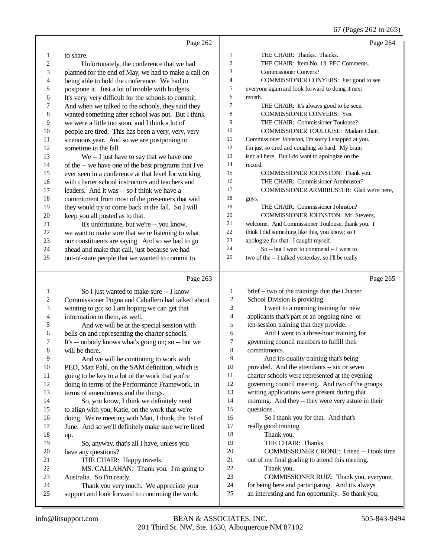#### 67 (Pages 262 to 265)

|                  |                                                      |                | 67 (Pages 262 to 265)                               |
|------------------|------------------------------------------------------|----------------|-----------------------------------------------------|
|                  | Page 262                                             |                | Page 264                                            |
| 1                | to share.                                            | 1              | THE CHAIR: Thanks. Thanks.                          |
| 2                | Unfortunately, the conference that we had            | $\overline{c}$ | THE CHAIR: Item No. 13, PEC Comments.               |
| 3                | planned for the end of May, we had to make a call on | 3              | <b>Commissioner Conyers?</b>                        |
| 4                | being able to hold the conference. We had to         | $\overline{4}$ | COMMISSIONER CONYERS: Just good to see              |
| 5                | postpone it. Just a lot of trouble with budgets.     | 5              | everyone again and look forward to doing it next    |
| 6                | It's very, very difficult for the schools to commit. | 6              | month.                                              |
| 7                | And when we talked to the schools, they said they    | $\overline{7}$ | THE CHAIR: It's always good to be seen.             |
| $\,$ 8 $\,$      | wanted something after school was out. But I think   | 8              | <b>COMMISSIONER CONYERS: Yes.</b>                   |
| 9                | we were a little too soon, and I think a lot of      | 9              | THE CHAIR: Commissioner Toulouse?                   |
| 10               | people are tired. This has been a very, very, very   | 10             | COMMISSIONER TOULOUSE: Madam Chair,                 |
| 11               | strenuous year. And so we are postponing to          | 11             | Commissioner Johnston, I'm sorry I snapped at you.  |
| 12               | sometime in the fall.                                | 12             | I'm just so tired and coughing so hard. My brain    |
| 13               | We -- I just have to say that we have one            | 13             | isn't all here. But I do want to apologize on the   |
| 14               | of the -- we have one of the best programs that I've | 14             | record.                                             |
| 15               | ever seen in a conference at that level for working  | 15             | COMMISSIONER JOHNSTON: Thank you.                   |
| 16               | with charter school instructors and teachers and     | 16             | THE CHAIR: Commissioner Armbruster?                 |
| 17               | leaders. And it was -- so I think we have a          | 17             | COMMISSIONER ARMBRUSTER: Glad we're here,           |
| 18               | commitment from most of the presenters that said     | 18             | guys.                                               |
| 19               | they would try to come back in the fall. So I will   | 19             | THE CHAIR: Commissioner Johnston?                   |
| 20               | keep you all posted as to that.                      | 20             | COMMISSIONER JOHNSTON: Mr. Stevens,                 |
| 21               | It's unfortunate, but we're -- you know,             | 21             | welcome. And Commissioner Toulouse, thank you. I    |
| 22               | we want to make sure that we're listening to what    | 22             | think I did something like this, you know; so I     |
| 23               | our constituents are saying. And so we had to go     | 23             | apologize for that. I caught myself.                |
| 24               | ahead and make that call, just because we had        | 24             | So -- but I want to commend -- I went to            |
| 25               | out-of-state people that we wanted to commit to.     | 25             | two of the -- I talked yesterday, so I'll be really |
|                  | Page 263                                             |                | Page 265                                            |
| $\mathbf{1}$     | So I just wanted to make sure -- I know              | 1              | brief -- two of the trainings that the Charter      |
| $\boldsymbol{2}$ | Commissioner Pogna and Caballero had talked about    | $\overline{c}$ | School Division is providing.                       |
| 3                | wanting to go; so I am hoping we can get that        | 3              | I went to a morning training for new                |
| 4                | information to them, as well.                        | $\overline{4}$ | applicants that's part of an ongoing nine- or       |
| 5                | And we will be at the special session with           | 5              | ten-session training that they provide.             |
| 6                | bells on and representing the charter schools.       | 6              | And I went to a three-hour training for             |
| 7                | It's -- nobody knows what's going on; so -- but we   | 7              | governing council members to fulfill their          |
| $\,$ 8 $\,$      | will be there.                                       | $\,8\,$        | commitments.                                        |
| 9                | And we will be continuing to work with               | 9              | And it's quality training that's being              |
| 10               | PED, Matt Pahl, on the SAM definition, which is      | 10             | provided. And the attendants -- six or seven        |
| 11               | going to be key to a lot of the work that you're     | 11             | charter schools were represented at the evening     |
| 12               | doing in terms of the Performance Framework, in      | 12             | governing council meeting. And two of the groups    |
| 13               | terms of amendments and the things.                  | 13             | writing applications were present during that       |
| 14               | So, you know, I think we definitely need             | 14             | morning. And they -- they were very astute in their |
| 15               | to align with you, Katie, on the work that we're     | 15             | questions.                                          |
| 16               | doing. We're meeting with Matt, I think, the 1st of  | 16             | So I thank you for that. And that's                 |
| 17               | June. And so we'll definitely make sure we're lined  | 17             | really good training.                               |
| 18               | up.                                                  | 18             | Thank you.                                          |
| 19               | So, anyway, that's all I have, unless you            | 19             | THE CHAIR: Thanks.                                  |
| 20               | have any questions?                                  | 20             | COMMISSIONER CRONE: I need -- I took time           |
| 21               | THE CHAIR: Happy travels.                            | $21\,$         | out of my final grading to attend this meeting.     |

THE CHAIR: Happy travels.

| 22            | MS. CALLAHAN: Thank you. I'm going to |
|---------------|---------------------------------------|
| 23            | Australia. So I'm ready.              |
| $\mathcal{D}$ | Thank you yery much We approvide your |

- 24 Thank you very much. We appreciate your<br>25 support and look forward to continuing the work. support and look forward to continuing the work.
- out of my final grading to attend this meeting. Thank you.
- COMMISSIONER RUIZ: Thank you, everyone,
- 24 for being here and participating. And it's always<br>25 an interesting and fun opportunity. So thank you
	- an interesting and fun opportunity. So thank you,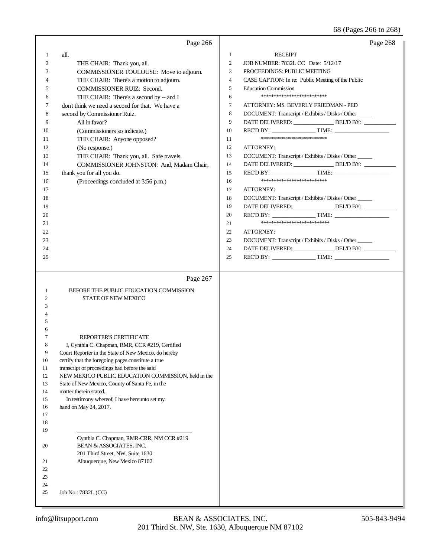## 68 (Pages 266 to 268)

|                                                                                                                                                        | Page 266                                                                                                                                                                                                                                                                                                                                                                                                                                                                                                                                                                                                                                                                       | Page 268                                                                                                                                                                                                                                                                                                                                                                                                                                                                                                                                                                                                                                                                                                                                                                                                                                                                                                                                                                                                                                                                                 |
|--------------------------------------------------------------------------------------------------------------------------------------------------------|--------------------------------------------------------------------------------------------------------------------------------------------------------------------------------------------------------------------------------------------------------------------------------------------------------------------------------------------------------------------------------------------------------------------------------------------------------------------------------------------------------------------------------------------------------------------------------------------------------------------------------------------------------------------------------|------------------------------------------------------------------------------------------------------------------------------------------------------------------------------------------------------------------------------------------------------------------------------------------------------------------------------------------------------------------------------------------------------------------------------------------------------------------------------------------------------------------------------------------------------------------------------------------------------------------------------------------------------------------------------------------------------------------------------------------------------------------------------------------------------------------------------------------------------------------------------------------------------------------------------------------------------------------------------------------------------------------------------------------------------------------------------------------|
| 1<br>$\mathfrak{2}$<br>3<br>4<br>5<br>6<br>7<br>8<br>9<br>10<br>11<br>12<br>13<br>14<br>15<br>16<br>17<br>18<br>19<br>20<br>21<br>22<br>23<br>24<br>25 | all.<br>THE CHAIR: Thank you, all.<br>COMMISSIONER TOULOUSE: Move to adjourn.<br>THE CHAIR: There's a motion to adjourn.<br><b>COMMISSIONER RUIZ: Second.</b><br>THE CHAIR: There's a second by -- and I<br>don't think we need a second for that. We have a<br>second by Commissioner Ruiz.<br>All in favor?<br>(Commissioners so indicate.)<br>THE CHAIR: Anyone opposed?<br>(No response.)<br>THE CHAIR: Thank you, all. Safe travels.<br>COMMISSIONER JOHNSTON: And, Madam Chair,<br>thank you for all you do.<br>(Proceedings concluded at 3:56 p.m.)                                                                                                                     | <b>RECEIPT</b><br>1<br>$\mathfrak{2}$<br>JOB NUMBER: 7832L CC Date: 5/12/17<br>3<br>PROCEEDINGS: PUBLIC MEETING<br>CASE CAPTION: In re: Public Meeting of the Public<br>$\overline{4}$<br>5<br><b>Education Commission</b><br>*************************<br>6<br>$\tau$<br>ATTORNEY: MS. BEVERLY FRIEDMAN - PED<br>8<br>DOCUMENT: Transcript / Exhibits / Disks / Other<br>9<br>DATE DELIVERED: _______________ DEL'D BY: _________<br>10<br>**************************<br>11<br>12<br>ATTORNEY:<br>DOCUMENT: Transcript / Exhibits / Disks / Other<br>13<br>DATE DELIVERED: _______________ DEL'D BY: _________<br>14<br>15<br>**************************<br>16<br>17<br>ATTORNEY:<br>DOCUMENT: Transcript / Exhibits / Disks / Other<br>18<br>DATE DELIVERED: _______________ DEL'D BY: _________<br>19<br>REC'D BY: $\_\_\_\_\_\_\_\$ TIME: $\_\_\_\_\_\_\_\_\_\_\_\_\_\_\_\_\_\_\_$<br>20<br>***************************<br>21<br>22<br><b>ATTORNEY:</b><br>DOCUMENT: Transcript / Exhibits / Disks / Other<br>23<br>DATE DELIVERED: _______________ DEL'D BY: __________<br>24<br>25 |
| -1<br>2<br>3<br>4<br>5<br>6<br>7<br>8<br>9<br>10<br>11<br>12<br>13<br>14<br>15<br>16<br>17<br>18<br>19<br>20<br>21<br>22<br>23                         | Page 267<br>BEFORE THE PUBLIC EDUCATION COMMISSION<br>STATE OF NEW MEXICO<br>REPORTER'S CERTIFICATE<br>I, Cynthia C. Chapman, RMR, CCR #219, Certified<br>Court Reporter in the State of New Mexico, do hereby<br>certify that the foregoing pages constitute a true<br>transcript of proceedings had before the said<br>NEW MEXICO PUBLIC EDUCATION COMMISSION, held in the<br>State of New Mexico, County of Santa Fe, in the<br>matter therein stated.<br>In testimony whereof, I have hereunto set my<br>hand on May 24, 2017.<br>Cynthia C. Chapman, RMR-CRR, NM CCR #219<br>BEAN & ASSOCIATES, INC.<br>201 Third Street, NW, Suite 1630<br>Albuquerque, New Mexico 87102 |                                                                                                                                                                                                                                                                                                                                                                                                                                                                                                                                                                                                                                                                                                                                                                                                                                                                                                                                                                                                                                                                                          |
| 24<br>25                                                                                                                                               | Job No.: 7832L (CC)                                                                                                                                                                                                                                                                                                                                                                                                                                                                                                                                                                                                                                                            |                                                                                                                                                                                                                                                                                                                                                                                                                                                                                                                                                                                                                                                                                                                                                                                                                                                                                                                                                                                                                                                                                          |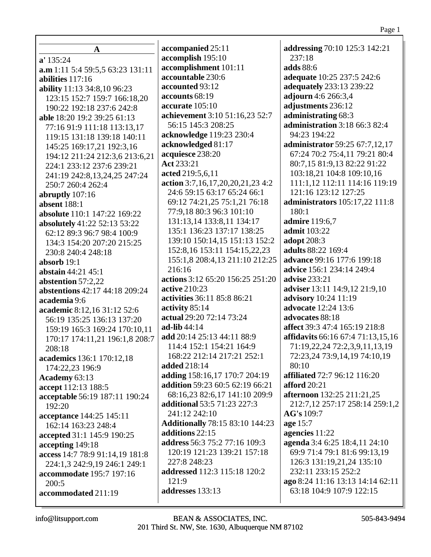237:18 **adds** 88:6 **adequate** 10:25 237:5 242:6 **adequately** 233:13 239:22 **adjourn** 4:6 266:3,4 **adjustments** 236:12 **administrating** 68:3 **administration** 3:18 66:3 82:4 94:23 194:22 **administrator** 59:25 67:7,12,17 67:24 70:2 75:4,11 79:21 80:4 80:7,15 81:9,13 82:22 91:22 103:18,21 104:8 109:10,16 111:1,12 112:11 114:16 119:19 121:16 123:12 127:25 **administrators** 105:17,22 111:8 180:1 **admire** 119:6,7 **admit** 103:22 **adopt** 208:3 **adults** 88:22 169:4 **advance** 99:16 177:6 199:18 **advice** 156:1 234:14 249:4 **advise** 233:21 **adviser** 13:11 14:9,12 21:9,10 **advisory** 10:24 11:19 **advocate** 12:24 13:6 **advocates** 88:18 **affect** 39:3 47:4 165:19 218:8 **affidavits** 66:16 67:4 71:13,15,16 71:19,22,24 72:2,3,9,11,13,19 72:23,24 73:9,14,19 74:10,19 80:10 **affiliated** 72:7 96:12 116:20 **afford** 20:21 **afternoon** 132:25 211:21,25 212:7,12 257:17 258:14 259:1,2 **AG's** 109:7 **age** 15:7 **agencies** 11:22 **agenda** 3:4 6:25 18:4,11 24:10 69:9 71:4 79:1 81:6 99:13,19 126:3 131:19,21,24 135:10

**addressing** 70:10 125:3 142:21

232:11 233:15 252:2 **ago** 8:24 11:16 13:13 14:14 62:11 63:18 104:9 107:9 122:15

**accommodated** 211:19

**accepting** 149:18

**A**

**accompanied** 25:11 **accomplish** 195:10 **accomplishment** 101:11 **accountable** 230:6 **accounted** 93:12 **accounts** 68:19 **accurate** 105:10

**achievement** 3:10 51:16,23 52:7

**action** 3:7,16,17,20,20,21,23 4:2 24:6 59:15 63:17 65:24 66:1 69:12 74:21,25 75:1,21 76:18 77:9,18 80:3 96:3 101:10 131:13,14 133:8,11 134:17 135:1 136:23 137:17 138:25 139:10 150:14,15 151:13 152:2 152:8,16 153:11 154:15,22,23 155:1,8 208:4,13 211:10 212:25

**actions** 3:12 65:20 156:25 251:20

**activities** 36:11 85:8 86:21

**actual** 29:20 72:14 73:24

**add** 20:14 25:13 44:11 88:9 114:4 152:1 154:21 164:9 168:22 212:14 217:21 252:1

**adding** 158:16,17 170:7 204:19 **addition** 59:23 60:5 62:19 66:21 68:16,23 82:6,17 141:10 209:9

**Additionally** 78:15 83:10 144:23

**address** 56:3 75:2 77:16 109:3 120:19 121:23 139:21 157:18

**addressed** 112:3 115:18 120:2

**additional** 53:5 71:23 227:3

56:15 145:3 208:25 **acknowledge** 119:23 230:4

**acknowledged** 81:17 **acquiesce** 238:20

**Act** 233:21 **acted** 219:5,6,11

216:16

**active** 210:23

**activity** 85:14

**ad-lib** 44:14

**added** 218:14

241:12 242:10

**additions** 22:15

227:8 248:23

**addresses** 133:13

 $121:9$ 

**a.m** 1:11 5:4 59:5,5 63:23 131:11

123:15 152:7 159:7 166:18,20 190:22 192:18 237:6 242:8 **able** 18:20 19:2 39:25 61:13 77:16 91:9 111:18 113:13,17 119:15 131:18 139:18 140:11 145:25 169:17,21 192:3,16 194:12 211:24 212:3,6 213:6,21 224:1 233:12 237:6 239:21 241:19 242:8,13,24,25 247:24

**ability** 11:13 34:8,10 96:23

250:7 260:4 262:4 **abruptly** 107:16 **absent** 188:1

230:8 240:4 248:18

**abstain** 44:21 45:1 **abstention** 57:2,22

**absorb** 19:1

**academia** 9:6

208:18

192:20

200:5

**absolute** 110:1 147:22 169:22 **absolutely** 41:22 52:13 53:22 62:12 89:3 96:7 98:4 100:9 134:3 154:20 207:20 215:25

**abstentions** 42:17 44:18 209:24

**academic** 8:12,16 31:12 52:6 56:19 135:25 136:13 137:20 159:19 165:3 169:24 170:10,11 170:17 174:11,21 196:1,8 208:7

**academics** 136:1 170:12,18

**acceptance** 144:25 145:11 162:14 163:23 248:4 **accepted** 31:1 145:9 190:25

**acceptable** 56:19 187:11 190:24

**access** 14:7 78:9 91:14,19 181:8 224:1,3 242:9,19 246:1 249:1 **accommodate** 195:7 197:16

174:22,23 196:9 **Academy** 63:13 **accept** 112:13 188:5

**a'** 135:24

**abilities** 117:16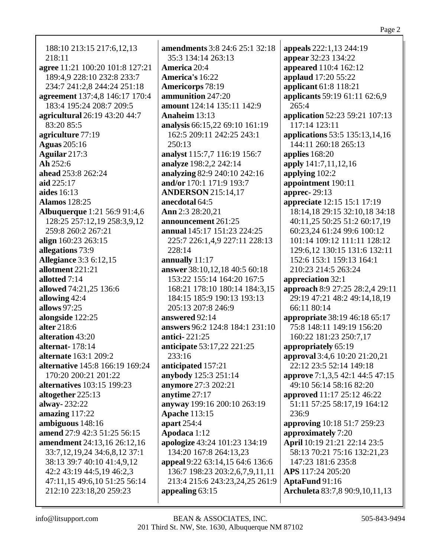188:10 213:15 217:6,12,13 218:11 **agree** 11:21 100:20 101:8 127:21 189:4,9 228:10 232:8 233:7 234:7 241:2,8 244:24 251:18 **agreement** 137:4,8 146:17 170:4 183:4 195:24 208:7 209:5 **agricultural** 26:19 43:20 44:7 83:20 85:5 **agriculture** 77:19 **Aguas** 205:16 **Aguilar** 217:3 **Ah** 252:6 **ahead** 253:8 262:24 **aid** 225:17 **aides** 16:13 **Alamos** 128:25 **Albuquerque** 1:21 56:9 91:4,6 128:25 257:12,19 258:3,9,12 259:8 260:2 267:21 **align** 160:23 263:15 **allegations** 73:9 **Allegiance** 3:3 6:12,15 **allotment** 221:21 **allotted** 7:14 **allowed** 74:21,25 136:6 **allowing** 42:4 **allows** 97:25 **alongside** 122:25 **alter** 218:6 **alteration** 43:20 **alternat-** 178:14 **alternate** 163:1 209:2 **alternative** 145:8 166:19 169:24 170:20 200:21 201:22 **alternatives** 103:15 199:23 **altogether** 225:13 **alway-** 232:22 **amazing** 117:22 **ambiguous** 148:16 **amend** 27:9 42:3 51:25 56:15 **amendment** 24:13,16 26:12,16 33:7,12,19,24 34:6,8,12 37:1 38:13 39:7 40:10 41:4,9,12 42:2 43:19 44:5,19 46:2,3 47:11,15 49:6,10 51:25 56:14 212:10 223:18,20 259:23

**amendments** 3:8 24:6 25:1 32:18 35:3 134:14 263:13 **America** 20:4 **America's** 16:22 **Americorps** 78:19 **ammunition** 247:20 **amount** 124:14 135:11 142:9 **Anaheim** 13:13 **analysis** 66:15,22 69:10 161:19 162:5 209:11 242:25 243:1 250:13 **analyst** 115:7,7 116:19 156:7 **analyze** 198:2,2 242:14 **analyzing** 82:9 240:10 242:16 **and/or** 170:1 171:9 193:7 **ANDERSON** 215:14,17 **anecdotal** 64:5 **Ann** 2:3 28:20,21 **announcement** 261:25 **annual** 145:17 151:23 224:25 225:7 226:1,4,9 227:11 228:13 228:14 **annually** 11:17 **answer** 38:10,12,18 40:5 60:18 153:22 155:14 164:20 167:5 168:21 178:10 180:14 184:3,15 184:15 185:9 190:13 193:13 205:13 207:8 246:9 **answered** 92:14 **answers** 96:2 124:8 184:1 231:10 **antici-** 221:25 **anticipate** 53:17,22 221:25 233:16 **anticipated** 157:21 **anybody** 125:3 251:14 **anymore** 27:3 202:21 **anytime** 27:17 **anyway** 199:16 200:10 263:19 **Apache** 113:15 **apart** 254:4 **Apodaca** 1:12 **apologize** 43:24 101:23 134:19 134:20 167:8 264:13,23 **appeal** 9:22 63:14,15 64:6 136:6 136:7 198:23 203:2,6,7,9,11,11 213:4 215:6 243:23,24,25 261:9 **appealing** 63:15

**appeals** 222:1,13 244:19 **appear** 32:23 134:22 **appeared** 110:4 162:12 **applaud** 17:20 55:22 **applicant** 61:8 118:21 **applicants** 59:19 61:11 62:6,9  $265:4$ **application** 52:23 59:21 107:13 117:14 123:11 **applications** 53:5 135:13,14,16 144:11 260:18 265:13 **applies** 168:20 **apply** 141:7,11,12,16 **applying** 102:2 **appointment** 190:11 **apprec-** 29:13 **appreciate** 12:15 15:1 17:19 18:14,18 29:15 32:10,18 34:18 40:11,25 50:25 51:2 60:17,19 60:23,24 61:24 99:6 100:12 101:14 109:12 111:11 128:12 129:6,12 130:15 131:6 132:11 152:6 153:1 159:13 164:1 210:23 214:5 263:24 **appreciation** 32:1 **approach** 8:9 27:25 28:2,4 29:11 29:19 47:21 48:2 49:14,18,19 66:11 80:14 **appropriate** 38:19 46:18 65:17 75:8 148:11 149:19 156:20 160:22 181:23 250:7,17 **appropriately** 65:19 **approval** 3:4,6 10:20 21:20,21 22:12 23:5 52:14 149:18 **approve** 7:1,3,5 42:1 44:5 47:15 49:10 56:14 58:16 82:20 **approved** 11:17 25:12 46:22 51:11 57:25 58:17,19 164:12 236:9 **approving** 10:18 51:7 259:23 **approximately** 7:20 **April** 10:19 21:21 22:14 23:5 58:13 70:21 75:16 132:21,23 147:23 181:6 235:8 **APS** 117:24 205:20 **AptaFund** 91:16 **Archuleta** 83:7,8 90:9,10,11,13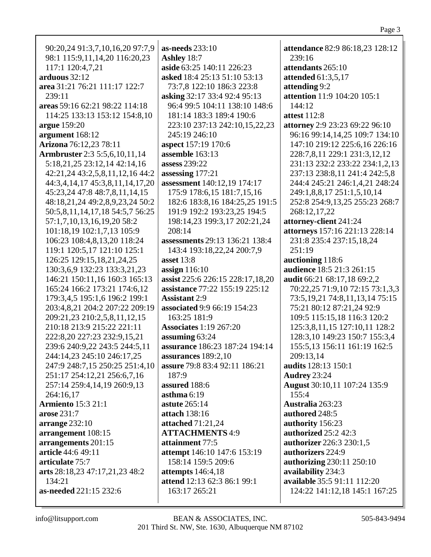| 90:20,24 91:3,7,10,16,20 97:7,9      | <b>as-needs</b> 233:10                | attendance 82:9 86:18,23 128:12      |
|--------------------------------------|---------------------------------------|--------------------------------------|
| 98:1 115:9,11,14,20 116:20,23        | Ashley 18:7                           | 239:16                               |
| 117:1 120:4,7,21                     | aside 63:25 140:11 226:23             | attendants 265:10                    |
| arduous $32:12$                      | asked 18:4 25:13 51:10 53:13          | <b>attended</b> 61:3,5,17            |
| area 31:21 76:21 111:17 122:7        | 73:7,8 122:10 186:3 223:8             | attending 9:2                        |
| 239:11                               | asking 32:17 33:4 92:4 95:13          | attention 11:9 104:20 105:1          |
| areas 59:16 62:21 98:22 114:18       | 96:4 99:5 104:11 138:10 148:6         | 144:12                               |
| 114:25 133:13 153:12 154:8,10        | 181:14 183:3 189:4 190:6              | attest 112:8                         |
| argue 159:20                         | 223:10 237:13 242:10,15,22,23         | attorney 2:9 23:23 69:22 96:10       |
| argument 168:12                      | 245:19 246:10                         | 96:16 99:14,14,25 109:7 134:10       |
| Arizona 76:12,23 78:11               | aspect 157:19 170:6                   | 147:10 219:12 225:6,16 226:16        |
| <b>Armbruster</b> 2:3 5:5,6,10,11,14 | assemble 163:13                       | 228:7,8,11 229:1 231:3,12,12         |
| 5:18,21,25 23:12,14 42:14,16         | assess 239:22                         | 231:13 232:2 233:22 234:1,2,13       |
| 42:21,24 43:2,5,8,11,12,16 44:2      | assessing 177:21                      | 237:13 238:8,11 241:4 242:5,8        |
| 44:3,4,14,17 45:3,8,11,14,17,20      | assessment 140:12,19 174:17           | 244:4 245:21 246:1,4,21 248:24       |
| 45:23,24 47:8 48:7,8,11,14,15        | 175:9 178:6,15 181:7,15,16            | 249:1,8,8,17 251:1,5,10,14           |
| 48:18,21,24 49:2,8,9,23,24 50:2      | 182:6 183:8,16 184:25,25 191:5        | 252:8 254:9,13,25 255:23 268:7       |
| 50:5,8,11,14,17,18 54:5,7 56:25      | 191:9 192:2 193:23,25 194:5           | 268:12,17,22                         |
| 57:1,7,10,13,16,19,20 58:2           | 198:14,23 199:3,17 202:21,24          | attorney-client 241:24               |
| 101:18,19 102:1,7,13 105:9           | 208:14                                | attorneys 157:16 221:13 228:14       |
| 106:23 108:4,8,13,20 118:24          | <b>assessments</b> 29:13 136:21 138:4 | 231:8 235:4 237:15,18,24             |
| 119:1 120:5,17 121:10 125:1          | 143:4 193:18,22,24 200:7,9            | 251:19                               |
| 126:25 129:15,18,21,24,25            | asset $13:8$                          | auctioning 118:6                     |
| 130:3,6,9 132:23 133:3,21,23         | assign $116:10$                       | audience 18:5 21:3 261:15            |
| 146:21 150:11,16 160:3 165:13        | assist 225:6 226:15 228:17,18,20      | audit 66:21 68:17,18 69:2,2          |
| 165:24 166:2 173:21 174:6,12         | assistance 77:22 155:19 225:12        | 70:22,25 71:9,10 72:15 73:1,3,3      |
| 179:3,4,5 195:1,6 196:2 199:1        | <b>Assistant 2:9</b>                  | 73:5, 19, 21 74:8, 11, 13, 14 75: 15 |
| 203:4,8,21 204:2 207:22 209:19       | <b>associated 9:9 66:19 154:23</b>    | 75:21 80:12 87:21,24 92:9            |
| 209:21,23 210:2,5,8,11,12,15         | 163:25 181:9                          | 109:5 115:15,18 116:3 120:2          |
| 210:18 213:9 215:22 221:11           | <b>Associates 1:19 267:20</b>         | 125:3,8,11,15 127:10,11 128:2        |
| 222:8,20 227:23 232:9,15,21          | assuming 63:24                        | 128:3,10 149:23 150:7 155:3,4        |
| 239:6 240:9,22 243:5 244:5,11        | assurance 186:23 187:24 194:14        | 155:5,13 156:11 161:19 162:5         |
| 244:14,23 245:10 246:17,25           | assurances $189:2,10$                 | 209:13,14                            |
| 247:9 248:7,15 250:25 251:4,10       | assure 79:8 83:4 92:11 186:21         | audits 128:13 150:1                  |
| 251:17 254:12,21 256:6,7,16          | 187:9                                 | <b>Audrey 23:24</b>                  |
| 257:14 259:4,14,19 260:9,13          | assured 188:6                         | <b>August</b> 30:10,11 107:24 135:9  |
| 264:16,17                            | asthma $6:19$                         | 155:4                                |
| <b>Armiento</b> 15:3 21:1            | astute $265:14$                       | Australia 263:23                     |
| arose 231:7                          | attach 138:16                         | authored 248:5                       |
| arrange 232:10                       | attached 71:21,24                     | authority 156:23                     |
| arrangement 108:15                   | <b>ATTACHMENTS 4:9</b>                | <b>authorized</b> 25:2 42:3          |
| arrangements 201:15                  | attainment 77:5                       | authorizer 226:3 230:1,5             |
| article 44:6 49:11                   | attempt 146:10 147:6 153:19           | authorizers 224:9                    |
| articulate 75:7                      | 158:14 159:5 209:6                    | <b>authorizing 230:11 250:10</b>     |
| arts 28:18,23 47:17,21,23 48:2       | attempts $146:4,18$                   | availability 234:3                   |
| 134:21                               | attend 12:13 62:3 86:1 99:1           | available 35:5 91:11 112:20          |
| as-needed 221:15 232:6               | 163:17 265:21                         | 124:22 141:12,18 145:1 167:25        |
|                                      |                                       |                                      |
|                                      |                                       |                                      |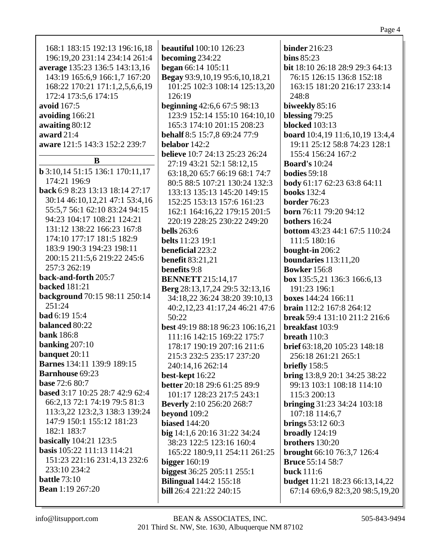| 168:1 183:15 192:13 196:16,18          | <b>beautiful</b> 100:10 126:23        | <b>binder</b> 216:23                     |
|----------------------------------------|---------------------------------------|------------------------------------------|
| 196:19,20 231:14 234:14 261:4          | becoming 234:22                       | bins $85:23$                             |
| average 135:23 136:5 143:13,16         | began 66:14 105:11                    | bit 18:10 26:18 28:9 29:3 64:13          |
| 143:19 165:6,9 166:1,7 167:20          | Begay 93:9,10,19 95:6,10,18,21        | 76:15 126:15 136:8 152:18                |
| 168:22 170:21 171:1,2,5,6,6,19         | 101:25 102:3 108:14 125:13,20         | 163:15 181:20 216:17 233:14              |
| 172:4 173:5,6 174:15                   | 126:19                                | 248:8                                    |
| avoid 167:5                            | <b>beginning</b> 42:6,6 67:5 98:13    | biweekly 85:16                           |
| avoiding 166:21                        | 123:9 152:14 155:10 164:10,10         | blessing 79:25                           |
| awaiting 80:12                         | 165:3 174:10 201:15 208:23            | <b>blocked</b> 103:13                    |
| award 21:4                             | behalf 8:5 15:7,8 69:24 77:9          | board 10:4,19 11:6,10,19 13:4,4          |
| aware 121:5 143:3 152:2 239:7          | belabor 142:2                         | 19:11 25:12 58:8 74:23 128:1             |
| B                                      | <b>believe</b> 10:7 24:13 25:23 26:24 | 155:4 156:24 167:2                       |
| <b>b</b> 3:10,14 51:15 136:1 170:11,17 | 27:19 43:21 52:1 58:12,15             | <b>Board's 10:24</b>                     |
| 174:21 196:9                           | 63:18,20 65:7 66:19 68:1 74:7         | <b>bodies</b> 59:18                      |
| back 6:9 8:23 13:13 18:14 27:17        | 80:5 88:5 107:21 130:24 132:3         | body 61:17 62:23 63:8 64:11              |
| 30:14 46:10,12,21 47:1 53:4,16         | 133:13 135:13 145:20 149:15           | <b>books</b> 132:4                       |
| 55:5,7 56:1 62:10 83:24 94:15          | 152:25 153:13 157:6 161:23            | border 76:23                             |
| 94:23 104:17 108:21 124:21             | 162:1 164:16,22 179:15 201:5          | <b>born</b> 76:11 79:20 94:12            |
| 131:12 138:22 166:23 167:8             | 220:19 228:25 230:22 249:20           | bothers 16:24                            |
| 174:10 177:17 181:5 182:9              | <b>bells</b> 263:6                    | <b>bottom</b> 43:23 44:1 67:5 110:24     |
| 183:9 190:3 194:23 198:11              | <b>belts</b> 11:23 19:1               | 111:5 180:16                             |
| 200:15 211:5,6 219:22 245:6            | beneficial 223:2                      | bought-in 206:2                          |
| 257:3 262:19                           | <b>benefit 83:21,21</b>               | boundaries $113:11,20$                   |
| back-and-forth 205:7                   | benefits 9:8                          | <b>Bowker</b> 156:8                      |
| <b>backed</b> 181:21                   | <b>BENNETT</b> 215:14,17              | box 135:5,21 136:3 166:6,13              |
| background 70:15 98:11 250:14          | Berg 28:13,17,24 29:5 32:13,16        | 191:23 196:1                             |
| 251:24                                 | 34:18,22 36:24 38:20 39:10,13         | <b>boxes</b> 144:24 166:11               |
| bad 6:19 15:4                          | 50:22                                 | break 59:4 131:10 211:2 216:6            |
| balanced 80:22                         | best 49:19 88:18 96:23 106:16,21      | breakfast 103:9                          |
| <b>bank</b> 186:8                      | 111:16 142:15 169:22 175:7            | breath $110:3$                           |
| banking $207:10$                       | 178:17 190:19 207:16 211:6            | brief 63:18,20 105:23 148:18             |
| banquet 20:11                          | 215:3 232:5 235:17 237:20             | 256:18 261:21 265:1                      |
| <b>Barnes</b> 134:11 139:9 189:15      | 240:14,16 262:14                      | briefly $158:5$                          |
| <b>Barnhouse</b> 69:23                 | best-kept 16:22                       | bring 13:8,9 20:1 34:25 38:22            |
| <b>base</b> 72:6 80:7                  | better 20:18 29:6 61:25 89:9          | 99:13 103:1 108:18 114:10                |
| based 3:17 10:25 28:7 42:9 62:4        | 101:17 128:23 217:5 243:1             | 115:3 200:13                             |
| 66:2,13 72:1 74:19 79:5 81:3           | <b>Beverly</b> 2:10 256:20 268:7      | <b>bringing</b> $31:23$ $34:24$ $103:18$ |
| 113:3,22 123:2,3 138:3 139:24          | beyond 109:2                          | 107:18 114:6,7                           |
| 147:9 150:1 155:12 181:23              | <b>biased</b> 144:20                  | brings $53:1260:3$                       |
| 182:1 183:7                            | big $14:1,620:1631:2234:24$           | broadly $124:19$                         |
| <b>basically</b> 104:21 123:5          | 38:23 122:5 123:16 160:4              | brothers 130:20                          |
| basis 105:22 111:13 114:21             | 165:22 180:9,11 254:11 261:25         | brought 66:10 76:3,7 126:4               |
| 151:23 221:16 231:4,13 232:6           | bigger $160:19$                       | <b>Bruce</b> 55:14 58:7                  |
| 233:10 234:2                           | biggest 36:25 205:11 255:1            | <b>buck</b> 111:6                        |
| <b>battle</b> 73:10                    | <b>Bilingual</b> 144:2 155:18         | <b>budget</b> 11:21 18:23 66:13,14,22    |
| <b>Bean</b> 1:19 267:20                | <b>bill</b> 26:4 221:22 240:15        | 67:14 69:6,9 82:3,20 98:5,19,20          |

Page 4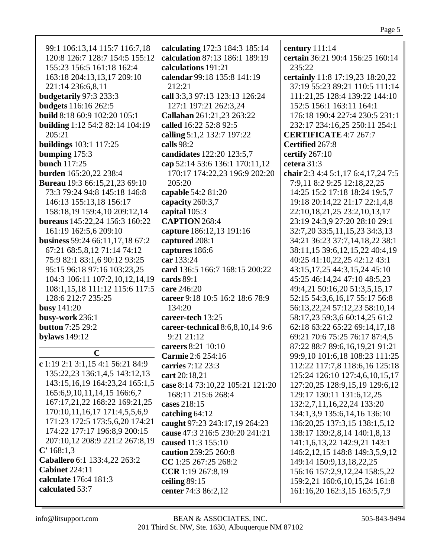| 99:1 106:13,14 115:7 116:7,18        | calculating 172:3 184:3 185:14   | century 111:14                      |
|--------------------------------------|----------------------------------|-------------------------------------|
| 120:8 126:7 128:7 154:5 155:12       | calculation 87:13 186:1 189:19   | certain 36:21 90:4 156:25 160:14    |
| 155:23 156:5 161:18 162:4            | calculations 191:21              | 235:22                              |
| 163:18 204:13,13,17 209:10           | calendar 99:18 135:8 141:19      | certainly 11:8 17:19,23 18:20,22    |
| 221:14 236:6,8,11                    | 212:21                           | 37:19 55:23 89:21 110:5 111:14      |
| budgetarily 97:3 233:3               | call 3:3,3 97:13 123:13 126:24   | 111:21,25 128:4 139:22 144:10       |
| <b>budgets</b> 116:16 262:5          | 127:1 197:21 262:3,24            | 152:5 156:1 163:11 164:1            |
| <b>build</b> 8:18 60:9 102:20 105:1  | Callahan 261:21,23 263:22        | 176:18 190:4 227:4 230:5 231:1      |
| building 1:12 54:2 82:14 104:19      | called 16:22 52:8 92:5           | 232:17 234:16,25 250:11 254:1       |
| 205:21                               | calling 5:1,2 132:7 197:22       | <b>CERTIFICATE 4:7 267:7</b>        |
| buildings 103:1 117:25               | calls 98:2                       | Certified 267:8                     |
| bumping $175:3$                      | candidates 122:20 123:5,7        | certify $267:10$                    |
| <b>bunch</b> 117:25                  | cap 52:14 53:6 136:1 170:11,12   | cetera 31:3                         |
| burden 165:20,22 238:4               | 170:17 174:22,23 196:9 202:20    | chair 2:3 4:4 5:1,17 6:4,17,24 7:5  |
| <b>Bureau</b> 19:3 66:15,21,23 69:10 | 205:20                           | 7:9,11 8:2 9:25 12:18,22,25         |
| 73:3 79:24 94:8 145:18 146:8         | capable 54:2 81:20               | 14:25 15:2 17:18 18:24 19:5,7       |
| 146:13 155:13,18 156:17              | capacity 260:3,7                 | 19:18 20:14,22 21:17 22:1,4,8       |
| 158:18,19 159:4,10 209:12,14         | capital 105:3                    | 22:10,18,21,25 23:2,10,13,17        |
| bureaus 145:22,24 156:3 160:22       | <b>CAPTION 268:4</b>             | 23:19 24:3,9 27:20 28:10 29:1       |
| 161:19 162:5,6 209:10                | capture 186:12,13 191:16         | 32:7,20 33:5,11,15,23 34:3,13       |
| business 59:24 66:11,17,18 67:2      | captured 208:1                   | 34:21 36:23 37:7,14,18,22 38:1      |
| 67:21 68:5,8,12 71:14 74:12          | captures 186:6                   | 38:11,15 39:6,12,15,22 40:4,19      |
| 75:9 82:1 83:1,6 90:12 93:25         | car 133:24                       | 40:25 41:10,22,25 42:12 43:1        |
| 95:15 96:18 97:16 103:23,25          | card 136:5 166:7 168:15 200:22   | 43:15, 17, 25 44: 3, 15, 24 45: 10  |
| 104:3 106:11 107:2,10,12,14,19       | cards $89:1$                     | 45:25 46:14,24 47:10 48:5,23        |
| 108:1,15,18 111:12 115:6 117:5       | care 246:20                      | 49:4,21 50:16,20 51:3,5,15,17       |
| 128:6 212:7 235:25                   | career 9:18 10:5 16:2 18:6 78:9  | 52:15 54:3,6,16,17 55:17 56:8       |
| <b>busy</b> 141:20                   | 134:20                           | 56:13,22,24 57:12,23 58:10,14       |
| busy-work 236:1                      | career-tech 13:25                | 58:17,23 59:3,6 60:14,25 61:2       |
| <b>button</b> 7:25 29:2              | career-technical 8:6,8,10,14 9:6 | 62:18 63:22 65:22 69:14,17,18       |
| <b>bylaws</b> 149:12                 | 9:21 21:12                       | 69:21 70:6 75:25 76:17 87:4,5       |
|                                      | careers 8:21 10:10               | 87:22 88:7 89:6,16,19,21 91:21      |
| C                                    | Carmie 2:6 254:16                | 99:9,10 101:6,18 108:23 111:25      |
| c 1:19 2:1 3:1,15 4:1 56:21 84:9     | carries 7:12 23:3                | 112:22 117:7,8 118:6,16 125:18      |
| 135:22,23 136:1,4,5 143:12,13        | cart 20:18,21                    | 125:24 126:10 127:4,6,10,15,17      |
| 143:15, 16, 19 164: 23, 24 165: 1, 5 | case 8:14 73:10,22 105:21 121:20 | 127:20,25 128:9,15,19 129:6,12      |
| 165:6, 9, 10, 11, 14, 15 166: 6, 7   | 168:11 215:6 268:4               | 129:17 130:11 131:6,12,25           |
| 167:17,21,22 168:22 169:21,25        | cases 218:15                     | 132:2,7,11,16,22,24 133:20          |
| 170:10,11,16,17 171:4,5,5,6,9        | catching $64:12$                 | 134:1,3,9 135:6,14,16 136:10        |
| 171:23 172:5 173:5,6,20 174:21       | caught 97:23 243:17,19 264:23    | 136:20,25 137:3,15 138:1,5,12       |
| 174:22 177:17 196:8,9 200:15         | cause 47:3 216:5 230:20 241:21   | 138:17 139:2,8,14 140:1,8,13        |
| 207:10,12 208:9 221:2 267:8,19       | caused 11:3 155:10               | 141:1,6,13,22 142:9,21 143:1        |
| C' 168:1,3                           | caution 259:25 260:8             | 146:2, 12, 15 148:8 149:3, 5, 9, 12 |
| Caballero 6:1 133:4,22 263:2         | CC 1:25 267:25 268:2             | 149:14 150:9,13,18,22,25            |
| <b>Cabinet 224:11</b>                | CCR 1:19 267:8,19                | 156:16 157:2,9,12,24 158:5,22       |
| calculate 176:4 181:3                | ceiling $89:15$                  | 159:2,21 160:6,10,15,24 161:8       |
| calculated 53:7                      | center 74:3 86:2,12              | 161:16,20 162:3,15 163:5,7,9        |
|                                      |                                  |                                     |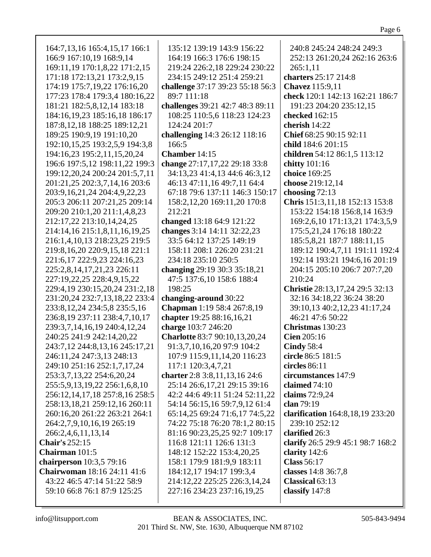|--|

| 164:7, 13, 16 165:4, 15, 17 166:1 | 135:12 139:19 143:9 156:22       | 240:8 245:24 248:24 249:3         |
|-----------------------------------|----------------------------------|-----------------------------------|
| 166:9 167:10,19 168:9,14          | 164:19 166:3 176:6 198:15        | 252:13 261:20,24 262:16 263:6     |
|                                   |                                  |                                   |
| 169:11,19 170:1,8,22 171:2,15     | 219:24 226:2,18 229:24 230:22    | 265:1,11                          |
| 171:18 172:13,21 173:2,9,15       | 234:15 249:12 251:4 259:21       | charters 25:17 214:8              |
| 174:19 175:7,19,22 176:16,20      | challenge 37:17 39:23 55:18 56:3 | Chavez 115:9,11                   |
| 177:23 178:4 179:3,4 180:16,22    | 89:7 111:18                      | check 120:1 142:13 162:21 186:7   |
| 181:21 182:5,8,12,14 183:18       | challenges 39:21 42:7 48:3 89:11 | 191:23 204:20 235:12,15           |
| 184:16,19,23 185:16,18 186:17     | 108:25 110:5,6 118:23 124:23     | checked 162:15                    |
| 187:8, 12, 18 188: 25 189: 12, 21 | 124:24 201:7                     | cherish 14:22                     |
| 189:25 190:9,19 191:10,20         | challenging 14:3 26:12 118:16    | Chief 68:25 90:15 92:11           |
| 192:10,15,25 193:2,5,9 194:3,8    | 166:5                            | child 184:6 201:15                |
| 194:16,23 195:2,11,15,20,24       | Chamber 14:15                    | children 54:12 86:1,5 113:12      |
| 196:6 197:5,12 198:11,22 199:3    | change 27:17,17,22 29:18 33:8    | chitty 101:16                     |
| 199:12,20,24 200:24 201:5,7,11    | 34:13,23 41:4,13 44:6 46:3,12    | choice 169:25                     |
| 201:21,25 202:3,7,14,16 203:6     | 46:13 47:11,16 49:7,11 64:4      | choose 219:12,14                  |
| 203:9,16,21,24 204:4,9,22,23      | 67:18 79:6 137:11 146:3 150:17   | choosing $72:13$                  |
| 205:3 206:11 207:21,25 209:14     | 158:2, 12, 20 169:11, 20 170:8   | Chris 151:3,11,18 152:13 153:8    |
| 209:20 210:1,20 211:1,4,8,23      | 212:21                           | 153:22 154:18 156:8,14 163:9      |
| 212:17,22 213:10,14,24,25         | changed 13:18 64:9 121:22        | 169:2,6,10 171:13,21 174:3,5,9    |
| 214:14,16 215:1,8,11,16,19,25     | changes 3:14 14:11 32:22,23      | 175:5,21,24 176:18 180:22         |
| 216:1,4,10,13 218:23,25 219:5     | 33:5 64:12 137:25 149:19         | 185:5,8,21 187:7 188:11,15        |
| 219:8, 16, 20 220:9, 15, 18 221:1 | 158:11 208:1 226:20 231:21       | 189:12 190:4,7,11 191:11 192:4    |
| 221:6,17 222:9,23 224:16,23       | 234:18 235:10 250:5              | 192:14 193:21 194:6,16 201:19     |
| 225:2,8,14,17,21,23 226:11        | changing 29:19 30:3 35:18,21     | 204:15 205:10 206:7 207:7,20      |
| 227:19,22,25 228:4,9,15,22        | 47:5 137:6,10 158:6 188:4        | 210:24                            |
| 229:4,19 230:15,20,24 231:2,18    | 198:25                           | Christie 28:13,17,24 29:5 32:13   |
| 231:20,24 232:7,13,18,22 233:4    | changing-around 30:22            | 32:16 34:18,22 36:24 38:20        |
| 233:8, 12, 24 234:5, 8 235:5, 16  | Chapman 1:19 58:4 267:8,19       | 39:10,13 40:2,12,23 41:17,24      |
| 236:8,19 237:11 238:4,7,10,17     | chapter 19:25 88:16,16,21        | 46:21 47:6 50:22                  |
|                                   |                                  |                                   |
| 239:3,7,14,16,19 240:4,12,24      | charge 103:7 246:20              | Christmas 130:23                  |
| 240:25 241:9 242:14,20,22         | Charlotte 83:7 90:10,13,20,24    | Cien 205:16                       |
| 243:7,12 244:8,13,16 245:17,21    | 91:3,7,10,16,20 97:9 104:2       | <b>Cindy 58:4</b>                 |
| 246:11,24 247:3,13 248:13         | 107:9 115:9, 11, 14, 20 116:23   | circle 86:5 181:5                 |
| 249:10 251:16 252:1,7,17,24       | 117:1 120:3,4,7,21               | circles $86:11$                   |
| 253:3,7,13,22 254:6,20,24         | charter 2:8 3:8,11,13,16 24:6    | circumstances 147:9               |
| 255:5,9,13,19,22 256:1,6,8,10     | 25:14 26:6,17,21 29:15 39:16     | claimed 74:10                     |
| 256:12,14,17,18 257:8,16 258:5    | 42:2 44:6 49:11 51:24 52:11,22   | claims 72:9,24                    |
| 258:13,18,21 259:12,16 260:11     | 54:14 56:15,16 59:7,9,12 61:4    | clan 79:19                        |
| 260:16,20 261:22 263:21 264:1     | 65:14,25 69:24 71:6,17 74:5,22   | clarification 164:8,18,19 233:20  |
| 264:2,7,9,10,16,19 265:19         | 74:22 75:18 76:20 78:1,2 80:15   | 239:10 252:12                     |
| 266:2,4,6,11,13,14                | 81:16 90:23,25,25 92:7 109:17    | clarified 26:3                    |
| <b>Chair's 252:15</b>             | 116:8 121:11 126:6 131:3         | clarify 26:5 29:9 45:1 98:7 168:2 |
| <b>Chairman</b> 101:5             | 148:12 152:22 153:4,20,25        | clarity $142:6$                   |
| chairperson 10:3,5 79:16          | 158:1 179:9 181:9,9 183:11       | <b>Class 56:17</b>                |
| Chairwoman 18:16 24:11 41:6       | 184:12,17 194:17 199:3,4         | classes 14:8 36:7,8               |
| 43:22 46:5 47:14 51:22 58:9       | 214:12,22 225:25 226:3,14,24     | Classical 63:13                   |
| 59:10 66:8 76:1 87:9 125:25       | 227:16 234:23 237:16,19,25       | classify 147:8                    |
|                                   |                                  |                                   |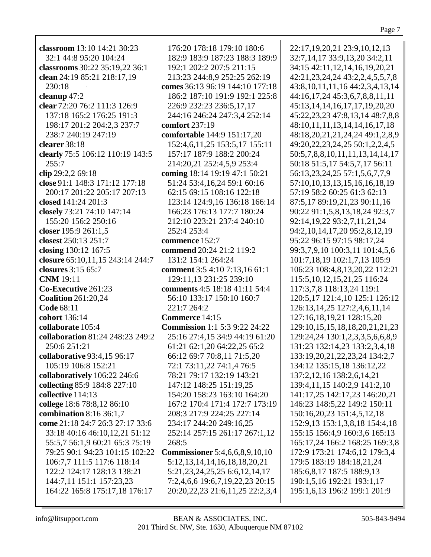**classroom** 13:10 14:21 30:23 32:1 44:8 95:20 104:24 **classrooms** 30:22 35:19,22 36:1 **clean** 24:19 85:21 218:17,19 230:18 **cleanup** 47:2 **clear** 72:20 76:2 111:3 126:9 137:18 165:2 176:25 191:3 198:17 201:2 204:2,3 237:7 238:7 240:19 247:19 **clearer** 38:18 **clearly** 75:5 106:12 110:19 143:5  $255:7$ **clip** 29:2,2 69:18 **close** 91:1 148:3 171:12 177:18 200:17 201:22 205:17 207:13 **closed** 141:24 201:3 **closely** 73:21 74:10 147:14 155:20 156:2 250:16 **closer** 195:9 261:1,5 **closest** 250:13 251:7 **closing** 130:12 167:5 **closure** 65:10,11,15 243:14 244:7 **closures** 3:15 65:7 **CNM** 19:11 **Co-Executive** 261:23 **Coalition** 261:20,24 **Code** 68:11 **cohort** 136:14 **collaborate** 105:4 **collaboration** 81:24 248:23 249:2 250:6 251:21 **collaborative** 93:4,15 96:17 105:19 106:8 152:21 **collaboratively** 106:22 246:6 **collecting** 85:9 184:8 227:10 **collective** 114:13 **college** 18:6 78:8,12 86:10 **combination** 8:16 36:1,7 **come** 21:18 24:7 26:3 27:17 33:6 33:18 40:16 46:10,12,21 51:12 55:5,7 56:1,9 60:21 65:3 75:19 79:25 90:1 94:23 101:15 102:22 106:7,7 111:5 117:6 118:14 122:2 124:17 128:13 138:21 144:7,11 151:1 157:23,23 164:22 165:8 175:17,18 176:17

176:20 178:18 179:10 180:6 182:9 183:9 187:23 188:3 189:9 192:1 202:2 207:5 211:15 213:23 244:8,9 252:25 262:19 **comes** 36:13 96:19 144:10 177:18 186:2 187:10 191:9 192:1 225:8 226:9 232:23 236:5,17,17 244:16 246:24 247:3,4 252:14 **comfort** 237:19 **comfortable** 144:9 151:17,20 152:4,6,11,25 153:5,17 155:11 157:17 187:9 188:2 200:24 214:20,21 252:4,5,9 253:4 **coming** 18:14 19:19 47:1 50:21 51:24 53:4,16,24 59:1 60:16 62:15 69:15 108:16 122:18 123:14 124:9,16 136:18 166:14 166:23 176:13 177:7 180:24 212:10 223:21 237:4 240:10 252:4 253:4 **commence** 152:7 **commend** 20:24 21:2 119:2 131:2 154:1 264:24 **comment** 3:5 4:10 7:13,16 61:1 129:11,13 231:25 239:10 **comments** 4:5 18:18 41:11 54:4 56:10 133:17 150:10 160:7 221:7 264:2 **Commerce** 14:15 **Commission** 1:1 5:3 9:22 24:22 25:16 27:4,15 34:9 44:19 61:20 61:21 62:1,20 64:22,25 65:2 66:12 69:7 70:8,11 71:5,20 72:1 73:11,22 74:1,4 76:5 78:21 79:17 132:19 143:21 147:12 148:25 151:19,25 154:20 158:23 163:10 164:20 167:2 170:4 171:4 172:7 173:19 208:3 217:9 224:25 227:14 234:17 244:20 249:16,25 252:14 257:15 261:17 267:1,12  $268:5$ **Commissioner** 5:4,6,6,8,9,10,10 5:12,13,14,14,16,18,18,20,21 5:21,23,24,25,25 6:6,12,14,17 7:2,4,6,6 19:6,7,19,22,23 20:15 20:20,22,23 21:6,11,25 22:2,3,4 22:17,19,20,21 23:9,10,12,13 32:7,14,17 33:9,13,20 34:2,11 34:15 42:11,12,14,16,19,20,21 42:21,23,24,24 43:2,2,4,5,5,7,8 43:8,10,11,11,16 44:2,3,4,13,14 44:16,17,24 45:3,6,7,8,8,11,11 45:13,14,14,16,17,17,19,20,20 45:22,23,23 47:8,13,14 48:7,8,8 48:10,11,11,13,14,14,16,17,18 48:18,20,21,21,24,24 49:1,2,8,9 49:20,22,23,24,25 50:1,2,2,4,5 50:5,7,8,8,10,11,11,13,14,14,17 50:18 51:5,17 54:5,7,17 56:11 56:13,23,24,25 57:1,5,6,7,7,9 57:10,10,13,13,15,16,16,18,19 57:19 58:2 60:25 61:3 62:13 87:5,17 89:19,21,23 90:11,16 90:22 91:1,5,8,13,18,24 92:3,7 92:14,19,22 93:2,7,11,21,24 94:2,10,14,17,20 95:2,8,12,19 95:22 96:15 97:15 98:17,24 99:3,7,9,10 100:3,11 101:4,5,6 101:7,18,19 102:1,7,13 105:9 106:23 108:4,8,13,20,22 112:21 115:5,10,12,15,21,25 116:24 117:3,7,8 118:13,24 119:1 120:5,17 121:4,10 125:1 126:12 126:13,14,25 127:2,4,6,11,14 127:16,18,19,21 128:15,20 129:10,15,15,18,18,20,21,21,23 129:24,24 130:1,2,3,3,5,6,6,8,9 131:23 132:14,23 133:2,3,4,18 133:19,20,21,22,23,24 134:2,7 134:12 135:15,18 136:12,22 137:2,12,16 138:2,6,14,21 139:4,11,15 140:2,9 141:2,10 141:17,25 142:17,23 146:20,21 146:23 148:5,22 149:2 150:11 150:16,20,23 151:4,5,12,18 152:9,13 153:1,3,8,18 154:4,18 155:15 156:4,9 160:3,6 165:13 165:17,24 166:2 168:25 169:3,8 172:9 173:21 174:6,12 179:3,4 179:5 183:19 184:18,21,24 185:6,8,17 187:5 188:9,13 190:1,5,16 192:21 193:1,17 195:1,6,13 196:2 199:1 201:9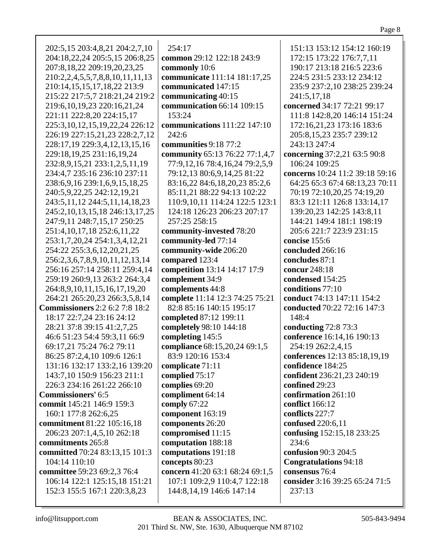| 202:5,15 203:4,8,21 204:2,7,10        | 254:17                              | 151:13 153:12 154:12 160:19     |
|---------------------------------------|-------------------------------------|---------------------------------|
| 204:18,22,24 205:5,15 206:8,25        | common 29:12 122:18 243:9           | 172:15 173:22 176:7,7,11        |
|                                       |                                     |                                 |
| 207:8,18,22 209:19,20,23,25           | commonly 10:6                       | 190:17 213:18 216:5 223:6       |
| 210:2,2,4,5,5,7,8,8,10,11,11,13       | communicate 111:14 181:17,25        | 224:5 231:5 233:12 234:12       |
| 210:14,15,15,17,18,22 213:9           | communicated 147:15                 | 235:9 237:2,10 238:25 239:24    |
| 215:22 217:5,7 218:21,24 219:2        | communicating 40:15                 | 241:5,17,18                     |
| 219:6, 10, 19, 23 220: 16, 21, 24     | communication 66:14 109:15          | concerned 34:17 72:21 99:17     |
|                                       |                                     |                                 |
| 221:11 222:8,20 224:15,17             | 153:24                              | 111:8 142:8,20 146:14 151:24    |
| 225:3, 10, 12, 15, 19, 22, 24 226: 12 | communications 111:22 147:10        | 172:16,21,23 173:16 183:6       |
| 226:19 227:15,21,23 228:2,7,12        | 242:6                               | 205:8,15,23 235:7 239:12        |
| 228:17,19 229:3,4,12,13,15,16         | communities 9:18 77:2               | 243:13 247:4                    |
| 229:18,19,25 231:16,19,24             | community 65:13 76:22 77:1,4,7      | concerning 37:2,21 63:5 90:8    |
|                                       |                                     | 106:24 109:25                   |
| 232:8,9,15,21 233:1,2,5,11,19         | 77:9,12,16 78:4,16,24 79:2,5,9      |                                 |
| 234:4,7 235:16 236:10 237:11          | 79:12,13 80:6,9,14,25 81:22         | concerns 10:24 11:2 39:18 59:16 |
| 238:6, 9, 16 239:1, 6, 9, 15, 18, 25  | 83:16,22 84:6,18,20,23 85:2,6       | 64:25 65:3 67:4 68:13,23 70:11  |
| 240:5,9,22,25 242:12,19,21            | 85:11,21 88:22 94:13 102:22         | 70:19 72:10,20,25 74:19,20      |
| 243:5, 11, 12 244: 5, 11, 14, 18, 23  | 110:9, 10, 11 114: 24 122: 5 123: 1 | 83:3 121:11 126:8 133:14,17     |
| 245:2,10,13,15,18 246:13,17,25        | 124:18 126:23 206:23 207:17         | 139:20,23 142:25 143:8,11       |
|                                       |                                     |                                 |
| 247:9,11 248:7,15,17 250:25           | 257:25 258:15                       | 144:21 149:4 181:1 198:19       |
| 251:4, 10, 17, 18 252:6, 11, 22       | community-invested 78:20            | 205:6 221:7 223:9 231:15        |
| 253:1,7,20,24 254:1,3,4,12,21         | community-led 77:14                 | concise 155:6                   |
| 254:22 255:3,6,12,20,21,25            | community-wide 206:20               | concluded 266:16                |
| 256:2,3,6,7,8,9,10,11,12,13,14        | compared 123:4                      | concludes 87:1                  |
| 256:16 257:14 258:11 259:4,14         | competition 13:14 14:17 17:9        | concur 248:18                   |
| 259:19 260:9,13 263:2 264:3,4         | complement 34:9                     | condensed 154:25                |
|                                       |                                     |                                 |
| 264:8,9,10,11,15,16,17,19,20          | complements 44:8                    | conditions 77:10                |
| 264:21 265:20,23 266:3,5,8,14         | complete 11:14 12:3 74:25 75:21     | conduct 74:13 147:11 154:2      |
| <b>Commissioners</b> 2:2 6:2 7:8 18:2 | 82:8 85:16 140:15 195:17            | conducted 70:22 72:16 147:3     |
| 18:17 22:7,24 23:16 24:12             | completed 87:12 199:11              | 148:4                           |
| 28:21 37:8 39:15 41:2,7,25            | completely 98:10 144:18             | conducting 72:8 73:3            |
| 46:6 51:23 54:4 59:3,11 66:9          | completing 145:5                    | conference 16:14,16 190:13      |
| 69:17,21 75:24 76:2 79:11             | compliance 68:15,20,24 69:1,5       | 254:19 262:2,4,15               |
| 86:25 87:2,4,10 109:6 126:1           | 83:9 120:16 153:4                   | conferences 12:13 85:18,19,19   |
|                                       |                                     |                                 |
| 131:16 132:17 133:2,16 139:20         | complicate 71:11                    | confidence 184:25               |
| 143:7,10 150:9 156:23 211:1           | complied 75:17                      | confident 236:21,23 240:19      |
| 226:3 234:16 261:22 266:10            | complies 69:20                      | confined 29:23                  |
| <b>Commissioners' 6:5</b>             | compliment 64:14                    | confirmation 261:10             |
| commit 145:21 146:9 159:3             | comply 67:22                        | conflict 166:12                 |
| 160:1 177:8 262:6,25                  | component 163:19                    | conflicts 227:7                 |
| commitment 81:22 105:16,18            | components 26:20                    | confused 220:6,11               |
|                                       |                                     |                                 |
| 206:23 207:1,4,5,10 262:18            | compromised 11:15                   | confusing 152:15,18 233:25      |
| commitments 265:8                     | computation 188:18                  | 234:6                           |
| committed 70:24 83:13,15 101:3        | computations 191:18                 | confusion 90:3 204:5            |
| 104:14 110:10                         | concepts 80:23                      | <b>Congratulations 94:18</b>    |
| committee 59:23 69:2,3 76:4           | concern 41:20 63:1 68:24 69:1,5     | consensus 76:4                  |
| 106:14 122:1 125:15,18 151:21         | 107:1 109:2,9 110:4,7 122:18        | consider 3:16 39:25 65:24 71:5  |
| 152:3 155:5 167:1 220:3,8,23          | 144:8,14,19 146:6 147:14            | 237:13                          |
|                                       |                                     |                                 |
|                                       |                                     |                                 |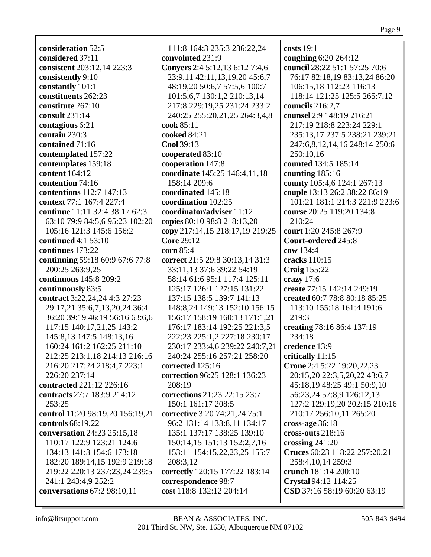**consideration** 52:5 **considered** 37:11 **consistent** 203:12,14 223:3 **consistently** 9:10 **constantly** 101:1 **constituents** 262:23 **constitute** 267:10 **consult** 231:14 **contagious** 6:21 **contain** 230:3 **contained** 71:16 **contemplated** 157:22 **contemplates** 159:18 **content** 164:12 **contention** 74:16 **contentions** 112:7 147:13 **context** 77:1 167:4 227:4 **continue** 11:11 32:4 38:17 62:3 63:10 79:9 84:5,6 95:23 102:20 105:16 121:3 145:6 156:2 **continued** 4:1 53:10 **continues** 173:22 **continuing** 59:18 60:9 67:6 77:8 200:25 263:9,25 **continuous** 145:8 209:2 **continuously** 83:5 **contract** 3:22,24,24 4:3 27:23 29:17,21 35:6,7,13,20,24 36:4 36:20 39:19 46:19 56:16 63:6,6 117:15 140:17,21,25 143:2 145:8,13 147:5 148:13,16 160:24 161:2 162:25 211:10 212:25 213:1,18 214:13 216:16 216:20 217:24 218:4,7 223:1 226:20 237:14 **contracted** 221:12 226:16 **contracts** 27:7 183:9 214:12 253:25 **control** 11:20 98:19,20 156:19,21 **controls** 68:19,22 **conversation** 24:23 25:15,18 110:17 122:9 123:21 124:6 134:13 141:3 154:6 173:18 182:20 189:14,15 192:9 219:18 219:22 220:13 237:23,24 239:5 241:1 243:4,9 252:2 **conversations** 67:2 98:10,11

111:8 164:3 235:3 236:22,24 **convoluted** 231:9 **Conyers** 2:4 5:12,13 6:12 7:4,6 23:9,11 42:11,13,19,20 45:6,7 48:19,20 50:6,7 57:5,6 100:7 101:5,6,7 130:1,2 210:13,14 217:8 229:19,25 231:24 233:2 240:25 255:20,21,25 264:3,4,8 **cook** 85:11 **cooked** 84:21 **Cool** 39:13 **cooperated** 83:10 **cooperation** 147:8 **coordinate** 145:25 146:4,11,18 158:14 209:6 **coordinated** 145:18 **coordination** 102:25 **coordinator/adviser** 11:12 **copies** 80:10 98:8 218:13,20 **copy** 217:14,15 218:17,19 219:25 **Core** 29:12 **corn** 85:4 **correct** 21:5 29:8 30:13,14 31:3 33:11,13 37:6 39:22 54:19 58:14 61:6 95:1 117:4 125:11 125:17 126:1 127:15 131:22 137:15 138:5 139:7 141:13 148:8,24 149:13 152:10 156:15 156:17 158:19 160:13 171:1,21 176:17 183:14 192:25 221:3,5 222:23 225:1,2 227:18 230:17 230:17 233:4,6 239:22 240:7,21 240:24 255:16 257:21 258:20 **corrected** 125:16 **correction** 96:25 128:1 136:23 208:19 **corrections** 21:23 22:15 23:7 150:1 161:17 208:5 **corrective** 3:20 74:21,24 75:1 96:2 131:14 133:8,11 134:17 135:1 137:17 138:25 139:10 150:14,15 151:13 152:2,7,16 153:11 154:15,22,23,25 155:7 208:3,12 **correctly** 120:15 177:22 183:14 **correspondence** 98:7 **cost** 118:8 132:12 204:14

**costs** 19:1 **coughing** 6:20 264:12 **council** 28:22 51:1 57:25 70:6 76:17 82:18,19 83:13,24 86:20 106:15,18 112:23 116:13 118:14 121:25 125:5 265:7,12 **councils** 216:2,7 **counsel** 2:9 148:19 216:21 217:19 218:8 223:24 229:1 235:13,17 237:5 238:21 239:21 247:6,8,12,14,16 248:14 250:6 250:10,16 **counted** 134:5 185:14 **counting** 185:16 **county** 105:4,6 124:1 267:13 **couple** 13:13 26:2 38:22 86:19 101:21 181:1 214:3 221:9 223:6 **course** 20:25 119:20 134:8 210:24 **court** 1:20 245:8 267:9 **Court-ordered** 245:8 **cow** 134:4 **cracks** 110:15 **Craig** 155:22 **crazy** 17:6 **create** 77:15 142:14 249:19 **created** 60:7 78:8 80:18 85:25 113:10 155:18 161:4 191:6 219:3 **creating** 78:16 86:4 137:19 234:18 **credence** 13:9 **critically** 11:15 **Crone** 2:4 5:22 19:20,22,23 20:15,20 22:3,5,20,22 43:6,7 45:18,19 48:25 49:1 50:9,10 56:23,24 57:8,9 126:12,13 127:2 129:19,20 202:15 210:16 210:17 256:10,11 265:20 **cross-age** 36:18 **cross-outs** 218:16 **crossing** 241:20 **Cruces** 60:23 118:22 257:20,21 258:4,10,14 259:3 **crunch** 181:14 200:10 **Crystal** 94:12 114:25 **CSD** 37:16 58:19 60:20 63:19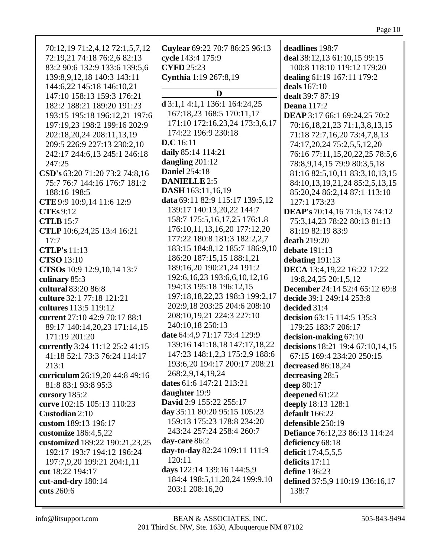| 193:6,20 194:17 200:17 208:21<br>213:1<br>decreased 86:18,24<br>268:2,9,14,19,24<br>curriculum 26:19,20 44:8 49:16<br>decreasing 28:5<br>dates 61:6 147:21 213:21<br>81:8 83:1 93:8 95:3<br>deep 80:17<br>daughter 19:9<br>deepened 61:22<br>cursory 185:2<br>David 2:9 155:22 255:17<br>curve 102:15 105:13 110:23<br>deeply 18:13 128:1<br>day 35:11 80:20 95:15 105:23<br>Custodian 2:10<br>default 166:22<br>159:13 175:23 178:8 234:20<br>custom 189:13 196:17<br>defensible 250:19<br>243:24 257:24 258:4 260:7<br>customize 186:4,5,22<br><b>Defiance</b> 76:12,23 86:13 114:24<br>day-care 86:2<br>customized 189:22 190:21,23,25<br>deficiency 68:18<br>day-to-day 82:24 109:11 111:9<br>192:17 193:7 194:12 196:24<br>deficit 17:4,5,5,5<br>120:11<br>197:7,9,20 199:21 204:1,11<br>deficits 17:11<br>days 122:14 139:16 144:5,9<br>define 136:23<br>cut 18:22 194:17<br>184:4 198:5, 11, 20, 24 199: 9, 10<br>cut-and-dry 180:14<br>defined 37:5,9 110:19 136:16,17<br>203:1 208:16,20<br>cuts 260:6<br>138:7 |
|--------------------------------------------------------------------------------------------------------------------------------------------------------------------------------------------------------------------------------------------------------------------------------------------------------------------------------------------------------------------------------------------------------------------------------------------------------------------------------------------------------------------------------------------------------------------------------------------------------------------------------------------------------------------------------------------------------------------------------------------------------------------------------------------------------------------------------------------------------------------------------------------------------------------------------------------------------------------------------------------------------------------------|
|--------------------------------------------------------------------------------------------------------------------------------------------------------------------------------------------------------------------------------------------------------------------------------------------------------------------------------------------------------------------------------------------------------------------------------------------------------------------------------------------------------------------------------------------------------------------------------------------------------------------------------------------------------------------------------------------------------------------------------------------------------------------------------------------------------------------------------------------------------------------------------------------------------------------------------------------------------------------------------------------------------------------------|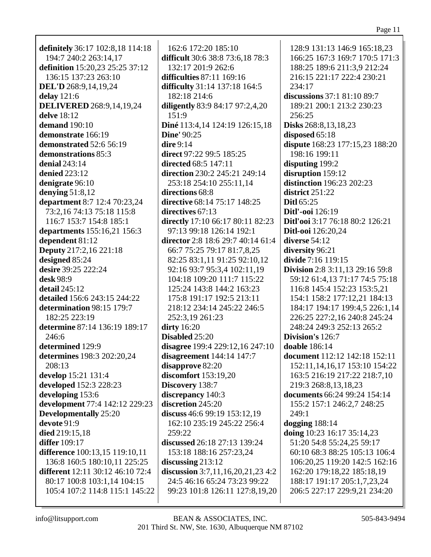definitely 36:17 102:8,18 114:18 194:7 240:2 263:14,17 definition 15:20,23 25:25 37:12 136:15 137:23 263:10 **DEL'D** 268:9,14,19,24 delay  $121:6$ **DELIVERED** 268:9,14,19,24 delve 18:12 demand  $190:10$ demonstrate 166:19 demonstrated 52:6 56:19 demonstrations 85:3 denial  $243:14$ **denied** 223:12 denigrate 96:10 denying  $51:8,12$ **department** 8:7 12:4 70:23,24 73:2,16 74:13 75:18 115:8 116:7 153:7 154:8 185:1 **departments** 155:16,21 156:3 dependent 81:12 **Deputy** 217:2,16 221:18 designed 85:24 desire 39:25 222:24 desk 98:9 **detail** 245:12 detailed 156:6 243:15 244:22 determination 98:15 179:7 182:25 223:19 determine 87:14 136:19 189:17  $246:6$ determined 129:9 determines 198:3 202:20,24  $208:13$ develop 15:21 131:4 developed 152:3 228:23 developing 153:6 development 77:4 142:12 229:23 **Developmentally** 25:20  $devote 91:9$ died 219:15,18 **differ** 109:17 difference 100:13,15 119:10,11 136:8 160:5 180:10.11 225:25 **different** 12:11 30:12 46:10 72:4 80:17 100:8 103:1.14 104:15 105:4 107:2 114:8 115:1 145:22

162:6 172:20 185:10 difficult 30:6 38:8 73:6,18 78:3 132:17 201:9 262:6 difficulties 87:11 169:16 **difficulty** 31:14 137:18 164:5 182:18 214:6 diligently 83:9 84:17 97:2,4,20  $151:9$ Diné 113:4,14 124:19 126:15,18 **Dine'** 90:25 dire  $9:14$ direct 97:22 99:5 185:25 **directed** 68:5 147:11 direction 230:2 245:21 249:14 253:18 254:10 255:11.14 directions 68:8 directive 68:14 75:17 148:25 directives  $67:13$ directly 17:10 66:17 80:11 82:23 97:13 99:18 126:14 192:1 director 2:8 18:6 29:7 40:14 61:4 66:7 75:25 79:17 81:7,8,25 82:25 83:1.11 91:25 92:10.12 92:16 93:7 95:3,4 102:11,19 104:18 109:20 111:7 115:22 125:24 143:8 144:2 163:23 175:8 191:17 192:5 213:11 218:12 234:14 245:22 246:5 252:3,19 261:23  $\text{dirty }16:20$ Disabled 25:20 disagree 199:4 229:12,16 247:10 disagreement  $144:14$   $147:7$ disapprove 82:20 discomfort  $153:19,20$ Discovery 138:7 discrepancy 140:3 discretion 245:20 discuss  $46:699:19153:12,19$ 162:10 235:19 245:22 256:4  $259:22$ discussed 26:18 27:13 139:24 153:18 188:16 257:23,24 discussing  $213:12$ discussion  $3:7,11,16,20,21,23,4:2$ 24:5 46:16 65:24 73:23 99:22 99:23 101:8 126:11 127:8,19,20

128:9 131:13 146:9 165:18,23 166:25 167:3 169:7 170:5 171:3 188:25 189:6 211:3.9 212:24 216:15 221:17 222:4 230:21  $234:17$ discussions  $37:1$   $81:10$   $89:7$ 189:21 200:1 213:2 230:23  $256:25$ **Disks** 268:8, 13, 18, 23 disposed  $65:18$ dispute 168:23 177:15,23 188:20 198:16 199:11 disputing 199:2 disruption 159:12 **distinction** 196:23 202:23 district 251:22 Ditl $65:25$ **Ditl'-ooi** 126:19 Ditl'ooi 3:17 76:18 80:2 126:21 **Ditl-ooi** 126:20.24 diverse 54:12 diversity 96:21 divide 7:16 119:15 **Division** 2:8 3:11.13 29:16 59:8 59:12 61:4,13 71:17 74:5 75:18 116:8 145:4 152:23 153:5,21 154:1 158:2 177:12,21 184:13 184:17 194:17 199:4,5 226:1,14 226:25 227:2,16 240:8 245:24 248:24 249:3 252:13 265:2 Division's  $126:7$ **doable** 186:14 document 112:12 142:18 152:11 152:11, 14, 16, 17 153:10 154:22 163:5 216:19 217:22 218:7,10 219:3 268:8,13,18,23 documents 66:24 99:24 154:14 155:2 157:1 246:2,7 248:25 249:1 dogging  $188:14$ doing 10:23 16:17 35:14,23 51:20 54:8 55:24,25 59:17 60:10 68:3 88:25 105:13 106:4 106:20.25 119:20 142:5 162:16 162:20 179:18,22 185:18,19 188:17 191:17 205:1,7,23,24 206:5 227:17 229:9,21 234:20

info@litsupport.com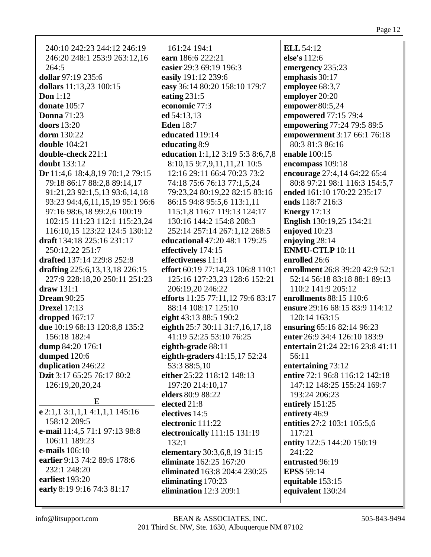| 240:10 242:23 244:12 246:19      | 161:24 194:1                                 | <b>ELL 54:12</b>                 |
|----------------------------------|----------------------------------------------|----------------------------------|
| 246:20 248:1 253:9 263:12,16     | earn 186:6 222:21                            | else's 112:6                     |
| 264:5                            | easier 29:3 69:19 196:3                      | emergency 235:23                 |
| dollar 97:19 235:6               | easily 191:12 239:6                          | emphasis 30:17                   |
| dollars 11:13,23 100:15          | easy 36:14 80:20 158:10 179:7                | employee 68:3,7                  |
| Don $1:12$                       | eating $231:5$                               | employer 20:20                   |
| donate 105:7                     | economic 77:3                                | empower 80:5,24                  |
| <b>Donna</b> 71:23               | ed 54:13,13                                  | empowered 77:15 79:4             |
| <b>doors</b> 13:20               | <b>Eden</b> 18:7                             |                                  |
|                                  |                                              | empowering 77:24 79:5 89:5       |
| dorm 130:22                      | educated 119:14                              | empowerment 3:17 66:1 76:18      |
| <b>double</b> 104:21             | educating 8:9                                | 80:3 81:3 86:16                  |
| double-check 221:1               | education 1:1,12 3:19 5:3 8:6,7,8            | enable 100:15                    |
| <b>doubt</b> 133:12              | 8:10,15 9:7,9,11,11,21 10:5                  | encompass 109:18                 |
| Dr 11:4,6 18:4,8,19 70:1,2 79:15 | 12:16 29:11 66:4 70:23 73:2                  | encourage 27:4,14 64:22 65:4     |
| 79:18 86:17 88:2,8 89:14,17      | 74:18 75:6 76:13 77:1,5,24                   | 80:8 97:21 98:1 116:3 154:5,7    |
| 91:21,23 92:1,5,13 93:6,14,18    | 79:23,24 80:19,22 82:15 83:16                | ended 161:10 170:22 235:17       |
| 93:23 94:4,6,11,15,19 95:1 96:6  | 86:15 94:8 95:5,6 113:1,11                   | ends 118:7 216:3                 |
| 97:16 98:6,18 99:2,6 100:19      | 115:1,8 116:7 119:13 124:17                  | <b>Energy</b> $17:13$            |
| 102:15 111:23 112:1 115:23,24    | 130:16 144:2 154:8 208:3                     | <b>English</b> 130:19,25 134:21  |
| 116:10,15 123:22 124:5 130:12    | 252:14 257:14 267:1,12 268:5                 | enjoyed 10:23                    |
| draft 134:18 225:16 231:17       | educational 47:20 48:1 179:25                | enjoying 28:14                   |
| 250:12,22 251:7                  | effectively 174:15                           | <b>ENMU-CTLP</b> 10:11           |
| drafted 137:14 229:8 252:8       | effectiveness 11:14                          | enrolled 26:6                    |
| drafting 225:6,13,13,18 226:15   | effort 60:19 77:14,23 106:8 110:1            | enrollment 26:8 39:20 42:9 52:1  |
| 227:9 228:18,20 250:11 251:23    | 125:16 127:23,23 128:6 152:21                | 52:14 56:18 83:18 88:1 89:13     |
| $draw 131:1$                     | 206:19,20 246:22                             | 110:2 141:9 205:12               |
| <b>Dream 90:25</b>               | efforts 11:25 77:11,12 79:6 83:17            | enrollments 88:15 110:6          |
| <b>Drexel</b> 17:13              | 88:14 108:17 125:10                          | ensure 29:16 68:15 83:9 114:12   |
| dropped $167:17$                 | eight 43:13 88:5 190:2                       | 120:14 163:15                    |
| due 10:19 68:13 120:8,8 135:2    | eighth 25:7 30:11 31:7,16,17,18              | ensuring 65:16 82:14 96:23       |
| 156:18 182:4                     | 41:19 52:25 53:10 76:25                      | enter 26:9 34:4 126:10 183:9     |
| dump 84:20 176:1                 | eighth-grade 88:11                           | entertain 21:24 22:16 23:8 41:11 |
| dumped $120:6$                   | eighth-graders $41:15,1752:24$               | 56:11                            |
| duplication 246:22               | 53:3 88:5,10                                 | entertaining 73:12               |
| Dzit 3:17 65:25 76:17 80:2       | either 25:22 118:12 148:13                   | entire 72:1 96:8 116:12 142:18   |
| 126:19,20,20,24                  | 197:20 214:10,17                             | 147:12 148:25 155:24 169:7       |
|                                  | elders 80:9 88:22                            | 193:24 206:23                    |
| E                                | elected 21:8                                 | entirely 151:25                  |
| e 2:1,1 3:1,1,1 4:1,1,1 145:16   | electives 14:5                               | entirety 46:9                    |
| 158:12 209:5                     | electronic 111:22                            | entities 27:2 103:1 105:5,6      |
| e-mail 11:4,5 71:1 97:13 98:8    | electronically 111:15 131:19                 | 117:21                           |
| 106:11 189:23                    | 132:1                                        | entity 122:5 144:20 150:19       |
| <b>e-mails</b> 106:10            | elementary 30:3,6,8,19 31:15                 | 241:22                           |
| earlier 9:13 74:2 89:6 178:6     | eliminate 162:25 167:20                      | entrusted 96:19                  |
| 232:1 248:20                     | eliminated 163:8 204:4 230:25                | <b>EPSS 59:14</b>                |
| earliest 193:20                  |                                              |                                  |
| early 8:19 9:16 74:3 81:17       | eliminating 170:23<br>elimination 12:3 209:1 | equitable 153:15                 |
|                                  |                                              | equivalent 130:24                |
|                                  |                                              |                                  |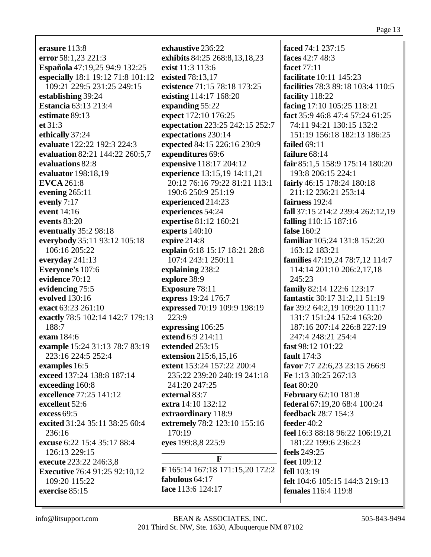erasure  $113:8$ error 58:1.23 221:3 Española 47:19,25 94:9 132:25 especially 18:1 19:12 71:8 101:12 109:21 229:5 231:25 249:15 establishing 39:24 **Estancia 63:13 213:4** estimate  $89:13$ et  $31:3$ ethically 37:24 evaluate 122:22 192:3 224:3 evaluation 82:21 144:22 260:5,7 evaluations 82:8 evaluator 198:18,19 **EVCA** 261:8 evening  $265:11$ evenly  $7:17$ event 14:16 events  $83:20$ eventually 35:2 98:18 everybody 35:11 93:12 105:18 106:16 205:22 everyday  $241:13$ Everyone's 107:6 evidence 70:12 evidencing 75:5 evolved 130:16 exact 63:23 261:10 exactly 78:5 102:14 142:7 179:13 188:7 exam 184:6 example 15:24 31:13 78:7 83:19 223:16 224:5 252:4 examples 16:5 exceed 137:24 138:8 187:14 exceeding 160:8 excellence 77:25 141:12 excellent 52:6 excess  $69:5$ excited 31:24 35:11 38:25 60:4  $236:16$ excuse 6:22 15:4 35:17 88:4 126:13 229:15 execute 223:22 246:3.8 **Executive** 76:4 91:25 92:10,12  $109:20$  115:22 face 113:6 124:17 exercise 85:15

exhaustive 236:22 exhibits 84:25 268:8,13,18,23 exist 11:3 113:6 existed 78:13,17 existence 71:15 78:18 173:25 existing 114:17 168:20 expanding 55:22 expect 172:10 176:25 expectation 223:25 242:15 252:7 expectations 230:14 expected 84:15 226:16 230:9 expenditures 69:6 expensive 118:17 204:12 experience 13:15,19 14:11,21 20:12 76:16 79:22 81:21 113:1 190:6 250:9 251:19 experienced 214:23 experiences 54:24 expertise 81:12 160:21 experts  $140:10$ expire  $214:8$ explain 6:18 15:17 18:21 28:8 107:4 243:1 250:11 explaining 238:2 explore 38:9 **Exposure 78:11** express 19:24 176:7 expressed 70:19 109:9 198:19  $223:9$ expressing 106:25 extend 6:9 214:11 extended 253:15 extension 215:6,15,16 extent 153:24 157:22 200:4 235:22 239:20 240:19 241:18 241:20 247:25 external 83:7 extra 14:10 132:12 extraordinary 118:9 extremely 78:2 123:10 155:16  $170:19$ eves 199:8,8 225:9 F F 165:14 167:18 171:15,20 172:2 fabulous 64:17

faced 74:1 237:15 faces 42:7 48:3 facet  $77:11$ facilitate 10:11 145:23 facilities 78:3 89:18 103:4 110:5 facility 118:22 facing  $17:10$   $105:25$   $118:21$ fact 35:9 46:8 47:4 57:24 61:25 74:11 94:21 130:15 132:2 151:19 156:18 182:13 186:25 failed  $69:11$ failure  $68:14$ fair 85:1,5 158:9 175:14 180:20 193:8 206:15 224:1 fairly 46:15 178:24 180:18 211:12 236:21 253:14 fairness 192:4 fall 37:15 214:2 239:4 262:12,19 **falling** 110:15 187:16 **false** 160:2 familiar 105:24 131:8 152:20 163:12 183:21 families 47:19.24 78:7.12 114:7 114:14 201:10 206:2,17,18 245:23 family 82:14 122:6 123:17 fantastic 30:17 31:2,11 51:19 far 39:2 64:2.19 109:20 111:7 131:7 151:24 152:4 163:20 187:16 207:14 226:8 227:19 247:4 248:21 254:4 fast 98:12 101:22 fault  $174:3$ favor 7:7 22:6,23 23:15 266:9 Fe 1:13 30:25 267:13 feat  $80:20$ **February 62:10 181:8** federal 67:19,20 68:4 100:24 feedback 28:7 154:3 feeder  $40:2$ feel 16:3 88:18 96:22 106:19,21 181:22 199:6 236:23 feels 249:25 **feet** 109:12 fell  $103:19$ felt 104:6 105:15 144:3 219:13 **females** 116:4 119:8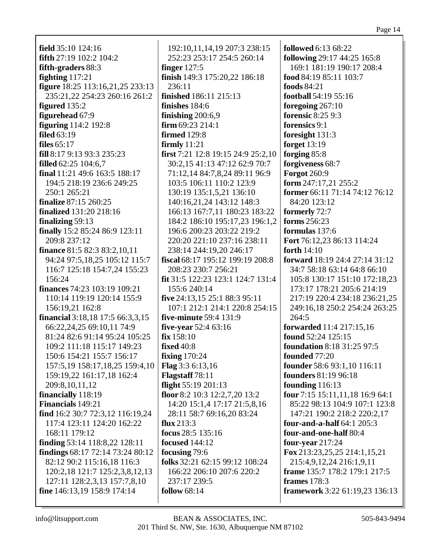| field $35:10$ $124:16$                     | 192:10,11,14,19 207:3 238:15            | <b>followed</b> 6:13 68:22                   |
|--------------------------------------------|-----------------------------------------|----------------------------------------------|
| <b>fifth</b> 27:19 102:2 104:2             | 252:23 253:17 254:5 260:14              | following 29:17 44:25 165:8                  |
| fifth-graders 88:3                         | finger $127:5$                          | 169:1 181:19 190:17 208:4                    |
| fighting $117:21$                          | finish 149:3 175:20,22 186:18           | food 84:19 85:11 103:7                       |
| figure 18:25 113:16,21,25 233:13           | 236:11                                  | <b>foods</b> 84:21                           |
| 235:21,22 254:23 260:16 261:2              | finished 186:11 215:13                  | football 54:19 55:16                         |
| figured 135:2                              | finishes 184:6                          |                                              |
| figurehead 67:9                            |                                         | foregoing 267:10<br><b>forensic 8:25 9:3</b> |
|                                            | finishing $200:6,9$<br>firm 69:23 214:1 | forensics 9:1                                |
| <b>figuring</b> 114:2 192:8<br>filed 63:19 | <b>firmed</b> 129:8                     |                                              |
|                                            |                                         | foresight 131:3                              |
| files $65:17$                              | firmly $11:21$                          | forget $13:19$                               |
| fill 8:17 9:13 93:3 235:23                 | first 7:21 12:8 19:15 24:9 25:2,10      | forging 85:8                                 |
| <b>filled</b> $62:25$ $104:6,7$            | 30:2,15 41:13 47:12 62:9 70:7           | forgiveness 68:7                             |
| final 11:21 49:6 163:5 188:17              | 71:12,14 84:7,8,24 89:11 96:9           | <b>Forgot 260:9</b>                          |
| 194:5 218:19 236:6 249:25                  | 103:5 106:11 110:2 123:9                | form $247:17,21$ $255:2$                     |
| 250:1 265:21                               | 130:19 135:1,5,21 136:10                | former 66:11 71:14 74:12 76:12               |
| finalize 87:15 260:25                      | 140:16,21,24 143:12 148:3               | 84:20 123:12                                 |
| <b>finalized</b> 131:20 218:16             | 166:13 167:7,11 180:23 183:22           | formerly 72:7                                |
| finalizing 59:13                           | 184:2 186:10 195:17,23 196:1,2          | forms 256:23                                 |
| finally 15:2 85:24 86:9 123:11             | 196:6 200:23 203:22 219:2               | formulas 137:6                               |
| 209:8 237:12                               | 220:20 221:10 237:16 238:11             | Fort 76:12,23 86:13 114:24                   |
| <b>finance</b> 81:5 82:3 83:2,10,11        | 238:14 244:19,20 246:17                 | forth $14:10$                                |
| 94:24 97:5,18,25 105:12 115:7              | fiscal 68:17 195:12 199:19 208:8        | <b>forward</b> 18:19 24:4 27:14 31:12        |
| 116:7 125:18 154:7,24 155:23               | 208:23 230:7 256:21                     | 34:7 58:18 63:14 64:8 66:10                  |
| 156:24                                     | fit 31:5 122:23 123:1 124:7 131:4       | 105:8 130:17 151:10 172:18,23                |
| <b>finances</b> 74:23 103:19 109:21        | 155:6 240:14                            | 173:17 178:21 205:6 214:19                   |
| 110:14 119:19 120:14 155:9                 | five 24:13,15 25:1 88:3 95:11           | 217:19 220:4 234:18 236:21,25                |
| 156:19,21 162:8                            | 107:1 212:1 214:1 220:8 254:15          | 249:16,18 250:2 254:24 263:25                |
| financial 3:18,18 17:5 66:3,3,15           | five-minute 59:4 131:9                  | 264:5                                        |
| 66:22,24,25 69:10,11 74:9                  | five-year $52:463:16$                   | forwarded 11:4 217:15,16                     |
| 81:24 82:6 91:14 95:24 105:25              | fix 158:10                              | found 52:24 125:15                           |
| 109:2 111:18 115:17 149:23                 | <b>fixed</b> 40:8                       | <b>foundation 8:18 31:25 97:5</b>            |
| 150:6 154:21 155:7 156:17                  | <b>fixing</b> 170:24                    | founded 77:20                                |
| 157:5, 19 158: 17, 18, 25 159: 4, 10       | Flag 3:3 6:13,16                        | founder 58:6 93:1,10 116:11                  |
| 159:19,22 161:17,18 162:4                  | Flagstaff 78:11                         | founders 81:19 96:18                         |
| 209:8,10,11,12                             | flight 55:19 201:13                     | founding $116:13$                            |
| financially 118:19                         | floor 8:2 10:3 12:2,7,20 13:2           | four 7:15 15:11,11,18 16:9 64:1              |
| <b>Financials</b> 149:21                   | 14:20 15:1,4 17:17 21:5,8,16            | 85:22 98:13 104:9 107:1 123:8                |
| find 16:2 30:7 72:3,12 116:19,24           | 28:11 58:7 69:16,20 83:24               | 147:21 190:2 218:2 220:2,17                  |
| 117:4 123:11 124:20 162:22                 | flux $213:3$                            | <b>four-and-a-half</b> 64:1 205:3            |
| 168:11 179:12                              | focus $28:5$ 135:16                     | four-and-one-half 80:4                       |
| finding 53:14 118:8,22 128:11              | <b>focused</b> 144:12                   | four-year $217:24$                           |
| findings 68:17 72:14 73:24 80:12           | focusing 79:6                           | Fox 213:23, 25, 25 214:1, 15, 21             |
| 82:12 90:2 115:16,18 116:3                 | folks 32:21 62:15 99:12 108:24          | 215:4,9,12,24 216:1,9,11                     |
| 120:2,18 121:7 125:2,3,8,12,13             | 166:22 206:10 207:6 220:2               | frame 135:7 178:2 179:1 217:5                |
| 127:11 128:2,3,13 157:7,8,10               | 237:17 239:5                            | frames $178:3$                               |
| fine 146:13,19 158:9 174:14                | follow $68:14$                          | framework 3:22 61:19,23 136:13               |
|                                            |                                         |                                              |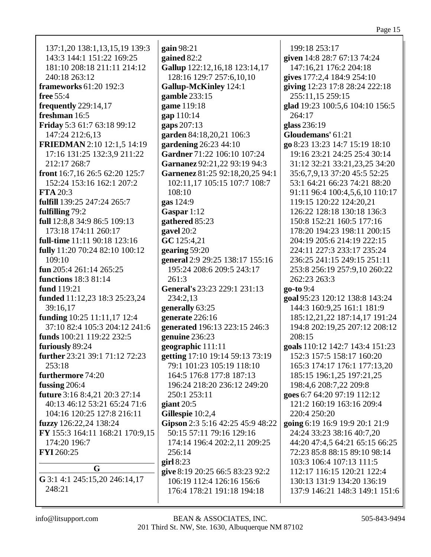| 137:1,20 138:1,13,15,19 139:3   | gain 98:21                       | 199:18 253:17                   |
|---------------------------------|----------------------------------|---------------------------------|
| 143:3 144:1 151:22 169:25       | gained 82:2                      | given 14:8 28:7 67:13 74:24     |
| 181:10 208:18 211:11 214:12     | Gallup 122:12,16,18 123:14,17    | 147:16,21 176:2 204:18          |
| 240:18 263:12                   | 128:16 129:7 257:6,10,10         | gives 177:2,4 184:9 254:10      |
| <b>frameworks</b> 61:20 192:3   | <b>Gallup-McKinley</b> 124:1     | giving 12:23 17:8 28:24 222:18  |
| <b>free</b> 55:4                | gamble 233:15                    | 255:11,15 259:15                |
| frequently $229:14,17$          | game 119:18                      | glad 19:23 100:5,6 104:10 156:5 |
| freshman 16:5                   | gap 110:14                       | 264:17                          |
| Friday 5:3 61:7 63:18 99:12     | gaps 207:13                      | glass 236:19                    |
| 147:24 212:6,13                 | garden 84:18,20,21 106:3         | Gloudemans' 61:21               |
| FRIEDMAN 2:10 12:1,5 14:19      | gardening 26:23 44:10            | go 8:23 13:23 14:7 15:19 18:10  |
| 17:16 131:25 132:3,9 211:22     | Gardner 71:22 106:10 107:24      | 19:16 23:21 24:25 25:4 30:14    |
| 212:17 268:7                    | Garnanez 92:21,22 93:19 94:3     | 31:12 32:21 33:21,23,25 34:20   |
| front 16:7,16 26:5 62:20 125:7  | Garnenez 81:25 92:18,20,25 94:1  | 35:6,7,9,13 37:20 45:5 52:25    |
| 152:24 153:16 162:1 207:2       | 102:11,17 105:15 107:7 108:7     | 53:1 64:21 66:23 74:21 88:20    |
| <b>FTA</b> 20:3                 | 108:10                           | 91:11 96:4 100:4,5,6,10 110:17  |
| fulfill 139:25 247:24 265:7     | gas 124:9                        | 119:15 120:22 124:20,21         |
| fulfilling 79:2                 | Gaspar 1:12                      | 126:22 128:18 130:18 136:3      |
| full 12:8,8 34:9 86:5 109:13    | gathered 85:23                   | 150:8 152:21 160:5 177:16       |
| 173:18 174:11 260:17            | gavel 20:2                       | 178:20 194:23 198:11 200:15     |
| full-time 11:11 90:18 123:16    | GC 125:4,21                      | 204:19 205:6 214:19 222:15      |
| fully 11:20 70:24 82:10 100:12  | gearing $59:20$                  | 224:11 227:3 233:17 235:24      |
| 109:10                          | general 2:9 29:25 138:17 155:16  | 236:25 241:15 249:15 251:11     |
| fun 205:4 261:14 265:25         | 195:24 208:6 209:5 243:17        | 253:8 256:19 257:9,10 260:22    |
| <b>functions</b> 18:3 81:14     | 261:3                            | 262:23 263:3                    |
| fund 119:21                     | General's 23:23 229:1 231:13     | go-to 9:4                       |
| funded 11:12,23 18:3 25:23,24   | 234:2,13                         | goal 95:23 120:12 138:8 143:24  |
| 39:16,17                        | generally 63:25                  | 144:3 160:9,25 161:1 181:9      |
| funding 10:25 11:11,17 12:4     | generate 226:16                  | 185:12,21,22 187:14,17 191:24   |
| 37:10 82:4 105:3 204:12 241:6   | generated 196:13 223:15 246:3    | 194:8 202:19,25 207:12 208:12   |
| funds 100:21 119:22 232:5       | genuine 236:23                   | 208:15                          |
| furiously 89:24                 | geographic 111:11                | goals 110:12 142:7 143:4 151:23 |
| further 23:21 39:1 71:12 72:23  | getting 17:10 19:14 59:13 73:19  | 152:3 157:5 158:17 160:20       |
| 253:18                          | 79:1 101:23 105:19 118:10        | 165:3 174:17 176:1 177:13,20    |
| furthermore 74:20               | 164:5 176:8 177:8 187:13         | 185:15 196:1,25 197:21,25       |
| fussing $206:4$                 | 196:24 218:20 236:12 249:20      | 198:4,6 208:7,22 209:8          |
| future 3:16 8:4,21 20:3 27:14   | 250:1 253:11                     | goes 6:7 64:20 97:19 112:12     |
| 40:13 46:12 53:21 65:24 71:6    | giant 20:5                       | 121:2 160:19 163:16 209:4       |
| 104:16 120:25 127:8 216:11      | Gillespie 10:2,4                 | 220:4 250:20                    |
| fuzzy 126:22,24 138:24          | Gipson 2:3 5:16 42:25 45:9 48:22 | going 6:19 16:9 19:9 20:1 21:9  |
| FY 155:3 164:11 168:21 170:9,15 | 50:15 57:11 79:16 129:16         | 24:24 33:23 38:16 40:7,20       |
| 174:20 196:7                    | 174:14 196:4 202:2,11 209:25     | 44:20 47:4,5 64:21 65:15 66:25  |
| <b>FYI</b> 260:25               | 256:14                           | 72:23 85:8 88:15 89:10 98:14    |
|                                 | girl $8:23$                      | 103:3 106:4 107:13 111:5        |
| G                               | give 8:19 20:25 66:5 83:23 92:2  | 112:17 116:15 120:21 122:4      |
| G 3:1 4:1 245:15,20 246:14,17   | 106:19 112:4 126:16 156:6        | 130:13 131:9 134:20 136:19      |
| 248:21                          | 176:4 178:21 191:18 194:18       | 137:9 146:21 148:3 149:1 151:6  |
|                                 |                                  |                                 |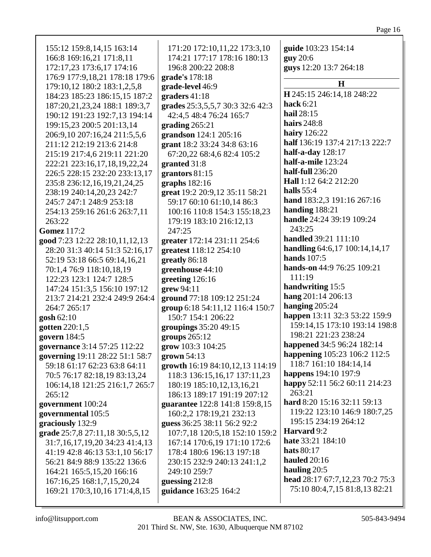| 155:12 159:8,14,15 163:14<br>166:8 169:16,21 171:8,11<br>172:17,23 173:6,17 174:16<br>176:9 177:9,18,21 178:18 179:6<br>179:10,12 180:2 183:1,2,5,8<br>184:23 185:23 186:15,15 187:2<br>187:20,21,23,24 188:1 189:3,7<br>190:12 191:23 192:7,13 194:14<br>199:15,23 200:5 201:13,14<br>206:9,10 207:16,24 211:5,5,6<br>211:12 212:19 213:6 214:8<br>215:19 217:4,6 219:11 221:20<br>222:21 223:16,17,18,19,22,24<br>226:5 228:15 232:20 233:13,17<br>235:8 236:12,16,19,21,24,25<br>238:19 240:14,20,23 242:7<br>245:7 247:1 248:9 253:18<br>254:13 259:16 261:6 263:7,11<br>263:22<br><b>Gomez</b> 117:2<br>good 7:23 12:22 28:10,11,12,13<br>28:20 31:3 40:14 51:3 52:16,17<br>52:19 53:18 66:5 69:14,16,21<br>70:1,4 76:9 118:10,18,19<br>122:23 123:1 124:7 128:5<br>147:24 151:3,5 156:10 197:12<br>213:7 214:21 232:4 249:9 264:4<br>264:7 265:17<br>gosh 62:10<br>gotten 220:1,5<br>govern 184:5 | 171:20 172:10,11,22 173:3,10<br>174:21 177:17 178:16 180:13<br>196:8 200:22 208:8<br>grade's 178:18<br>grade-level 46:9<br>graders 41:18<br>grades 25:3,5,5,7 30:3 32:6 42:3<br>42:4,5 48:4 76:24 165:7<br>grading $265:21$<br>grandson 124:1 205:16<br>grant 18:2 33:24 34:8 63:16<br>67:20,22 68:4,6 82:4 105:2<br>granted 31:8<br>grantors 81:15<br>graphs $182:16$<br>great 19:2 20:9,12 35:11 58:21<br>59:17 60:10 61:10,14 86:3<br>100:16 110:8 154:3 155:18,23<br>179:19 183:10 216:12,13<br>247:25<br>greater 172:14 231:11 254:6<br>greatest 118:12 254:10<br>greatly 86:18<br>greenhouse 44:10<br>greeting 126:16<br>grew 94:11<br>ground 77:18 109:12 251:24<br>group 6:18 54:11,12 116:4 150:7<br>150:7 154:1 206:22<br>groupings 35:20 49:15<br>groups $265:12$ | guide 103:23 154:14<br>guy 20:6<br>guys 12:20 13:7 264:18<br>$\bf H$<br>H 245:15 246:14,18 248:22<br>hack $6:21$<br>hail 28:15<br><b>hairs</b> 248:8<br><b>hairy</b> 126:22<br>half 136:19 137:4 217:13 222:7<br>half-a-day $128:17$<br>half-a-mile 123:24<br>half-full 236:20<br>Hall 1:12 64:2 212:20<br>halls $55:4$<br>hand 183:2,3 191:16 267:16<br>handing 188:21<br>handle 24:24 39:19 109:24<br>243:25<br>handled 39:21 111:10<br>handling 64:6,17 100:14,14,17<br><b>hands</b> 107:5<br>hands-on 44:9 76:25 109:21<br>111:19<br>handwriting 15:5<br>hang 201:14 206:13<br>hanging $205:24$<br>happen 13:11 32:3 53:22 159:9<br>159:14,15 173:10 193:14 198:8<br>198:21 221:23 238:24 |
|---------------------------------------------------------------------------------------------------------------------------------------------------------------------------------------------------------------------------------------------------------------------------------------------------------------------------------------------------------------------------------------------------------------------------------------------------------------------------------------------------------------------------------------------------------------------------------------------------------------------------------------------------------------------------------------------------------------------------------------------------------------------------------------------------------------------------------------------------------------------------------------------------------|------------------------------------------------------------------------------------------------------------------------------------------------------------------------------------------------------------------------------------------------------------------------------------------------------------------------------------------------------------------------------------------------------------------------------------------------------------------------------------------------------------------------------------------------------------------------------------------------------------------------------------------------------------------------------------------------------------------------------------------------------------------------------|-----------------------------------------------------------------------------------------------------------------------------------------------------------------------------------------------------------------------------------------------------------------------------------------------------------------------------------------------------------------------------------------------------------------------------------------------------------------------------------------------------------------------------------------------------------------------------------------------------------------------------------------------------------------------------------------------|
|                                                                                                                                                                                                                                                                                                                                                                                                                                                                                                                                                                                                                                                                                                                                                                                                                                                                                                         |                                                                                                                                                                                                                                                                                                                                                                                                                                                                                                                                                                                                                                                                                                                                                                              |                                                                                                                                                                                                                                                                                                                                                                                                                                                                                                                                                                                                                                                                                               |
|                                                                                                                                                                                                                                                                                                                                                                                                                                                                                                                                                                                                                                                                                                                                                                                                                                                                                                         |                                                                                                                                                                                                                                                                                                                                                                                                                                                                                                                                                                                                                                                                                                                                                                              |                                                                                                                                                                                                                                                                                                                                                                                                                                                                                                                                                                                                                                                                                               |
|                                                                                                                                                                                                                                                                                                                                                                                                                                                                                                                                                                                                                                                                                                                                                                                                                                                                                                         |                                                                                                                                                                                                                                                                                                                                                                                                                                                                                                                                                                                                                                                                                                                                                                              |                                                                                                                                                                                                                                                                                                                                                                                                                                                                                                                                                                                                                                                                                               |
|                                                                                                                                                                                                                                                                                                                                                                                                                                                                                                                                                                                                                                                                                                                                                                                                                                                                                                         |                                                                                                                                                                                                                                                                                                                                                                                                                                                                                                                                                                                                                                                                                                                                                                              |                                                                                                                                                                                                                                                                                                                                                                                                                                                                                                                                                                                                                                                                                               |
|                                                                                                                                                                                                                                                                                                                                                                                                                                                                                                                                                                                                                                                                                                                                                                                                                                                                                                         |                                                                                                                                                                                                                                                                                                                                                                                                                                                                                                                                                                                                                                                                                                                                                                              |                                                                                                                                                                                                                                                                                                                                                                                                                                                                                                                                                                                                                                                                                               |
|                                                                                                                                                                                                                                                                                                                                                                                                                                                                                                                                                                                                                                                                                                                                                                                                                                                                                                         |                                                                                                                                                                                                                                                                                                                                                                                                                                                                                                                                                                                                                                                                                                                                                                              |                                                                                                                                                                                                                                                                                                                                                                                                                                                                                                                                                                                                                                                                                               |
|                                                                                                                                                                                                                                                                                                                                                                                                                                                                                                                                                                                                                                                                                                                                                                                                                                                                                                         |                                                                                                                                                                                                                                                                                                                                                                                                                                                                                                                                                                                                                                                                                                                                                                              |                                                                                                                                                                                                                                                                                                                                                                                                                                                                                                                                                                                                                                                                                               |
|                                                                                                                                                                                                                                                                                                                                                                                                                                                                                                                                                                                                                                                                                                                                                                                                                                                                                                         |                                                                                                                                                                                                                                                                                                                                                                                                                                                                                                                                                                                                                                                                                                                                                                              |                                                                                                                                                                                                                                                                                                                                                                                                                                                                                                                                                                                                                                                                                               |
|                                                                                                                                                                                                                                                                                                                                                                                                                                                                                                                                                                                                                                                                                                                                                                                                                                                                                                         |                                                                                                                                                                                                                                                                                                                                                                                                                                                                                                                                                                                                                                                                                                                                                                              |                                                                                                                                                                                                                                                                                                                                                                                                                                                                                                                                                                                                                                                                                               |
|                                                                                                                                                                                                                                                                                                                                                                                                                                                                                                                                                                                                                                                                                                                                                                                                                                                                                                         |                                                                                                                                                                                                                                                                                                                                                                                                                                                                                                                                                                                                                                                                                                                                                                              |                                                                                                                                                                                                                                                                                                                                                                                                                                                                                                                                                                                                                                                                                               |
|                                                                                                                                                                                                                                                                                                                                                                                                                                                                                                                                                                                                                                                                                                                                                                                                                                                                                                         |                                                                                                                                                                                                                                                                                                                                                                                                                                                                                                                                                                                                                                                                                                                                                                              |                                                                                                                                                                                                                                                                                                                                                                                                                                                                                                                                                                                                                                                                                               |
|                                                                                                                                                                                                                                                                                                                                                                                                                                                                                                                                                                                                                                                                                                                                                                                                                                                                                                         |                                                                                                                                                                                                                                                                                                                                                                                                                                                                                                                                                                                                                                                                                                                                                                              |                                                                                                                                                                                                                                                                                                                                                                                                                                                                                                                                                                                                                                                                                               |
|                                                                                                                                                                                                                                                                                                                                                                                                                                                                                                                                                                                                                                                                                                                                                                                                                                                                                                         |                                                                                                                                                                                                                                                                                                                                                                                                                                                                                                                                                                                                                                                                                                                                                                              |                                                                                                                                                                                                                                                                                                                                                                                                                                                                                                                                                                                                                                                                                               |
|                                                                                                                                                                                                                                                                                                                                                                                                                                                                                                                                                                                                                                                                                                                                                                                                                                                                                                         |                                                                                                                                                                                                                                                                                                                                                                                                                                                                                                                                                                                                                                                                                                                                                                              |                                                                                                                                                                                                                                                                                                                                                                                                                                                                                                                                                                                                                                                                                               |
|                                                                                                                                                                                                                                                                                                                                                                                                                                                                                                                                                                                                                                                                                                                                                                                                                                                                                                         |                                                                                                                                                                                                                                                                                                                                                                                                                                                                                                                                                                                                                                                                                                                                                                              |                                                                                                                                                                                                                                                                                                                                                                                                                                                                                                                                                                                                                                                                                               |
|                                                                                                                                                                                                                                                                                                                                                                                                                                                                                                                                                                                                                                                                                                                                                                                                                                                                                                         |                                                                                                                                                                                                                                                                                                                                                                                                                                                                                                                                                                                                                                                                                                                                                                              |                                                                                                                                                                                                                                                                                                                                                                                                                                                                                                                                                                                                                                                                                               |
| governance 3:14 57:25 112:22                                                                                                                                                                                                                                                                                                                                                                                                                                                                                                                                                                                                                                                                                                                                                                                                                                                                            | grow 103:3 104:25                                                                                                                                                                                                                                                                                                                                                                                                                                                                                                                                                                                                                                                                                                                                                            | happened 34:5 96:24 182:14                                                                                                                                                                                                                                                                                                                                                                                                                                                                                                                                                                                                                                                                    |
| governing 19:11 28:22 51:1 58:7                                                                                                                                                                                                                                                                                                                                                                                                                                                                                                                                                                                                                                                                                                                                                                                                                                                                         | grown 54:13                                                                                                                                                                                                                                                                                                                                                                                                                                                                                                                                                                                                                                                                                                                                                                  | happening 105:23 106:2 112:5                                                                                                                                                                                                                                                                                                                                                                                                                                                                                                                                                                                                                                                                  |
| 59:18 61:17 62:23 63:8 64:11                                                                                                                                                                                                                                                                                                                                                                                                                                                                                                                                                                                                                                                                                                                                                                                                                                                                            | growth 16:19 84:10,12,13 114:19                                                                                                                                                                                                                                                                                                                                                                                                                                                                                                                                                                                                                                                                                                                                              | 118:7 161:10 184:14,14                                                                                                                                                                                                                                                                                                                                                                                                                                                                                                                                                                                                                                                                        |
| 70:5 76:17 82:18,19 83:13,24                                                                                                                                                                                                                                                                                                                                                                                                                                                                                                                                                                                                                                                                                                                                                                                                                                                                            | 118:3 136:15,16,17 137:11,23                                                                                                                                                                                                                                                                                                                                                                                                                                                                                                                                                                                                                                                                                                                                                 | happens 194:10 197:9                                                                                                                                                                                                                                                                                                                                                                                                                                                                                                                                                                                                                                                                          |
| 106:14,18 121:25 216:1,7 265:7                                                                                                                                                                                                                                                                                                                                                                                                                                                                                                                                                                                                                                                                                                                                                                                                                                                                          | 180:19 185:10,12,13,16,21                                                                                                                                                                                                                                                                                                                                                                                                                                                                                                                                                                                                                                                                                                                                                    | happy 52:11 56:2 60:11 214:23                                                                                                                                                                                                                                                                                                                                                                                                                                                                                                                                                                                                                                                                 |
| 265:12                                                                                                                                                                                                                                                                                                                                                                                                                                                                                                                                                                                                                                                                                                                                                                                                                                                                                                  | 186:13 189:17 191:19 207:12                                                                                                                                                                                                                                                                                                                                                                                                                                                                                                                                                                                                                                                                                                                                                  | 263:21                                                                                                                                                                                                                                                                                                                                                                                                                                                                                                                                                                                                                                                                                        |
| government 100:24                                                                                                                                                                                                                                                                                                                                                                                                                                                                                                                                                                                                                                                                                                                                                                                                                                                                                       | guarantee 122:8 141:8 159:8,15                                                                                                                                                                                                                                                                                                                                                                                                                                                                                                                                                                                                                                                                                                                                               | hard 8:20 15:16 32:11 59:13<br>119:22 123:10 146:9 180:7,25                                                                                                                                                                                                                                                                                                                                                                                                                                                                                                                                                                                                                                   |
| governmental 105:5                                                                                                                                                                                                                                                                                                                                                                                                                                                                                                                                                                                                                                                                                                                                                                                                                                                                                      | 160:2,2 178:19,21 232:13                                                                                                                                                                                                                                                                                                                                                                                                                                                                                                                                                                                                                                                                                                                                                     | 195:15 234:19 264:12                                                                                                                                                                                                                                                                                                                                                                                                                                                                                                                                                                                                                                                                          |
| graciously 132:9                                                                                                                                                                                                                                                                                                                                                                                                                                                                                                                                                                                                                                                                                                                                                                                                                                                                                        | guess 36:25 38:11 56:2 92:2                                                                                                                                                                                                                                                                                                                                                                                                                                                                                                                                                                                                                                                                                                                                                  | Harvard 9:2                                                                                                                                                                                                                                                                                                                                                                                                                                                                                                                                                                                                                                                                                   |
| grade 25:7,8 27:11,18 30:5,5,12                                                                                                                                                                                                                                                                                                                                                                                                                                                                                                                                                                                                                                                                                                                                                                                                                                                                         | 107:7,18 120:5,18 152:10 159:2                                                                                                                                                                                                                                                                                                                                                                                                                                                                                                                                                                                                                                                                                                                                               | hate 33:21 184:10                                                                                                                                                                                                                                                                                                                                                                                                                                                                                                                                                                                                                                                                             |
| 31:7,16,17,19,20 34:23 41:4,13                                                                                                                                                                                                                                                                                                                                                                                                                                                                                                                                                                                                                                                                                                                                                                                                                                                                          | 167:14 170:6,19 171:10 172:6<br>178:4 180:6 196:13 197:18                                                                                                                                                                                                                                                                                                                                                                                                                                                                                                                                                                                                                                                                                                                    | <b>hats</b> 80:17                                                                                                                                                                                                                                                                                                                                                                                                                                                                                                                                                                                                                                                                             |
| 41:19 42:8 46:13 53:1,10 56:17<br>56:21 84:9 88:9 135:22 136:6                                                                                                                                                                                                                                                                                                                                                                                                                                                                                                                                                                                                                                                                                                                                                                                                                                          | 230:15 232:9 240:13 241:1,2                                                                                                                                                                                                                                                                                                                                                                                                                                                                                                                                                                                                                                                                                                                                                  | <b>hauled</b> 20:16                                                                                                                                                                                                                                                                                                                                                                                                                                                                                                                                                                                                                                                                           |
| 164:21 165:5,15,20 166:16                                                                                                                                                                                                                                                                                                                                                                                                                                                                                                                                                                                                                                                                                                                                                                                                                                                                               | 249:10 259:7                                                                                                                                                                                                                                                                                                                                                                                                                                                                                                                                                                                                                                                                                                                                                                 | hauling $20:5$                                                                                                                                                                                                                                                                                                                                                                                                                                                                                                                                                                                                                                                                                |
| 167:16,25 168:1,7,15,20,24                                                                                                                                                                                                                                                                                                                                                                                                                                                                                                                                                                                                                                                                                                                                                                                                                                                                              | guessing 212:8                                                                                                                                                                                                                                                                                                                                                                                                                                                                                                                                                                                                                                                                                                                                                               | head 28:17 67:7,12,23 70:2 75:3                                                                                                                                                                                                                                                                                                                                                                                                                                                                                                                                                                                                                                                               |
| 169:21 170:3,10,16 171:4,8,15                                                                                                                                                                                                                                                                                                                                                                                                                                                                                                                                                                                                                                                                                                                                                                                                                                                                           | guidance 163:25 164:2                                                                                                                                                                                                                                                                                                                                                                                                                                                                                                                                                                                                                                                                                                                                                        | 75:10 80:4,7,15 81:8,13 82:21                                                                                                                                                                                                                                                                                                                                                                                                                                                                                                                                                                                                                                                                 |
|                                                                                                                                                                                                                                                                                                                                                                                                                                                                                                                                                                                                                                                                                                                                                                                                                                                                                                         |                                                                                                                                                                                                                                                                                                                                                                                                                                                                                                                                                                                                                                                                                                                                                                              |                                                                                                                                                                                                                                                                                                                                                                                                                                                                                                                                                                                                                                                                                               |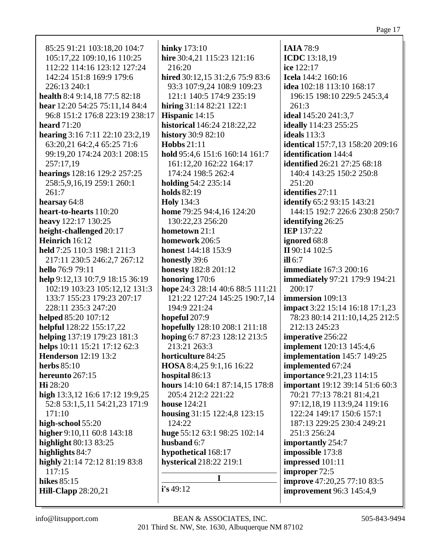85:25 91:21 103:18,20 104:7 105:17,22 109:10,16 110:25 112:22 114:16 123:12 127:24 142:24 151:8 169:9 179:6 226:13 240:1 **health** 8:4 9:14,18 77:5 82:18 **hear** 12:20 54:25 75:11,14 84:4 96:8 151:2 176:8 223:19 238:17 **heard** 71:20 **hearing** 3:16 7:11 22:10 23:2,19 63:20,21 64:2,4 65:25 71:6 99:19,20 174:24 203:1 208:15 257:17,19 **hearings** 128:16 129:2 257:25 258:5,9,16,19 259:1 260:1 261:7 **hearsay** 64:8 **heart-to-hearts** 110:20 **heavy** 122:17 130:25 **height-challenged** 20:17 **Heinrich** 16:12 **held** 7:25 110:3 198:1 211:3 217:11 230:5 246:2,7 267:12 **hello** 76:9 79:11 **help** 9:12,13 10:7,9 18:15 36:19 102:19 103:23 105:12,12 131:3 133:7 155:23 179:23 207:17 228:11 235:3 247:20 **helped** 85:20 107:12 **helpful** 128:22 155:17,22 **helping** 137:19 179:23 181:3 **helps** 10:11 15:21 17:12 62:3 **Henderson** 12:19 13:2 **herbs** 85:10 **hereunto** 267:15 **Hi** 28:20 **high** 13:3,12 16:6 17:12 19:9,25 52:8 53:1,5,11 54:21,23 171:9 171:10 **high-school** 55:20 **higher** 9:10,11 60:8 143:18 **highlight** 80:13 83:25 **highlights** 84:7 **highly** 21:14 72:12 81:19 83:8 117:15 **hikes** 85:15 **Hill-Clapp** 28:20,21

**hinky** 173:10 **hire** 30:4,21 115:23 121:16 216:20 **hired** 30:12,15 31:2,6 75:9 83:6 93:3 107:9,24 108:9 109:23 121:1 140:5 174:9 235:19 **hiring** 31:14 82:21 122:1 **Hispanic** 14:15 **historical** 146:24 218:22,22 **history** 30:9 82:10 **Hobbs** 21:11 **hold** 95:4,6 151:6 160:14 161:7 161:12,20 162:22 164:17 174:24 198:5 262:4 **holding** 54:2 235:14 **holds** 82:19 **Holy** 134:3 **home** 79:25 94:4,16 124:20 130:22,23 256:20 **hometown** 21:1 **homework** 206:5 **honest** 144:18 153:9 **honestly** 39:6 **honesty** 182:8 201:12 **honoring** 170:6 **hope** 24:3 28:14 40:6 88:5 111:21 121:22 127:24 145:25 190:7,14 194:9 221:24 **hopeful** 207:9 **hopefully** 128:10 208:1 211:18 **hoping** 6:7 87:23 128:12 213:5 213:21 263:3 **horticulture** 84:25 **HOSA** 8:4,25 9:1,16 16:22 **hospital** 86:13 **hours** 14:10 64:1 87:14,15 178:8 205:4 212:2 221:22 **house** 124:21 **housing** 31:15 122:4,8 123:15 124:22 **huge** 55:12 63:1 98:25 102:14 **husband** 6:7 **hypothetical** 168:17 **hysterical** 218:22 219:1 **I i's** 49:12

**IAIA** 78:9 **ICDC** 13:18,19 **ice** 122:17 **Icela** 144:2 160:16 **idea** 102:18 113:10 168:17 196:15 198:10 229:5 245:3,4 261:3 **ideal** 145:20 241:3,7 **ideally** 114:23 255:25 **ideals** 113:3 **identical** 157:7,13 158:20 209:16 **identification** 144:4 **identified** 26:21 27:25 68:18 140:4 143:25 150:2 250:8 251:20 **identifies** 27:11 **identify** 65:2 93:15 143:21 144:15 192:7 226:6 230:8 250:7 **identifying** 26:25 **IEP** 137:22 **ignored** 68:8 **II** 90:14 102:5 **ill** 6:7 **immediate** 167:3 200:16 **immediately** 97:21 179:9 194:21 200:17 **immersion** 109:13 **impact** 3:22 15:14 16:18 17:1,23 78:23 80:14 211:10,14,25 212:5 212:13 245:23 **imperative** 256:22 **implement** 120:13 145:4,6 **implementation** 145:7 149:25 **implemented** 67:24 **importance** 9:21,23 114:15 **important** 19:12 39:14 51:6 60:3 70:21 77:13 78:21 81:4,21 97:12,18,19 113:9,24 119:16 122:24 149:17 150:6 157:1 187:13 229:25 230:4 249:21 251:3 256:24 **importantly** 254:7 **impossible** 173:8 **impressed** 101:11 **improper** 72:5 **improve** 47:20,25 77:10 83:5 **improvement** 96:3 145:4,9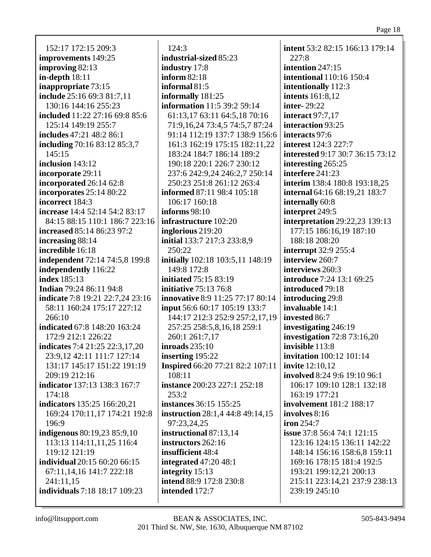152:17 172:15 209:3 **improvements** 149:25 **improving** 82:13 **in-depth** 18:11 **inappropriate** 73:15 **include** 25:16 69:3 81:7,11 130:16 144:16 255:23 **included** 11:22 27:16 69:8 85:6 125:14 149:19 255:7 **includes** 47:21 48:2 86:1 **including** 70:16 83:12 85:3,7 145:15 **inclusion** 143:12 **incorporate** 29:11 **incorporated** 26:14 62:8 **incorporates** 25:14 80:22 **incorrect** 184:3 **increase** 14:4 52:14 54:2 83:17 84:15 88:15 110:1 186:7 223:16 **increased** 85:14 86:23 97:2 **increasing** 88:14 **incredible** 16:18 **independent** 72:14 74:5,8 199:8 **independently** 116:22 **index** 185:13 **Indian** 79:24 86:11 94:8 **indicate** 7:8 19:21 22:7,24 23:16 58:11 160:24 175:17 227:12 266:10 **indicated** 67:8 148:20 163:24 172:9 212:1 226:22 **indicates** 7:4 21:25 22:3,17,20 23:9,12 42:11 111:7 127:14 131:17 145:17 151:22 191:19 209:19 212:16 **indicator** 137:13 138:3 167:7 174:18 **indicators** 135:25 166:20,21 169:24 170:11,17 174:21 192:8 196:9 **indigenous** 80:19,23 85:9,10 113:13 114:11,11,25 116:4 119:12 121:19 **individual** 20:15 60:20 66:15 67:11,14,16 141:7 222:18  $241:11.15$ **individuals** 7:18 18:17 109:23

124:3 **industrial-sized** 85:23 **industry** 17:8 **inform** 82:18 **informal** 81:5 **informally** 181:25 **information** 11:5 39:2 59:14 61:13,17 63:11 64:5,18 70:16 71:9,16,24 73:4,5 74:5,7 87:24 91:14 112:19 137:7 138:9 156:6 161:3 162:19 175:15 182:11,22 183:24 184:7 186:14 189:2 190:18 220:1 226:7 230:12 237:6 242:9,24 246:2,7 250:14 250:23 251:8 261:12 263:4 **informed** 87:11 98:4 105:18 106:17 160:18 **informs** 98:10 **infrastructure** 102:20 **inglorious** 219:20 **initial** 133:7 217:3 233:8,9 250:22 **initially** 102:18 103:5,11 148:19 149:8 172:8 **initiated** 75:15 83:19 **initiative** 75:13 76:8 **innovative** 8:9 11:25 77:17 80:14 **input** 56:6 60:17 105:19 133:7 144:17 212:3 252:9 257:2,17,19 257:25 258:5,8,16,18 259:1 260:1 261:7,17 **inroads** 235:10 **inserting** 195:22 **Inspired** 66:20 77:21 82:2 107:11 108:11 **instance** 200:23 227:1 252:18  $253:2$ **instances** 36:15 155:25 **instruction** 28:1,4 44:8 49:14,15 97:23,24,25 **instructional** 87:13,14 **instructors** 262:16 **insufficient** 48:4 **integrated** 47:20 48:1 **integrity** 15:13 **intend** 88:9 172:8 230:8 **intended** 172:7

**intent** 53:2 82:15 166:13 179:14 227:8 **intention** 247:15 **intentional** 110:16 150:4 **intentionally** 112:3 **intents** 161:8,12 **inter-** 29:22 **interact** 97:7,17 **interaction** 93:25 **interacts** 97:6 **interest** 124:3 227:7 **interested** 9:17 30:7 36:15 73:12 **interesting** 265:25 **interfere** 241:23 **interim** 138:4 180:8 193:18,25 **internal** 64:16 68:19,21 183:7 **internally** 60:8 **interpret** 249:5 **interpretation** 29:22,23 139:13 177:15 186:16,19 187:10 188:18 208:20 **interrupt** 32:9 255:4 **interview** 260:7 **interviews** 260:3 **introduce** 7:24 13:1 69:25 **introduced** 79:18 **introducing** 29:8 **invaluable** 14:1 **invested** 86:7 **investigating** 246:19 **investigation** 72:8 73:16,20 **invisible** 113:8 **invitation** 100:12 101:14 **invite** 12:10,12 **involved** 8:24 9:6 19:10 96:1 106:17 109:10 128:1 132:18 163:19 177:21 **involvement** 181:2 188:17 **involves** 8:16 **iron** 254:7 **issue** 37:8 56:4 74:1 121:15 123:16 124:15 136:11 142:22 148:14 156:16 158:6,8 159:11 169:16 178:15 181:4 192:5 193:21 199:12,21 200:13 215:11 223:14,21 237:9 238:13 239:19 245:10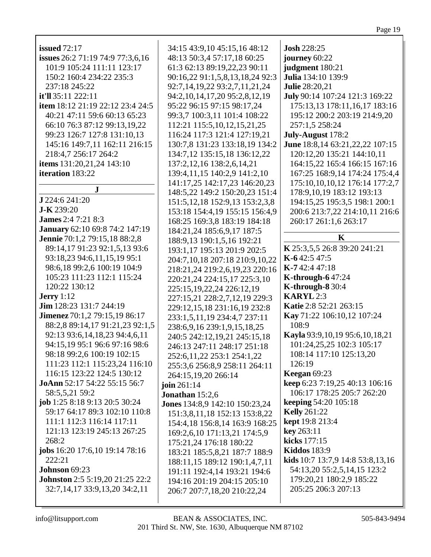| <b>issued</b> 72:17                     | 34:15 43:9,10 45:15,16 48:12         | <b>Josh 228:25</b>               |
|-----------------------------------------|--------------------------------------|----------------------------------|
| issues 26:2 71:19 74:9 77:3,6,16        | 48:13 50:3,4 57:17,18 60:25          | journey 60:22                    |
| 101:9 105:24 111:11 123:17              | 61:3 62:13 89:19,22,23 90:11         | judgment 180:21                  |
| 150:2 160:4 234:22 235:3                | 90:16,22 91:1,5,8,13,18,24 92:3      | Julia 134:10 139:9               |
| 237:18 245:22                           | 92:7,14,19,22 93:2,7,11,21,24        | <b>Julie 28:20,21</b>            |
| it'll 35:11 222:11                      | 94:2, 10, 14, 17, 20 95:2, 8, 12, 19 | July 90:14 107:24 121:3 169:22   |
| <b>item</b> 18:12 21:19 22:12 23:4 24:5 | 95:22 96:15 97:15 98:17,24           | 175:13,13 178:11,16,17 183:16    |
| 40:21 47:11 59:6 60:13 65:23            | 99:3,7 100:3,11 101:4 108:22         | 195:12 200:2 203:19 214:9,20     |
| 66:10 76:3 87:12 99:13,19,22            | 112:21 115:5, 10, 12, 15, 21, 25     | 257:1,5 258:24                   |
| 99:23 126:7 127:8 131:10,13             | 116:24 117:3 121:4 127:19,21         | July-August 178:2                |
| 145:16 149:7,11 162:11 216:15           | 130:7,8 131:23 133:18,19 134:2       | June 18:8,14 63:21,22,22 107:15  |
| 218:4,7 256:17 264:2                    | 134:7,12 135:15,18 136:12,22         | 120:12,20 135:21 144:10,11       |
|                                         |                                      |                                  |
| items 131:20,21,24 143:10               | 137:2, 12, 16 138:2, 6, 14, 21       | 164:15,22 165:4 166:15 167:16    |
| iteration 183:22                        | 139:4,11,15 140:2,9 141:2,10         | 167:25 168:9,14 174:24 175:4,4   |
| ${\bf J}$                               | 141:17,25 142:17,23 146:20,23        | 175:10,10,10,12 176:14 177:2,7   |
| J 224:6 241:20                          | 148:5,22 149:2 150:20,23 151:4       | 178:9,10,19 183:12 193:13        |
| J-K 239:20                              | 151:5, 12, 18 152:9, 13 153:2, 3, 8  | 194:15,25 195:3,5 198:1 200:1    |
| <b>James</b> 2:4 7:21 8:3               | 153:18 154:4,19 155:15 156:4,9       | 200:6 213:7,22 214:10,11 216:6   |
|                                         | 168:25 169:3,8 183:19 184:18         | 260:17 261:1,6 263:17            |
| January 62:10 69:8 74:2 147:19          | 184:21,24 185:6,9,17 187:5           | $\mathbf K$                      |
| Jennie 70:1,2 79:15,18 88:2,8           | 188:9,13 190:1,5,16 192:21           |                                  |
| 89:14,17 91:23 92:1,5,13 93:6           | 193:1,17 195:13 201:9 202:5          | K 25:3,5,5 26:8 39:20 241:21     |
| 93:18,23 94:6,11,15,19 95:1             | 204:7,10,18 207:18 210:9,10,22       | K-642:547:5                      |
| 98:6,18 99:2,6 100:19 104:9             | 218:21,24 219:2,6,19,23 220:16       | K-742:447:18                     |
| 105:23 111:23 112:1 115:24              | 220:21,24 224:15,17 225:3,10         | <b>K-through-647:24</b>          |
| 120:22 130:12                           | 225:15, 19, 22, 24 226: 12, 19       | K-through- $830:4$               |
| <b>Jerry</b> 1:12                       | 227:15,21 228:2,7,12,19 229:3        | <b>KARYL</b> 2:3                 |
| Jim 128:23 131:7 244:19                 | 229:12,15,18 231:16,19 232:8         | Katie 2:8 52:21 263:15           |
| Jimenez 70:1,2 79:15,19 86:17           | 233:1,5,11,19 234:4,7 237:11         | Kay 71:22 106:10,12 107:24       |
| 88:2,8 89:14,17 91:21,23 92:1,5         | 238:6, 9, 16 239:1, 9, 15, 18, 25    | 108:9                            |
| 92:13 93:6,14,18,23 94:4,6,11           | 240:5 242:12,19,21 245:15,18         | Kayla 93:9,10,19 95:6,10,18,21   |
| 94:15,19 95:1 96:6 97:16 98:6           | 246:13 247:11 248:17 251:18          | 101:24,25,25 102:3 105:17        |
| 98:18 99:2,6 100:19 102:15              | 252:6, 11, 22 253:1 254:1, 22        | 108:14 117:10 125:13,20          |
| 111:23 112:1 115:23,24 116:10           | 255:3,6 256:8,9 258:11 264:11        | 126:19                           |
| 116:15 123:22 124:5 130:12              | 264:15,19,20 266:14                  | Keegan $69:23$                   |
| JoAnn 52:17 54:22 55:15 56:7            | join $261:14$                        | keep 6:23 7:19,25 40:13 106:16   |
| 58:5,5,21 59:2                          | Jonathan 15:2,6                      | 106:17 178:25 205:7 262:20       |
| job 1:25 8:18 9:13 20:5 30:24           | Jones 134:8,9 142:10 150:23,24       | <b>keeping 54:20 105:18</b>      |
| 59:17 64:17 89:3 102:10 110:8           | 151:3,8,11,18 152:13 153:8,22        | <b>Kelly</b> 261:22              |
| 111:1 112:3 116:14 117:11               | 154:4,18 156:8,14 163:9 168:25       | kept 19:8 213:4                  |
| 121:13 123:19 245:13 267:25             | 169:2,6,10 171:13,21 174:5,9         | key 263:11                       |
| 268:2                                   | 175:21,24 176:18 180:22              | kicks 177:15                     |
| jobs 16:20 17:6,10 19:14 78:16          | 183:21 185:5,8,21 187:7 188:9        | <b>Kiddos</b> 183:9              |
| 222:21                                  | 188:11,15 189:12 190:1,4,7,11        | kids 10:7 13:7,9 14:8 53:8,13,16 |
| Johnson 69:23                           | 191:11 192:4,14 193:21 194:6         | 54:13,20 55:2,5,14,15 123:2      |
| <b>Johnston</b> 2:5 5:19,20 21:25 22:2  | 194:16 201:19 204:15 205:10          | 179:20,21 180:2,9 185:22         |
| 32:7,14,17 33:9,13,20 34:2,11           | 206:7 207:7,18,20 210:22,24          | 205:25 206:3 207:13              |
|                                         |                                      |                                  |
|                                         |                                      |                                  |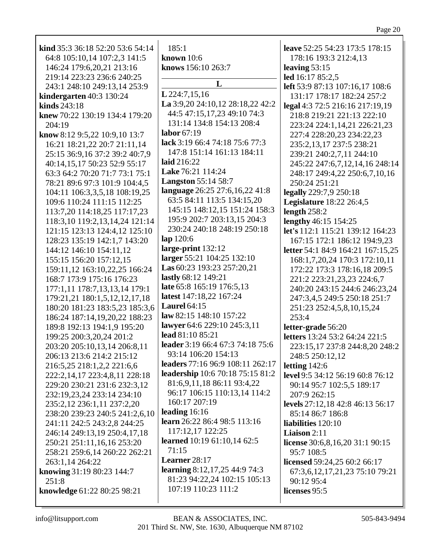| kind 35:3 36:18 52:20 53:6 54:14                             | 185:1                                                   | leave 52:25 54:23 173:5 178:15                      |
|--------------------------------------------------------------|---------------------------------------------------------|-----------------------------------------------------|
| 64:8 105:10,14 107:2,3 141:5                                 | <b>known</b> 10:6                                       | 178:16 193:3 212:4,13                               |
| 146:24 179:6,20,21 213:16<br>219:14 223:23 236:6 240:25      | knows 156:10 263:7                                      | leaving $53:15$                                     |
| 243:1 248:10 249:13,14 253:9                                 | L                                                       | led 16:17 85:2,5<br>left 53:9 87:13 107:16,17 108:6 |
| kindergarten 40:3 130:24                                     | L 224:7,15,16                                           | 131:17 178:17 182:24 257:2                          |
| kinds $243:18$                                               | La 3:9,20 24:10,12 28:18,22 42:2                        | legal 4:3 72:5 216:16 217:19,19                     |
| knew 70:22 130:19 134:4 179:20                               | 44:5 47:15,17,23 49:10 74:3                             | 218:8 219:21 221:13 222:10                          |
| 204:19                                                       | 131:14 134:8 154:13 208:4                               | 223:24 224:1,14,21 226:21,23                        |
| know 8:12 9:5,22 10:9,10 13:7                                | labor $67:19$                                           | 227:4 228:20,23 234:22,23                           |
| 16:21 18:21,22 20:7 21:11,14                                 | lack 3:19 66:4 74:18 75:6 77:3                          | 235:2,13,17 237:5 238:21                            |
| 25:15 36:9,16 37:2 39:2 40:7,9                               | 147:8 151:14 161:13 184:11                              | 239:21 240:2,7,11 244:10                            |
| 40:14,15,17 50:23 52:9 55:17                                 | laid 216:22                                             | 245:22 247:6,7,12,14,16 248:14                      |
| 63:3 64:2 70:20 71:7 73:1 75:1                               | Lake 76:21 114:24                                       | 248:17 249:4,22 250:6,7,10,16                       |
| 78:21 89:6 97:3 101:9 104:4,5                                | <b>Langston</b> 55:14 58:7                              | 250:24 251:21                                       |
| 104:11 106:3,3,5,18 108:19,25                                | language 26:25 27:6,16,22 41:8                          | legally 229:7,9 250:18                              |
| 109:6 110:24 111:15 112:25                                   | 63:5 84:11 113:5 134:15,20                              | <b>Legislature</b> 18:22 26:4,5                     |
| 113:7,20 114:18,25 117:17,23                                 | 145:15 148:12,15 151:24 158:3                           | length 258:2                                        |
| 118:3,10 119:2,13,14,24 121:14                               | 195:9 202:7 203:13,15 204:3                             | lengthy 46:15 154:25                                |
| 121:15 123:13 124:4,12 125:10                                | 230:24 240:18 248:19 250:18                             | let's 112:1 115:21 139:12 164:23                    |
| 128:23 135:19 142:1,7 143:20                                 | $lap$ 120:6                                             | 167:15 172:1 186:12 194:9,23                        |
| 144:12 146:10 154:11,12                                      | large-print 132:12                                      | letter 54:1 84:9 164:21 167:15,25                   |
| 155:15 156:20 157:12,15                                      | larger 55:21 104:25 132:10                              | 168:1,7,20,24 170:3 172:10,11                       |
| 159:11,12 163:10,22,25 166:24                                | Las 60:23 193:23 257:20,21                              | 172:22 173:3 178:16,18 209:5                        |
| 168:7 173:9 175:16 176:23                                    | lastly 68:12 149:21                                     | 221:2 223:21, 23, 23 224: 6, 7                      |
| 177:1,11 178:7,13,13,14 179:1                                | late 65:8 165:19 176:5,13                               | 240:20 243:15 244:6 246:23,24                       |
| 179:21,21 180:1,5,12,12,17,18                                | latest 147:18,22 167:24                                 | 247:3,4,5 249:5 250:18 251:7                        |
| 180:20 181:23 183:5,23 185:3,6                               | Laurel $64:15$                                          | 251:23 252:4,5,8,10,15,24                           |
| 186:24 187:14,19,20,22 188:23                                | law 82:15 148:10 157:22                                 | 253:4                                               |
| 189:8 192:13 194:1,9 195:20                                  | lawyer 64:6 229:10 245:3,11                             | letter-grade 56:20                                  |
| 199:25 200:3,20,24 201:2                                     | lead 81:10 85:21                                        | letters 13:24 53:2 64:24 221:5                      |
| 203:20 205:10,13,14 206:8,11                                 | leader 3:19 66:4 67:3 74:18 75:6                        | 223:15,17 237:8 244:8,20 248:2                      |
| 206:13 213:6 214:2 215:12                                    | 93:14 106:20 154:13<br>leaders 77:16 96:9 108:11 262:17 | 248:5 250:12,12                                     |
| 216:5,25 218:1,2,2 221:6,6                                   | leadership 10:6 70:18 75:15 81:2                        | letting $142:6$                                     |
| 222:2,14,17 223:4,8,11 228:18                                | 81:6,9,11,18 86:11 93:4,22                              | level 9:5 34:12 56:19 60:8 76:12                    |
| 229:20 230:21 231:6 232:3,12                                 | 96:17 106:15 110:13,14 114:2                            | 90:14 95:7 102:5,5 189:17                           |
| 232:19,23,24 233:14 234:10                                   | 160:17 207:19                                           | 207:9 262:15<br>levels 27:12,18 42:8 46:13 56:17    |
| 235:2,12 236:1,11 237:2,20<br>238:20 239:23 240:5 241:2,6,10 | leading $16:16$                                         | 85:14 86:7 186:8                                    |
| 241:11 242:5 243:2,8 244:25                                  | learn 26:22 86:4 98:5 113:16                            | liabilities 120:10                                  |
| 246:14 249:13,19 250:4,17,18                                 | 117:12,17 122:25                                        | <b>Liaison</b> $2:11$                               |
| 250:21 251:11,16,16 253:20                                   | <b>learned</b> 10:19 61:10,14 62:5                      | license 30:6,8,16,20 31:1 90:15                     |
| 258:21 259:6,14 260:22 262:21                                | 71:15                                                   | 95:7 108:5                                          |
| 263:1,14 264:22                                              | Learner 28:17                                           | licensed 59:24,25 60:2 66:17                        |
| knowing 31:19 80:23 144:7                                    | learning 8:12,17,25 44:9 74:3                           | 67:3, 6, 12, 17, 21, 23 75: 10 79: 21               |
| 251:8                                                        | 81:23 94:22,24 102:15 105:13                            | 90:12 95:4                                          |
| knowledge 61:22 80:25 98:21                                  | 107:19 110:23 111:2                                     | licenses 95:5                                       |
|                                                              |                                                         |                                                     |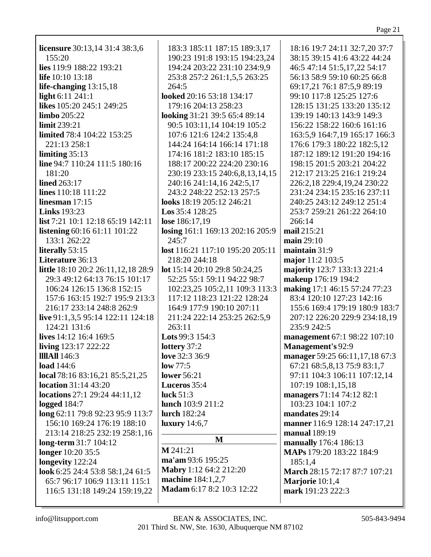| <b>licensure</b> 30:13,14 31:4 38:3,6 | 183:3 185:11 187:15 189:3,17     | 18:16 19:7 24:11 32:7,20 37:7  |
|---------------------------------------|----------------------------------|--------------------------------|
| 155:20                                | 190:23 191:8 193:15 194:23,24    | 38:15 39:15 41:6 43:22 44:24   |
| lies 119:9 188:22 193:21              | 194:24 203:22 231:10 234:9,9     | 46:5 47:14 51:5,17,22 54:17    |
| life 10:10 13:18                      | 253:8 257:2 261:1,5,5 263:25     | 56:13 58:9 59:10 60:25 66:8    |
| life-changing $13:15,18$              | 264:5                            | 69:17,21 76:1 87:5,9 89:19     |
| light 6:11 241:1                      | looked 20:16 53:18 134:17        | 99:10 117:8 125:25 127:6       |
| likes 105:20 245:1 249:25             | 179:16 204:13 258:23             | 128:15 131:25 133:20 135:12    |
| <b>limbo</b> 205:22                   | looking 31:21 39:5 65:4 89:14    | 139:19 140:13 143:9 149:3      |
|                                       |                                  |                                |
| limit 239:21                          | 90:5 103:11,14 104:19 105:2      | 156:22 158:22 160:6 161:16     |
| limited 78:4 104:22 153:25            | 107:6 121:6 124:2 135:4,8        | 163:5,9 164:7,19 165:17 166:3  |
| 221:13 258:1                          | 144:24 164:14 166:14 171:18      | 176:6 179:3 180:22 182:5,12    |
| limiting $35:13$                      | 174:16 181:2 183:10 185:15       | 187:12 189:12 191:20 194:16    |
| line 94:7 110:24 111:5 180:16         | 188:17 200:22 224:20 230:16      | 198:15 201:5 203:21 204:22     |
| 181:20                                | 230:19 233:15 240:6,8,13,14,15   | 212:17 213:25 216:1 219:24     |
| <b>lined</b> 263:17                   | 240:16 241:14,16 242:5,17        | 226:2,18 229:4,19,24 230:22    |
| lines 110:18 111:22                   | 243:2 248:22 252:13 257:5        | 231:24 234:15 235:16 237:11    |
| linesman $17:15$                      | looks 18:19 205:12 246:21        | 240:25 243:12 249:12 251:4     |
| <b>Links</b> 193:23                   | <b>Los</b> $35:4$ $128:25$       | 253:7 259:21 261:22 264:10     |
| list 7:21 10:1 12:18 65:19 142:11     | lose 186:17,19                   | 266:14                         |
| listening 60:16 61:11 101:22          | losing 161:1 169:13 202:16 205:9 | mail 215:21                    |
| 133:1 262:22                          | 245:7                            | main $29:10$                   |
| literally 53:15                       | lost 116:21 117:10 195:20 205:11 | maintain 31:9                  |
|                                       |                                  |                                |
| Literature 36:13                      | 218:20 244:18                    | major 11:2 103:5               |
| little 18:10 20:2 26:11,12,18 28:9    | lot 15:14 20:10 29:8 50:24,25    | majority 123:7 133:13 221:4    |
| 29:3 49:12 64:13 76:15 101:17         | 52:25 55:1 59:11 94:22 98:7      | makeup 176:19 194:2            |
| 106:24 126:15 136:8 152:15            | 102:23,25 105:2,11 109:3 113:3   | making 17:1 46:15 57:24 77:23  |
| 157:6 163:15 192:7 195:9 213:3        | 117:12 118:23 121:22 128:24      | 83:4 120:10 127:23 142:16      |
| 216:17 233:14 248:8 262:9             | 164:9 177:9 190:10 207:11        | 155:6 169:4 179:19 180:9 183:7 |
| live 91:1,3,5 95:14 122:11 124:18     | 211:24 222:14 253:25 262:5,9     | 207:12 226:20 229:9 234:18,19  |
| 124:21 131:6                          | 263:11                           | 235:9 242:5                    |
| lives 14:12 16:4 169:5                | Lots 99:3 154:3                  | management 67:1 98:22 107:10   |
| living 123:17 222:22                  | lottery 37:2                     | Management's 92:9              |
| <b>IIIIAII</b> 146:3                  | love 32:3 36:9                   | manager 59:25 66:11,17,18 67:3 |
| load 144:6                            | low 77:5                         | 67:21 68:5,8,13 75:9 83:1,7    |
| local 78:16 83:16,21 85:5,21,25       | <b>lower</b> 56:21               | 97:11 104:3 106:11 107:12,14   |
| <b>location</b> 31:14 43:20           | Luceros 35:4                     | 107:19 108:1,15,18             |
| locations $27:1$ 29:24 44:11,12       | luck $51:3$                      | managers 71:14 74:12 82:1      |
| logged $184:7$                        | lunch 103:9 211:2                | 103:23 104:1 107:2             |
| long 62:11 79:8 92:23 95:9 113:7      | <b>lurch</b> 182:24              | mandates 29:14                 |
| 156:10 169:24 176:19 188:10           | luxury $14:6,7$                  |                                |
|                                       |                                  | manner 116:9 128:14 247:17,21  |
| 213:14 218:25 232:19 258:1,16         | M                                | manual 189:19                  |
| long-term 31:7 104:12                 | M 241:21                         | manually 176:4 186:13          |
| longer 10:20 35:5                     | ma'am 93:6 195:25                | MAPs 179:20 183:22 184:9       |
| longevity 122:24                      |                                  | 185:1,4                        |
| look 6:25 24:4 53:8 58:1,24 61:5      | Mabry 1:12 64:2 212:20           | March 28:15 72:17 87:7 107:21  |
| 65:7 96:17 106:9 113:11 115:1         | machine 184:1,2,7                | Marjorie 10:1,4                |
| 116:5 131:18 149:24 159:19,22         | Madam 6:17 8:2 10:3 12:22        | mark 191:23 222:3              |
|                                       |                                  |                                |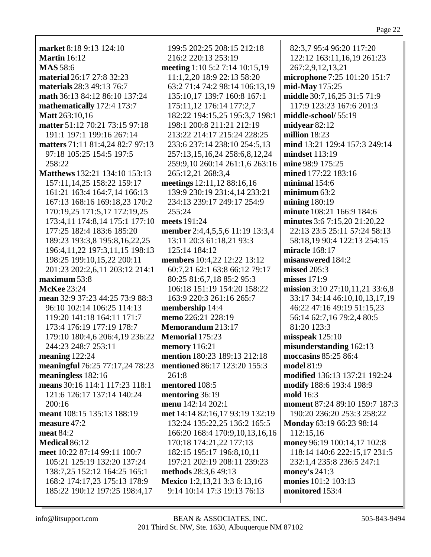| market 8:18 9:13 124:10              | 199:5 202:25 208:15 212:18      | 82:3,7 95:4 96:20 117:20        |
|--------------------------------------|---------------------------------|---------------------------------|
| <b>Martin</b> 16:12                  | 216:2 220:13 253:19             | 122:12 163:11,16,19 261:23      |
| <b>MAS</b> 58:6                      | meeting 1:10 5:2 7:14 10:15,19  | 267:2,9,12,13,21                |
| material 26:17 27:8 32:23            | 11:1,2,20 18:9 22:13 58:20      | microphone 7:25 101:20 151:7    |
| materials 28:3 49:13 76:7            | 63:2 71:4 74:2 98:14 106:13,19  | mid-May 175:25                  |
| math 36:13 84:12 86:10 137:24        | 135:10,17 139:7 160:8 167:1     | middle 30:7,16,25 31:5 71:9     |
| mathematically 172:4 173:7           | 175:11,12 176:14 177:2,7        | 117:9 123:23 167:6 201:3        |
| Matt 263:10,16                       | 182:22 194:15,25 195:3,7 198:1  | middle-school/ 55:19            |
| matter 51:12 70:21 73:15 97:18       | 198:1 200:8 211:21 212:19       | midyear 82:12                   |
| 191:1 197:1 199:16 267:14            | 213:22 214:17 215:24 228:25     | million 18:23                   |
| matters 71:11 81:4,24 82:7 97:13     | 233:6 237:14 238:10 254:5,13    | mind 13:21 129:4 157:3 249:14   |
| 97:18 105:25 154:5 197:5             | 257:13,15,16,24 258:6,8,12,24   | mindset 113:19                  |
| 258:22                               | 259:9,10 260:14 261:1,6 263:16  | mine 98:9 175:25                |
| Matthews 132:21 134:10 153:13        | 265:12,21 268:3,4               | mined 177:22 183:16             |
| 157:11,14,25 158:22 159:17           | meetings 12:11,12 88:16,16      | minimal 154:6                   |
| 161:21 163:4 164:7,14 166:13         | 139:9 230:19 231:4,14 233:21    | minimum $63:2$                  |
| 167:13 168:16 169:18,23 170:2        | 234:13 239:17 249:17 254:9      | mining $180:19$                 |
| 170:19,25 171:5,17 172:19,25         | 255:24                          | minute 108:21 166:9 184:6       |
| 173:4,11 174:8,14 175:1 177:10       | meets 191:24                    | minutes 3:6 7:15,20 21:20,22    |
| 177:25 182:4 183:6 185:20            | member 2:4,4,5,5,6 11:19 13:3,4 | 22:13 23:5 25:11 57:24 58:13    |
| 189:23 193:3,8 195:8,16,22,25        | 13:11 20:3 61:18,21 93:3        | 58:18,19 90:4 122:13 254:15     |
| 196:4, 11, 22 197: 3, 11, 15 198: 13 | 125:14 184:12                   | miracle 168:17                  |
| 198:25 199:10,15,22 200:11           | members 10:4,22 12:22 13:12     | misanswered 184:2               |
| 201:23 202:2,6,11 203:12 214:1       | 60:7,21 62:1 63:8 66:12 79:17   | missed 205:3                    |
| maximum 53:8                         | 80:25 81:6,7,18 85:2 95:3       | misses $171:9$                  |
| <b>McKee</b> 23:24                   | 106:18 151:19 154:20 158:22     | mission 3:10 27:10,11,21 33:6,8 |
| mean 32:9 37:23 44:25 73:9 88:3      | 163:9 220:3 261:16 265:7        | 33:17 34:14 46:10,10,13,17,19   |
| 96:10 102:14 106:25 114:13           | membership 14:4                 | 46:22 47:16 49:19 51:15,23      |
| 119:20 141:18 164:11 171:7           | memo 226:21 228:19              | 56:14 62:7,16 79:2,4 80:5       |
| 173:4 176:19 177:19 178:7            | Memorandum 213:17               | 81:20 123:3                     |
| 179:10 180:4,6 206:4,19 236:22       | <b>Memorial 175:23</b>          | misspeak $125:10$               |
| 244:23 248:7 253:11                  | <b>memory</b> 116:21            | misunderstanding 162:13         |
| meaning $122:24$                     | mention 180:23 189:13 212:18    | moccasins 85:25 86:4            |
| meaningful 76:25 77:17,24 78:23      | mentioned 86:17 123:20 155:3    | <b>model</b> 81:9               |
| meaningless 182:16                   | 261:8                           | modified 136:13 137:21 192:24   |
| means 30:16 114:1 117:23 118:1       | mentored 108:5                  | modify 188:6 193:4 198:9        |
| 121:6 126:17 137:14 140:24           | mentoring 36:19                 | mold 16:3                       |
| 200:16                               | menu 142:14 202:1               | moment 87:24 89:10 159:7 187:3  |
| meant 108:15 135:13 188:19           | met 14:14 82:16,17 93:19 132:19 | 190:20 236:20 253:3 258:22      |
| measure 47:2                         | 132:24 135:22,25 136:2 165:5    | Monday 63:19 66:23 98:14        |
| meat $84:2$                          | 166:20 168:4 170:9,10,13,16,16  | 112:15,16                       |
| Medical 86:12                        | 170:18 174:21,22 177:13         | money 96:19 100:14,17 102:8     |
| meet 10:22 87:14 99:11 100:7         | 182:15 195:17 196:8,10,11       | 118:14 140:6 222:15,17 231:5    |
| 105:21 125:19 132:20 137:24          | 197:21 202:19 208:11 239:23     | 232:1,4 235:8 236:5 247:1       |
| 138:7,25 152:12 164:25 165:1         | methods 28:3,6 49:13            | money's $241:3$                 |
| 168:2 174:17,23 175:13 178:9         | Mexico 1:2,13,21 3:3 6:13,16    | monies 101:2 103:13             |
| 185:22 190:12 197:25 198:4,17        | 9:14 10:14 17:3 19:13 76:13     | monitored 153:4                 |
|                                      |                                 |                                 |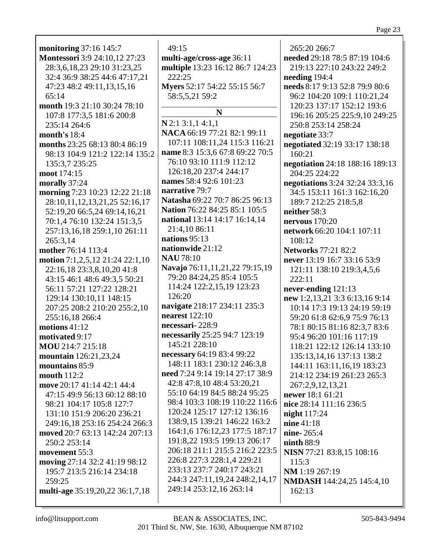**monitoring** 37:16 145:7 **Montessori** 3:9 24:10,12 27:23 28:3,6,18,23 29:10 31:23,25 32:4 36:9 38:25 44:6 47:17,21 47:23 48:2 49:11,13,15,16 65:14 **month** 19:3 21:10 30:24 78:10 107:8 177:3,5 181:6 200:8 235:14 264:6 **month's** 18:4 **months** 23:25 68:13 80:4 86:19 98:13 104:9 121:2 122:14 135:2 135:3,7 235:25 **moot** 174:15 **morally** 37:24 **morning** 7:23 10:23 12:22 21:18 28:10,11,12,13,21,25 52:16,17 52:19,20 66:5,24 69:14,16,21 70:1,4 76:10 132:24 151:3,5 257:13,16,18 259:1,10 261:11 265:3,14 **mother** 76:14 113:4 **motion** 7:1,2,5,12 21:24 22:1,10 22:16,18 23:3,8,10,20 41:8 43:15 46:1 48:6 49:3,5 50:21 56:11 57:21 127:22 128:21 129:14 130:10,11 148:15 207:25 208:2 210:20 255:2,10 255:16,18 266:4 **motions** 41:12 **motivated** 9:17 **MOU** 214:7 215:18 **mountain** 126:21,23,24 **mountains** 85:9 **mouth** 112:2 **move** 20:17 41:14 42:1 44:4 47:15 49:9 56:13 60:12 88:10 98:21 104:17 105:8 127:7 131:10 151:9 206:20 236:21 249:16,18 253:16 254:24 266:3 **moved** 20:7 63:13 142:24 207:13 250:2 253:14 **movement** 55:3 **moving** 27:14 32:2 41:19 98:12 195:7 213:5 216:14 234:18 259:25 **multi-age** 35:19,20,22 36:1,7,18

49:15 **multi-age/cross-age** 36:11 **multiple** 13:23 16:12 86:7 124:23 222:25 **Myers** 52:17 54:22 55:15 56:7 58:5,5,21 59:2 **N N** 2:1 3:1,1 4:1,1 **NACA** 66:19 77:21 82:1 99:11 107:11 108:11,24 115:3 116:21 **name** 8:3 15:3,6 67:8 69:22 70:5 76:10 93:10 111:9 112:12 126:18,20 237:4 244:17 **names** 58:4 92:6 101:23 **narrative** 79:7 **Natasha** 69:22 70:7 86:25 96:13 **Nation** 76:22 84:25 85:1 105:5 **national** 13:14 14:17 16:14,14 21:4,10 86:11 **nations** 95:13 **nationwide** 21:12 **NAU** 78:10 **Navajo** 76:11,11,21,22 79:15,19 79:20 84:24,25 85:4 105:5 114:24 122:2,15,19 123:23 126:20 **navigate** 218:17 234:11 235:3 **nearest** 122:10 **necessari-** 228:9 **necessarily** 25:25 94:7 123:19 145:21 228:10 **necessary** 64:19 83:4 99:22 148:11 183:1 230:12 246:3,8 **need** 7:24 9:14 19:14 27:17 38:9 42:8 47:8,10 48:4 53:20,21 55:10 64:19 84:5 88:24 95:25 98:4 103:3 108:19 110:22 116:6 120:24 125:17 127:12 136:16 138:9,15 139:21 146:22 163:2 164:1,6 176:12,23 177:5 187:17 191:8,22 193:5 199:13 206:17 206:18 211:1 215:5 216:2 223:5 226:8 227:3 228:1,4 229:21 233:13 237:7 240:17 243:21 244:3 247:11,19,24 248:2,14,17 249:14 253:12,16 263:14

265:20 266:7 **needed** 29:18 78:5 87:19 104:6 219:13 227:10 243:22 249:2 **needing** 194:4 **needs** 8:17 9:13 52:8 79:9 80:6 96:2 104:20 109:1 110:21,24 120:23 137:17 152:12 193:6 196:16 205:25 225:9,10 249:25 250:8 253:14 258:24 **negotiate** 33:7 **negotiated** 32:19 33:17 138:18 160:21 **negotiation** 24:18 188:16 189:13 204:25 224:22 **negotiations** 3:24 32:24 33:3,16 34:5 153:11 161:3 162:16,20 189:7 212:25 218:5,8 **neither** 58:3 **nervous** 170:20 **network** 66:20 104:1 107:11 108:12 **Networks** 77:21 82:2 **never** 13:19 16:7 33:16 53:9 121:11 138:10 219:3,4,5,6 222:11 **never-ending** 121:13 **new** 1:2,13,21 3:3 6:13,16 9:14 10:14 17:3 19:13 24:19 59:19 59:20 61:8 62:6,9 75:9 76:13 78:1 80:15 81:16 82:3,7 83:6 95:4 96:20 101:16 117:19 118:21 122:12 126:14 133:10 135:13,14,16 137:13 138:2 144:11 163:11,16,19 183:23 214:12 234:19 261:23 265:3 267:2,9,12,13,21 **newer** 18:1 61:21 **nice** 28:14 111:16 236:5 **night** 117:24 **nine** 41:18 **nine-** 265:4 **ninth** 88:9 **NISN** 77:21 83:8,15 108:16 115:3 **NM** 1:19 267:19 **NMDASH** 144:24,25 145:4,10 162:13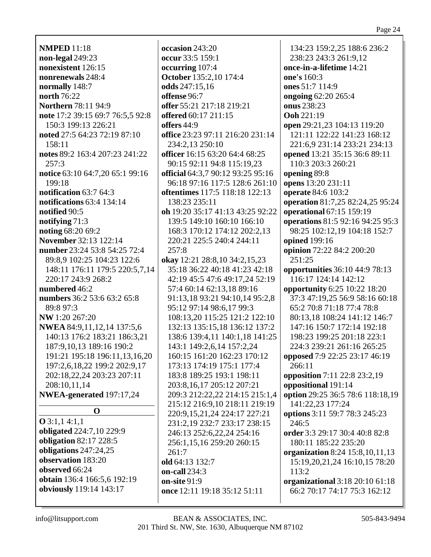**NMPED** 11:18 **non-legal** 249:23 **nonexistent** 126:15 **nonrenewals** 248:4 **normally** 148:7 **north** 76:22 **Northern** 78:11 94:9 **note** 17:2 39:15 69:7 76:5,5 92:8 150:3 199:13 226:21 **noted** 27:5 64:23 72:19 87:10 158:11 **notes** 89:2 163:4 207:23 241:22 257:3 **notice** 63:10 64:7,20 65:1 99:16 199:18 **notification** 63:7 64:3 **notifications** 63:4 134:14 **notified** 90:5 **notifying** 71:3 **noting** 68:20 69:2 **November** 32:13 122:14 **number** 23:24 53:8 54:25 72:4 89:8,9 102:25 104:23 122:6 148:11 176:11 179:5 220:5,7,14 220:17 243:9 268:2 **numbered** 46:2 **numbers** 36:2 53:6 63:2 65:8 89:8 97:3 **NW** 1:20 267:20 **NWEA** 84:9,11,12,14 137:5,6 140:13 176:2 183:21 186:3,21 187:9,10,13 189:16 190:2 191:21 195:18 196:11,13,16,20 197:2,6,18,22 199:2 202:9,17 202:18,22,24 203:23 207:11 208:10,11,14 **NWEA-generated** 197:17,24 **O O** 3:1,1 4:1,1 **obligated** 224:7,10 229:9 **obligation** 82:17 228:5 **obligations** 247:24,25 **observation** 183:20 **observed** 66:24 **obtain** 136:4 166:5,6 192:19

**occasion** 243:20 **occur** 33:5 159:1 **occurring** 107:4 **October** 135:2,10 174:4 **odds** 247:15,16 **offense** 96:7 **offer** 55:21 217:18 219:21 **offered** 60:17 211:15 **offers** 44:9 **office** 23:23 97:11 216:20 231:14 234:2,13 250:10 **officer** 16:15 63:20 64:4 68:25 90:15 92:11 94:8 115:19,23 **official** 64:3,7 90:12 93:25 95:16 96:18 97:16 117:5 128:6 261:10 **oftentimes** 117:5 118:18 122:13 138:23 235:11 **oh** 19:20 35:17 41:13 43:25 92:22 139:5 149:10 160:10 166:10 168:3 170:12 174:12 202:2,13 220:21 225:5 240:4 244:11 257:8 **okay** 12:21 28:8,10 34:2,15,23 35:18 36:22 40:18 41:23 42:18 42:19 45:5 47:6 49:17,24 52:19 57:4 60:14 62:13,18 89:16 91:13,18 93:21 94:10,14 95:2,8 95:12 97:14 98:6,17 99:3 108:13,20 115:25 121:2 122:10 132:13 135:15,18 136:12 137:2 138:6 139:4,11 140:1,18 141:25 143:1 149:2,6,14 157:2,24 160:15 161:20 162:23 170:12 173:13 174:19 175:1 177:4 183:8 189:25 193:1 198:11 203:8,16,17 205:12 207:21 209:3 212:22,22 214:15 215:1,4 215:12 216:9,10 218:11 219:19 220:9,15,21,24 224:17 227:21 231:2,19 232:7 233:17 238:15 246:13 252:6,22,24 254:16 256:1,15,16 259:20 260:15 261:7 **old** 64:13 132:7 **on-call** 234:3 **on-site** 91:9 **once** 12:11 19:18 35:12 51:11

134:23 159:2,25 188:6 236:2 238:23 243:3 261:9,12 **once-in-a-lifetime** 14:21 **one's** 160:3 **ones** 51:7 114:9 **ongoing** 62:20 265:4 **onus** 238:23 **Ooh** 221:19 **open** 29:21,23 104:13 119:20 121:11 122:22 141:23 168:12 221:6,9 231:14 233:21 234:13 **opened** 13:21 35:15 36:6 89:11 110:3 203:3 260:21 **opening** 89:8 **opens** 13:20 231:11 **operate** 84:6 103:2 **operation** 81:7,25 82:24,25 95:24 **operational** 67:15 159:19 **operations** 81:5 92:16 94:25 95:3 98:25 102:12,19 104:18 152:7 **opined** 199:16 **opinion** 72:22 84:2 200:20 251:25 **opportunities** 36:10 44:9 78:13 116:17 124:14 142:12 **opportunity** 6:25 10:22 18:20 37:3 47:19,25 56:9 58:16 60:18 65:2 70:8 71:18 77:4 78:8 80:13,18 108:24 141:12 146:7 147:16 150:7 172:14 192:18 198:23 199:25 201:18 223:1 224:3 239:21 261:16 265:25 **opposed** 7:9 22:25 23:17 46:19 266:11 **opposition** 7:11 22:8 23:2,19 **oppositional** 191:14 **option** 29:25 36:5 78:6 118:18,19 141:22,23 177:24 **options** 3:11 59:7 78:3 245:23 246:5 **order** 3:3 29:17 30:4 40:8 82:8 180:11 185:22 235:20 **organization** 8:24 15:8,10,11,13 15:19,20,21,24 16:10,15 78:20 113:2 **organizational** 3:18 20:10 61:18 66:2 70:17 74:17 75:3 162:12

**obviously** 119:14 143:17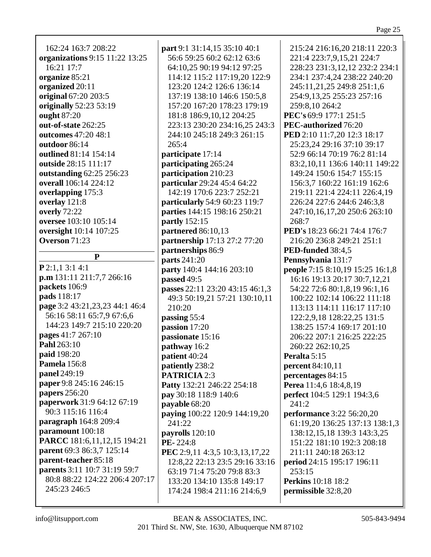| 162:24 163:7 208:22            | part 9:1 31:14,15 35:10 40:1                                     | 215:24 216:16,20 218:11 220:3                      |
|--------------------------------|------------------------------------------------------------------|----------------------------------------------------|
| organizations 9:15 11:22 13:25 | 56:6 59:25 60:2 62:12 63:6                                       | 221:4 223:7,9,15,21 224:7                          |
| 16:21 17:7                     | 64:10,25 90:19 94:12 97:25                                       | 228:23 231:3,12,12 232:2 234:1                     |
| organize 85:21                 | 114:12 115:2 117:19,20 122:9                                     | 234:1 237:4,24 238:22 240:20                       |
| organized 20:11                | 123:20 124:2 126:6 136:14                                        | 245:11,21,25 249:8 251:1,6                         |
| original 67:20 203:5           | 137:19 138:10 146:6 150:5,8                                      | 254:9,13,25 255:23 257:16                          |
| originally 52:23 53:19         | 157:20 167:20 178:23 179:19                                      | 259:8,10 264:2                                     |
| ought 87:20                    | 181:8 186:9, 10, 12 204: 25                                      | PEC's 69:9 177:1 251:5                             |
| out-of-state 262:25            | 223:13 230:20 234:16,25 243:3                                    | PEC-authorized 76:20                               |
| outcomes 47:20 48:1            | 244:10 245:18 249:3 261:15                                       | PED 2:10 11:7,20 12:3 18:17                        |
| outdoor 86:14                  | 265:4                                                            | 25:23,24 29:16 37:10 39:17                         |
| outlined 81:14 154:14          | participate 17:14                                                | 52:9 66:14 70:19 76:2 81:14                        |
| outside 28:15 111:17           | participating 265:24                                             | 83:2,10,11 136:6 140:11 149:22                     |
| outstanding 62:25 256:23       | participation 210:23                                             | 149:24 150:6 154:7 155:15                          |
| overall 106:14 224:12          | particular 29:24 45:4 64:22                                      | 156:3,7 160:22 161:19 162:6                        |
| overlapping 175:3              | 142:19 170:6 223:7 252:21                                        | 219:11 221:4 224:11 226:4,19                       |
| overlay 121:8                  | particularly 54:9 60:23 119:7                                    | 226:24 227:6 244:6 246:3,8                         |
| overly 72:22                   | parties 144:15 198:16 250:21                                     | 247:10,16,17,20 250:6 263:10                       |
| oversee 103:10 105:14          | partly 152:15                                                    | 268:7                                              |
| oversight 10:14 107:25         | partnered 86:10,13                                               | PED's 18:23 66:21 74:4 176:7                       |
| Overson 71:23                  | partnership 17:13 27:2 77:20                                     | 216:20 236:8 249:21 251:1                          |
| ${\bf P}$                      | partnerships 86:9                                                | PED-funded 38:4,5                                  |
| $P$ 2:1,1 3:1 4:1              | parts 241:20                                                     | Pennsylvania 131:7                                 |
| p.m 131:11 211:7,7 266:16      | party 140:4 144:16 203:10                                        | people 7:15 8:10,19 15:25 16:1,8                   |
| packets 106:9                  | passed 49:5                                                      | 16:16 19:13 20:17 30:7,12,21                       |
| pads 118:17                    | passes 22:11 23:20 43:15 46:1,3                                  | 54:22 72:6 80:1,8,19 96:1,16                       |
| page 3:2 43:21,23,23 44:1 46:4 | 49:3 50:19,21 57:21 130:10,11                                    | 100:22 102:14 106:22 111:18                        |
| 56:16 58:11 65:7,9 67:6,6      | 210:20                                                           | 113:13 114:11 116:17 117:10                        |
| 144:23 149:7 215:10 220:20     | passing 55:4                                                     | 122:2,9,18 128:22,25 131:5                         |
| pages 41:7 267:10              | passion 17:20                                                    | 138:25 157:4 169:17 201:10                         |
| Pahl 263:10                    | passionate 15:16<br>pathway 16:2                                 | 206:22 207:1 216:25 222:25<br>260:22 262:10,25     |
| paid 198:20                    | patient 40:24                                                    | Peralta 5:15                                       |
| Pamela 156:8                   | patiently 238:2                                                  | <b>percent</b> 84:10,11                            |
| panel 249:19                   | <b>PATRICIA 2:3</b>                                              | percentages 84:15                                  |
| paper 9:8 245:16 246:15        | Patty 132:21 246:22 254:18                                       | Perea 11:4,6 18:4,8,19                             |
| papers 256:20                  | pay 30:18 118:9 140:6                                            | <b>perfect</b> 104:5 129:1 194:3,6                 |
| paperwork 31:9 64:12 67:19     | payable 68:20                                                    | 241:2                                              |
| 90:3 115:16 116:4              |                                                                  |                                                    |
| paragraph 164:8 209:4          |                                                                  |                                                    |
|                                | paying 100:22 120:9 144:19,20                                    | <b>performance</b> 3:22 56:20,20                   |
| paramount 100:18               | 241:22                                                           | 61:19,20 136:25 137:13 138:1,3                     |
| PARCC 181:6,11,12,15 194:21    | payrolls $120:10$                                                | 138:12,15,18 139:3 143:3,25                        |
| parent 69:3 86:3,7 125:14      | PE-224:8                                                         | 151:22 181:10 192:3 208:18<br>211:11 240:18 263:12 |
| parent-teacher 85:18           | PEC 2:9,11 4:3,5 10:3,13,17,22<br>12:8,22 22:13 23:5 29:16 33:16 | period 24:15 195:17 196:11                         |
| parents 3:11 10:7 31:19 59:7   | 63:19 71:4 75:20 79:8 83:3                                       | 253:15                                             |
| 80:8 88:22 124:22 206:4 207:17 | 133:20 134:10 135:8 149:17                                       | <b>Perkins</b> 10:18 18:2                          |
| 245:23 246:5                   | 174:24 198:4 211:16 214:6,9                                      | permissible 32:8,20                                |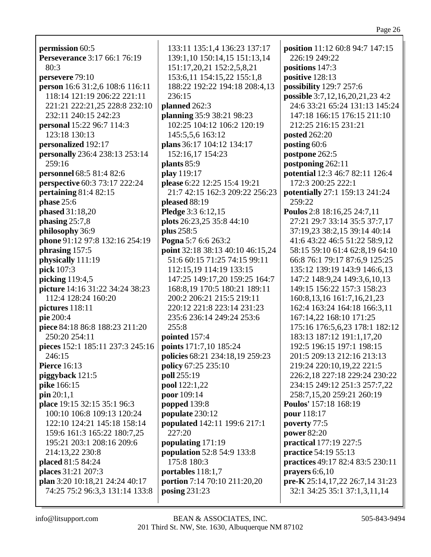**permission** 60:5 **Perseverance** 3:17 66:1 76:19 80:3 **persevere** 79:10 **person** 16:6 31:2,6 108:6 116:11 118:14 121:19 206:22 221:11 221:21 222:21,25 228:8 232:10 232:11 240:15 242:23 **personal** 15:22 96:7 114:3 123:18 130:13 **personalized** 192:17 **personally** 236:4 238:13 253:14 259:16 **personnel** 68:5 81:4 82:6 **perspective** 60:3 73:17 222:24 **pertaining** 81:4 82:15 **phase** 25:6 **phased** 31:18,20 **phasing** 25:7,8 **philosophy** 36:9 **phone** 91:12 97:8 132:16 254:19 **phrasing** 157:5 **physically** 111:19 **pick** 107:3 **picking** 119:4,5 **picture** 14:16 31:22 34:24 38:23 112:4 128:24 160:20 **pictures** 118:11 **pie** 200:4 **piece** 84:18 86:8 188:23 211:20 250:20 254:11 **pieces** 152:1 185:11 237:3 245:16 246:15 **Pierce** 16:13 **piggyback** 121:5 **pike** 166:15 **pin** 20:1,1 **place** 19:15 32:15 35:1 96:3 100:10 106:8 109:13 120:24 122:10 124:21 145:18 158:14 159:6 161:3 165:22 180:7,25 195:21 203:1 208:16 209:6 214:13,22 230:8 **placed** 81:5 84:24 **places** 31:21 207:3 **plan** 3:20 10:18,21 24:24 40:17 74:25 75:2 96:3,3 131:14 133:8

133:11 135:1,4 136:23 137:17 139:1,10 150:14,15 151:13,14 151:17,20,21 152:2,5,8,21 153:6,11 154:15,22 155:1,8 188:22 192:22 194:18 208:4,13 236:15 **planned** 262:3 **planning** 35:9 38:21 98:23 102:25 104:12 106:2 120:19 145:5,5,6 163:12 **plans** 36:17 104:12 134:17 152:16,17 154:23 **plants** 85:9 **play** 119:17 **please** 6:22 12:25 15:4 19:21 21:7 42:15 162:3 209:22 256:23 **pleased** 88:19 **Pledge** 3:3 6:12,15 **plots** 26:23,25 35:8 44:10 **plus** 258:5 **Pogna** 5:7 6:6 263:2 **point** 32:18 38:13 40:10 46:15,24 51:6 60:15 71:25 74:15 99:11 112:15,19 114:19 133:15 147:25 149:17,20 159:25 164:7 168:8,19 170:5 180:21 189:11 200:2 206:21 215:5 219:11 220:12 221:8 223:14 231:23 235:6 236:14 249:24 253:6 255:8 **pointed** 157:4 **points** 171:7,10 185:24 **policies** 68:21 234:18,19 259:23 **policy** 67:25 235:10 **poll** 255:19 **pool** 122:1,22 **poor** 109:14 **popped** 139:8 **populate** 230:12 **populated** 142:11 199:6 217:1 227:20 **populating** 171:19 **population** 52:8 54:9 133:8 175:8 180:3 **portables** 118:1,7 **portion** 7:14 70:10 211:20,20 **posing** 231:23

**position** 11:12 60:8 94:7 147:15 226:19 249:22 **positions** 147:3 **positive** 128:13 **possibility** 129:7 257:6 **possible** 3:7,12,16,20,21,23 4:2 24:6 33:21 65:24 131:13 145:24 147:18 166:15 176:15 211:10 212:25 216:15 231:21 **posted** 262:20 **posting** 60:6 **postpone** 262:5 **postponing** 262:11 **potential** 12:3 46:7 82:11 126:4 172:3 200:25 222:1 **potentially** 27:1 159:13 241:24 259:22 **Poulos** 2:8 18:16,25 24:7,11 27:21 29:7 33:14 35:5 37:7,17 37:19,23 38:2,15 39:14 40:14 41:6 43:22 46:5 51:22 58:9,12 58:15 59:10 61:4 62:8,19 64:10 66:8 76:1 79:17 87:6,9 125:25 135:12 139:19 143:9 146:6,13 147:2 148:9,24 149:3,6,10,13 149:15 156:22 157:3 158:23 160:8,13,16 161:7,16,21,23 162:4 163:24 164:18 166:3,11 167:14,22 168:10 171:25 175:16 176:5,6,23 178:1 182:12 183:13 187:12 191:1,17,20 192:5 196:15 197:1 198:15 201:5 209:13 212:16 213:13 219:24 220:10,19,22 221:5 226:2,18 227:18 229:24 230:22 234:15 249:12 251:3 257:7,22 258:7,15,20 259:21 260:19 **Poulos'** 157:18 168:19 **pour** 118:17 **poverty** 77:5 **power** 82:20 **practical** 177:19 227:5 **practice** 54:19 55:13 **practices** 49:17 82:4 83:5 230:11 **prayers** 6:6,10 **pre-K** 25:14,17,22 26:7,14 31:23 32:1 34:25 35:1 37:1,3,11,14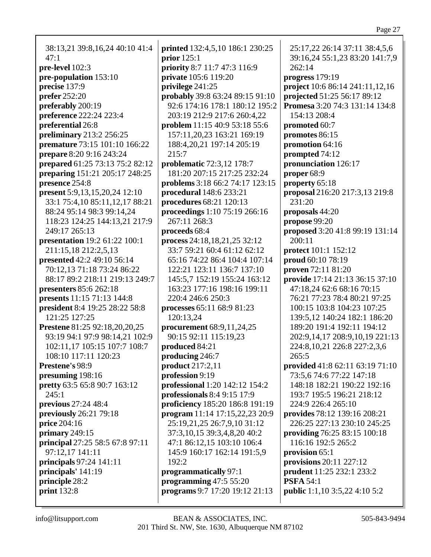38:13,21 39:8,16,24 40:10 41:4  $47:1$ pre-level 102:3 pre-population 153:10 precise 137:9 **prefer** 252:20 preferably 200:19 **preference** 222:24 223:4 preferential 26:8 **preliminary** 213:2 256:25 **premature** 73:15 101:10 166:22 prepare 8:20 9:16 243:24 **prepared** 61:25 73:13 75:2 82:12 **preparing** 151:21 205:17 248:25 presence 254:8 **present** 5:9,13,15,20,24 12:10 33:1 75:4,10 85:11,12,17 88:21 88:24 95:14 98:3 99:14,24 118:23 124:25 144:13,21 217:9 249:17 265:13 **presentation** 19:2 61:22 100:1 211:15,18 212:2,5,13 **presented** 42:2 49:10 56:14 70:12.13 71:18 73:24 86:22 88:17 89:2 218:11 219:13 249:7 presenters 85:6 262:18 presents 11:15 71:13 144:8 president 8:4 19:25 28:22 58:8 121:25 127:25 **Prestene** 81:25 92:18,20,20,25 93:19 94:1 97:9 98:14,21 102:9 102:11,17 105:15 107:7 108:7 108:10 117:11 120:23 Prestene's 98:9 presuming 198:16 **pretty** 63:5 65:8 90:7 163:12  $245:1$ previous  $27:24$  48:4 previously 26:21 79:18 price  $204:16$ primary  $249:15$ **principal** 27:25 58:5 67:8 97:11 97:12,17 141:11 principals  $97:24$  141:11 principals' 141:19 principle 28:2 print  $132:8$ 

**printed** 132:4,5,10 186:1 230:25 prior  $125:1$ priority 8:7 11:7 47:3 116:9 **private** 105:6 119:20 privilege  $241:25$ probably 39:8 63:24 89:15 91:10 92:6 174:16 178:1 180:12 195:2 203:19 212:9 217:6 260:4.22 **problem** 11:15 40:9 53:18 55:6 157:11,20,23 163:21 169:19 188:4.20.21 197:14 205:19  $215:7$ **problematic** 72:3,12 178:7 181:20 207:15 217:25 232:24 **problems** 3:18 66:2 74:17 123:15 **procedural** 148:6 233:21 procedures 68:21 120:13 proceedings 1:10 75:19 266:16 267:11 268:3 proceeds 68:4 process 24:18,18,21,25 32:12 33:7 59:21 60:4 61:12 62:12 65:16 74:22 86:4 104:4 107:14 122:21 123:11 136:7 137:10 145:5.7 152:19 155:24 163:12 163:23 177:16 198:16 199:11 220:4 246:6 250:3 processes 65:11 68:9 81:23 120:13,24 procurement  $68:9,11,24,25$ 90:15 92:11 115:19,23 produced 84:21 producing 246:7 **product** 217:2,11 profession 9:19 **professional** 1:20 142:12 154:2 professionals  $8:49:1517:9$ proficiency 185:20 186:8 191:19 program 11:14 17:15,22,23 20:9 25:19,21,25 26:7,9,10 31:12 37:3, 10, 15 39:3, 4, 8, 20 40:2 47:1 86:12,15 103:10 106:4 145:9 160:17 162:14 191:5,9  $192:2$ programmatically 97:1 programming  $47:55:20$ **programs** 9:7 17:20 19:12 21:13

25:17,22 26:14 37:11 38:4,5,6 39:16,24 55:1,23 83:20 141:7,9  $262:14$ progress  $179:19$ **project** 10:6 86:14 241:11,12,16 projected 51:25 56:17 89:12 **Promesa** 3:20 74:3 131:14 134:8 154:13 208:4 promoted 60:7 promotes 86:15 promotion  $64:16$ prompted 74:12 pronunciation 126:17 proper 68:9 property  $65:18$ **proposal** 216:20 217:3,13 219:8  $231:20$ proposals  $44:20$ propose  $99:20$ proposed 3:20 41:8 99:19 131:14  $200:11$ **protect** 101:1 152:12 **proud** 60:10 78:19 **proven**  $72:1181:20$ **provide** 17:14 21:13 36:15 37:10 47:18,24 62:6 68:16 70:15 76:21 77:23 78:4 80:21 97:25 100:15 103:8 104:23 107:25 139:5,12 140:24 182:1 186:20 189:20 191:4 192:11 194:12 202:9,14,17 208:9,10,19 221:13 224:8, 10, 21 226:8 227:2, 3, 6  $265:5$ **provided** 41:8 62:11 63:19 71:10 73:5,6 74:6 77:22 147:18 148:18 182:21 190:22 192:16 193:7 195:5 196:21 218:12 224:9 226:4 265:10 provides 78:12 139:16 208:21 226:25 227:13 230:10 245:25 providing 76:25 83:15 100:18 116:16 192:5 265:2 provision 65:1 provisions  $20:11$   $227:12$ **prudent** 11:25 232:1 233:2 **PSFA 54:1 public** 1:1,10 3:5,22 4:10 5:2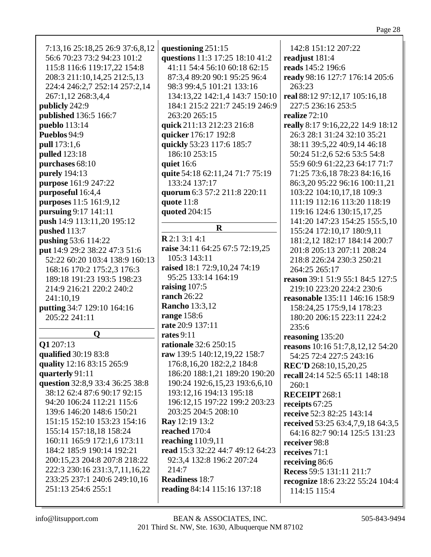| 7:13,16 25:18,25 26:9 37:6,8,12<br>56:6 70:23 73:2 94:23 101:2<br>115:8 116:6 119:17,22 154:8<br>208:3 211:10,14,25 212:5,13<br>224:4 246:2,7 252:14 257:2,14<br>267:1,12 268:3,4,4<br>publicly 242:9<br>published 136:5 166:7<br>pueblo 113:14<br>Pueblos 94:9<br>pull 173:1,6<br>pulled 123:18<br>purchases 68:10<br>purely 194:13<br>purpose 161:9 247:22<br>purposeful 16:4,4<br>purposes 11:5 161:9,12<br>pursuing 9:17 141:11<br>push 14:9 113:11,20 195:12<br>pushed 113:7<br>pushing 53:6 114:22<br>put 14:9 29:2 38:22 47:3 51:6<br>52:22 60:20 103:4 138:9 160:13<br>168:16 170:2 175:2,3 176:3<br>189:18 191:23 193:5 198:23<br>214:9 216:21 220:2 240:2<br>241:10,19<br>putting 34:7 129:10 164:16<br>205:22 241:11 | questioning 251:15<br>questions 11:3 17:25 18:10 41:2<br>41:11 54:4 56:10 60:18 62:15<br>87:3,4 89:20 90:1 95:25 96:4<br>98:3 99:4,5 101:21 133:16<br>134:13,22 142:1,4 143:7 150:10<br>184:1 215:2 221:7 245:19 246:9<br>263:20 265:15<br>quick 211:13 212:23 216:8<br>quicker 176:17 192:8<br>quickly 53:23 117:6 185:7<br>186:10 253:15<br>quiet 16:6<br>quite 54:18 62:11,24 71:7 75:19<br>133:24 137:17<br>quorum 6:3 57:2 211:8 220:11<br>quote $11:8$<br>quoted 204:15<br>$\mathbf R$<br>R2:13:14:1<br>raise 34:11 64:25 67:5 72:19,25<br>105:3 143:11<br>raised 18:1 72:9,10,24 74:19<br>95:25 133:14 164:19<br>raising 107:5<br><b>ranch</b> 26:22<br><b>Rancho</b> 13:3,12<br>range 158:6 | 142:8 151:12 207:22<br>readjust 181:4<br>reads 145:2 196:6<br>ready 98:16 127:7 176:14 205:6<br>263:23<br>real 88:12 97:12,17 105:16,18<br>227:5 236:16 253:5<br>realize $72:10$<br>really 8:17 9:16,22,22 14:9 18:12<br>26:3 28:1 31:24 32:10 35:21<br>38:11 39:5,22 40:9,14 46:18<br>50:24 51:2,6 52:6 53:5 54:8<br>55:9 60:9 61:22,23 64:17 71:7<br>71:25 73:6,18 78:23 84:16,16<br>86:3,20 95:22 96:16 100:11,21<br>103:22 104:10,17,18 109:3<br>111:19 112:16 113:20 118:19<br>119:16 124:6 130:15,17,25<br>141:20 147:23 154:25 155:5,10<br>155:24 172:10,17 180:9,11<br>181:2,12 182:17 184:14 200:7<br>201:8 205:13 207:11 208:24<br>218:8 226:24 230:3 250:21<br>264:25 265:17<br>reason 39:1 51:9 55:1 84:5 127:5<br>219:10 223:20 224:2 230:6<br>reasonable 135:11 146:16 158:9<br>158:24,25 175:9,14 178:23<br>180:20 206:15 223:11 224:2 |
|---------------------------------------------------------------------------------------------------------------------------------------------------------------------------------------------------------------------------------------------------------------------------------------------------------------------------------------------------------------------------------------------------------------------------------------------------------------------------------------------------------------------------------------------------------------------------------------------------------------------------------------------------------------------------------------------------------------------------------|-----------------------------------------------------------------------------------------------------------------------------------------------------------------------------------------------------------------------------------------------------------------------------------------------------------------------------------------------------------------------------------------------------------------------------------------------------------------------------------------------------------------------------------------------------------------------------------------------------------------------------------------------------------------------------------------------------|-------------------------------------------------------------------------------------------------------------------------------------------------------------------------------------------------------------------------------------------------------------------------------------------------------------------------------------------------------------------------------------------------------------------------------------------------------------------------------------------------------------------------------------------------------------------------------------------------------------------------------------------------------------------------------------------------------------------------------------------------------------------------------------------------------------------------------------------------------|
|                                                                                                                                                                                                                                                                                                                                                                                                                                                                                                                                                                                                                                                                                                                                 | rate 20:9 137:11                                                                                                                                                                                                                                                                                                                                                                                                                                                                                                                                                                                                                                                                                    | 235:6                                                                                                                                                                                                                                                                                                                                                                                                                                                                                                                                                                                                                                                                                                                                                                                                                                                 |
| $\mathbf 0$                                                                                                                                                                                                                                                                                                                                                                                                                                                                                                                                                                                                                                                                                                                     | rates $9:11$                                                                                                                                                                                                                                                                                                                                                                                                                                                                                                                                                                                                                                                                                        | reasoning 135:20                                                                                                                                                                                                                                                                                                                                                                                                                                                                                                                                                                                                                                                                                                                                                                                                                                      |
| Q1 207:13<br>qualified 30:19 83:8<br>quality 12:16 83:15 265:9<br>quarterly 91:11<br>question 32:8,9 33:4 36:25 38:8<br>38:12 62:4 87:6 90:17 92:15<br>94:20 106:24 112:21 115:6<br>139:6 146:20 148:6 150:21<br>151:15 152:10 153:23 154:16<br>155:14 157:18,18 158:24<br>160:11 165:9 172:1,6 173:11<br>184:2 185:9 190:14 192:21<br>200:15,23 204:8 207:8 218:22<br>222:3 230:16 231:3,7,11,16,22<br>233:25 237:1 240:6 249:10,16<br>251:13 254:6 255:1                                                                                                                                                                                                                                                                      | rationale 32:6 250:15<br>raw 139:5 140:12,19,22 158:7<br>176:8, 16, 20 182:2, 2 184:8<br>186:20 188:1,21 189:20 190:20<br>190:24 192:6,15,23 193:6,6,10<br>193:12,16 194:13 195:18<br>196:12,15 197:22 199:2 203:23<br>203:25 204:5 208:10<br><b>Ray</b> 12:19 13:2<br>reached 170:4<br>reaching 110:9,11<br>read 15:3 32:22 44:7 49:12 64:23<br>92:3,4 132:8 196:2 207:24<br>214:7<br><b>Readiness 18:7</b><br>reading 84:14 115:16 137:18                                                                                                                                                                                                                                                         | reasons 10:16 51:7,8,12,12 54:20<br>54:25 72:4 227:5 243:16<br><b>REC'D</b> 268:10,15,20,25<br>recall 24:14 52:5 65:11 148:18<br>260:1<br><b>RECEIPT 268:1</b><br>receipts 67:25<br>receive 52:3 82:25 143:14<br>received 53:25 63:4,7,9,18 64:3,5<br>64:16 82:7 90:14 125:5 131:23<br>receiver 98:8<br>receives $71:1$<br>receiving 86:6<br>Recess 59:5 131:11 211:7<br>recognize 18:6 23:22 55:24 104:4<br>114:15 115:4                                                                                                                                                                                                                                                                                                                                                                                                                             |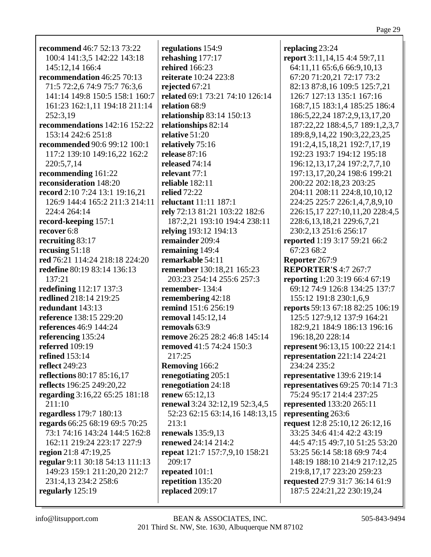| <b>recommend</b> 46:7 52:13 73:22 | regulations 154:9               | replacing 23:24                         |
|-----------------------------------|---------------------------------|-----------------------------------------|
| 100:4 141:3,5 142:22 143:18       | rehashing 177:17                | report 3:11,14,15 4:4 59:7,11           |
| 145:12,14 166:4                   | <b>rehired</b> 166:23           | 64:11,11 65:6,6 66:9,10,13              |
| recommendation 46:25 70:13        | reiterate 10:24 223:8           | 67:20 71:20,21 72:17 73:2               |
| 71:5 72:2,6 74:9 75:7 76:3,6      | rejected 67:21                  | 82:13 87:8,16 109:5 125:7,21            |
| 141:14 149:8 150:5 158:1 160:7    | related 69:1 73:21 74:10 126:14 | 126:7 127:13 135:1 167:16               |
| 161:23 162:1,11 194:18 211:14     | relation 68:9                   | 168:7,15 183:1,4 185:25 186:4           |
| 252:3,19                          | relationship 83:14 150:13       | 186:5,22,24 187:2,9,13,17,20            |
| recommendations 142:16 152:22     | relationships 82:14             | 187:22,22 188:4,5,7 189:1,2,3,7         |
| 153:14 242:6 251:8                | relative $51:20$                | 189:8, 9, 14, 22 190: 3, 22, 23, 25     |
| recommended 90:6 99:12 100:1      | relatively 75:16                | 191:2,4,15,18,21 192:7,17,19            |
|                                   |                                 |                                         |
| 117:2 139:10 149:16,22 162:2      | release 87:16                   | 192:23 193:7 194:12 195:18              |
| 220:5,7,14                        | released 74:14                  | 196:12,13,17,24 197:2,7,7,10            |
| recommending 161:22               | relevant 77:1                   | 197:13,17,20,24 198:6 199:21            |
| reconsideration 148:20            | reliable $182:11$               | 200:22 202:18,23 203:25                 |
| record 2:10 7:24 13:1 19:16,21    | <b>relied</b> 72:22             | 204:11 208:11 224:8,10,10,12            |
| 126:9 144:4 165:2 211:3 214:11    | reluctant 11:11 187:1           | 224:25 225:7 226:1,4,7,8,9,10           |
| 224:4 264:14                      | rely 72:13 81:21 103:22 182:6   | 226:15,17 227:10,11,20 228:4,5          |
| record-keeping 157:1              | 187:2,21 193:10 194:4 238:11    | 228:6, 13, 18, 21 229:6, 7, 21          |
| recover 6:8                       | relying 193:12 194:13           | 230:2,13 251:6 256:17                   |
| recruiting 83:17                  | remainder 209:4                 | reported 1:19 3:17 59:21 66:2           |
| recusing $51:18$                  | remaining 149:4                 | 67:23 68:2                              |
| red 76:21 114:24 218:18 224:20    | remarkable 54:11                | Reporter 267:9                          |
| redefine 80:19 83:14 136:13       | remember 130:18,21 165:23       | <b>REPORTER'S 4:7 267:7</b>             |
| 137:21                            | 203:23 254:14 255:6 257:3       | reporting 1:20 3:19 66:4 67:19          |
| redefining 112:17 137:3           | remember-134:4                  | 69:12 74:9 126:8 134:25 137:7           |
| redlined 218:14 219:25            | remembering 42:18               | 155:12 191:8 230:1,6,9                  |
| redundant 143:13                  | remind 151:6 256:19             | reports 59:13 67:18 82:25 106:19        |
| reference 138:15 229:20           | removal 145:12,14               | 125:5 127:9,12 137:9 164:21             |
| references 46:9 144:24            | removals 63:9                   |                                         |
|                                   |                                 | 182:9,21 184:9 186:13 196:16            |
| referencing 135:24                | remove 26:25 28:2 46:8 145:14   | 196:18,20 228:14                        |
| referred 109:19                   | removed 41:5 74:24 150:3        | represent 96:13,15 100:22 214:1         |
| <b>refined</b> 153:14             | 217:25                          | representation 221:14 224:21            |
| reflect 249:23                    | <b>Removing 166:2</b>           | 234:24 235:2                            |
| reflections 80:17 85:16,17        | renegotiating 205:1             | representative 139:6 219:14             |
| reflects 196:25 249:20,22         | renegotiation 24:18             | <b>representatives</b> 69:25 70:14 71:3 |
| regarding 3:16,22 65:25 181:18    | renew 65:12,13                  | 75:24 95:17 214:4 237:25                |
| 211:10                            | renewal 3:24 32:12,19 52:3,4,5  | represented 133:20 265:11               |
| regardless 179:7 180:13           | 52:23 62:15 63:14,16 148:13,15  | representing 263:6                      |
| regards 66:25 68:19 69:5 70:25    | 213:1                           | request 12:8 25:10,12 26:12,16          |
| 73:1 74:16 143:24 144:5 162:8     | renewals $135:9,13$             | 33:25 34:6 41:4 42:2 43:19              |
| 162:11 219:24 223:17 227:9        | renewed 24:14 214:2             | 44:5 47:15 49:7,10 51:25 53:20          |
| region 21:8 47:19,25              | repeat 121:7 157:7,9,10 158:21  | 53:25 56:14 58:18 69:9 74:4             |
| regular 9:11 30:18 54:13 111:13   | 209:17                          | 148:19 188:10 214:9 217:12,25           |
| 149:23 159:1 211:20,20 212:7      | repeated 101:1                  | 219:8, 17, 17 223: 20 259: 23           |
| 231:4,13 234:2 258:6              | repetition 135:20               | requested 27:9 31:7 36:14 61:9          |
| regularly $125:19$                | replaced 209:17                 | 187:5 224:21,22 230:19,24               |
|                                   |                                 |                                         |
|                                   |                                 |                                         |

Г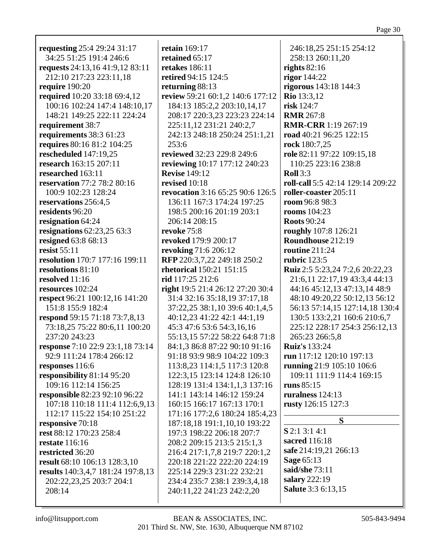| requesting 25:4 29:24 31:17        | r  |
|------------------------------------|----|
| 34:25 51:25 191:4 246:6            | r  |
| requests 24:13,16 41:9,12 83:11    |    |
|                                    | r  |
| 212:10 217:23 223:11,18            | r  |
| require $190:20$                   | r  |
| required 10:20 33:18 69:4,12       | r  |
| 100:16 102:24 147:4 148:10,17      |    |
| 148:21 149:25 222:11 224:24        |    |
| requirement 38:7                   |    |
| requirements 38:3 61:23            |    |
| requires 80:16 81:2 104:25         |    |
| rescheduled 147:19,25              | r  |
| research 163:15 207:11             | r  |
| researched 163:11                  | R  |
| <b>reservation</b> 77:2 78:2 80:16 | r  |
| 100:9 102:23 128:24                | r  |
| reservations 256:4,5               |    |
| residents 96:20                    |    |
|                                    |    |
| resignation 64:24                  |    |
| resignations $62:23,2563:3$        | r  |
| resigned 63:8 68:13                | r  |
| resist 55:11                       | r  |
| resolution 170:7 177:16 199:11     | R  |
| resolutions 81:10                  | r  |
| resolved 11:16                     | ri |
| resources 102:24                   | r  |
| respect 96:21 100:12,16 141:20     |    |
| 151:8 155:9 182:4                  |    |
| respond 59:15 71:18 73:7,8,13      |    |
| 73:18,25 75:22 80:6,11 100:20      |    |
| 237:20 243:23                      |    |
| response 7:10 22:9 23:1,18 73:14   |    |
| 92:9 111:24 178:4 266:12           |    |
| responses 116:6                    |    |
| responsibility 81:14 95:20         |    |
| 109:16 112:14 156:25               |    |
| responsible 82:23 92:10 96:22      |    |
| 107:18 110:18 111:4 112:6,9,13     |    |
| 112:17 115:22 154:10 251:22        |    |
| responsive 70:18                   |    |
|                                    |    |
| rest 88:12 170:23 258:4            |    |
| <b>restate</b> 116:16              |    |
| restricted 36:20                   |    |
| result 68:10 106:13 128:3,10       |    |
| results 140:3,4,7 181:24 197:8,13  |    |
| 202:22,23,25 203:7 204:1           |    |
| 208:14                             |    |
|                                    |    |

**retain** 169:17 **retained** 65:17 **retakes** 186:11 **retired** 94:15 124:5 **returning** 88:13 **review** 59:21 60:1,2 140:6 177:12 184:13 185:2,2 203:10,14,17 208:17 220:3,23 223:23 224:14 225:11,12 231:21 240:2,7 242:13 248:18 250:24 251:1,21 253:6 **reviewed** 32:23 229:8 249:6 **reviewing** 10:17 177:12 240:23 **Revise** 149:12 **revised** 10:18 **revocation** 3:16 65:25 90:6 126:5 136:11 167:3 174:24 197:25 198:5 200:16 201:19 203:1 206:14 208:15 **revoke** 75:8 **revoked** 179:9 200:17 **revoking** 71:6 206:12 **RFP** 220:3,7,22 249:18 250:2 **rhetorical** 150:21 151:15 **rid** 117:25 212:6 **right** 19:5 21:4 26:12 27:20 30:4 31:4 32:16 35:18,19 37:17,18 37:22,25 38:1,10 39:6 40:1,4,5 40:12,23 41:22 42:1 44:1,19 45:3 47:6 53:6 54:3,16,16 55:13,15 57:22 58:22 64:8 71:8 84:1,3 86:8 87:22 90:10 91:16 91:18 93:9 98:9 104:22 109:3 113:8,23 114:1,5 117:3 120:8 122:3,15 123:14 124:8 126:10 128:19 131:4 134:1,1,3 137:16 141:1 143:14 146:12 159:24 160:15 166:17 167:13 170:1 171:16 177:2,6 180:24 185:4,23 187:18,18 191:1,10,10 193:22 197:3 198:22 206:18 207:7 208:2 209:15 213:5 215:1,3 216:4 217:1,7,8 219:7 220:1,2 220:18 221:22 222:20 224:19 225:14 229:3 231:22 232:21 234:4 235:7 238:1 239:3,4,18 240:11,22 241:23 242:2,20

246:18,25 251:15 254:12 258:13 260:11,20 **rights** 82:16 **rigor** 144:22 **rigorous** 143:18 144:3 **Rio** 13:3,12 **risk** 124:7 **RMR** 267:8 **RMR-CRR** 1:19 267:19 **road** 40:21 96:25 122:15 **rock** 180:7,25 **role** 82:11 97:22 109:15,18 110:25 223:16 238:8 **Roll** 3:3 **roll-call** 5:5 42:14 129:14 209:22 **roller-coaster** 205:11 **room** 96:8 98:3 **rooms** 104:23 **Roots** 90:24 **roughly** 107:8 126:21 **Roundhouse** 212:19 **routine** 211:24 **rubric** 123:5 **Ruiz** 2:5 5:23,24 7:2,6 20:22,23 21:6,11 22:17,19 43:3,4 44:13 44:16 45:12,13 47:13,14 48:9 48:10 49:20,22 50:12,13 56:12 56:13 57:14,15 127:14,18 130:4 130:5 133:2,21 160:6 210:6,7 225:12 228:17 254:3 256:12,13 265:23 266:5,8 **Ruiz's** 133:24 **run** 117:12 120:10 197:13 **running** 21:9 105:10 106:6 109:11 111:9 114:4 169:15 **runs** 85:15 **ruralness** 124:13 **rusty** 126:15 127:3 **S S** 2:1 3:1 4:1

**sacred** 116:18 **safe** 214:19,21 266:13 **Sage** 65:13 **said/she** 73:11 **salary** 222:19 **Salute** 3:3 6:13,15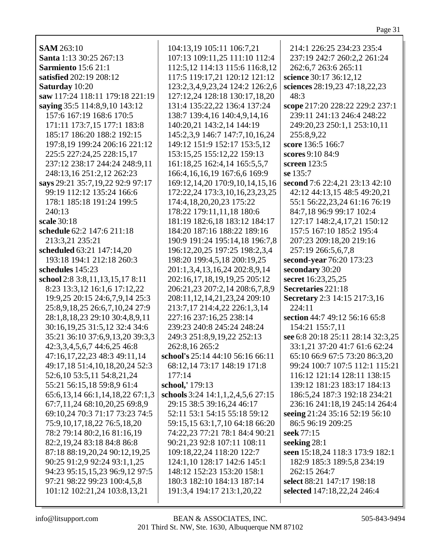| <b>SAM 263:10</b>                     |                                                                   |                                                          |
|---------------------------------------|-------------------------------------------------------------------|----------------------------------------------------------|
| Santa 1:13 30:25 267:13               | 104:13,19 105:11 106:7,21<br>107:13 109:11,25 111:10 112:4        | 214:1 226:25 234:23 235:4<br>237:19 242:7 260:2,2 261:24 |
| <b>Sarmiento</b> 15:6 21:1            |                                                                   |                                                          |
| satisfied 202:19 208:12               | 112:5, 12 114:13 115:6 116:8, 12<br>117:5 119:17,21 120:12 121:12 | 262:6,7 263:6 265:11<br>science 30:17 36:12,12           |
|                                       |                                                                   |                                                          |
| Saturday 10:20                        | 123:2,3,4,9,23,24 124:2 126:2,6                                   | sciences 28:19,23 47:18,22,23                            |
| saw 117:24 118:11 179:18 221:19       | 127:12,24 128:18 130:17,18,20                                     | 48:3                                                     |
| saying 35:5 114:8,9,10 143:12         | 131:4 135:22,22 136:4 137:24                                      | scope 217:20 228:22 229:2 237:1                          |
| 157:6 167:19 168:6 170:5              | 138:7 139:4,16 140:4,9,14,16                                      | 239:11 241:13 246:4 248:22                               |
| 171:11 173:7,15 177:1 183:8           | 140:20,21 143:2,14 144:19                                         | 249:20,23 250:1,1 253:10,11                              |
| 185:17 186:20 188:2 192:15            | 145:2,3,9 146:7 147:7,10,16,24                                    | 255:8,9,22                                               |
| 197:8,19 199:24 206:16 221:12         | 149:12 151:9 152:17 153:5,12                                      | score 136:5 166:7                                        |
| 225:5 227:24,25 228:15,17             | 153:15,25 155:12,22 159:13                                        | scores 9:10 84:9                                         |
| 237:12 238:17 244:24 248:9,11         | 161:18,25 162:4,14 165:5,5,7                                      | screen 123:5                                             |
| 248:13,16 251:2,12 262:23             | 166:4, 16, 16, 19 167: 6, 6 169: 9                                | se 135:7                                                 |
| says 29:21 35:7,19,22 92:9 97:17      | 169:12,14,20 170:9,10,14,15,16                                    | second 7:6 22:4,21 23:13 42:10                           |
| 99:19 112:12 135:24 166:6             | 172:22,24 173:3,10,16,23,23,25                                    | 42:12 44:13,15 48:5 49:20,21                             |
| 178:1 185:18 191:24 199:5             | 174:4, 18, 20, 20, 23 175: 22                                     | 55:1 56:22,23,24 61:16 76:19                             |
| 240:13                                | 178:22 179:11,11,18 180:6                                         | 84:7,18 96:9 99:17 102:4                                 |
| scale 30:18                           | 181:19 182:6,18 183:12 184:17                                     | 127:17 148:2,4,17,21 150:12                              |
| schedule 62:2 147:6 211:18            | 184:20 187:16 188:22 189:16                                       | 157:5 167:10 185:2 195:4                                 |
| 213:3,21 235:21                       | 190:9 191:24 195:14,18 196:7,8                                    | 207:23 209:18,20 219:16                                  |
| scheduled 63:21 147:14,20             | 196:12,20,25 197:25 198:2,3,4                                     | 257:19 266:5,6,7,8                                       |
| 193:18 194:1 212:18 260:3             | 198:20 199:4,5,18 200:19,25                                       | second-year 76:20 173:23                                 |
| schedules 145:23                      | 201:1,3,4,13,16,24 202:8,9,14                                     | secondary 30:20                                          |
| school 2:8 3:8,11,13,15,17 8:11       | 202:16,17,18,19,19,25 205:12                                      | secret 16:23,25,25                                       |
| 8:23 13:3,12 16:1,6 17:12,22          | 206:21,23 207:2,14 208:6,7,8,9                                    | Secretaries 221:18                                       |
| 19:9,25 20:15 24:6,7,9,14 25:3        | 208:11,12,14,21,23,24 209:10                                      | Secretary 2:3 14:15 217:3,16                             |
| 25:8,9,18,25 26:6,7,10,24 27:9        | 213:7,17 214:4,22 226:1,3,14                                      | 224:11                                                   |
| 28:1,8,18,23 29:10 30:4,8,9,11        | 227:16 237:16,25 238:14                                           | section 44:7 49:12 56:16 65:8                            |
| 30:16,19,25 31:5,12 32:4 34:6         | 239:23 240:8 245:24 248:24                                        | 154:21 155:7,11                                          |
| 35:21 36:10 37:6,9,13,20 39:3,3       | 249:3 251:8,9,19,22 252:13                                        | see 6:8 20:18 25:11 28:14 32:3,25                        |
| 42:3,3,4,5,6,7 44:6,25 46:8           | 262:8,16 265:2                                                    | 33:1,21 37:20 41:7 61:6 62:24                            |
| 47:16,17,22,23 48:3 49:11,14          | school's 25:14 44:10 56:16 66:11                                  | 65:10 66:9 67:5 73:20 86:3,20                            |
| 49:17,18 51:4,10,18,20,24 52:3        | 68:12,14 73:17 148:19 171:8                                       | 99:24 100:7 107:5 112:1 115:21                           |
| 52:6,10 53:5,11 54:8,21,24            | 177:14                                                            | 116:12 121:14 128:11 138:15                              |
| 55:21 56:15,18 59:8,9 61:4            | school,' 179:13                                                   | 139:12 181:23 183:17 184:13                              |
| 65:6, 13, 14 66:1, 14, 18, 22 67:1, 3 | schools 3:24 14:1,1,2,4,5,6 27:15                                 | 186:5,24 187:3 192:18 234:21                             |
| 67:7,11,24 68:10,20,25 69:8,9         | 29:15 38:5 39:16,24 46:17                                         | 236:16 241:18,19 245:14 264:4                            |
| 69:10,24 70:3 71:17 73:23 74:5        | 52:11 53:1 54:15 55:18 59:12                                      | seeing 21:24 35:16 52:19 56:10                           |
| 75:9, 10, 17, 18, 22 76: 5, 18, 20    | 59:15,15 63:1,7,10 64:18 66:20                                    | 86:5 96:19 209:25                                        |
| 78:2 79:14 80:2,16 81:16,19           | 74:22,23 77:21 78:1 84:4 90:21                                    | seek 77:15                                               |
| 82:2,19,24 83:18 84:8 86:8            | 90:21,23 92:8 107:11 108:11                                       | seeking 28:1                                             |
| 87:18 88:19,20,24 90:12,19,25         | 109:18,22,24 118:20 122:7                                         | seen 15:18,24 118:3 173:9 182:1                          |
| 90:25 91:2,9 92:24 93:1,1,25          | 124:1,10 128:17 142:6 145:1                                       | 182:9 185:3 189:5,8 234:19                               |
| 94:23 95:15,15,23 96:9,12 97:5        | 148:12 152:23 153:20 158:1                                        | 262:15 264:7                                             |
| 97:21 98:22 99:23 100:4,5,8           | 180:3 182:10 184:13 187:14                                        | select 88:21 147:17 198:18                               |
| 101:12 102:21,24 103:8,13,21          | 191:3,4 194:17 213:1,20,22                                        | selected 147:18,22,24 246:4                              |
|                                       |                                                                   |                                                          |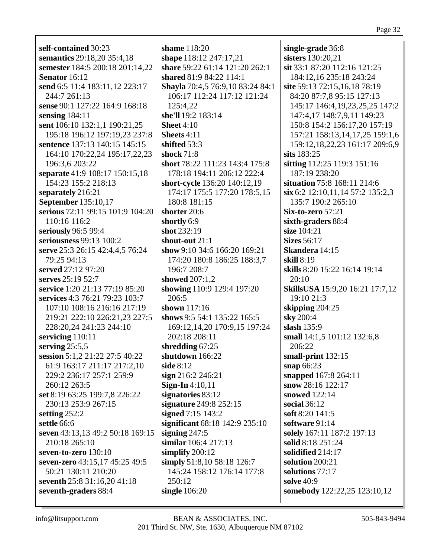self-contained 30:23 semantics 29:18,20 35:4,18 semester 184:5 200:18 201:14,22 Senator 16:12 send 6:5 11:4 183:11,12 223:17 244:7 261:13 sense 90:1 127:22 164:9 168:18 sensing  $184:11$ sent 106:10 132:1,1 190:21,25 195:18 196:12 197:19,23 237:8 sentence 137:13 140:15 145:15 164:10 170:22,24 195:17,22,23 196:3,6 203:22 separate 41:9 108:17 150:15,18 154:23 155:2 218:13 separately 216:21 **September 135:10.17** serious 72:11 99:15 101:9 104:20 110:16 116:2 seriously 96:5 99:4 seriousness 99:13 100:2 serve 25:3 26:15 42:4,4,5 76:24 79:25 94:13 served  $27:12\,97:20$ serves 25:19 52:7 service 1:20 21:13 77:19 85:20 services 4:3 76:21 79:23 103:7 107:10 108:16 216:16 217:19 219:21 222:10 226:21,23 227:5 228:20,24 241:23 244:10 servicing  $110:11$ serving  $25:5,5$ session 5:1,2 21:22 27:5 40:22 61:9 163:17 211:17 217:2,10 229:2 236:17 257:1 259:9 260:12 263:5 set 8:19 63:25 199:7,8 226:22 230:13 253:9 267:15 setting  $252:2$ settle 66:6 seven 43:13,13 49:2 50:18 169:15  $210:18265:10$ seven-to-zero 130:10 seven-zero 43:15.17 45:25 49:5 50:21 130:11 210:20 seventh 25:8 31:16,20 41:18 seventh-graders 88:4

shame  $118:20$ shape 118:12 247:17,21 share 59:22 61:14 121:20 262:1 shared 81:9 84:22 114:1 Shayla 70:4,5 76:9,10 83:24 84:1 106:17 112:24 117:12 121:24  $125:4.22$ she'll 19:2 183:14 Sheet  $4:10$ Sheets 4:11 shifted  $53:3$ shock  $71:8$ short 78:22 111:23 143:4 175:8 178:18 194:11 206:12 222:4 short-cycle 136:20 140:12,19 174:17 175:5 177:20 178:5,15 180:8 181:15 shorter  $20:6$ shortly 6:9 shot 232:19 shout-out  $21:1$ show 9:10 34:6 166:20 169:21 174:20 180:8 186:25 188:3.7  $196:7208:7$ showed 207:1,2 showing 110:9 129:4 197:20 206:5 shown  $117:16$ shows 9:5 54:1 135:22 165:5 169:12,14,20 170:9,15 197:24 202:18 208:11 shredding  $67:25$ shutdown 166:22 side  $8:12$  $sign 216:2 246:21$ **Sign-In**  $4:10,11$ signatories 83:12 signature  $249:8$   $252:15$ signed  $7:15$  143:2 significant 68:18 142:9 235:10 signing  $247:5$ similar 106:4 217:13 simplify  $200:12$ simply 51:8,10 58:18 126:7 145:24 158:12 176:14 177:8  $250:12$ single  $106:20$ 

single-grade 36:8 sisters 130:20,21 sit 33:1 87:20 112:16 121:25 184:12,16 235:18 243:24 site 59:13 72:15,16,18 78:19 84:20 87:7,8 95:15 127:13 145:17 146:4.19.23.25.25 147:2 147:4,17 148:7,9,11 149:23 150:8 154:2 156:17,20 157:19 157:21 158:13,14,17,25 159:1,6 159:12,18,22,23 161:17 209:6,9 sits  $183:25$ sitting 112:25 119:3 151:16 187:19 238:20 situation 75:8 168:11 214:6  $\sin 6:2 12:10,11,14 57:2 135:2,3$ 135:7 190:2 265:10  $Six-to-zero 57:21$ sixth-graders 88:4 size 104:21 **Sizes** 56:17 Skandera 14:15 skill  $8:19$ **skills** 8:20 15:22 16:14 19:14  $20:10$ **SkillsUSA** 15:9,20 16:21 17:7,12 19:10 21:3 skipping  $204:25$ sky 200:4 slash  $135:9$ small 14:1,5 101:12 132:6,8 206:22 small-print  $132:15$ snap  $66:23$ snapped 167:8 264:11 snow  $28:16$  122:17 snowed 122:14 social  $36:12$ soft 8:20 141:5 software 91:14 solely 167:11 187:2 197:13 solid 8:18 251:24 solidified 214:17 solution  $200:21$ solutions  $77:17$ solve  $40.9$ somebody 122:22,25 123:10,12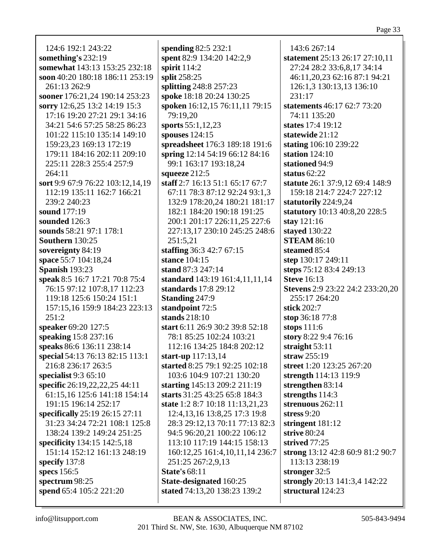124:6 192:1 243:22 something's  $232:19$ somewhat 143:13 153:25 232:18 soon 40:20 180:18 186:11 253:19 261:13 262:9 sooner 176:21,24 190:14 253:23 sorry 12:6,25 13:2 14:19 15:3 17:16 19:20 27:21 29:1 34:16 34:21 54:6 57:25 58:25 86:23 101:22 115:10 135:14 149:10 159:23.23 169:13 172:19 179:11 184:16 202:11 209:10 225:11 228:3 255:4 257:9  $264:11$ sort 9:9 67:9 76:22 103:12,14,19 112:19 135:11 162:7 166:21 239:2 240:23 **sound** 177:19 sounded 126:3 sounds 58:21 97:1 178:1 **Southern** 130:25 sovereignty 84:19 space 55:7 104:18,24 **Spanish 193:23** speak 8:5 16:7 17:21 70:8 75:4 76:15 97:12 107:8,17 112:23 119:18 125:6 150:24 151:1 157:15.16 159:9 184:23 223:13  $251:2$ speaker 69:20 127:5 speaking 15:8 237:16 speaks 86:6 136:11 238:14 special 54:13 76:13 82:15 113:1 216:8 236:17 263:5 specialist  $9:365:10$ specific 26:19,22,22,25 44:11 61:15,16 125:6 141:18 154:14 191:15 196:14 252:17 specifically 25:19 26:15 27:11 31:23 34:24 72:21 108:1 125:8 138:24 139:2 149:24 251:25 specificity 134:15 142:5,18 151:14 152:12 161:13 248:19 specify  $137:8$ specs 156:5 spectrum  $98:25$ spend 65:4 105:2 221:20

spending  $82:5232:1$ spent 82:9 134:20 142:2,9 spirit  $114:2$ split 258:25 splitting 248:8 257:23 spoke 18:18 20:24 130:25 spoken 16:12,15 76:11,11 79:15 79:19.20 sports  $55:1,12,23$ spouses  $124:15$ spreadsheet 176:3 189:18 191:6 spring 12:14 54:19 66:12 84:16 99:1 163:17 193:18,24 squeeze 212:5 staff 2:7 16:13 51:1 65:17 67:7 67:11 78:3 87:12 92:24 93:1,3 132:9 178:20.24 180:21 181:17 182:1 184:20 190:18 191:25 200:1 201:17 226:11,25 227:6 227:13,17 230:10 245:25 248:6  $251:5,21$ staffing  $36:342:767:15$ stance 104:15 stand  $87:3$  247:14 standard 143:19 161:4,11,11,14 standards 17:8 29:12 **Standing 247:9** standpoint 72:5 stands  $218:10$ start 6:11 26:9 30:2 39:8 52:18 78:1 85:25 102:24 103:21 112:16 134:25 184:8 202:12 start-up  $117:13.14$ started 8:25 79:1 92:25 102:18 103:6 104:9 107:21 130:20 starting 145:13 209:2 211:19 starts 31:25 43:25 65:8 184:3 state 1:2 8:7 10:18 11:13,21,23 12:4, 13, 16 13:8, 25 17:3 19:8 28:3 29:12,13 70:11 77:13 82:3 94:5 96:20,21 100:22 106:12 113:10 117:19 144:15 158:13 160:12,25 161:4,10,11,14 236:7 251:25 267:2,9,13 **State's 68:11** State-designated 160:25 stated 74:13,20 138:23 139:2

143:6 267:14 statement 25:13 26:17 27:10,11 27:24 28:2 33:6,8,17 34:14 46:11,20,23 62:16 87:1 94:21 126:1,3 130:13,13 136:10 231:17 statements  $46:1762:773:20$ 74:11 135:20 states 17:4 19:12 statewide 21:12 stating 106:10 239:22 station  $124:10$ stationed 94:9 status  $62:22$ statute 26:1 37:9.12 69:4 148:9 159:18 214:7 224:7 227:12 statutorily 224:9.24 statutory 10:13 40:8,20 228:5 stay  $121:16$ stayed 130:22 **STEAM 86:10** steamed 85:4 step 130:17 249:11 steps 75:12 83:4 249:13 **Steve** 16:13 **Stevens** 2:9 23:22 24:2 233:20,20 255:17 264:20 stick  $202:7$ stop 36:18 77:8 stops  $111:6$ story 8:22 9:4 76:16 straight  $53:11$ straw  $255:19$ street 1:20 123:25 267:20 strength 114:13 119:9 strengthen 83:14 strengths 114:3 strenuous 262:11 stress  $9:20$ stringent  $181:12$ strive  $80:24$ strived  $77:25$ strong 13:12 42:8 60:9 81:2 90:7 113:13 238:19 stronger 32:5 strongly 20:13 141:3,4 142:22 structural 124:23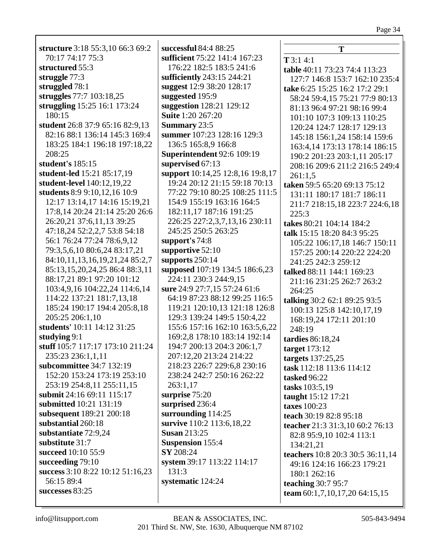**T**

**table** 40:11 73:23 74:4 113:23 127:7 146:8 153:7 162:10 235:4 **take** 6:25 15:25 16:2 17:2 29:1

**T** 3:1 4:1

| structure 3:18 55:3,10 66:3 69:2 | successful 84:4 88:25        |
|----------------------------------|------------------------------|
| 70:17 74:17 75:3                 | sufficient 75:22 141:4 167:2 |
| structured 55:3                  | 176:22 182:5 183:5 241:6     |
| struggle $77:3$                  | sufficiently 243:15 244:21   |
| struggled 78:1                   | suggest 12:9 38:20 128:17    |
| struggles 77:7 103:18,25         | suggested 195:9              |
| struggling 15:25 16:1 173:24     | suggestion 128:21 129:12     |
| 180:15                           | <b>Suite 1:20 267:20</b>     |
| student 26:8 37:9 65:16 82:9,13  | <b>Summary</b> 23:5          |
| 82:16 88:1 136:14 145:3 169:4    | summer 107:23 128:16 129:    |
| 183:25 184:1 196:18 197:18,22    | 136:5 165:8,9 166:8          |
| 208:25                           | Superintendent 92:6 109:19   |
| student's 185:15                 | supervised 67:13             |
| student-led 15:21 85:17,19       | support 10:14,25 12:8,16 19  |
| student-level 140:12,19,22       | 19:24 20:12 21:15 59:18 7    |
| students 8:9 9:10,12,16 10:9     | 77:22 79:10 80:25 108:25     |
| 12:17 13:14,17 14:16 15:19,21    | 154:9 155:19 163:16 164:5    |
| 17:8,14 20:24 21:14 25:20 26:6   | 182:11,17 187:16 191:25      |
| 26:20,21 37:6,11,13 39:25        | 226:25 227:2,3,7,13,16 23    |
| 47:18,24 52:2,2,7 53:8 54:18     | 245:25 250:5 263:25          |
| 56:1 76:24 77:24 78:6,9,12       | support's 74:8               |
| 79:3,5,6,10 80:6,24 83:17,21     | supportive 52:10             |
| 84:10,11,13,16,19,21,24 85:2,7   | supports $250:14$            |
| 85:13,15,20,24,25 86:4 88:3,11   | supposed 107:19 134:5 186:   |
| 88:17,21 89:1 97:20 101:12       | 224:11 230:3 244:9,15        |
| 103:4,9,16 104:22,24 114:6,14    | sure 24:9 27:7,15 57:24 61:6 |
| 114:22 137:21 181:7,13,18        | 64:19 87:23 88:12 99:25 1    |
| 185:24 190:17 194:4 205:8,18     | 119:21 120:10,13 121:18 1    |
| 205:25 206:1,10                  | 129:3 139:24 149:5 150:4,    |
| students' 10:11 14:12 31:25      | 155:6 157:16 162:10 163:5    |
| studying 9:1                     | 169:2,8 178:10 183:14 192    |
| stuff 105:7 117:17 173:10 211:24 | 194:7 200:13 204:3 206:1,    |
| 235:23 236:1,1,11                | 207:12,20 213:24 214:22      |
| subcommittee 34:7 132:19         | 218:23 226:7 229:6,8 230:    |
| 152:20 153:24 173:19 253:10      | 238:24 242:7 250:16 262:2    |
| 253:19 254:8,11 255:11,15        | 263:1,17                     |
| submit 24:16 69:11 115:17        | surprise 75:20               |
| submitted 10:21 131:19           | surprised 236:4              |
| subsequent 189:21 200:18         | surrounding 114:25           |
| substantial 260:18               | survive 110:2 113:6,18,22    |
| substantiate 72:9,24             | <b>Susan 213:25</b>          |
| substitute 31:7                  | <b>Suspension</b> 155:4      |
| succeed 10:10 55:9               | SY 208:24                    |
| succeeding 79:10                 | system 39:17 113:22 114:17   |
| success 3:10 8:22 10:12 51:16,23 | 131:3                        |
| 56:15 89:4                       | systematic 124:24            |
| successes 83:25                  |                              |

| suggested 195:9                            | 58:24 59:4,15 75:21 77:9 80:13    |
|--------------------------------------------|-----------------------------------|
| suggestion 128:21 129:12                   | 81:13 96:4 97:21 98:16 99:4       |
| Suite 1:20 267:20                          | 101:10 107:3 109:13 110:25        |
| <b>Summary 23:5</b>                        | 120:24 124:7 128:17 129:13        |
| summer 107:23 128:16 129:3                 | 145:18 156:1,24 158:14 159:6      |
| 136:5 165:8,9 166:8                        | 163:4, 14 173: 13 178: 14 186: 15 |
| <b>Superintendent 92:6 109:19</b>          | 190:2 201:23 203:1,11 205:17      |
| supervised 67:13                           | 208:16 209:6 211:2 216:5 249:4    |
| support 10:14,25 12:8,16 19:8,17           | 261:1,5                           |
| 19:24 20:12 21:15 59:18 70:13              | taken 59:5 65:20 69:13 75:12      |
| 77:22 79:10 80:25 108:25 111:5             | 131:11 180:17 181:7 186:11        |
| 154:9 155:19 163:16 164:5                  | 211:7 218:15,18 223:7 224:6,18    |
| 182:11,17 187:16 191:25                    | 225:3                             |
| 226:25 227:2,3,7,13,16 230:11              | takes 80:21 104:14 184:2          |
| 245:25 250:5 263:25                        | talk 15:15 18:20 84:3 95:25       |
| support's 74:8                             | 105:22 106:17,18 146:7 150:11     |
| supportive 52:10                           | 157:25 200:14 220:22 224:20       |
| supports $250:14$                          | 241:25 242:3 259:12               |
| supposed 107:19 134:5 186:6,23             | talked 88:11 144:1 169:23         |
| 224:11 230:3 244:9,15                      | 211:16 231:25 262:7 263:2         |
| sure 24:9 27:7,15 57:24 61:6               | 264:25                            |
| 64:19 87:23 88:12 99:25 116:5              | talking 30:2 62:1 89:25 93:5      |
| 119:21 120:10,13 121:18 126:8              | 100:13 125:8 142:10,17,19         |
| 129:3 139:24 149:5 150:4,22                | 168:19,24 172:11 201:10           |
| 155:6 157:16 162:10 163:5,6,22             | 248:19                            |
| 169:2,8 178:10 183:14 192:14               | tardies 86:18,24                  |
| 194:7 200:13 204:3 206:1,7                 | target $173:12$                   |
| 207:12,20 213:24 214:22                    | targets 137:25,25                 |
| 218:23 226:7 229:6,8 230:16                | task 112:18 113:6 114:12          |
| 238:24 242:7 250:16 262:22                 | <b>tasked</b> 96:22               |
| 263:1,17                                   | tasks 103:5,19                    |
| surprise 75:20                             | taught 15:12 17:21                |
| surprised 236:4                            | taxes 100:23                      |
| surrounding $114:25$                       | teach 30:19 82:8 95:18            |
| survive 110:2 113:6,18,22                  | teacher 21:3 31:3,10 60:2 76:13   |
| <b>Susan 213:25</b>                        | 82:8 95:9,10 102:4 113:1          |
| <b>Suspension</b> 155:4                    | 134:21,21                         |
| SY 208:24                                  | teachers 10:8 20:3 30:5 36:11,14  |
| system 39:17 113:22 114:17                 | 49:16 124:16 166:23 179:21        |
| 131:3                                      | 180:1 262:16                      |
| systematic 124:24                          | teaching $30:795:7$               |
|                                            | team $60:1,7,10,17,20$ 64:15,15   |
|                                            |                                   |
|                                            |                                   |
| BEAN & ASSOCIATES, INC.                    | 505-843-949                       |
| rd St. NW, Ste. 1630, Albuquerque NM 87102 |                                   |

**sufficient** 75:22 141:4 167:23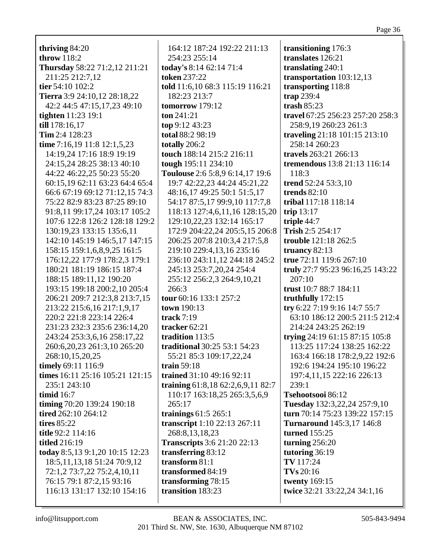| . .  |     |
|------|-----|
| 'aσe | - 3 |
|      |     |

thriving  $84:20$ throw  $118:2$ Thursday 58:22 71:2,12 211:21 211:25 212:7.12 tier 54:10 102:2 Tierra 3:9 24:10,12 28:18,22 42:2 44:5 47:15,17,23 49:10 **tighten** 11:23 19:1 till 178:16,17  $Tim 2:4 128:23$ time 7:16.19 11:8 12:1.5.23 14:19.24 17:16 18:9 19:19 24:15,24 28:25 38:13 40:10 44:22 46:22,25 50:23 55:20 60:15.19 62:11 63:23 64:4 65:4 66:6 67:19 69:12 71:12,15 74:3 75:22 82:9 83:23 87:25 89:10 91:8,11 99:17,24 103:17 105:2 107:6 122:8 126:2 128:18 129:2 130:19,23 133:15 135:6,11 142:10 145:19 146:5,17 147:15 158:15 159:1,6,8,9,25 161:5 176:12.22 177:9 178:2.3 179:1 180:21 181:19 186:15 187:4 188:15 189:11,12 190:20 193:15 199:18 200:2,10 205:4 206:21 209:7 212:3.8 213:7.15 213:22 215:6,16 217:1,9,17 220:2 221:8 223:14 226:4 231:23 232:3 235:6 236:14,20 243:24 253:3,6,16 258:17,22 260:6, 20, 23 261:3, 10 265: 20 268:10,15,20,25 timely 69:11 116:9 times 16:11 25:16 105:21 121:15 235:1 243:10 timid 16:7 timing 70:20 139:24 190:18 tired 262:10 264:12 tires  $85:22$ title 92:2 114:16 **titled** 216:19 today 8:5,13 9:1,20 10:15 12:23 18:5, 11, 13, 18 51: 24 70: 9, 12 72:1,2 73:7,22 75:2,4,10,11 76:15 79:1 87:2,15 93:16 116:13 131:17 132:10 154:16

164:12 187:24 192:22 211:13 254:23 255:14 today's 8:14 62:14 71:4 **token 237:22** told 11:6,10 68:3 115:19 116:21 182:23 213:7 tomorrow  $179:12$ ton  $241:21$  $top 9:12 43:23$ total 88:2 98:19 totally 206:2 touch 188:14 215:2 216:11 tough 195:11 234:10 Toulouse 2:6 5:8,9 6:14,17 19:6 19:7 42:22.23 44:24 45:21.22 48:16,17 49:25 50:1 51:5,17 54:17 87:5,17 99:9,10 117:7,8 118:13 127:4,6,11,16 128:15,20 129:10,22,23 132:14 165:17 172:9 204:22,24 205:5,15 206:8 206:25 207:8 210:3,4 217:5,8 219:10 229:4,13,16 235:16 236:10 243:11.12 244:18 245:2 245:13 253:7,20,24 254:4 255:12 256:2,3 264:9,10,21  $266:3$ tour 60:16 133:1 257:2 town  $190:13$ track  $7:19$ tracker 62:21 tradition 113:5 **traditional** 30:25 53:1 54:23 55:21 85:3 109:17,22,24 train  $59:18$ trained 31:10 49:16 92:11 training 61:8,18 62:2,6,9,11 82:7 110:17 163:18,25 265:3,5,6,9  $265:17$ trainings  $61:5265:1$ transcript 1:10 22:13 267:11 268:8,13,18,23 **Transcripts** 3:6 21:20 22:13 transferring 83:12 transform  $81:1$ transformed 84:19 transforming 78:15 transition 183:23

transitioning 176:3 translates 126:21 translating 240:1 transportation 103:12,13 transporting 118:8 trap  $239:4$ trash  $85:23$ travel 67:25 256:23 257:20 258:3 258:9,19 260:23 261:3 traveling 21:18 101:15 213:10 258:14 260:23 travels 263:21 266:13 **tremendous** 13:8 21:13 116:14  $118:3$ trend 52:24 53:3,10 trends  $82:10$ tribal 117:18 118:14 trip  $13:17$ triple  $44:7$ Trish 2:5 254:17 trouble 121:18 262:5 truancy  $82:13$ true 72:11 119:6 267:10 truly 27:7 95:23 96:16,25 143:22  $207:10$ trust 10:7 88:7 184:11 truthfully  $172:15$ try 6:22 7:19 9:16 14:7 55:7 63:10 186:12 200:5 211:5 212:4 214:24 243:25 262:19 trying 24:19 61:15 87:15 105:8 113:25 117:24 138:25 162:22 163:4 166:18 178:2,9,22 192:6 192:6 194:24 195:10 196:22 197:4,11,15 222:16 226:13  $239:1$ Tsehootsooi 86:12 Tuesday 132:3,22,24 257:9,10 turn 70:14 75:23 139:22 157:15 **Turnaround** 145:3.17 146:8 **turned** 155:25 turning  $256:20$ tutoring 36:19 TV 117:24  $TVs 20:16$ **twenty** 169:15 twice 32:21 33:22,24 34:1,16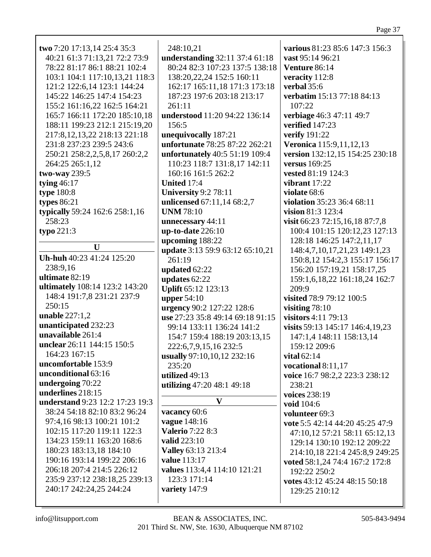| two 7:20 17:13,14 25:4 35:3     | 248:10,21                        | various 81:23 85:6 147:3 156:3  |
|---------------------------------|----------------------------------|---------------------------------|
| 40:21 61:3 71:13,21 72:2 73:9   | understanding 32:11 37:4 61:18   | vast 95:14 96:21                |
| 78:22 81:17 86:1 88:21 102:4    | 80:24 82:3 107:23 137:5 138:18   | Venture 86:14                   |
| 103:1 104:1 117:10,13,21 118:3  | 138:20,22,24 152:5 160:11        | veracity 112:8                  |
| 121:2 122:6,14 123:1 144:24     | 162:17 165:11,18 171:3 173:18    | verbal 35:6                     |
| 145:22 146:25 147:4 154:23      | 187:23 197:6 203:18 213:17       | verbatim 15:13 77:18 84:13      |
| 155:2 161:16,22 162:5 164:21    | 261:11                           | 107:22                          |
|                                 |                                  |                                 |
| 165:7 166:11 172:20 185:10.18   | understood 11:20 94:22 136:14    | verbiage 46:3 47:11 49:7        |
| 188:11 199:23 212:1 215:19,20   | 156:5                            | verified 147:23                 |
| 217:8, 12, 13, 22 218:13 221:18 | unequivocally 187:21             | <b>verify</b> 191:22            |
| 231:8 237:23 239:5 243:6        | unfortunate 78:25 87:22 262:21   | Veronica 115:9,11,12,13         |
| 250:21 258:2,2,5,8,17 260:2,2   | unfortunately 40:5 51:19 109:4   | version 132:12,15 154:25 230:18 |
| 264:25 265:1,12                 | 110:23 118:7 131:8,17 142:11     | versus 169:25                   |
| two-way 239:5                   | 160:16 161:5 262:2               | vested 81:19 124:3              |
| tying $46:17$                   | United 17:4                      | vibrant $17:22$                 |
| type 180:8                      | <b>University 9:2 78:11</b>      | violate 68:6                    |
| types $86:21$                   | unlicensed 67:11,14 68:2,7       | violation 35:23 36:4 68:11      |
| typically 59:24 162:6 258:1,16  | <b>UNM 78:10</b>                 | vision 81:3 123:4               |
| 258:23                          | unnecessary 44:11                | visit 66:23 72:15,16,18 87:7,8  |
| typo $221:3$                    | $up-to-date 226:10$              | 100:4 101:15 120:12,23 127:13   |
|                                 |                                  |                                 |
| $\mathbf U$                     | upcoming 188:22                  | 128:18 146:25 147:2,11,17       |
| Uh-huh 40:23 41:24 125:20       | update 3:13 59:9 63:12 65:10,21  | 148:4,7,10,17,21,23 149:1,23    |
|                                 | 261:19                           | 150:8,12 154:2,3 155:17 156:17  |
| 238:9,16                        | updated 62:22                    | 156:20 157:19,21 158:17,25      |
| ultimate 82:19                  | updates 62:22                    | 159:1,6,18,22 161:18,24 162:7   |
| ultimately 108:14 123:2 143:20  | Uplift 65:12 123:13              | 209:9                           |
| 148:4 191:7,8 231:21 237:9      | upper $54:10$                    | visited 78:9 79:12 100:5        |
| 250:15                          | urgency 90:2 127:22 128:6        | visiting $78:10$                |
| unable $227:1,2$                | use 27:23 35:8 49:14 69:18 91:15 | visitors 4:11 79:13             |
| unanticipated 232:23            | 99:14 133:11 136:24 141:2        | visits 59:13 145:17 146:4,19,23 |
| unavailable 261:4               | 154:7 159:4 188:19 203:13,15     | 147:1,4 148:11 158:13,14        |
| unclear 26:11 144:15 150:5      | 222:6,7,9,15,16 232:5            | 159:12 209:6                    |
| 164:23 167:15                   | usually 97:10,10,12 232:16       | vital $62:14$                   |
| uncomfortable 153:9             | 235:20                           | vocational 8:11,17              |
| unconditional 63:16             | utilized 49:13                   |                                 |
| undergoing 70:22                |                                  | voice 16:7 98:2,2 223:3 238:12  |
| underlines 218:15               | utilizing 47:20 48:1 49:18       | 238:21                          |
| understand 9:23 12:2 17:23 19:3 | $\bf{V}$                         | voices 238:19                   |
| 38:24 54:18 82:10 83:2 96:24    | vacancy 60:6                     | void 104:6                      |
|                                 |                                  | volunteer 69:3                  |
| 97:4,16 98:13 100:21 101:2      | vague 148:16                     | vote 5:5 42:14 44:20 45:25 47:9 |
| 102:15 117:20 119:11 122:3      | <b>Valerio 7:22 8:3</b>          | 47:10,12 57:21 58:11 65:12,13   |
| 134:23 159:11 163:20 168:6      | <b>valid</b> 223:10              | 129:14 130:10 192:12 209:22     |
| 180:23 183:13,18 184:10         | Valley 63:13 213:4               | 214:10,18 221:4 245:8,9 249:25  |
| 190:16 193:14 199:22 206:16     | value 113:17                     | voted 58:1,24 74:4 167:2 172:8  |
| 206:18 207:4 214:5 226:12       | values 113:4,4 114:10 121:21     | 192:22 250:2                    |
| 235:9 237:12 238:18,25 239:13   | 123:3 171:14                     | votes 43:12 45:24 48:15 50:18   |
| 240:17 242:24,25 244:24         | variety 147:9                    | 129:25 210:12                   |
|                                 |                                  |                                 |
|                                 |                                  |                                 |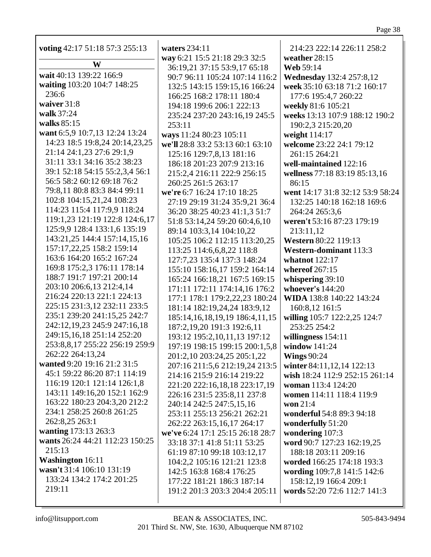| voting 42:17 51:18 57:3 255:13  | waters 234:11                         | 214:23 222:14 226:11 258:2       |
|---------------------------------|---------------------------------------|----------------------------------|
| W                               | way 6:21 15:5 21:18 29:3 32:5         | weather 28:15                    |
| wait 40:13 139:22 166:9         | 36:19,21 37:15 53:9,17 65:18          | <b>Web 59:14</b>                 |
| waiting 103:20 104:7 148:25     | 90:7 96:11 105:24 107:14 116:2        | <b>Wednesday</b> 132:4 257:8,12  |
| 236:6                           | 132:5 143:15 159:15,16 166:24         | week 35:10 63:18 71:2 160:17     |
| waiver 31:8                     | 166:25 168:2 178:11 180:4             | 177:6 195:4,7 260:22             |
| walk 37:24                      | 194:18 199:6 206:1 222:13             | weekly 81:6 105:21               |
| walks 85:15                     | 235:24 237:20 243:16,19 245:5         | weeks 13:13 107:9 188:12 190:2   |
|                                 | 253:11                                | 190:2,3 215:20,20                |
| want 6:5,9 10:7,13 12:24 13:24  | ways 11:24 80:23 105:11               | weight 114:17                    |
| 14:23 18:5 19:8,24 20:14,23,25  | we'll 28:8 33:2 53:13 60:1 63:10      | welcome 23:22 24:1 79:12         |
| 21:14 24:1,23 27:6 29:1,9       | 125:16 129:7,8,13 181:16              | 261:15 264:21                    |
| 31:11 33:1 34:16 35:2 38:23     | 186:18 201:23 207:9 213:16            | well-maintained 122:16           |
| 39:1 52:18 54:15 55:2,3,4 56:1  | 215:2,4 216:11 222:9 256:15           | wellness 77:18 83:19 85:13,16    |
| 56:5 58:2 60:12 69:18 76:2      | 260:25 261:5 263:17                   | 86:15                            |
| 79:8,11 80:8 83:3 84:4 99:11    | we're 6:7 16:24 17:10 18:25           | went 14:17 31:8 32:12 53:9 58:24 |
| 102:8 104:15,21,24 108:23       | 27:19 29:19 31:24 35:9,21 36:4        | 132:25 140:18 162:18 169:6       |
| 114:23 115:4 117:9,9 118:24     | 36:20 38:25 40:23 41:1,3 51:7         | 264:24 265:3,6                   |
| 119:1,23 121:19 122:8 124:6,17  | 51:8 53:14,24 59:20 60:4,6,10         | weren't 53:16 87:23 179:19       |
| 125:9,9 128:4 133:1,6 135:19    | 89:14 103:3,14 104:10,22              | 213:11,12                        |
| 143:21,25 144:4 157:14,15,16    | 105:25 106:2 112:15 113:20,25         | Western 80:22 119:13             |
| 157:17,22,25 158:2 159:14       | 113:25 114:6,6,8,22 118:8             | Western-dominant 113:3           |
| 163:6 164:20 165:2 167:24       | 127:7,23 135:4 137:3 148:24           | whatnot 122:17                   |
| 169:8 175:2,3 176:11 178:14     | 155:10 158:16,17 159:2 164:14         | whereof $267:15$                 |
| 188:7 191:7 197:21 200:14       | 165:24 166:18,21 167:5 169:15         | whispering $39:10$               |
| 203:10 206:6,13 212:4,14        | 171:11 172:11 174:14,16 176:2         | whoever's 144:20                 |
| 216:24 220:13 221:1 224:13      | 177:1 178:1 179:2,22,23 180:24        | WIDA 138:8 140:22 143:24         |
| 225:15 231:3,12 232:11 233:5    | 181:14 182:19,24,24 183:9,12          | 160:8,12 161:5                   |
| 235:1 239:20 241:15,25 242:7    | 185:14, 16, 18, 19, 19 186: 4, 11, 15 | willing 105:7 122:2,25 124:7     |
| 242:12,19,23 245:9 247:16,18    | 187:2,19,20 191:3 192:6,11            | 253:25 254:2                     |
| 249:15,16,18 251:14 252:20      | 193:12 195:2,10,11,13 197:12          | willingness 154:11               |
| 253:8,8,17 255:22 256:19 259:9  | 197:19 198:15 199:15 200:1,5,8        | window 141:24                    |
| 262:22 264:13,24                | 201:2,10 203:24,25 205:1,22           | <b>Wings 90:24</b>               |
| wanted 9:20 19:16 21:2 31:5     | 207:16 211:5,6 212:19,24 213:5        | winter 84:11,12,14 122:13        |
| 45:1 59:22 86:20 87:1 114:19    | 214:16 215:9 216:14 219:22            | wish 18:24 112:9 252:15 261:14   |
| 116:19 120:1 121:14 126:1,8     | 221:20 222:16,18,18 223:17,19         | woman 113:4 124:20               |
| 143:11 149:16,20 152:1 162:9    | 226:16 231:5 235:8,11 237:8           | women 114:11 118:4 119:9         |
| 163:22 180:23 204:3,20 212:2    | 240:14 242:5 247:5,15,16              | won $21:4$                       |
| 234:1 258:25 260:8 261:25       | 253:11 255:13 256:21 262:21           | wonderful 54:8 89:3 94:18        |
| 262:8,25 263:1                  | 262:22 263:15,16,17 264:17            | wonderfully 51:20                |
| wanting 173:13 263:3            | we've 6:24 17:1 25:15 26:18 28:7      | wondering 107:3                  |
| wants 26:24 44:21 112:23 150:25 | 33:18 37:1 41:8 51:11 53:25           | word 90:7 127:23 162:19,25       |
| 215:13                          | 61:19 87:10 99:18 103:12,17           | 188:18 203:11 209:16             |
| <b>Washington 16:11</b>         | 104:2,2 105:16 121:21 123:8           | worded 166:25 174:18 193:3       |
| wasn't 31:4 106:10 131:19       | 142:5 163:8 168:4 176:25              | wording 109:7,8 141:5 142:6      |
| 133:24 134:2 174:2 201:25       | 177:22 181:21 186:3 187:14            | 158:12,19 166:4 209:1            |
| 219:11                          | 191:2 201:3 203:3 204:4 205:11        | words 52:20 72:6 112:7 141:3     |
|                                 |                                       |                                  |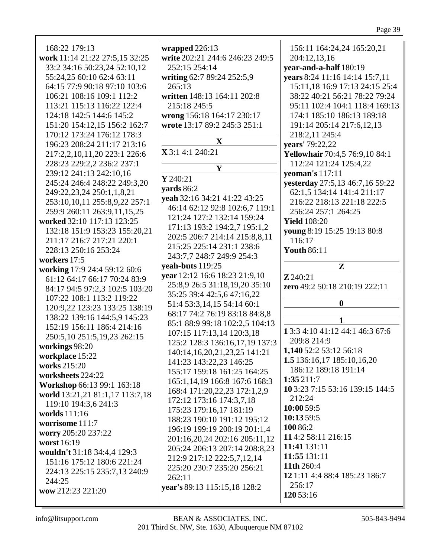wrapped  $226:13$ 168:22 179:13 156:11 164:24,24 165:20,21 write 202:21 244:6 246:23 249:5 work 11:14 21:22 27:5,15 32:25 204:12,13,16 33:2 34:16 50:23,24 52:10,12  $252:15$   $254:14$ year-and-a-half 180:19 55:24,25 60:10 62:4 63:11 writing 62:7 89:24 252:5,9 years 8:24 11:16 14:14 15:7,11 64:15 77:9 90:18 97:10 103:6  $265:13$ 15:11,18 16:9 17:13 24:15 25:4 106:21 108:16 109:1 112:2 written 148:13 164:11 202:8 38:22 40:21 56:21 78:22 79:24 113:21 115:13 116:22 122:4 215:18 245:5 95:11 102:4 104:1 118:4 169:13 124:18 142:5 144:6 145:2 wrong 156:18 164:17 230:17 174:1 185:10 186:13 189:18 151:20 154:12,15 156:2 162:7 wrote 13:17 89:2 245:3 251:1 191:14 205:14 217:6,12,13 170:12 173:24 176:12 178:3 218:2,11 245:4 X 196:23 208:24 211:17 213:16 **vears'** 79:22.22  $X$ 3:14:1240:21 **Yellowhair** 70:4,5 76:9,10 84:1 217:2,2,10,11,20 223:1 226:6 228:23 229:2,2 236:2 237:1 112:24 121:24 125:4,22  ${\bf Y}$ 239:12 241:13 242:10,16 veoman's 117:11  $Y$  240:21 245:24 246:4 248:22 249:3,20 vesterday 27:5,13 46:7,16 59:22 vards  $86:2$ 249:22,23,24 250:1,1,8,21 62:1,5 134:14 141:4 211:17 veah 32:16 34:21 41:22 43:25 253:10,10,11 255:8,9,22 257:1 216:22 218:13 221:18 222:5 46:14 62:12 92:8 102:6,7 119:1 259:9 260:11 263:9,11,15,25 256:24 257:1 264:25 121:24 127:2 132:14 159:24 worked 32:10 117:13 123:25 **Yield** 108:20 171:13 193:2 194:2,7 195:1,2 132:18 151:9 153:23 155:20,21 voung 8:19 15:25 19:13 80:8 202:5 206:7 214:14 215:8.8.11 211:17 216:7 217:21 220:1 116:17 215:25 225:14 231:1 238:6 228:13 250:16 253:24 **Youth 86:11** 243:7.7 248:7 249:9 254:3 workers 17:5 veah-buts  $119:25$  $\mathbf{Z}$ working 17:9 24:4 59:12 60:6 vear 12:12 16:6 18:23 21:9,10  $Z$  240:21 61:12 64:17 66:17 70:24 83:9 25:8,9 26:5 31:18,19,20 35:10 zero 49:2 50:18 210:19 222:11 84:17 94:5 97:2,3 102:5 103:20 35:25 39:4 42:5.6 47:16.22 107:22 108:1 113:2 119:22  $\mathbf{0}$ 51:4 53:3,14,15 54:14 60:1 120:9.22 123:23 133:25 138:19 68:17 74:2 76:19 83:18 84:8,8 138:22 139:16 144:5,9 145:23  $\mathbf{1}$ 85:1 88:9 99:18 102:2,5 104:13 152:19 156:11 186:4 214:16 1 3:3 4:10 41:12 44:1 46:3 67:6 107:15 117:13,14 120:3,18 250:5,10 251:5,19,23 262:15 209:8 214:9 125:2 128:3 136:16,17,19 137:3 workings 98:20 1,140 52:2 53:12 56:18 140:14,16,20,21,23,25 141:21 workplace 15:22 1.5 136:16,17 185:10,16,20 141:23 143:22,23 146:25 works  $215:20$ 186:12 189:18 191:14 155:17 159:18 161:25 164:25 worksheets 224:22  $1:35211:7$ 165:1,14,19 166:8 167:6 168:3 Workshop 66:13 99:1 163:18 10 3:23 7:15 53:16 139:15 144:5 168:4 171:20,22,23 172:1,2,9 world 13:21,21 81:1,17 113:7,18 212:24 172:12 173:16 174:3,7,18 119:10 194:3,6 241:3  $10:0059:5$ 175:23 179:16,17 181:19 worlds 111:16  $10:1359:5$ 188:23 190:10 191:12 195:12 worrisome 111:7 100 86:2 196:19 199:19 200:19 201:1,4 worry 205:20 237:22 114:2 58:11 216:15 201:16,20,24 202:16 205:11,12 worst 16:19 11:41 131:11 205:24 206:13 207:14 208:8,23 wouldn't 31:18 34:4,4 129:3 11:55 131:11 212:9 217:12 222:5,7,12,14 151:16 175:12 180:6 221:24 11th  $260:4$ 225:20 230:7 235:20 256:21 224:13 225:15 235:7,13 240:9 12 1:11 4:4 88:4 185:23 186:7  $262:11$  $244:25$  $256:17$ year's 89:13 115:15,18 128:2 wow 212:23 221:20 120 53:16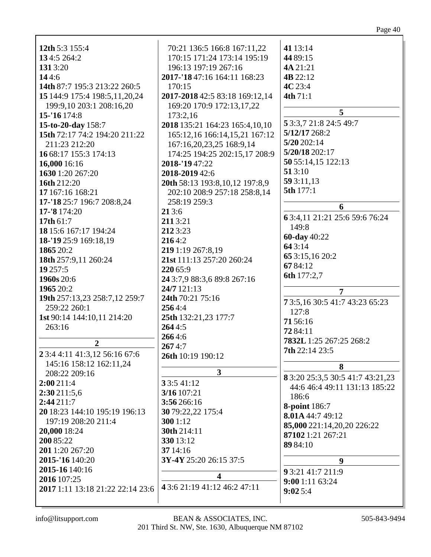| 12th 5:3 155:4                                  | 70:21 136:5 166:8 167:11,22    | 41 13:14                               |
|-------------------------------------------------|--------------------------------|----------------------------------------|
| 134:5 264:2                                     | 170:15 171:24 173:14 195:19    | 44 89:15                               |
| 1313:20                                         | 196:13 197:19 267:16           | 4A 21:21                               |
| 144:6                                           | 2017-'18 47:16 164:11 168:23   | 4B 22:12                               |
| 14th 87:7 195:3 213:22 260:5                    | 170:15                         | 4C 23:4                                |
| 15 144:9 175:4 198:5,11,20,24                   | 2017-2018 42:5 83:18 169:12,14 | 4th 71:1                               |
| 199:9,10 203:1 208:16,20                        | 169:20 170:9 172:13,17,22      |                                        |
| 15-'16 174:8                                    | 173:2,16                       | 5                                      |
| 15-to-20-day 158:7                              | 2018 135:21 164:23 165:4,10,10 | 5 3:3,7 21:8 24:5 49:7                 |
| 15th 72:17 74:2 194:20 211:22                   | 165:12,16 166:14,15,21 167:12  | 5/12/17 268:2                          |
| 211:23 212:20                                   | 167:16,20,23,25 168:9,14       | 5/20202:14                             |
| 16 68:17 155:3 174:13                           | 174:25 194:25 202:15,17 208:9  | 5/20/18 202:17                         |
| 16,000 16:16                                    | 2018-'1947:22                  | 50 55:14,15 122:13                     |
| 1630 1:20 267:20                                | 2018-2019 42:6                 | 513:10                                 |
| 16th 212:20                                     | 20th 58:13 193:8,10,12 197:8,9 | 59 3:11,13                             |
| 17 167:16 168:21                                | 202:10 208:9 257:18 258:8,14   | 5th 177:1                              |
| 17-'18 25:7 196:7 208:8,24                      | 258:19 259:3                   | 6                                      |
| 17-'8 174:20                                    | 213:6                          |                                        |
| 17th 61:7                                       | 2113:21                        | 63:4,11 21:21 25:6 59:6 76:24<br>149:8 |
| 18 15:6 167:17 194:24                           | 212 3:23                       |                                        |
| 18-'19 25:9 169:18,19                           | 2164:2                         | 60-day 40:22<br>643:14                 |
| 1865 20:2                                       | 219 1:19 267:8,19              |                                        |
| 18th 257:9,11 260:24                            | 21st 111:13 257:20 260:24      | 65 3:15,16 20:2                        |
| 19 257:5                                        | 220 65:9                       | 6784:12                                |
| 1960s 20:6                                      | 24 3:7,9 88:3,6 89:8 267:16    | 6th 177:2,7                            |
| 1965 20:2                                       | 24/7 121:13                    | $\overline{7}$                         |
| 19th 257:13,23 258:7,12 259:7                   | 24th 70:21 75:16               | 73:5,1630:541:743:2365:23              |
| 259:22 260:1                                    | 2564:4                         | 127:8                                  |
| 1st 90:14 144:10,11 214:20                      | 25th 132:21,23 177:7           | 7156:16                                |
| 263:16                                          | 2644:5                         | 7284:11                                |
|                                                 | 2664:6                         | 7832L 1:25 267:25 268:2                |
| $\boldsymbol{2}$                                | 2674:7                         | <b>7th</b> 22:14 23:5                  |
| 2 3:4 4:11 41:3,12 56:16 67:6                   | 26th 10:19 190:12              |                                        |
| 145:16 158:12 162:11,24                         | $\overline{\mathbf{3}}$        | 8                                      |
| 208:22 209:16                                   |                                | 8 3:20 25:3,5 30:5 41:7 43:21,23       |
| 2:00 211:4                                      | 33:541:12                      | 44:6 46:4 49:11 131:13 185:22          |
| 2:30211:5,6                                     | 3/16 107:21                    | 186:6                                  |
| 2:44211:7                                       | 3:56 266:16                    | <b>8-point</b> 186:7                   |
| 20 18:23 144:10 195:19 196:13                   | 30 79:22,22 175:4              | 8.01A 44:7 49:12                       |
| 197:19 208:20 211:4                             | 300 1:12                       | 85,000 221:14,20,20 226:22             |
| 20,000 18:24                                    | 30th 214:11                    | 87102 1:21 267:21                      |
| 200 85:22                                       | 330 13:12                      | 89 84:10                               |
| 201 1:20 267:20                                 | 37 14:16                       |                                        |
| 2015-'16 140:20                                 | 3Y-4Y 25:20 26:15 37:5         | 9                                      |
| 2015-16 140:16                                  | 4                              | 9 3:21 41:7 211:9                      |
| 2016 107:25<br>2017 1:11 13:18 21:22 22:14 23:6 | 4 3:6 21:19 41:12 46:2 47:11   | 9:001:1163:24                          |
|                                                 |                                | 9:025:4                                |
|                                                 |                                |                                        |

info@litsupport.com